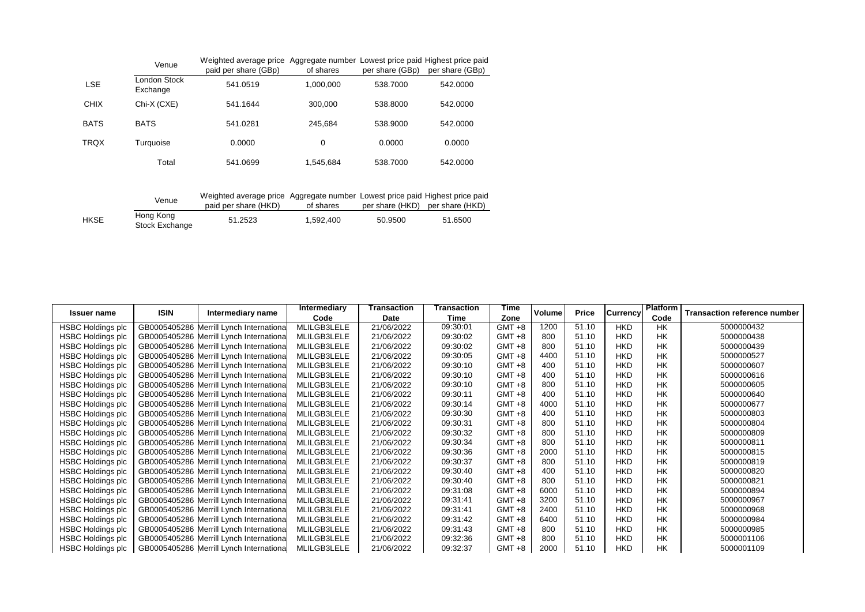|             | Venue                    | Weighted average price Aggregate number Lowest price paid Highest price paid<br>paid per share (GBp) | of shares | per share (GBp) | per share (GBp) |
|-------------|--------------------------|------------------------------------------------------------------------------------------------------|-----------|-----------------|-----------------|
| <b>LSE</b>  | London Stock<br>Exchange | 541.0519                                                                                             | 1,000,000 | 538,7000        | 542,0000        |
| <b>CHIX</b> | Chi-X (CXE)              | 541.1644                                                                                             | 300,000   | 538,8000        | 542,0000        |
| <b>BATS</b> | <b>BATS</b>              | 541.0281                                                                                             | 245.684   | 538,9000        | 542,0000        |
| <b>TRQX</b> | Turquoise                | 0.0000                                                                                               | 0         | 0.0000          | 0.0000          |
|             | Total                    | 541.0699                                                                                             | 1,545,684 | 538,7000        | 542.0000        |

|      | Venue                       | Weighted average price Aggregate number Lowest price paid Highest price paid<br>paid per share (HKD) | of shares | per share (HKD) per share (HKD) |         |
|------|-----------------------------|------------------------------------------------------------------------------------------------------|-----------|---------------------------------|---------|
| HKSE | Hong Kong<br>Stock Exchange | 51.2523                                                                                              | 1.592.400 | 50.9500                         | 51.6500 |

|                          | <b>ISIN</b> |                                          | Intermediary | Transaction | Transaction | Time      | Volume | <b>Price</b> |                 | <b>Platform</b> |                                     |
|--------------------------|-------------|------------------------------------------|--------------|-------------|-------------|-----------|--------|--------------|-----------------|-----------------|-------------------------------------|
| <b>Issuer name</b>       |             | Intermediary name                        | Code         | Date        | Time        | Zone      |        |              | <b>Currency</b> | Code            | <b>Transaction reference number</b> |
| <b>HSBC Holdings plc</b> |             | GB0005405286 Merrill Lynch International | MLILGB3LELE  | 21/06/2022  | 09:30:01    | $GMT + 8$ | 1200   | 51.10        | <b>HKD</b>      | <b>HK</b>       | 5000000432                          |
| <b>HSBC Holdings plc</b> |             | GB0005405286 Merrill Lynch International | MLILGB3LELE  | 21/06/2022  | 09:30:02    | $GMT +8$  | 800    | 51.10        | <b>HKD</b>      | <b>HK</b>       | 5000000438                          |
| <b>HSBC Holdings plc</b> |             | GB0005405286 Merrill Lynch International | MLILGB3LELE  | 21/06/2022  | 09:30:02    | GMT +8    | 800    | 51.10        | <b>HKD</b>      | <b>HK</b>       | 5000000439                          |
| <b>HSBC Holdings plc</b> |             | GB0005405286 Merrill Lynch International | MLILGB3LELE  | 21/06/2022  | 09:30:05    | $GMT +8$  | 4400   | 51.10        | <b>HKD</b>      | <b>HK</b>       | 5000000527                          |
| <b>HSBC Holdings plc</b> |             | GB0005405286 Merrill Lynch International | MLILGB3LELE  | 21/06/2022  | 09:30:10    | $GMT + 8$ | 400    | 51.10        | <b>HKD</b>      | <b>HK</b>       | 5000000607                          |
| <b>HSBC Holdings plc</b> |             | GB0005405286 Merrill Lynch International | MLILGB3LELE  | 21/06/2022  | 09:30:10    | $GMT +8$  | 400    | 51.10        | <b>HKD</b>      | <b>HK</b>       | 5000000616                          |
| <b>HSBC Holdings plc</b> |             | GB0005405286 Merrill Lynch International | MLILGB3LELE  | 21/06/2022  | 09:30:10    | $GMT +8$  | 800    | 51.10        | <b>HKD</b>      | <b>HK</b>       | 5000000605                          |
| <b>HSBC Holdings plc</b> |             | GB0005405286 Merrill Lynch International | MLILGB3LELE  | 21/06/2022  | 09:30:11    | GMT +8    | 400    | 51.10        | <b>HKD</b>      | <b>HK</b>       | 5000000640                          |
| <b>HSBC Holdings plc</b> |             | GB0005405286 Merrill Lynch International | MLILGB3LELE  | 21/06/2022  | 09:30:14    | GMT +8    | 4000   | 51.10        | <b>HKD</b>      | <b>HK</b>       | 5000000677                          |
| <b>HSBC Holdings plc</b> |             | GB0005405286 Merrill Lynch International | MLILGB3LELE  | 21/06/2022  | 09:30:30    | GMT +8    | 400    | 51.10        | <b>HKD</b>      | <b>HK</b>       | 5000000803                          |
| <b>HSBC Holdings plc</b> |             | GB0005405286 Merrill Lynch International | MLILGB3LELE  | 21/06/2022  | 09:30:31    | $GMT + 8$ | 800    | 51.10        | <b>HKD</b>      | <b>HK</b>       | 5000000804                          |
| <b>HSBC Holdings plc</b> |             | GB0005405286 Merrill Lynch International | MLILGB3LELE  | 21/06/2022  | 09:30:32    | $GMT +8$  | 800    | 51.10        | <b>HKD</b>      | <b>HK</b>       | 5000000809                          |
| <b>HSBC Holdings plc</b> |             | GB0005405286 Merrill Lynch International | MLILGB3LELE  | 21/06/2022  | 09:30:34    | $GMT + 8$ | 800    | 51.10        | <b>HKD</b>      | <b>HK</b>       | 5000000811                          |
| <b>HSBC Holdings plc</b> |             | GB0005405286 Merrill Lynch International | MLILGB3LELE  | 21/06/2022  | 09:30:36    | $GMT +8$  | 2000   | 51.10        | <b>HKD</b>      | <b>HK</b>       | 5000000815                          |
| <b>HSBC Holdings plc</b> |             | GB0005405286 Merrill Lynch International | MLILGB3LELE  | 21/06/2022  | 09:30:37    | GMT +8    | 800    | 51.10        | <b>HKD</b>      | <b>HK</b>       | 5000000819                          |
| <b>HSBC Holdings plc</b> |             | GB0005405286 Merrill Lynch International | MLILGB3LELE  | 21/06/2022  | 09:30:40    | $GMT + 8$ | 400    | 51.10        | <b>HKD</b>      | <b>HK</b>       | 5000000820                          |
| <b>HSBC Holdings plc</b> |             | GB0005405286 Merrill Lynch International | MLILGB3LELE  | 21/06/2022  | 09:30:40    | GMT +8    | 800    | 51.10        | <b>HKD</b>      | <b>HK</b>       | 5000000821                          |
| <b>HSBC Holdings plc</b> |             | GB0005405286 Merrill Lynch International | MLILGB3LELE  | 21/06/2022  | 09:31:08    | GMT +8    | 6000   | 51.10        | <b>HKD</b>      | <b>HK</b>       | 5000000894                          |
| <b>HSBC Holdings plc</b> |             | GB0005405286 Merrill Lynch International | MLILGB3LELE  | 21/06/2022  | 09:31:41    | $GMT +8$  | 3200   | 51.10        | <b>HKD</b>      | <b>HK</b>       | 5000000967                          |
| <b>HSBC Holdings plc</b> |             | GB0005405286 Merrill Lynch International | MLILGB3LELE  | 21/06/2022  | 09:31:41    | $GMT +8$  | 2400   | 51.10        | <b>HKD</b>      | <b>HK</b>       | 5000000968                          |
| <b>HSBC Holdings plc</b> |             | GB0005405286 Merrill Lynch International | MLILGB3LELE  | 21/06/2022  | 09:31:42    | GMT +8    | 6400   | 51.10        | <b>HKD</b>      | <b>HK</b>       | 5000000984                          |
| <b>HSBC Holdings plc</b> |             | GB0005405286 Merrill Lynch International | MLILGB3LELE  | 21/06/2022  | 09:31:43    | GMT +8    | 800    | 51.10        | <b>HKD</b>      | <b>HK</b>       | 5000000985                          |
| <b>HSBC Holdings plc</b> |             | GB0005405286 Merrill Lynch International | MLILGB3LELE  | 21/06/2022  | 09:32:36    | GMT +8    | 800    | 51.10        | <b>HKD</b>      | <b>HK</b>       | 5000001106                          |
| <b>HSBC Holdings plc</b> |             | GB0005405286 Merrill Lynch International | MLILGB3LELE  | 21/06/2022  | 09:32:37    | $GMT +8$  | 2000   | 51.10        | <b>HKD</b>      | <b>HK</b>       | 5000001109                          |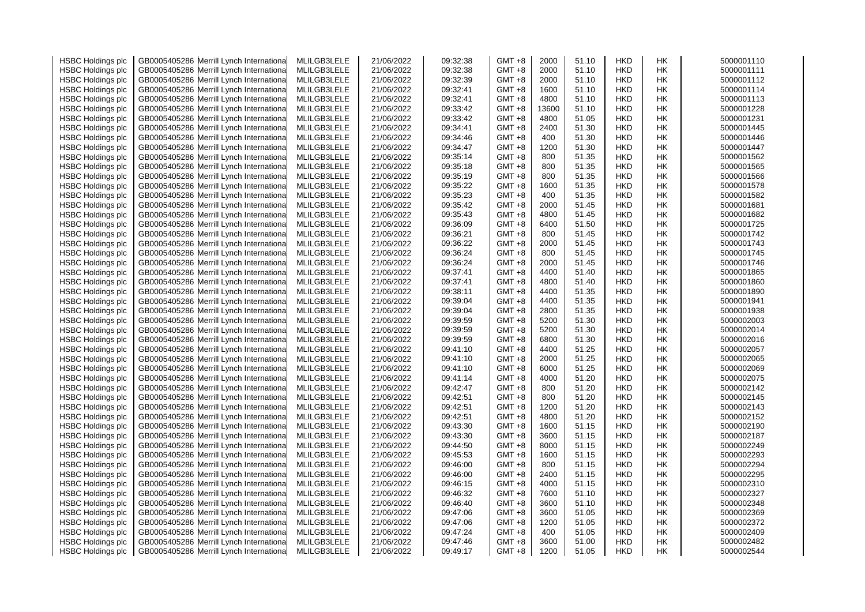| <b>HSBC Holdings plc</b> | GB0005405286 Merrill Lynch Internationa | MLILGB3LELE | 21/06/2022 | 09:32:38 | $GMT + 8$ | 2000  | 51.10 | <b>HKD</b> | НK | 5000001110 |
|--------------------------|-----------------------------------------|-------------|------------|----------|-----------|-------|-------|------------|----|------------|
| <b>HSBC Holdings plc</b> | GB0005405286 Merrill Lynch Internationa | MLILGB3LELE | 21/06/2022 | 09:32:38 | GMT +8    | 2000  | 51.10 | <b>HKD</b> | НK | 5000001111 |
| <b>HSBC Holdings plc</b> | GB0005405286 Merrill Lynch Internationa | MLILGB3LELE | 21/06/2022 | 09:32:39 | GMT +8    | 2000  | 51.10 | <b>HKD</b> | HК | 5000001112 |
| <b>HSBC Holdings plc</b> | GB0005405286 Merrill Lynch Internationa | MLILGB3LELE | 21/06/2022 | 09:32:41 | GMT +8    | 1600  | 51.10 | <b>HKD</b> | НK | 5000001114 |
| <b>HSBC Holdings plc</b> | GB0005405286 Merrill Lynch Internationa | MLILGB3LELE | 21/06/2022 | 09:32:41 | GMT +8    | 4800  | 51.10 | <b>HKD</b> | НK | 5000001113 |
| <b>HSBC Holdings plc</b> | GB0005405286 Merrill Lynch Internationa | MLILGB3LELE | 21/06/2022 | 09:33:42 | GMT +8    | 13600 | 51.10 | <b>HKD</b> | НK | 5000001228 |
| <b>HSBC Holdings plc</b> | GB0005405286 Merrill Lynch Internationa | MLILGB3LELE | 21/06/2022 | 09:33:42 | GMT +8    | 4800  | 51.05 | <b>HKD</b> | HК | 5000001231 |
| <b>HSBC Holdings plc</b> | GB0005405286 Merrill Lynch Internationa | MLILGB3LELE | 21/06/2022 | 09:34:41 | GMT +8    | 2400  | 51.30 | <b>HKD</b> | НK | 5000001445 |
| <b>HSBC Holdings plc</b> | GB0005405286 Merrill Lynch Internationa | MLILGB3LELE | 21/06/2022 | 09:34:46 | $GMT +8$  | 400   | 51.30 | <b>HKD</b> | НK | 5000001446 |
| <b>HSBC Holdings plc</b> | GB0005405286 Merrill Lynch Internationa | MLILGB3LELE | 21/06/2022 | 09:34:47 | GMT +8    | 1200  | 51.30 | <b>HKD</b> | НK | 5000001447 |
| <b>HSBC Holdings plc</b> | GB0005405286 Merrill Lynch Internationa | MLILGB3LELE | 21/06/2022 | 09:35:14 | GMT +8    | 800   | 51.35 | HKD        | HΚ | 5000001562 |
| <b>HSBC Holdings plc</b> | GB0005405286 Merrill Lynch Internationa | MLILGB3LELE | 21/06/2022 | 09:35:18 | GMT +8    | 800   | 51.35 | <b>HKD</b> | НK | 5000001565 |
| <b>HSBC Holdings plc</b> | GB0005405286 Merrill Lynch Internationa | MLILGB3LELE | 21/06/2022 | 09:35:19 | GMT +8    | 800   | 51.35 | <b>HKD</b> | НK | 5000001566 |
| <b>HSBC Holdings plc</b> | GB0005405286 Merrill Lynch Internationa | MLILGB3LELE | 21/06/2022 | 09:35:22 | GMT +8    | 1600  | 51.35 | <b>HKD</b> | HΚ | 5000001578 |
|                          | GB0005405286 Merrill Lynch Internationa | MLILGB3LELE | 21/06/2022 | 09:35:23 | GMT +8    | 400   | 51.35 | <b>HKD</b> | HК | 5000001582 |
| <b>HSBC Holdings plc</b> |                                         |             |            | 09:35:42 | GMT +8    | 2000  |       |            | НK | 5000001681 |
| <b>HSBC Holdings plc</b> | GB0005405286 Merrill Lynch Internationa | MLILGB3LELE | 21/06/2022 |          |           |       | 51.45 | <b>HKD</b> |    |            |
| <b>HSBC Holdings plc</b> | GB0005405286 Merrill Lynch Internationa | MLILGB3LELE | 21/06/2022 | 09:35:43 | $GMT +8$  | 4800  | 51.45 | <b>HKD</b> | НK | 5000001682 |
| <b>HSBC Holdings plc</b> | GB0005405286 Merrill Lynch Internationa | MLILGB3LELE | 21/06/2022 | 09:36:09 | GMT +8    | 6400  | 51.50 | HKD        | НK | 5000001725 |
| <b>HSBC Holdings plc</b> | GB0005405286 Merrill Lynch Internationa | MLILGB3LELE | 21/06/2022 | 09:36:21 | GMT +8    | 800   | 51.45 | <b>HKD</b> | HΚ | 5000001742 |
| <b>HSBC Holdings plc</b> | GB0005405286 Merrill Lynch Internationa | MLILGB3LELE | 21/06/2022 | 09:36:22 | GMT +8    | 2000  | 51.45 | <b>HKD</b> | НK | 5000001743 |
| <b>HSBC Holdings plc</b> | GB0005405286 Merrill Lynch Internationa | MLILGB3LELE | 21/06/2022 | 09:36:24 | GMT +8    | 800   | 51.45 | <b>HKD</b> | НK | 5000001745 |
| <b>HSBC Holdings plc</b> | GB0005405286 Merrill Lynch Internationa | MLILGB3LELE | 21/06/2022 | 09:36:24 | GMT +8    | 2000  | 51.45 | <b>HKD</b> | НK | 5000001746 |
| <b>HSBC Holdings plc</b> | GB0005405286 Merrill Lynch Internationa | MLILGB3LELE | 21/06/2022 | 09:37:41 | GMT +8    | 4400  | 51.40 | <b>HKD</b> | HΚ | 5000001865 |
| <b>HSBC Holdings plc</b> | GB0005405286 Merrill Lynch Internationa | MLILGB3LELE | 21/06/2022 | 09:37:41 | GMT +8    | 4800  | 51.40 | <b>HKD</b> | НK | 5000001860 |
| <b>HSBC Holdings plc</b> | GB0005405286 Merrill Lynch Internationa | MLILGB3LELE | 21/06/2022 | 09:38:11 | $GMT +8$  | 4400  | 51.35 | <b>HKD</b> | НK | 5000001890 |
| <b>HSBC Holdings plc</b> | GB0005405286 Merrill Lynch Internationa | MLILGB3LELE | 21/06/2022 | 09:39:04 | GMT +8    | 4400  | 51.35 | <b>HKD</b> | НK | 5000001941 |
| <b>HSBC Holdings plc</b> | GB0005405286 Merrill Lynch Internationa | MLILGB3LELE | 21/06/2022 | 09:39:04 | GMT +8    | 2800  | 51.35 | <b>HKD</b> | НK | 5000001938 |
| <b>HSBC Holdings plc</b> | GB0005405286 Merrill Lynch Internationa | MLILGB3LELE | 21/06/2022 | 09:39:59 | $GMT +8$  | 5200  | 51.30 | <b>HKD</b> | НK | 5000002003 |
| <b>HSBC Holdings plc</b> | GB0005405286 Merrill Lynch Internationa | MLILGB3LELE | 21/06/2022 | 09:39:59 | GMT +8    | 5200  | 51.30 | <b>HKD</b> | НK | 5000002014 |
| <b>HSBC Holdings plc</b> | GB0005405286 Merrill Lynch Internationa | MLILGB3LELE | 21/06/2022 | 09:39:59 | $GMT +8$  | 6800  | 51.30 | <b>HKD</b> | НK | 5000002016 |
| <b>HSBC Holdings plc</b> | GB0005405286 Merrill Lynch Internationa | MLILGB3LELE | 21/06/2022 | 09:41:10 | GMT +8    | 4400  | 51.25 | <b>HKD</b> | НK | 5000002057 |
| <b>HSBC Holdings plc</b> | GB0005405286 Merrill Lynch Internationa | MLILGB3LELE | 21/06/2022 | 09:41:10 | GMT +8    | 2000  | 51.25 | <b>HKD</b> | НK | 5000002065 |
| <b>HSBC Holdings plc</b> | GB0005405286 Merrill Lynch Internationa | MLILGB3LELE | 21/06/2022 | 09:41:10 | $GMT +8$  | 6000  | 51.25 | <b>HKD</b> | НK | 5000002069 |
| <b>HSBC Holdings plc</b> | GB0005405286 Merrill Lynch Internationa | MLILGB3LELE | 21/06/2022 | 09:41:14 | GMT +8    | 4000  | 51.20 | <b>HKD</b> | НK | 5000002075 |
| <b>HSBC Holdings plc</b> | GB0005405286 Merrill Lynch Internationa | MLILGB3LELE | 21/06/2022 | 09:42:47 | GMT +8    | 800   | 51.20 | <b>HKD</b> | НK | 5000002142 |
| <b>HSBC Holdings plc</b> | GB0005405286 Merrill Lynch Internationa | MLILGB3LELE | 21/06/2022 | 09:42:51 | $GMT + 8$ | 800   | 51.20 | <b>HKD</b> | НK | 5000002145 |
| <b>HSBC Holdings plc</b> | GB0005405286 Merrill Lynch Internationa | MLILGB3LELE | 21/06/2022 | 09:42:51 | $GMT + 8$ | 1200  | 51.20 | <b>HKD</b> | НK | 5000002143 |
| <b>HSBC Holdings plc</b> | GB0005405286 Merrill Lynch Internationa | MLILGB3LELE | 21/06/2022 | 09:42:51 | $GMT + 8$ | 4800  | 51.20 | <b>HKD</b> | НK | 5000002152 |
| <b>HSBC Holdings plc</b> | GB0005405286 Merrill Lynch Internationa | MLILGB3LELE | 21/06/2022 | 09:43:30 | GMT +8    | 1600  | 51.15 | <b>HKD</b> | HК | 5000002190 |
| <b>HSBC Holdings plc</b> | GB0005405286 Merrill Lynch Internationa | MLILGB3LELE | 21/06/2022 | 09:43:30 | GMT +8    | 3600  | 51.15 | <b>HKD</b> | НK | 5000002187 |
| <b>HSBC Holdings plc</b> | GB0005405286 Merrill Lynch Internationa | MLILGB3LELE | 21/06/2022 | 09:44:50 | $GMT + 8$ | 8000  | 51.15 | <b>HKD</b> | НK | 5000002249 |
| <b>HSBC Holdings plc</b> | GB0005405286 Merrill Lynch Internationa | MLILGB3LELE | 21/06/2022 | 09:45:53 | GMT +8    | 1600  | 51.15 | <b>HKD</b> | НK | 5000002293 |
| <b>HSBC Holdings plc</b> | GB0005405286 Merrill Lynch Internationa | MLILGB3LELE | 21/06/2022 | 09:46:00 | GMT +8    | 800   | 51.15 | <b>HKD</b> | НK | 5000002294 |
| <b>HSBC Holdings plc</b> | GB0005405286 Merrill Lynch Internationa | MLILGB3LELE | 21/06/2022 | 09:46:00 | GMT +8    | 2400  | 51.15 | <b>HKD</b> | НK | 5000002295 |
| <b>HSBC Holdings plc</b> | GB0005405286 Merrill Lynch Internationa | MLILGB3LELE | 21/06/2022 | 09:46:15 | GMT +8    | 4000  | 51.15 | <b>HKD</b> | НK | 5000002310 |
| <b>HSBC Holdings plc</b> | GB0005405286 Merrill Lynch Internationa | MLILGB3LELE | 21/06/2022 | 09:46:32 | $GMT + 8$ | 7600  | 51.10 | <b>HKD</b> | НK | 5000002327 |
| <b>HSBC Holdings plc</b> | GB0005405286 Merrill Lynch Internationa | MLILGB3LELE | 21/06/2022 | 09:46:40 | GMT +8    | 3600  | 51.10 | <b>HKD</b> | HК | 5000002348 |
| <b>HSBC Holdings plc</b> | GB0005405286 Merrill Lynch Internationa | MLILGB3LELE | 21/06/2022 | 09:47:06 | GMT +8    | 3600  | 51.05 | <b>HKD</b> | НK | 5000002369 |
| <b>HSBC Holdings plc</b> | GB0005405286 Merrill Lynch Internationa | MLILGB3LELE | 21/06/2022 | 09:47:06 | $GMT + 8$ | 1200  | 51.05 | <b>HKD</b> | НK | 5000002372 |
| <b>HSBC Holdings plc</b> | GB0005405286 Merrill Lynch Internationa | MLILGB3LELE | 21/06/2022 | 09:47:24 | GMT +8    | 400   | 51.05 | <b>HKD</b> | НK | 5000002409 |
| <b>HSBC Holdings plc</b> | GB0005405286 Merrill Lynch Internationa | MLILGB3LELE | 21/06/2022 | 09:47:46 | GMT +8    | 3600  | 51.00 | HKD        | HК | 5000002482 |
|                          | GB0005405286 Merrill Lynch Internationa | MLILGB3LELE | 21/06/2022 | 09:49:17 | GMT +8    | 1200  | 51.05 | <b>HKD</b> | НK | 5000002544 |
| <b>HSBC Holdings plc</b> |                                         |             |            |          |           |       |       |            |    |            |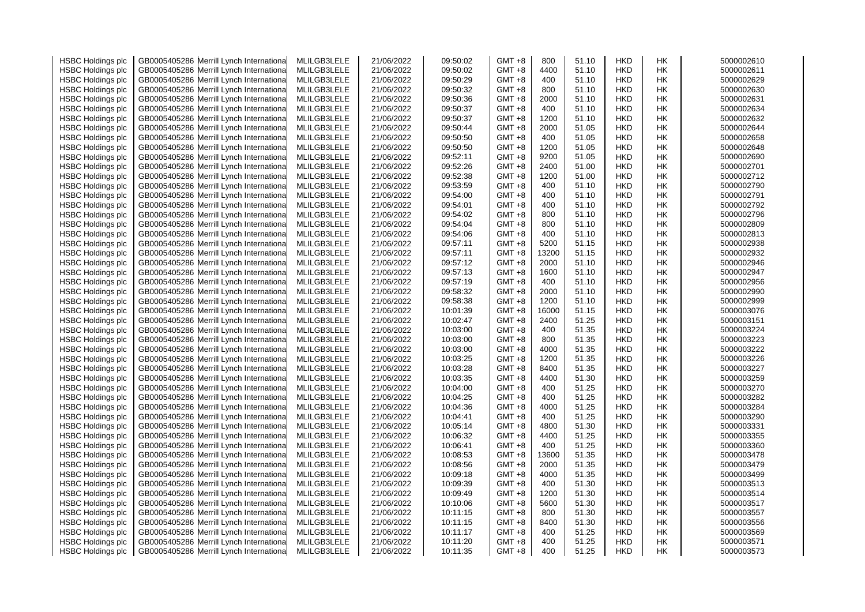| <b>HSBC Holdings plc</b> |              | GB0005405286 Merrill Lynch Internationa  | MLILGB3LELE | 21/06/2022 | 09:50:02 | $GMT + 8$ | 800   | 51.10 | <b>HKD</b> | НK        | 5000002610 |
|--------------------------|--------------|------------------------------------------|-------------|------------|----------|-----------|-------|-------|------------|-----------|------------|
| <b>HSBC Holdings plc</b> | GB0005405286 | Merrill Lynch Internationa               | MLILGB3LELE | 21/06/2022 | 09:50:02 | GMT +8    | 4400  | 51.10 | <b>HKD</b> | HK        | 5000002611 |
| <b>HSBC Holdings plc</b> |              | GB0005405286 Merrill Lynch Internationa  | MLILGB3LELE | 21/06/2022 | 09:50:29 | GMT +8    | 400   | 51.10 | <b>HKD</b> | НK        | 5000002629 |
| <b>HSBC Holdings plc</b> |              | GB0005405286 Merrill Lynch International | MLILGB3LELE | 21/06/2022 | 09:50:32 | GMT +8    | 800   | 51.10 | <b>HKD</b> | <b>HK</b> | 5000002630 |
| <b>HSBC Holdings plc</b> |              | GB0005405286 Merrill Lynch Internationa  | MLILGB3LELE | 21/06/2022 | 09:50:36 | GMT +8    | 2000  | 51.10 | <b>HKD</b> | <b>HK</b> | 5000002631 |
| <b>HSBC Holdings plc</b> |              | GB0005405286 Merrill Lynch Internationa  | MLILGB3LELE | 21/06/2022 | 09:50:37 | GMT +8    | 400   | 51.10 | <b>HKD</b> | HK        | 5000002634 |
| <b>HSBC Holdings plc</b> | GB0005405286 | Merrill Lynch Internationa               | MLILGB3LELE | 21/06/2022 | 09:50:37 | GMT +8    | 1200  | 51.10 | <b>HKD</b> | НK        | 5000002632 |
| <b>HSBC Holdings plc</b> |              | GB0005405286 Merrill Lynch Internationa  | MLILGB3LELE | 21/06/2022 | 09:50:44 | $GMT + 8$ | 2000  | 51.05 | <b>HKD</b> | НK        | 5000002644 |
| <b>HSBC Holdings plc</b> |              | GB0005405286 Merrill Lynch Internationa  | MLILGB3LELE | 21/06/2022 | 09:50:50 | GMT +8    | 400   | 51.05 | <b>HKD</b> | HK        | 5000002658 |
| <b>HSBC Holdings plc</b> |              | GB0005405286 Merrill Lynch Internationa  | MLILGB3LELE | 21/06/2022 | 09:50:50 | GMT +8    | 1200  | 51.05 | <b>HKD</b> | НK        | 5000002648 |
| <b>HSBC Holdings plc</b> |              | GB0005405286 Merrill Lynch Internationa  | MLILGB3LELE | 21/06/2022 | 09:52:11 | GMT +8    | 9200  | 51.05 | <b>HKD</b> | НK        | 5000002690 |
| <b>HSBC Holdings plc</b> |              | GB0005405286 Merrill Lynch Internationa  | MLILGB3LELE | 21/06/2022 | 09:52:26 | GMT +8    | 2400  | 51.00 | <b>HKD</b> | <b>HK</b> | 5000002701 |
| <b>HSBC Holdings plc</b> |              | GB0005405286 Merrill Lynch Internationa  | MLILGB3LELE | 21/06/2022 | 09:52:38 | GMT +8    | 1200  | 51.00 | <b>HKD</b> | <b>HK</b> | 5000002712 |
| <b>HSBC Holdings plc</b> |              | GB0005405286 Merrill Lynch Internationa  | MLILGB3LELE | 21/06/2022 | 09:53:59 | GMT +8    | 400   | 51.10 | <b>HKD</b> | НK        | 5000002790 |
|                          |              |                                          | MLILGB3LELE | 21/06/2022 | 09:54:00 | GMT +8    | 400   | 51.10 | <b>HKD</b> | НK        | 5000002791 |
| <b>HSBC Holdings plc</b> |              | GB0005405286 Merrill Lynch Internationa  |             |            |          |           | 400   | 51.10 |            |           |            |
| <b>HSBC Holdings plc</b> |              | GB0005405286 Merrill Lynch Internationa  | MLILGB3LELE | 21/06/2022 | 09:54:01 | GMT +8    |       |       | <b>HKD</b> | HK        | 5000002792 |
| <b>HSBC Holdings plc</b> |              | GB0005405286 Merrill Lynch Internationa  | MLILGB3LELE | 21/06/2022 | 09:54:02 | $GMT + 8$ | 800   | 51.10 | <b>HKD</b> | <b>HK</b> | 5000002796 |
| <b>HSBC Holdings plc</b> |              | GB0005405286 Merrill Lynch Internationa  | MLILGB3LELE | 21/06/2022 | 09:54:04 | GMT +8    | 800   | 51.10 | <b>HKD</b> | HK        | 5000002809 |
| <b>HSBC Holdings plc</b> |              | GB0005405286 Merrill Lynch Internationa  | MLILGB3LELE | 21/06/2022 | 09:54:06 | GMT +8    | 400   | 51.10 | <b>HKD</b> | НK        | 5000002813 |
| <b>HSBC Holdings plc</b> |              | GB0005405286 Merrill Lynch Internationa  | MLILGB3LELE | 21/06/2022 | 09:57:11 | GMT +8    | 5200  | 51.15 | <b>HKD</b> | HK        | 5000002938 |
| <b>HSBC Holdings plc</b> |              | GB0005405286 Merrill Lynch Internationa  | MLILGB3LELE | 21/06/2022 | 09:57:11 | $GMT + 8$ | 13200 | 51.15 | <b>HKD</b> | <b>HK</b> | 5000002932 |
| <b>HSBC Holdings plc</b> |              | GB0005405286 Merrill Lynch Internationa  | MLILGB3LELE | 21/06/2022 | 09:57:12 | GMT +8    | 2000  | 51.10 | <b>HKD</b> | HK        | 5000002946 |
| <b>HSBC Holdings plc</b> | GB0005405286 | Merrill Lynch Internationa               | MLILGB3LELE | 21/06/2022 | 09:57:13 | GMT +8    | 1600  | 51.10 | <b>HKD</b> | НK        | 5000002947 |
| <b>HSBC Holdings plc</b> |              | GB0005405286 Merrill Lynch Internationa  | MLILGB3LELE | 21/06/2022 | 09:57:19 | $GMT + 8$ | 400   | 51.10 | <b>HKD</b> | НK        | 5000002956 |
| <b>HSBC Holdings plc</b> |              | GB0005405286 Merrill Lynch Internationa  | MLILGB3LELE | 21/06/2022 | 09:58:32 | $GMT + 8$ | 2000  | 51.10 | <b>HKD</b> | HK        | 5000002990 |
| <b>HSBC Holdings plc</b> |              | GB0005405286 Merrill Lynch Internationa  | MLILGB3LELE | 21/06/2022 | 09:58:38 | $GMT + 8$ | 1200  | 51.10 | <b>HKD</b> | HK        | 5000002999 |
| <b>HSBC Holdings plc</b> |              | GB0005405286 Merrill Lynch Internationa  | MLILGB3LELE | 21/06/2022 | 10:01:39 | GMT +8    | 16000 | 51.15 | <b>HKD</b> | HK        | 5000003076 |
| <b>HSBC Holdings plc</b> |              | GB0005405286 Merrill Lynch Internationa  | MLILGB3LELE | 21/06/2022 | 10:02:47 | $GMT + 8$ | 2400  | 51.25 | <b>HKD</b> | HK        | 5000003151 |
| <b>HSBC Holdings plc</b> |              | GB0005405286 Merrill Lynch Internationa  | MLILGB3LELE | 21/06/2022 | 10:03:00 | $GMT + 8$ | 400   | 51.35 | <b>HKD</b> | HK        | 5000003224 |
| <b>HSBC Holdings plc</b> | GB0005405286 | Merrill Lynch Internationa               | MLILGB3LELE | 21/06/2022 | 10:03:00 | $GMT + 8$ | 800   | 51.35 | <b>HKD</b> | HK        | 5000003223 |
| <b>HSBC Holdings plc</b> |              | GB0005405286 Merrill Lynch Internationa  | MLILGB3LELE | 21/06/2022 | 10:03:00 | $GMT + 8$ | 4000  | 51.35 | <b>HKD</b> | HK        | 5000003222 |
| <b>HSBC Holdings plc</b> |              | GB0005405286 Merrill Lynch Internationa  | MLILGB3LELE | 21/06/2022 | 10:03:25 | $GMT + 8$ | 1200  | 51.35 | <b>HKD</b> | HK        | 5000003226 |
| <b>HSBC Holdings plc</b> |              | GB0005405286 Merrill Lynch Internationa  | MLILGB3LELE | 21/06/2022 | 10:03:28 | $GMT + 8$ | 8400  | 51.35 | <b>HKD</b> | НK        | 5000003227 |
| <b>HSBC Holdings plc</b> |              | GB0005405286 Merrill Lynch Internationa  | MLILGB3LELE | 21/06/2022 | 10:03:35 | GMT +8    | 4400  | 51.30 | <b>HKD</b> | HK        | 5000003259 |
| <b>HSBC Holdings plc</b> |              | GB0005405286 Merrill Lynch Internationa  | MLILGB3LELE | 21/06/2022 | 10:04:00 | GMT +8    | 400   | 51.25 | <b>HKD</b> | HK        | 5000003270 |
| <b>HSBC Holdings plc</b> |              | GB0005405286 Merrill Lynch Internationa  | MLILGB3LELE | 21/06/2022 | 10:04:25 | GMT +8    | 400   | 51.25 | <b>HKD</b> | <b>HK</b> | 5000003282 |
| <b>HSBC Holdings plc</b> |              | GB0005405286 Merrill Lynch Internationa  | MLILGB3LELE | 21/06/2022 | 10:04:36 | $GMT +8$  | 4000  | 51.25 | <b>HKD</b> | <b>HK</b> | 5000003284 |
| <b>HSBC Holdings plc</b> |              | GB0005405286 Merrill Lynch Internationa  | MLILGB3LELE | 21/06/2022 | 10:04:41 | $GMT + 8$ | 400   | 51.25 | <b>HKD</b> | HK        | 5000003290 |
| <b>HSBC Holdings plc</b> | GB0005405286 | Merrill Lynch Internationa               | MLILGB3LELE | 21/06/2022 | 10:05:14 | $GMT + 8$ | 4800  | 51.30 | <b>HKD</b> | НK        | 5000003331 |
| <b>HSBC Holdings plc</b> |              | GB0005405286 Merrill Lynch Internationa  | MLILGB3LELE | 21/06/2022 | 10:06:32 | $GMT + 8$ | 4400  | 51.25 | <b>HKD</b> | НK        | 5000003355 |
| <b>HSBC Holdings plc</b> |              | GB0005405286 Merrill Lynch Internationa  | MLILGB3LELE | 21/06/2022 | 10:06:41 | $GMT + 8$ | 400   | 51.25 | <b>HKD</b> | HK        | 5000003360 |
| <b>HSBC Holdings plc</b> |              | GB0005405286 Merrill Lynch Internationa  | MLILGB3LELE | 21/06/2022 | 10:08:53 | GMT +8    | 13600 | 51.35 | <b>HKD</b> | НK        | 5000003478 |
| <b>HSBC Holdings plc</b> |              | GB0005405286 Merrill Lynch Internationa  | MLILGB3LELE | 21/06/2022 | 10:08:56 | GMT +8    | 2000  | 51.35 | <b>HKD</b> | HK        | 5000003479 |
| <b>HSBC Holdings plc</b> |              | GB0005405286 Merrill Lynch Internationa  | MLILGB3LELE | 21/06/2022 | 10:09:18 | GMT +8    | 4000  | 51.35 | <b>HKD</b> | <b>HK</b> | 5000003499 |
| <b>HSBC Holdings plc</b> |              | GB0005405286 Merrill Lynch Internationa  | MLILGB3LELE | 21/06/2022 | 10:09:39 | GMT +8    | 400   | 51.30 | <b>HKD</b> | <b>HK</b> | 5000003513 |
| <b>HSBC Holdings plc</b> |              | GB0005405286 Merrill Lynch Internationa  | MLILGB3LELE | 21/06/2022 | 10:09:49 | $GMT + 8$ | 1200  | 51.30 | <b>HKD</b> | НK        | 5000003514 |
| <b>HSBC Holdings plc</b> |              | GB0005405286 Merrill Lynch Internationa  | MLILGB3LELE | 21/06/2022 | 10:10:06 | GMT +8    | 5600  | 51.30 | <b>HKD</b> | НK        | 5000003517 |
| <b>HSBC Holdings plc</b> |              | GB0005405286 Merrill Lynch Internationa  | MLILGB3LELE | 21/06/2022 | 10:11:15 | $GMT + 8$ | 800   | 51.30 | <b>HKD</b> | <b>HK</b> | 5000003557 |
| <b>HSBC Holdings plc</b> |              | GB0005405286 Merrill Lynch Internationa  | MLILGB3LELE | 21/06/2022 | 10:11:15 | $GMT + 8$ | 8400  | 51.30 | <b>HKD</b> | НK        | 5000003556 |
| <b>HSBC Holdings plc</b> |              | GB0005405286 Merrill Lynch Internationa  | MLILGB3LELE | 21/06/2022 | 10:11:17 | GMT +8    | 400   | 51.25 | <b>HKD</b> | HK        | 5000003569 |
| <b>HSBC Holdings plc</b> |              | GB0005405286 Merrill Lynch International | MLILGB3LELE | 21/06/2022 | 10:11:20 | GMT +8    | 400   | 51.25 | <b>HKD</b> | НK        | 5000003571 |
|                          |              | GB0005405286 Merrill Lynch Internationa  | MLILGB3LELE | 21/06/2022 | 10:11:35 | $GMT +8$  | 400   | 51.25 | <b>HKD</b> | <b>HK</b> | 5000003573 |
| <b>HSBC Holdings plc</b> |              |                                          |             |            |          |           |       |       |            |           |            |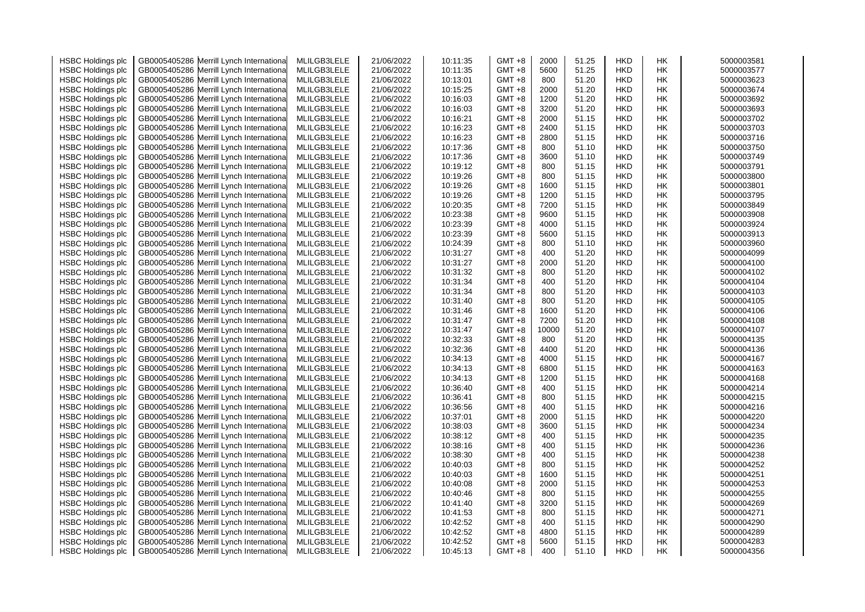| <b>HSBC Holdings plc</b> |              | GB0005405286 Merrill Lynch Internationa  | MLILGB3LELE | 21/06/2022 | 10:11:35             | $GMT + 8$ | 2000  | 51.25          | <b>HKD</b> | НK        | 5000003581               |
|--------------------------|--------------|------------------------------------------|-------------|------------|----------------------|-----------|-------|----------------|------------|-----------|--------------------------|
| <b>HSBC Holdings plc</b> | GB0005405286 | Merrill Lynch Internationa               | MLILGB3LELE | 21/06/2022 | 10:11:35             | GMT +8    | 5600  | 51.25          | <b>HKD</b> | HK        | 5000003577               |
| <b>HSBC Holdings plc</b> |              | GB0005405286 Merrill Lynch Internationa  | MLILGB3LELE | 21/06/2022 | 10:13:01             | GMT +8    | 800   | 51.20          | <b>HKD</b> | НK        | 5000003623               |
| <b>HSBC Holdings plc</b> |              | GB0005405286 Merrill Lynch Internationa  | MLILGB3LELE | 21/06/2022 | 10:15:25             | GMT +8    | 2000  | 51.20          | <b>HKD</b> | <b>HK</b> | 5000003674               |
| <b>HSBC Holdings plc</b> |              | GB0005405286 Merrill Lynch Internationa  | MLILGB3LELE | 21/06/2022 | 10:16:03             | GMT +8    | 1200  | 51.20          | <b>HKD</b> | <b>HK</b> | 5000003692               |
| <b>HSBC Holdings plc</b> |              | GB0005405286 Merrill Lynch Internationa  | MLILGB3LELE | 21/06/2022 | 10:16:03             | GMT +8    | 3200  | 51.20          | <b>HKD</b> | HK        | 5000003693               |
| <b>HSBC Holdings plc</b> | GB0005405286 | Merrill Lynch Internationa               | MLILGB3LELE | 21/06/2022 | 10:16:21             | GMT +8    | 2000  | 51.15          | <b>HKD</b> | НK        | 5000003702               |
| <b>HSBC Holdings plc</b> |              | GB0005405286 Merrill Lynch Internationa  | MLILGB3LELE | 21/06/2022 | 10:16:23             | $GMT + 8$ | 2400  | 51.15          | <b>HKD</b> | НK        | 5000003703               |
| <b>HSBC Holdings plc</b> |              | GB0005405286 Merrill Lynch Internationa  | MLILGB3LELE | 21/06/2022 | 10:16:23             | GMT +8    | 2800  | 51.15          | <b>HKD</b> | HK        | 5000003716               |
| <b>HSBC Holdings plc</b> |              | GB0005405286 Merrill Lynch Internationa  | MLILGB3LELE | 21/06/2022 | 10:17:36             | GMT +8    | 800   | 51.10          | <b>HKD</b> | НK        | 5000003750               |
| <b>HSBC Holdings plc</b> |              | GB0005405286 Merrill Lynch Internationa  | MLILGB3LELE | 21/06/2022 | 10:17:36             | GMT +8    | 3600  | 51.10          | <b>HKD</b> | НK        | 5000003749               |
| <b>HSBC Holdings plc</b> |              | GB0005405286 Merrill Lynch Internationa  | MLILGB3LELE | 21/06/2022 | 10:19:12             | GMT +8    | 800   | 51.15          | <b>HKD</b> | <b>HK</b> | 5000003791               |
| <b>HSBC Holdings plc</b> |              | GB0005405286 Merrill Lynch Internationa  | MLILGB3LELE | 21/06/2022 | 10:19:26             | GMT +8    | 800   | 51.15          | <b>HKD</b> | <b>HK</b> | 5000003800               |
| <b>HSBC Holdings plc</b> |              | GB0005405286 Merrill Lynch Internationa  | MLILGB3LELE | 21/06/2022 | 10:19:26             | $GMT + 8$ | 1600  | 51.15          | <b>HKD</b> | НK        | 5000003801               |
|                          |              |                                          | MLILGB3LELE | 21/06/2022 | 10:19:26             | GMT +8    | 1200  | 51.15          | <b>HKD</b> | НK        | 5000003795               |
| <b>HSBC Holdings plc</b> |              | GB0005405286 Merrill Lynch Internationa  |             |            | 10:20:35             |           | 7200  |                |            |           | 5000003849               |
| <b>HSBC Holdings plc</b> |              | GB0005405286 Merrill Lynch Internationa  | MLILGB3LELE | 21/06/2022 |                      | GMT +8    |       | 51.15          | <b>HKD</b> | HK        |                          |
| <b>HSBC Holdings plc</b> |              | GB0005405286 Merrill Lynch Internationa  | MLILGB3LELE | 21/06/2022 | 10:23:38             | $GMT + 8$ | 9600  | 51.15          | <b>HKD</b> | <b>HK</b> | 5000003908               |
| <b>HSBC Holdings plc</b> |              | GB0005405286 Merrill Lynch Internationa  | MLILGB3LELE | 21/06/2022 | 10:23:39             | GMT +8    | 4000  | 51.15          | <b>HKD</b> | HK        | 5000003924               |
| <b>HSBC Holdings plc</b> |              | GB0005405286 Merrill Lynch Internationa  | MLILGB3LELE | 21/06/2022 | 10:23:39             | GMT +8    | 5600  | 51.15          | <b>HKD</b> | НK        | 5000003913               |
| <b>HSBC Holdings plc</b> |              | GB0005405286 Merrill Lynch Internationa  | MLILGB3LELE | 21/06/2022 | 10:24:39             | GMT +8    | 800   | 51.10          | <b>HKD</b> | HK        | 5000003960               |
| <b>HSBC Holdings plc</b> |              | GB0005405286 Merrill Lynch Internationa  | MLILGB3LELE | 21/06/2022 | 10:31:27             | GMT +8    | 400   | 51.20          | <b>HKD</b> | <b>HK</b> | 5000004099               |
| <b>HSBC Holdings plc</b> |              | GB0005405286 Merrill Lynch Internationa  | MLILGB3LELE | 21/06/2022 | 10:31:27             | GMT +8    | 2000  | 51.20          | <b>HKD</b> | HK        | 5000004100               |
| <b>HSBC Holdings plc</b> | GB0005405286 | Merrill Lynch Internationa               | MLILGB3LELE | 21/06/2022 | 10:31:32             | GMT +8    | 800   | 51.20          | <b>HKD</b> | НK        | 5000004102               |
| <b>HSBC Holdings plc</b> |              | GB0005405286 Merrill Lynch Internationa  | MLILGB3LELE | 21/06/2022 | 10:31:34             | $GMT + 8$ | 400   | 51.20          | <b>HKD</b> | НK        | 5000004104               |
| <b>HSBC Holdings plc</b> |              | GB0005405286 Merrill Lynch Internationa  | MLILGB3LELE | 21/06/2022 | 10:31:34             | $GMT + 8$ | 800   | 51.20          | <b>HKD</b> | HK        | 5000004103               |
| <b>HSBC Holdings plc</b> |              | GB0005405286 Merrill Lynch Internationa  | MLILGB3LELE | 21/06/2022 | 10:31:40             | $GMT + 8$ | 800   | 51.20          | <b>HKD</b> | HK        | 5000004105               |
| <b>HSBC Holdings plc</b> |              | GB0005405286 Merrill Lynch Internationa  | MLILGB3LELE | 21/06/2022 | 10:31:46             | GMT +8    | 1600  | 51.20          | <b>HKD</b> | HK        | 5000004106               |
| <b>HSBC Holdings plc</b> |              | GB0005405286 Merrill Lynch Internationa  | MLILGB3LELE | 21/06/2022 | 10:31:47             | GMT +8    | 7200  | 51.20          | <b>HKD</b> | HK        | 5000004108               |
| <b>HSBC Holdings plc</b> |              | GB0005405286 Merrill Lynch Internationa  | MLILGB3LELE | 21/06/2022 | 10:31:47             | $GMT + 8$ | 10000 | 51.20          | <b>HKD</b> | HK        | 5000004107               |
| <b>HSBC Holdings plc</b> | GB0005405286 | Merrill Lynch Internationa               | MLILGB3LELE | 21/06/2022 | 10:32:33             | $GMT + 8$ | 800   | 51.20          | <b>HKD</b> | HK        | 5000004135               |
| <b>HSBC Holdings plc</b> |              | GB0005405286 Merrill Lynch Internationa  | MLILGB3LELE | 21/06/2022 | 10:32:36             | $GMT + 8$ | 4400  | 51.20          | <b>HKD</b> | HK        | 5000004136               |
| <b>HSBC Holdings plc</b> |              | GB0005405286 Merrill Lynch Internationa  | MLILGB3LELE | 21/06/2022 | 10:34:13             | $GMT + 8$ | 4000  | 51.15          | <b>HKD</b> | HK        | 5000004167               |
| <b>HSBC Holdings plc</b> |              | GB0005405286 Merrill Lynch Internationa  | MLILGB3LELE | 21/06/2022 | 10:34:13             | $GMT + 8$ | 6800  | 51.15          | <b>HKD</b> | НK        | 5000004163               |
| <b>HSBC Holdings plc</b> |              | GB0005405286 Merrill Lynch Internationa  | MLILGB3LELE | 21/06/2022 | 10:34:13             | GMT +8    | 1200  | 51.15          | <b>HKD</b> | HK        | 5000004168               |
| <b>HSBC Holdings plc</b> |              | GB0005405286 Merrill Lynch Internationa  | MLILGB3LELE | 21/06/2022 | 10:36:40             | GMT +8    | 400   | 51.15          | <b>HKD</b> | HK        | 5000004214               |
| <b>HSBC Holdings plc</b> |              | GB0005405286 Merrill Lynch Internationa  | MLILGB3LELE | 21/06/2022 | 10:36:41             | GMT +8    | 800   | 51.15          | <b>HKD</b> | <b>HK</b> | 5000004215               |
| <b>HSBC Holdings plc</b> |              | GB0005405286 Merrill Lynch Internationa  | MLILGB3LELE | 21/06/2022 | 10:36:56             | $GMT + 8$ | 400   | 51.15          | <b>HKD</b> | <b>HK</b> | 5000004216               |
| <b>HSBC Holdings plc</b> |              | GB0005405286 Merrill Lynch Internationa  | MLILGB3LELE | 21/06/2022 | 10:37:01             | GMT +8    | 2000  | 51.15          | <b>HKD</b> | HK        | 5000004220               |
| <b>HSBC Holdings plc</b> | GB0005405286 | Merrill Lynch Internationa               | MLILGB3LELE | 21/06/2022 | 10:38:03             | GMT +8    | 3600  | 51.15          | <b>HKD</b> | НK        | 5000004234               |
| <b>HSBC Holdings plc</b> |              | GB0005405286 Merrill Lynch Internationa  | MLILGB3LELE | 21/06/2022 | 10:38:12             | $GMT + 8$ | 400   | 51.15          | <b>HKD</b> | НK        | 5000004235               |
| <b>HSBC Holdings plc</b> |              | GB0005405286 Merrill Lynch Internationa  | MLILGB3LELE | 21/06/2022 | 10:38:16             | GMT +8    | 400   | 51.15          | <b>HKD</b> | HK        | 5000004236               |
| <b>HSBC Holdings plc</b> |              | GB0005405286 Merrill Lynch Internationa  | MLILGB3LELE | 21/06/2022 | 10:38:30             | GMT +8    | 400   | 51.15          | <b>HKD</b> | НK        | 5000004238               |
| <b>HSBC Holdings plc</b> |              | GB0005405286 Merrill Lynch Internationa  | MLILGB3LELE | 21/06/2022 | 10:40:03             | GMT +8    | 800   | 51.15          | <b>HKD</b> | HK        | 5000004252               |
| <b>HSBC Holdings plc</b> |              | GB0005405286 Merrill Lynch Internationa  | MLILGB3LELE | 21/06/2022 | 10:40:03             | GMT +8    | 1600  | 51.15          | <b>HKD</b> | <b>HK</b> | 5000004251               |
| <b>HSBC Holdings plc</b> |              | GB0005405286 Merrill Lynch Internationa  | MLILGB3LELE | 21/06/2022 | 10:40:08             | GMT +8    | 2000  | 51.15          | <b>HKD</b> | <b>HK</b> | 5000004253               |
| <b>HSBC Holdings plc</b> |              | GB0005405286 Merrill Lynch Internationa  | MLILGB3LELE | 21/06/2022 | 10:40:46             | $GMT + 8$ | 800   | 51.15          | <b>HKD</b> | НK        | 5000004255               |
| <b>HSBC Holdings plc</b> |              | GB0005405286 Merrill Lynch Internationa  | MLILGB3LELE | 21/06/2022 | 10:41:40             | GMT +8    | 3200  | 51.15          | <b>HKD</b> | НK        | 5000004269               |
|                          |              |                                          |             |            |                      | $GMT + 8$ | 800   |                | <b>HKD</b> | HK        |                          |
| <b>HSBC Holdings plc</b> |              | GB0005405286 Merrill Lynch Internationa  | MLILGB3LELE | 21/06/2022 | 10:41:53<br>10:42:52 | $GMT + 8$ | 400   | 51.15<br>51.15 | <b>HKD</b> | НK        | 5000004271<br>5000004290 |
| <b>HSBC Holdings plc</b> |              | GB0005405286 Merrill Lynch Internationa  | MLILGB3LELE | 21/06/2022 |                      |           |       |                |            |           |                          |
| <b>HSBC Holdings plc</b> |              | GB0005405286 Merrill Lynch Internationa  | MLILGB3LELE | 21/06/2022 | 10:42:52             | GMT +8    | 4800  | 51.15          | <b>HKD</b> | HK        | 5000004289               |
| <b>HSBC Holdings plc</b> |              | GB0005405286 Merrill Lynch International | MLILGB3LELE | 21/06/2022 | 10:42:52             | GMT +8    | 5600  | 51.15          | <b>HKD</b> | НK        | 5000004283               |
| <b>HSBC Holdings plc</b> |              | GB0005405286 Merrill Lynch Internationa  | MLILGB3LELE | 21/06/2022 | 10:45:13             | $GMT +8$  | 400   | 51.10          | <b>HKD</b> | <b>HK</b> | 5000004356               |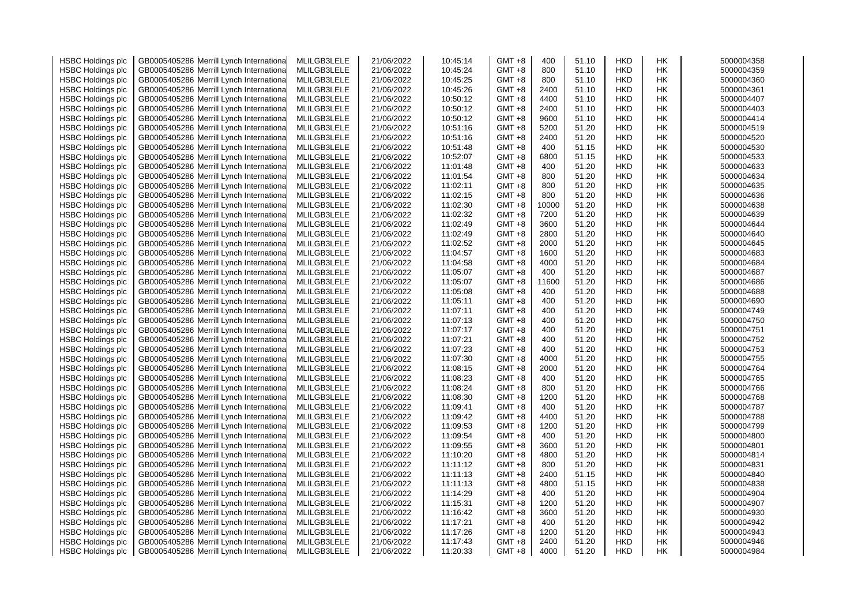| <b>HSBC Holdings plc</b> |              | GB0005405286 Merrill Lynch Internationa  | MLILGB3LELE | 21/06/2022 | 10:45:14 | GMT +8   | 400        | 51.10 | <b>HKD</b> | НK        | 5000004358 |
|--------------------------|--------------|------------------------------------------|-------------|------------|----------|----------|------------|-------|------------|-----------|------------|
| <b>HSBC Holdings plc</b> | GB0005405286 | Merrill Lynch Internationa               | MLILGB3LELE | 21/06/2022 | 10:45:24 | GMT +8   | 800        | 51.10 | <b>HKD</b> | HK        | 5000004359 |
| <b>HSBC Holdings plc</b> |              | GB0005405286 Merrill Lynch Internationa  | MLILGB3LELE | 21/06/2022 | 10:45:25 | GMT +8   | 800        | 51.10 | <b>HKD</b> | НK        | 5000004360 |
| <b>HSBC Holdings plc</b> |              | GB0005405286 Merrill Lynch Internationa  | MLILGB3LELE | 21/06/2022 | 10:45:26 | GMT +8   | 2400       | 51.10 | <b>HKD</b> | <b>HK</b> | 5000004361 |
| <b>HSBC Holdings plc</b> |              | GB0005405286 Merrill Lynch Internationa  | MLILGB3LELE | 21/06/2022 | 10:50:12 | GMT +8   | 4400       | 51.10 | <b>HKD</b> | <b>HK</b> | 5000004407 |
| <b>HSBC Holdings plc</b> |              | GB0005405286 Merrill Lynch Internationa  | MLILGB3LELE | 21/06/2022 | 10:50:12 | GMT +8   | 2400       | 51.10 | <b>HKD</b> | HK        | 5000004403 |
| <b>HSBC Holdings plc</b> |              | GB0005405286 Merrill Lynch Internationa  | MLILGB3LELE | 21/06/2022 | 10:50:12 | GMT +8   | 9600       | 51.10 | HKD        | НK        | 5000004414 |
| <b>HSBC Holdings plc</b> |              | GB0005405286 Merrill Lynch Internationa  | MLILGB3LELE | 21/06/2022 | 10:51:16 | GMT +8   | 5200       | 51.20 | <b>HKD</b> | <b>HK</b> | 5000004519 |
| <b>HSBC Holdings plc</b> |              | GB0005405286 Merrill Lynch Internationa  | MLILGB3LELE | 21/06/2022 | 10:51:16 | GMT +8   | 2400       | 51.20 | <b>HKD</b> | HK        | 5000004520 |
| <b>HSBC Holdings plc</b> |              | GB0005405286 Merrill Lynch Internationa  | MLILGB3LELE | 21/06/2022 | 10:51:48 | GMT +8   | 400        | 51.15 | <b>HKD</b> | HK        | 5000004530 |
|                          |              | GB0005405286 Merrill Lynch Internationa  | MLILGB3LELE | 21/06/2022 | 10:52:07 | GMT +8   | 6800       | 51.15 | HKD        | HK        | 5000004533 |
| <b>HSBC Holdings plc</b> |              |                                          | MLILGB3LELE |            |          |          |            | 51.20 | <b>HKD</b> | HK        |            |
| <b>HSBC Holdings plc</b> |              | GB0005405286 Merrill Lynch Internationa  |             | 21/06/2022 | 11:01:48 | GMT +8   | 400<br>800 | 51.20 |            |           | 5000004633 |
| <b>HSBC Holdings plc</b> |              | GB0005405286 Merrill Lynch Internationa  | MLILGB3LELE | 21/06/2022 | 11:01:54 | GMT +8   |            |       | <b>HKD</b> | <b>HK</b> | 5000004634 |
| <b>HSBC Holdings plc</b> |              | GB0005405286 Merrill Lynch Internationa  | MLILGB3LELE | 21/06/2022 | 11:02:11 | GMT +8   | 800        | 51.20 | <b>HKD</b> | HK        | 5000004635 |
| <b>HSBC Holdings plc</b> |              | GB0005405286 Merrill Lynch Internationa  | MLILGB3LELE | 21/06/2022 | 11:02:15 | GMT +8   | 800        | 51.20 | <b>HKD</b> | НK        | 5000004636 |
| <b>HSBC Holdings plc</b> |              | GB0005405286 Merrill Lynch Internationa  | MLILGB3LELE | 21/06/2022 | 11:02:30 | GMT +8   | 10000      | 51.20 | <b>HKD</b> | HK        | 5000004638 |
| <b>HSBC Holdings plc</b> |              | GB0005405286 Merrill Lynch Internationa  | MLILGB3LELE | 21/06/2022 | 11:02:32 | GMT +8   | 7200       | 51.20 | <b>HKD</b> | <b>HK</b> | 5000004639 |
| <b>HSBC Holdings plc</b> |              | GB0005405286 Merrill Lynch Internationa  | MLILGB3LELE | 21/06/2022 | 11:02:49 | GMT +8   | 3600       | 51.20 | <b>HKD</b> | HK        | 5000004644 |
| <b>HSBC Holdings plc</b> |              | GB0005405286 Merrill Lynch Internationa  | MLILGB3LELE | 21/06/2022 | 11:02:49 | GMT +8   | 2800       | 51.20 | HKD        | HK        | 5000004640 |
| <b>HSBC Holdings plc</b> |              | GB0005405286 Merrill Lynch Internationa  | MLILGB3LELE | 21/06/2022 | 11:02:52 | GMT +8   | 2000       | 51.20 | <b>HKD</b> | HK        | 5000004645 |
| <b>HSBC Holdings plc</b> |              | GB0005405286 Merrill Lynch Internationa  | MLILGB3LELE | 21/06/2022 | 11:04:57 | GMT +8   | 1600       | 51.20 | <b>HKD</b> | <b>HK</b> | 5000004683 |
| <b>HSBC Holdings plc</b> |              | GB0005405286 Merrill Lynch Internationa  | MLILGB3LELE | 21/06/2022 | 11:04:58 | GMT +8   | 4000       | 51.20 | <b>HKD</b> | HK        | 5000004684 |
| <b>HSBC Holdings plc</b> |              | GB0005405286 Merrill Lynch Internationa  | MLILGB3LELE | 21/06/2022 | 11:05:07 | GMT +8   | 400        | 51.20 | HKD        | НK        | 5000004687 |
| <b>HSBC Holdings plc</b> |              | GB0005405286 Merrill Lynch Internationa  | MLILGB3LELE | 21/06/2022 | 11:05:07 | GMT +8   | 11600      | 51.20 | <b>HKD</b> | HK        | 5000004686 |
| <b>HSBC Holdings plc</b> |              | GB0005405286 Merrill Lynch Internationa  | MLILGB3LELE | 21/06/2022 | 11:05:08 | GMT +8   | 400        | 51.20 | <b>HKD</b> | HK        | 5000004688 |
| <b>HSBC Holdings plc</b> |              | GB0005405286 Merrill Lynch Internationa  | MLILGB3LELE | 21/06/2022 | 11:05:11 | GMT +8   | 400        | 51.20 | <b>HKD</b> | HK        | 5000004690 |
| <b>HSBC Holdings plc</b> |              | GB0005405286 Merrill Lynch Internationa  | MLILGB3LELE | 21/06/2022 | 11:07:11 | GMT +8   | 400        | 51.20 | <b>HKD</b> | HK        | 5000004749 |
| <b>HSBC Holdings plc</b> |              | GB0005405286 Merrill Lynch Internationa  | MLILGB3LELE | 21/06/2022 | 11:07:13 | GMT +8   | 400        | 51.20 | <b>HKD</b> | HK        | 5000004750 |
| <b>HSBC Holdings plc</b> |              | GB0005405286 Merrill Lynch Internationa  | MLILGB3LELE | 21/06/2022 | 11:07:17 | GMT +8   | 400        | 51.20 | <b>HKD</b> | HK        | 5000004751 |
| <b>HSBC Holdings plc</b> |              | GB0005405286 Merrill Lynch Internationa  | MLILGB3LELE | 21/06/2022 | 11:07:21 | GMT +8   | 400        | 51.20 | <b>HKD</b> | HK        | 5000004752 |
| <b>HSBC Holdings plc</b> |              | GB0005405286 Merrill Lynch Internationa  | MLILGB3LELE | 21/06/2022 | 11:07:23 | GMT +8   | 400        | 51.20 | <b>HKD</b> | HK        | 5000004753 |
| <b>HSBC Holdings plc</b> |              | GB0005405286 Merrill Lynch Internationa  | MLILGB3LELE | 21/06/2022 | 11:07:30 | GMT +8   | 4000       | 51.20 | <b>HKD</b> | HK        | 5000004755 |
| <b>HSBC Holdings plc</b> |              | GB0005405286 Merrill Lynch Internationa  | MLILGB3LELE | 21/06/2022 | 11:08:15 | GMT +8   | 2000       | 51.20 | <b>HKD</b> | HK        | 5000004764 |
| <b>HSBC Holdings plc</b> |              | GB0005405286 Merrill Lynch Internationa  | MLILGB3LELE | 21/06/2022 | 11:08:23 | GMT +8   | 400        | 51.20 | <b>HKD</b> | HK        | 5000004765 |
| <b>HSBC Holdings plc</b> |              | GB0005405286 Merrill Lynch Internationa  | MLILGB3LELE | 21/06/2022 | 11:08:24 | GMT +8   | 800        | 51.20 | <b>HKD</b> | HK        | 5000004766 |
| <b>HSBC Holdings plc</b> |              | GB0005405286 Merrill Lynch Internationa  | MLILGB3LELE | 21/06/2022 | 11:08:30 | GMT +8   | 1200       | 51.20 | <b>HKD</b> | <b>HK</b> | 5000004768 |
| <b>HSBC Holdings plc</b> |              | GB0005405286 Merrill Lynch Internationa  | MLILGB3LELE | 21/06/2022 | 11:09:41 | GMT +8   | 400        | 51.20 | <b>HKD</b> | <b>HK</b> | 5000004787 |
| <b>HSBC Holdings plc</b> |              | GB0005405286 Merrill Lynch Internationa  | MLILGB3LELE | 21/06/2022 | 11:09:42 | GMT +8   | 4400       | 51.20 | <b>HKD</b> | HK        | 5000004788 |
| <b>HSBC Holdings plc</b> |              | GB0005405286 Merrill Lynch Internationa  | MLILGB3LELE | 21/06/2022 | 11:09:53 | GMT +8   | 1200       | 51.20 | <b>HKD</b> | НK        | 5000004799 |
| <b>HSBC Holdings plc</b> |              | GB0005405286 Merrill Lynch Internationa  | MLILGB3LELE | 21/06/2022 | 11:09:54 | GMT +8   | 400        | 51.20 | <b>HKD</b> | <b>HK</b> | 5000004800 |
| <b>HSBC Holdings plc</b> |              | GB0005405286 Merrill Lynch Internationa  | MLILGB3LELE | 21/06/2022 | 11:09:55 | GMT +8   | 3600       | 51.20 | <b>HKD</b> | HK        | 5000004801 |
| <b>HSBC Holdings plc</b> |              | GB0005405286 Merrill Lynch Internationa  | MLILGB3LELE | 21/06/2022 | 11:10:20 | GMT +8   | 4800       | 51.20 | <b>HKD</b> | HK        | 5000004814 |
| <b>HSBC Holdings plc</b> |              | GB0005405286 Merrill Lynch Internationa  | MLILGB3LELE | 21/06/2022 | 11:11:12 | GMT +8   | 800        | 51.20 | <b>HKD</b> | HK        | 5000004831 |
| <b>HSBC Holdings plc</b> |              | GB0005405286 Merrill Lynch Internationa  | MLILGB3LELE | 21/06/2022 | 11:11:13 | GMT +8   | 2400       | 51.15 | <b>HKD</b> | <b>HK</b> | 5000004840 |
| <b>HSBC Holdings plc</b> |              | GB0005405286 Merrill Lynch Internationa  | MLILGB3LELE | 21/06/2022 | 11:11:13 | GMT +8   | 4800       | 51.15 | <b>HKD</b> | <b>HK</b> | 5000004838 |
| <b>HSBC Holdings plc</b> |              | GB0005405286 Merrill Lynch Internationa  | MLILGB3LELE | 21/06/2022 | 11:14:29 | GMT +8   | 400        | 51.20 | <b>HKD</b> | HK        | 5000004904 |
| <b>HSBC Holdings plc</b> |              | GB0005405286 Merrill Lynch Internationa  | MLILGB3LELE | 21/06/2022 | 11:15:31 | GMT +8   | 1200       | 51.20 | <b>HKD</b> | НK        | 5000004907 |
| <b>HSBC Holdings plc</b> |              | GB0005405286 Merrill Lynch Internationa  | MLILGB3LELE | 21/06/2022 | 11:16:42 | GMT +8   | 3600       | 51.20 | <b>HKD</b> | <b>HK</b> | 5000004930 |
| <b>HSBC Holdings plc</b> |              | GB0005405286 Merrill Lynch Internationa  | MLILGB3LELE | 21/06/2022 | 11:17:21 | GMT +8   | 400        | 51.20 | <b>HKD</b> | <b>HK</b> | 5000004942 |
| <b>HSBC Holdings plc</b> |              | GB0005405286 Merrill Lynch Internationa  | MLILGB3LELE | 21/06/2022 | 11:17:26 | GMT +8   | 1200       | 51.20 | <b>HKD</b> | HK        | 5000004943 |
| <b>HSBC Holdings plc</b> |              | GB0005405286 Merrill Lynch Internationa  | MLILGB3LELE | 21/06/2022 | 11:17:43 | GMT +8   | 2400       | 51.20 | <b>HKD</b> | HK        | 5000004946 |
| <b>HSBC Holdings plc</b> |              | GB0005405286 Merrill Lynch International | MLILGB3LELE | 21/06/2022 | 11:20:33 | $GMT +8$ | 4000       | 51.20 | <b>HKD</b> | <b>HK</b> | 5000004984 |
|                          |              |                                          |             |            |          |          |            |       |            |           |            |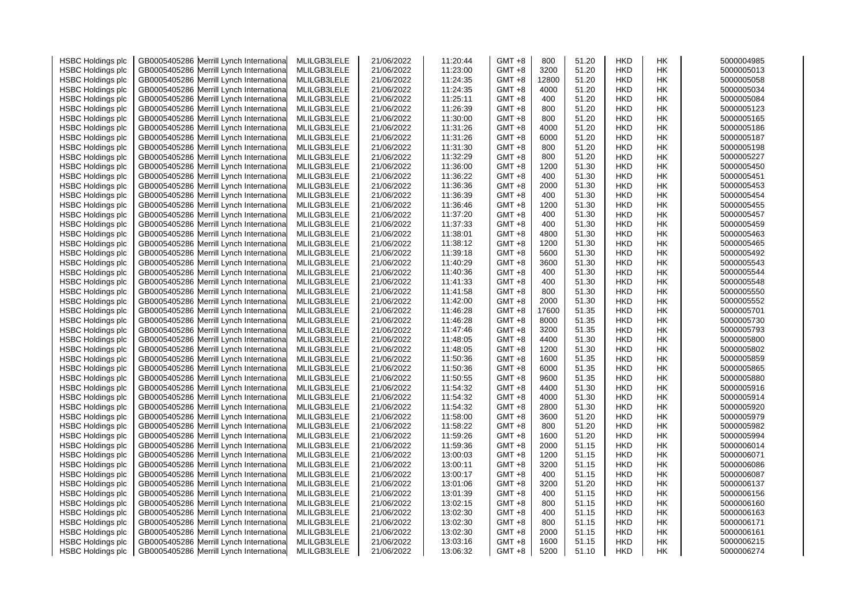| <b>HSBC Holdings plc</b> |              | GB0005405286 Merrill Lynch Internationa  | MLILGB3LELE | 21/06/2022 | 11:20:44 | $GMT + 8$ | 800   | 51.20 | <b>HKD</b> | НK        | 5000004985 |
|--------------------------|--------------|------------------------------------------|-------------|------------|----------|-----------|-------|-------|------------|-----------|------------|
| <b>HSBC Holdings plc</b> | GB0005405286 | Merrill Lynch Internationa               | MLILGB3LELE | 21/06/2022 | 11:23:00 | GMT +8    | 3200  | 51.20 | <b>HKD</b> | HK        | 5000005013 |
| <b>HSBC Holdings plc</b> |              | GB0005405286 Merrill Lynch Internationa  | MLILGB3LELE | 21/06/2022 | 11:24:35 | GMT +8    | 12800 | 51.20 | <b>HKD</b> | НK        | 5000005058 |
| <b>HSBC Holdings plc</b> |              | GB0005405286 Merrill Lynch International | MLILGB3LELE | 21/06/2022 | 11:24:35 | GMT +8    | 4000  | 51.20 | <b>HKD</b> | <b>HK</b> | 5000005034 |
| <b>HSBC Holdings plc</b> |              | GB0005405286 Merrill Lynch Internationa  | MLILGB3LELE | 21/06/2022 | 11:25:11 | GMT +8    | 400   | 51.20 | <b>HKD</b> | <b>HK</b> | 5000005084 |
| <b>HSBC Holdings plc</b> |              | GB0005405286 Merrill Lynch Internationa  | MLILGB3LELE | 21/06/2022 | 11:26:39 | GMT +8    | 800   | 51.20 | <b>HKD</b> | HK        | 5000005123 |
| <b>HSBC Holdings plc</b> | GB0005405286 | Merrill Lynch Internationa               | MLILGB3LELE | 21/06/2022 | 11:30:00 | GMT +8    | 800   | 51.20 | <b>HKD</b> | НK        | 5000005165 |
| <b>HSBC Holdings plc</b> |              | GB0005405286 Merrill Lynch Internationa  | MLILGB3LELE | 21/06/2022 | 11:31:26 | $GMT + 8$ | 4000  | 51.20 | <b>HKD</b> | НK        | 5000005186 |
| <b>HSBC Holdings plc</b> |              | GB0005405286 Merrill Lynch Internationa  | MLILGB3LELE | 21/06/2022 | 11:31:26 | GMT +8    | 6000  | 51.20 | <b>HKD</b> | HK        | 5000005187 |
| <b>HSBC Holdings plc</b> |              | GB0005405286 Merrill Lynch Internationa  | MLILGB3LELE | 21/06/2022 | 11:31:30 | GMT +8    | 800   | 51.20 | <b>HKD</b> | НK        | 5000005198 |
| <b>HSBC Holdings plc</b> |              | GB0005405286 Merrill Lynch Internationa  | MLILGB3LELE | 21/06/2022 | 11:32:29 | GMT +8    | 800   | 51.20 | <b>HKD</b> | НK        | 5000005227 |
| <b>HSBC Holdings plc</b> |              | GB0005405286 Merrill Lynch Internationa  | MLILGB3LELE | 21/06/2022 | 11:36:00 | GMT +8    | 1200  | 51.30 | <b>HKD</b> | <b>HK</b> | 5000005450 |
| <b>HSBC Holdings plc</b> |              | GB0005405286 Merrill Lynch Internationa  | MLILGB3LELE | 21/06/2022 | 11:36:22 | GMT +8    | 400   | 51.30 | <b>HKD</b> | <b>HK</b> | 5000005451 |
| <b>HSBC Holdings plc</b> |              | GB0005405286 Merrill Lynch Internationa  | MLILGB3LELE | 21/06/2022 | 11:36:36 | $GMT + 8$ | 2000  | 51.30 | <b>HKD</b> | НK        | 5000005453 |
|                          |              |                                          | MLILGB3LELE | 21/06/2022 | 11:36:39 | GMT +8    | 400   | 51.30 | <b>HKD</b> | НK        | 5000005454 |
| <b>HSBC Holdings plc</b> |              | GB0005405286 Merrill Lynch Internationa  |             |            | 11:36:46 |           | 1200  |       |            |           | 5000005455 |
| <b>HSBC Holdings plc</b> |              | GB0005405286 Merrill Lynch Internationa  | MLILGB3LELE | 21/06/2022 |          | GMT +8    |       | 51.30 | <b>HKD</b> | HK        |            |
| <b>HSBC Holdings plc</b> |              | GB0005405286 Merrill Lynch Internationa  | MLILGB3LELE | 21/06/2022 | 11:37:20 | $GMT + 8$ | 400   | 51.30 | <b>HKD</b> | <b>HK</b> | 5000005457 |
| <b>HSBC Holdings plc</b> |              | GB0005405286 Merrill Lynch Internationa  | MLILGB3LELE | 21/06/2022 | 11:37:33 | GMT +8    | 400   | 51.30 | <b>HKD</b> | HK        | 5000005459 |
| <b>HSBC Holdings plc</b> |              | GB0005405286 Merrill Lynch Internationa  | MLILGB3LELE | 21/06/2022 | 11:38:01 | GMT +8    | 4800  | 51.30 | <b>HKD</b> | НK        | 5000005463 |
| <b>HSBC Holdings plc</b> |              | GB0005405286 Merrill Lynch Internationa  | MLILGB3LELE | 21/06/2022 | 11:38:12 | GMT +8    | 1200  | 51.30 | <b>HKD</b> | HK        | 5000005465 |
| <b>HSBC Holdings plc</b> |              | GB0005405286 Merrill Lynch Internationa  | MLILGB3LELE | 21/06/2022 | 11:39:18 | GMT +8    | 5600  | 51.30 | <b>HKD</b> | <b>HK</b> | 5000005492 |
| <b>HSBC Holdings plc</b> |              | GB0005405286 Merrill Lynch Internationa  | MLILGB3LELE | 21/06/2022 | 11:40:29 | GMT +8    | 3600  | 51.30 | <b>HKD</b> | HK        | 5000005543 |
| <b>HSBC Holdings plc</b> | GB0005405286 | Merrill Lynch Internationa               | MLILGB3LELE | 21/06/2022 | 11:40:36 | GMT +8    | 400   | 51.30 | <b>HKD</b> | НK        | 5000005544 |
| <b>HSBC Holdings plc</b> |              | GB0005405286 Merrill Lynch Internationa  | MLILGB3LELE | 21/06/2022 | 11:41:33 | $GMT + 8$ | 400   | 51.30 | <b>HKD</b> | НK        | 5000005548 |
| <b>HSBC Holdings plc</b> |              | GB0005405286 Merrill Lynch Internationa  | MLILGB3LELE | 21/06/2022 | 11:41:58 | $GMT + 8$ | 800   | 51.30 | <b>HKD</b> | HK        | 5000005550 |
| <b>HSBC Holdings plc</b> |              | GB0005405286 Merrill Lynch Internationa  | MLILGB3LELE | 21/06/2022 | 11:42:00 | $GMT + 8$ | 2000  | 51.30 | <b>HKD</b> | HK        | 5000005552 |
| <b>HSBC Holdings plc</b> |              | GB0005405286 Merrill Lynch Internationa  | MLILGB3LELE | 21/06/2022 | 11:46:28 | GMT +8    | 17600 | 51.35 | <b>HKD</b> | HK        | 5000005701 |
| <b>HSBC Holdings plc</b> |              | GB0005405286 Merrill Lynch Internationa  | MLILGB3LELE | 21/06/2022 | 11:46:28 | $GMT + 8$ | 8000  | 51.35 | <b>HKD</b> | HK        | 5000005730 |
| <b>HSBC Holdings plc</b> |              | GB0005405286 Merrill Lynch Internationa  | MLILGB3LELE | 21/06/2022 | 11:47:46 | $GMT + 8$ | 3200  | 51.35 | <b>HKD</b> | HK        | 5000005793 |
| <b>HSBC Holdings plc</b> | GB0005405286 | Merrill Lynch Internationa               | MLILGB3LELE | 21/06/2022 | 11:48:05 | $GMT + 8$ | 4400  | 51.30 | <b>HKD</b> | HK        | 5000005800 |
| <b>HSBC Holdings plc</b> |              | GB0005405286 Merrill Lynch Internationa  | MLILGB3LELE | 21/06/2022 | 11:48:05 | $GMT + 8$ | 1200  | 51.30 | <b>HKD</b> | HK        | 5000005802 |
| <b>HSBC Holdings plc</b> |              | GB0005405286 Merrill Lynch Internationa  | MLILGB3LELE | 21/06/2022 | 11:50:36 | $GMT + 8$ | 1600  | 51.35 | <b>HKD</b> | HK        | 5000005859 |
| <b>HSBC Holdings plc</b> |              | GB0005405286 Merrill Lynch Internationa  | MLILGB3LELE | 21/06/2022 | 11:50:36 | $GMT + 8$ | 6000  | 51.35 | <b>HKD</b> | НK        | 5000005865 |
| <b>HSBC Holdings plc</b> |              | GB0005405286 Merrill Lynch Internationa  | MLILGB3LELE | 21/06/2022 | 11:50:55 | GMT +8    | 9600  | 51.35 | <b>HKD</b> | HK        | 5000005880 |
| <b>HSBC Holdings plc</b> |              | GB0005405286 Merrill Lynch Internationa  | MLILGB3LELE | 21/06/2022 | 11:54:32 | GMT +8    | 4400  | 51.30 | <b>HKD</b> | HK        | 5000005916 |
| <b>HSBC Holdings plc</b> |              | GB0005405286 Merrill Lynch Internationa  | MLILGB3LELE | 21/06/2022 | 11:54:32 | GMT +8    | 4000  | 51.30 | <b>HKD</b> | <b>HK</b> | 5000005914 |
| <b>HSBC Holdings plc</b> |              | GB0005405286 Merrill Lynch Internationa  | MLILGB3LELE | 21/06/2022 | 11:54:32 | $GMT + 8$ | 2800  | 51.30 | <b>HKD</b> | <b>HK</b> | 5000005920 |
| <b>HSBC Holdings plc</b> |              | GB0005405286 Merrill Lynch Internationa  | MLILGB3LELE | 21/06/2022 | 11:58:00 | $GMT + 8$ | 3600  | 51.20 | <b>HKD</b> | HK        | 5000005979 |
| <b>HSBC Holdings plc</b> | GB0005405286 | Merrill Lynch Internationa               | MLILGB3LELE | 21/06/2022 | 11:58:22 | GMT +8    | 800   | 51.20 | <b>HKD</b> | НK        | 5000005982 |
| <b>HSBC Holdings plc</b> |              | GB0005405286 Merrill Lynch Internationa  | MLILGB3LELE | 21/06/2022 | 11:59:26 | $GMT + 8$ | 1600  | 51.20 | <b>HKD</b> | НK        | 5000005994 |
| <b>HSBC Holdings plc</b> |              | GB0005405286 Merrill Lynch Internationa  | MLILGB3LELE | 21/06/2022 | 11:59:36 | $GMT + 8$ | 2000  | 51.15 | <b>HKD</b> | HK        | 5000006014 |
| <b>HSBC Holdings plc</b> |              | GB0005405286 Merrill Lynch Internationa  | MLILGB3LELE | 21/06/2022 | 13:00:03 | GMT +8    | 1200  | 51.15 | <b>HKD</b> | НK        | 5000006071 |
| <b>HSBC Holdings plc</b> |              | GB0005405286 Merrill Lynch Internationa  | MLILGB3LELE | 21/06/2022 | 13:00:11 | GMT +8    | 3200  | 51.15 | <b>HKD</b> | HK        | 5000006086 |
| <b>HSBC Holdings plc</b> |              | GB0005405286 Merrill Lynch Internationa  | MLILGB3LELE | 21/06/2022 | 13:00:17 | GMT +8    | 400   | 51.15 | <b>HKD</b> | <b>HK</b> | 5000006087 |
| <b>HSBC Holdings plc</b> |              | GB0005405286 Merrill Lynch Internationa  | MLILGB3LELE | 21/06/2022 | 13:01:06 | GMT +8    | 3200  | 51.20 | <b>HKD</b> | <b>HK</b> | 5000006137 |
| <b>HSBC Holdings plc</b> |              | GB0005405286 Merrill Lynch Internationa  | MLILGB3LELE | 21/06/2022 | 13:01:39 | GMT +8    | 400   | 51.15 | <b>HKD</b> | НK        | 5000006156 |
| <b>HSBC Holdings plc</b> |              | GB0005405286 Merrill Lynch Internationa  | MLILGB3LELE | 21/06/2022 | 13:02:15 | GMT +8    | 800   | 51.15 | <b>HKD</b> | НK        | 5000006160 |
| <b>HSBC Holdings plc</b> |              | GB0005405286 Merrill Lynch Internationa  | MLILGB3LELE | 21/06/2022 | 13:02:30 | $GMT + 8$ | 400   | 51.15 | <b>HKD</b> | <b>HK</b> | 5000006163 |
| <b>HSBC Holdings plc</b> |              | GB0005405286 Merrill Lynch Internationa  | MLILGB3LELE | 21/06/2022 | 13:02:30 | $GMT + 8$ | 800   | 51.15 | <b>HKD</b> | НK        | 5000006171 |
| <b>HSBC Holdings plc</b> |              | GB0005405286 Merrill Lynch Internationa  | MLILGB3LELE | 21/06/2022 | 13:02:30 | GMT +8    | 2000  | 51.15 | <b>HKD</b> | HK        | 5000006161 |
| <b>HSBC Holdings plc</b> |              | GB0005405286 Merrill Lynch International | MLILGB3LELE | 21/06/2022 | 13:03:16 | GMT +8    | 1600  | 51.15 | <b>HKD</b> | НK        | 5000006215 |
|                          |              |                                          |             |            | 13:06:32 |           | 5200  | 51.10 | <b>HKD</b> | <b>HK</b> | 5000006274 |
| <b>HSBC Holdings plc</b> |              | GB0005405286 Merrill Lynch Internationa  | MLILGB3LELE | 21/06/2022 |          | $GMT +8$  |       |       |            |           |            |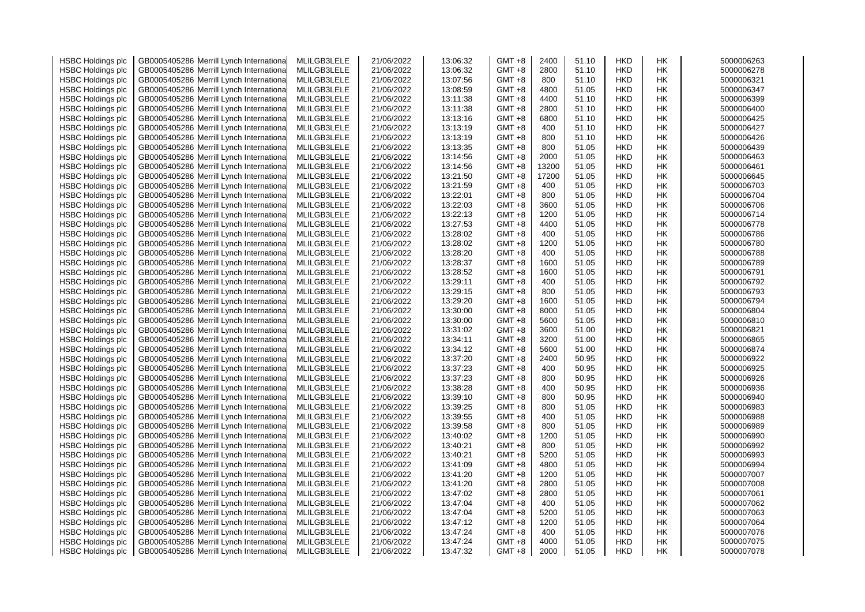| <b>HSBC Holdings plc</b> |              | GB0005405286 Merrill Lynch Internationa  | MLILGB3LELE | 21/06/2022 | 13:06:32             | $GMT + 8$ | 2400  | 51.10 | <b>HKD</b> | НK        | 5000006263 |
|--------------------------|--------------|------------------------------------------|-------------|------------|----------------------|-----------|-------|-------|------------|-----------|------------|
| <b>HSBC Holdings plc</b> | GB0005405286 | Merrill Lynch Internationa               | MLILGB3LELE | 21/06/2022 | 13:06:32             | GMT +8    | 2800  | 51.10 | <b>HKD</b> | HK        | 5000006278 |
| <b>HSBC Holdings plc</b> |              | GB0005405286 Merrill Lynch Internationa  | MLILGB3LELE | 21/06/2022 | 13:07:56             | GMT +8    | 800   | 51.10 | <b>HKD</b> | НK        | 5000006321 |
| <b>HSBC Holdings plc</b> |              | GB0005405286 Merrill Lynch Internationa  | MLILGB3LELE | 21/06/2022 | 13:08:59             | GMT +8    | 4800  | 51.05 | <b>HKD</b> | <b>HK</b> | 5000006347 |
| <b>HSBC Holdings plc</b> |              | GB0005405286 Merrill Lynch Internationa  | MLILGB3LELE | 21/06/2022 | 13:11:38             | GMT +8    | 4400  | 51.10 | <b>HKD</b> | <b>HK</b> | 5000006399 |
| <b>HSBC Holdings plc</b> |              | GB0005405286 Merrill Lynch Internationa  | MLILGB3LELE | 21/06/2022 | 13:11:38             | GMT +8    | 2800  | 51.10 | <b>HKD</b> | HK        | 5000006400 |
| <b>HSBC Holdings plc</b> | GB0005405286 | Merrill Lynch Internationa               | MLILGB3LELE | 21/06/2022 | 13:13:16             | GMT +8    | 6800  | 51.10 | <b>HKD</b> | НK        | 5000006425 |
| <b>HSBC Holdings plc</b> |              | GB0005405286 Merrill Lynch Internationa  | MLILGB3LELE | 21/06/2022 | 13:13:19             | $GMT + 8$ | 400   | 51.10 | <b>HKD</b> | НK        | 5000006427 |
| <b>HSBC Holdings plc</b> |              | GB0005405286 Merrill Lynch Internationa  | MLILGB3LELE | 21/06/2022 | 13:13:19             | GMT +8    | 800   | 51.10 | <b>HKD</b> | HK        | 5000006426 |
| <b>HSBC Holdings plc</b> |              | GB0005405286 Merrill Lynch Internationa  | MLILGB3LELE | 21/06/2022 | 13:13:35             | GMT +8    | 800   | 51.05 | <b>HKD</b> | НK        | 5000006439 |
| <b>HSBC Holdings plc</b> |              | GB0005405286 Merrill Lynch Internationa  | MLILGB3LELE | 21/06/2022 | 13:14:56             | GMT +8    | 2000  | 51.05 | <b>HKD</b> | НK        | 5000006463 |
| <b>HSBC Holdings plc</b> |              | GB0005405286 Merrill Lynch Internationa  | MLILGB3LELE | 21/06/2022 | 13:14:56             | GMT +8    | 13200 | 51.05 | <b>HKD</b> | <b>HK</b> | 5000006461 |
| <b>HSBC Holdings plc</b> |              | GB0005405286 Merrill Lynch Internationa  | MLILGB3LELE | 21/06/2022 | 13:21:50             | GMT +8    | 17200 | 51.05 | <b>HKD</b> | <b>HK</b> | 5000006645 |
| <b>HSBC Holdings plc</b> |              | GB0005405286 Merrill Lynch Internationa  | MLILGB3LELE | 21/06/2022 | 13:21:59             | $GMT + 8$ | 400   | 51.05 | <b>HKD</b> | НK        | 5000006703 |
|                          |              |                                          | MLILGB3LELE | 21/06/2022 | 13:22:01             | GMT +8    | 800   | 51.05 | <b>HKD</b> | НK        | 5000006704 |
| <b>HSBC Holdings plc</b> |              | GB0005405286 Merrill Lynch Internationa  |             |            | 13:22:03             |           | 3600  |       |            |           | 5000006706 |
| <b>HSBC Holdings plc</b> |              | GB0005405286 Merrill Lynch Internationa  | MLILGB3LELE | 21/06/2022 |                      | GMT +8    |       | 51.05 | <b>HKD</b> | HK        |            |
| <b>HSBC Holdings plc</b> |              | GB0005405286 Merrill Lynch Internationa  | MLILGB3LELE | 21/06/2022 | 13:22:13             | $GMT + 8$ | 1200  | 51.05 | <b>HKD</b> | <b>HK</b> | 5000006714 |
| <b>HSBC Holdings plc</b> |              | GB0005405286 Merrill Lynch Internationa  | MLILGB3LELE | 21/06/2022 | 13:27:53             | GMT +8    | 4400  | 51.05 | <b>HKD</b> | HK        | 5000006778 |
| <b>HSBC Holdings plc</b> |              | GB0005405286 Merrill Lynch Internationa  | MLILGB3LELE | 21/06/2022 | 13:28:02             | GMT +8    | 400   | 51.05 | <b>HKD</b> | НK        | 5000006786 |
| <b>HSBC Holdings plc</b> |              | GB0005405286 Merrill Lynch Internationa  | MLILGB3LELE | 21/06/2022 | 13:28:02             | GMT +8    | 1200  | 51.05 | <b>HKD</b> | HK        | 5000006780 |
| <b>HSBC Holdings plc</b> |              | GB0005405286 Merrill Lynch Internationa  | MLILGB3LELE | 21/06/2022 | 13:28:20             | GMT +8    | 400   | 51.05 | <b>HKD</b> | <b>HK</b> | 5000006788 |
| <b>HSBC Holdings plc</b> |              | GB0005405286 Merrill Lynch Internationa  | MLILGB3LELE | 21/06/2022 | 13:28:37             | GMT +8    | 1600  | 51.05 | <b>HKD</b> | HK        | 5000006789 |
| <b>HSBC Holdings plc</b> | GB0005405286 | Merrill Lynch Internationa               | MLILGB3LELE | 21/06/2022 | 13:28:52             | GMT +8    | 1600  | 51.05 | <b>HKD</b> | НK        | 5000006791 |
| <b>HSBC Holdings plc</b> |              | GB0005405286 Merrill Lynch Internationa  | MLILGB3LELE | 21/06/2022 | 13:29:11             | $GMT + 8$ | 400   | 51.05 | <b>HKD</b> | НK        | 5000006792 |
| <b>HSBC Holdings plc</b> |              | GB0005405286 Merrill Lynch Internationa  | MLILGB3LELE | 21/06/2022 | 13:29:15             | $GMT + 8$ | 800   | 51.05 | <b>HKD</b> | HK        | 5000006793 |
| <b>HSBC Holdings plc</b> |              | GB0005405286 Merrill Lynch Internationa  | MLILGB3LELE | 21/06/2022 | 13:29:20             | $GMT + 8$ | 1600  | 51.05 | <b>HKD</b> | HK        | 5000006794 |
| <b>HSBC Holdings plc</b> |              | GB0005405286 Merrill Lynch Internationa  | MLILGB3LELE | 21/06/2022 | 13:30:00             | GMT +8    | 8000  | 51.05 | <b>HKD</b> | HK        | 5000006804 |
| <b>HSBC Holdings plc</b> |              | GB0005405286 Merrill Lynch Internationa  | MLILGB3LELE | 21/06/2022 | 13:30:00             | $GMT + 8$ | 5600  | 51.05 | <b>HKD</b> | HK        | 5000006810 |
| <b>HSBC Holdings plc</b> |              | GB0005405286 Merrill Lynch Internationa  | MLILGB3LELE | 21/06/2022 | 13:31:02             | $GMT + 8$ | 3600  | 51.00 | <b>HKD</b> | HK        | 5000006821 |
| <b>HSBC Holdings plc</b> | GB0005405286 | Merrill Lynch Internationa               | MLILGB3LELE | 21/06/2022 | 13:34:11             | $GMT + 8$ | 3200  | 51.00 | <b>HKD</b> | HK        | 5000006865 |
| <b>HSBC Holdings plc</b> |              | GB0005405286 Merrill Lynch Internationa  | MLILGB3LELE | 21/06/2022 | 13:34:12             | $GMT + 8$ | 5600  | 51.00 | <b>HKD</b> | HK        | 5000006874 |
| <b>HSBC Holdings plc</b> |              | GB0005405286 Merrill Lynch Internationa  | MLILGB3LELE | 21/06/2022 | 13:37:20             | $GMT + 8$ | 2400  | 50.95 | <b>HKD</b> | HK        | 5000006922 |
| <b>HSBC Holdings plc</b> |              | GB0005405286 Merrill Lynch Internationa  | MLILGB3LELE | 21/06/2022 | 13:37:23             | $GMT + 8$ | 400   | 50.95 | <b>HKD</b> | НK        | 5000006925 |
| <b>HSBC Holdings plc</b> |              | GB0005405286 Merrill Lynch Internationa  | MLILGB3LELE | 21/06/2022 | 13:37:23             | GMT +8    | 800   | 50.95 | <b>HKD</b> | HK        | 5000006926 |
| <b>HSBC Holdings plc</b> |              | GB0005405286 Merrill Lynch Internationa  | MLILGB3LELE | 21/06/2022 | 13:38:28             | GMT +8    | 400   | 50.95 | <b>HKD</b> | HK        | 5000006936 |
| <b>HSBC Holdings plc</b> |              | GB0005405286 Merrill Lynch Internationa  | MLILGB3LELE | 21/06/2022 | 13:39:10             | GMT +8    | 800   | 50.95 | <b>HKD</b> | <b>HK</b> | 5000006940 |
| <b>HSBC Holdings plc</b> |              | GB0005405286 Merrill Lynch Internationa  | MLILGB3LELE | 21/06/2022 | 13:39:25             | $GMT +8$  | 800   | 51.05 | <b>HKD</b> | <b>HK</b> | 5000006983 |
| <b>HSBC Holdings plc</b> |              | GB0005405286 Merrill Lynch Internationa  | MLILGB3LELE | 21/06/2022 | 13:39:55             | $GMT + 8$ | 400   | 51.05 | <b>HKD</b> | HK        | 5000006988 |
| <b>HSBC Holdings plc</b> | GB0005405286 | Merrill Lynch Internationa               | MLILGB3LELE | 21/06/2022 | 13:39:58             | GMT +8    | 800   | 51.05 | <b>HKD</b> | НK        | 5000006989 |
| <b>HSBC Holdings plc</b> |              | GB0005405286 Merrill Lynch Internationa  | MLILGB3LELE | 21/06/2022 | 13:40:02             | $GMT + 8$ | 1200  | 51.05 | <b>HKD</b> | НK        | 5000006990 |
| <b>HSBC Holdings plc</b> |              | GB0005405286 Merrill Lynch Internationa  | MLILGB3LELE | 21/06/2022 | 13:40:21             | $GMT + 8$ | 800   | 51.05 | <b>HKD</b> | HK        | 5000006992 |
| <b>HSBC Holdings plc</b> |              | GB0005405286 Merrill Lynch Internationa  | MLILGB3LELE | 21/06/2022 | 13:40:21             | GMT +8    | 5200  | 51.05 | <b>HKD</b> | НK        | 5000006993 |
| <b>HSBC Holdings plc</b> |              | GB0005405286 Merrill Lynch Internationa  | MLILGB3LELE | 21/06/2022 | 13:41:09             | GMT +8    | 4800  | 51.05 | <b>HKD</b> | HK        | 5000006994 |
| <b>HSBC Holdings plc</b> |              | GB0005405286 Merrill Lynch Internationa  | MLILGB3LELE | 21/06/2022 | 13:41:20             | GMT +8    | 1200  | 51.05 | <b>HKD</b> | <b>HK</b> | 5000007007 |
| <b>HSBC Holdings plc</b> |              | GB0005405286 Merrill Lynch Internationa  | MLILGB3LELE | 21/06/2022 | 13:41:20             | GMT +8    | 2800  | 51.05 | <b>HKD</b> | <b>HK</b> | 5000007008 |
| <b>HSBC Holdings plc</b> |              | GB0005405286 Merrill Lynch Internationa  | MLILGB3LELE | 21/06/2022 | 13:47:02             | $GMT + 8$ | 2800  | 51.05 | <b>HKD</b> | НK        | 5000007061 |
| <b>HSBC Holdings plc</b> |              | GB0005405286 Merrill Lynch Internationa  | MLILGB3LELE | 21/06/2022 | 13:47:04             | GMT +8    | 400   | 51.05 | <b>HKD</b> | НK        | 5000007062 |
|                          |              |                                          |             |            |                      | $GMT + 8$ | 5200  | 51.05 | <b>HKD</b> | <b>HK</b> | 5000007063 |
| <b>HSBC Holdings plc</b> |              | GB0005405286 Merrill Lynch Internationa  | MLILGB3LELE | 21/06/2022 | 13:47:04<br>13:47:12 | $GMT + 8$ | 1200  | 51.05 | <b>HKD</b> | НK        | 5000007064 |
| <b>HSBC Holdings plc</b> |              | GB0005405286 Merrill Lynch Internationa  | MLILGB3LELE | 21/06/2022 |                      |           |       |       |            |           |            |
| <b>HSBC Holdings plc</b> |              | GB0005405286 Merrill Lynch Internationa  | MLILGB3LELE | 21/06/2022 | 13:47:24             | GMT +8    | 400   | 51.05 | <b>HKD</b> | HK        | 5000007076 |
| <b>HSBC Holdings plc</b> |              | GB0005405286 Merrill Lynch International | MLILGB3LELE | 21/06/2022 | 13:47:24             | GMT +8    | 4000  | 51.05 | <b>HKD</b> | НK        | 5000007075 |
| <b>HSBC Holdings plc</b> |              | GB0005405286 Merrill Lynch Internationa  | MLILGB3LELE | 21/06/2022 | 13:47:32             | $GMT +8$  | 2000  | 51.05 | <b>HKD</b> | <b>HK</b> | 5000007078 |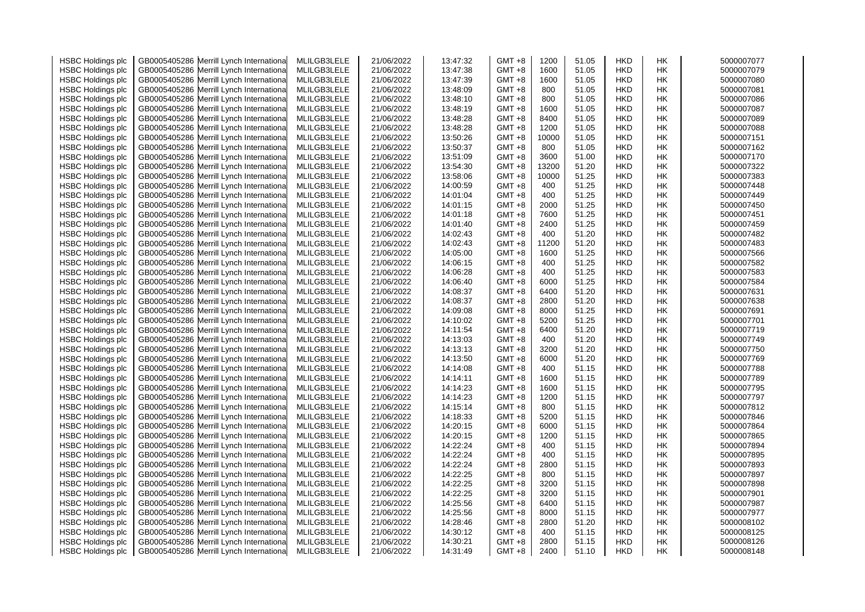| <b>HSBC Holdings plc</b> |              | GB0005405286 Merrill Lynch Internationa  | MLILGB3LELE | 21/06/2022 | 13:47:32 | $GMT + 8$ | 1200  | 51.05 | <b>HKD</b> | НK        | 5000007077 |
|--------------------------|--------------|------------------------------------------|-------------|------------|----------|-----------|-------|-------|------------|-----------|------------|
| <b>HSBC Holdings plc</b> | GB0005405286 | Merrill Lynch Internationa               | MLILGB3LELE | 21/06/2022 | 13:47:38 | GMT +8    | 1600  | 51.05 | <b>HKD</b> | HK        | 5000007079 |
| <b>HSBC Holdings plc</b> |              | GB0005405286 Merrill Lynch Internationa  | MLILGB3LELE | 21/06/2022 | 13:47:39 | GMT +8    | 1600  | 51.05 | <b>HKD</b> | НK        | 5000007080 |
| <b>HSBC Holdings plc</b> |              | GB0005405286 Merrill Lynch International | MLILGB3LELE | 21/06/2022 | 13:48:09 | GMT +8    | 800   | 51.05 | <b>HKD</b> | <b>HK</b> | 5000007081 |
| <b>HSBC Holdings plc</b> |              | GB0005405286 Merrill Lynch Internationa  | MLILGB3LELE | 21/06/2022 | 13:48:10 | GMT +8    | 800   | 51.05 | <b>HKD</b> | <b>HK</b> | 5000007086 |
| <b>HSBC Holdings plc</b> |              | GB0005405286 Merrill Lynch Internationa  | MLILGB3LELE | 21/06/2022 | 13:48:19 | GMT +8    | 1600  | 51.05 | <b>HKD</b> | HK        | 5000007087 |
| <b>HSBC Holdings plc</b> | GB0005405286 | Merrill Lynch Internationa               | MLILGB3LELE | 21/06/2022 | 13:48:28 | GMT +8    | 8400  | 51.05 | <b>HKD</b> | НK        | 5000007089 |
| <b>HSBC Holdings plc</b> |              | GB0005405286 Merrill Lynch Internationa  | MLILGB3LELE | 21/06/2022 | 13:48:28 | $GMT + 8$ | 1200  | 51.05 | <b>HKD</b> | НK        | 5000007088 |
| <b>HSBC Holdings plc</b> |              | GB0005405286 Merrill Lynch Internationa  | MLILGB3LELE | 21/06/2022 | 13:50:26 | GMT +8    | 10000 | 51.05 | <b>HKD</b> | HK        | 5000007151 |
| <b>HSBC Holdings plc</b> |              | GB0005405286 Merrill Lynch Internationa  | MLILGB3LELE | 21/06/2022 | 13:50:37 | GMT +8    | 800   | 51.05 | <b>HKD</b> | НK        | 5000007162 |
| <b>HSBC Holdings plc</b> |              | GB0005405286 Merrill Lynch Internationa  | MLILGB3LELE | 21/06/2022 | 13:51:09 | GMT +8    | 3600  | 51.00 | <b>HKD</b> | НK        | 5000007170 |
| <b>HSBC Holdings plc</b> |              | GB0005405286 Merrill Lynch Internationa  | MLILGB3LELE | 21/06/2022 | 13:54:30 | GMT +8    | 13200 | 51.20 | <b>HKD</b> | <b>HK</b> | 5000007322 |
| <b>HSBC Holdings plc</b> |              | GB0005405286 Merrill Lynch Internationa  | MLILGB3LELE | 21/06/2022 | 13:58:06 | GMT +8    | 10000 | 51.25 | <b>HKD</b> | <b>HK</b> | 5000007383 |
| <b>HSBC Holdings plc</b> |              | GB0005405286 Merrill Lynch Internationa  | MLILGB3LELE | 21/06/2022 | 14:00:59 | $GMT + 8$ | 400   | 51.25 | <b>HKD</b> | НK        | 5000007448 |
|                          |              |                                          | MLILGB3LELE | 21/06/2022 | 14:01:04 | GMT +8    | 400   | 51.25 | <b>HKD</b> | НK        | 5000007449 |
| <b>HSBC Holdings plc</b> |              | GB0005405286 Merrill Lynch Internationa  |             |            | 14:01:15 |           | 2000  | 51.25 |            |           | 5000007450 |
| <b>HSBC Holdings plc</b> |              | GB0005405286 Merrill Lynch Internationa  | MLILGB3LELE | 21/06/2022 |          | GMT +8    | 7600  |       | <b>HKD</b> | HK        |            |
| <b>HSBC Holdings plc</b> |              | GB0005405286 Merrill Lynch Internationa  | MLILGB3LELE | 21/06/2022 | 14:01:18 | $GMT + 8$ |       | 51.25 | <b>HKD</b> | <b>HK</b> | 5000007451 |
| <b>HSBC Holdings plc</b> |              | GB0005405286 Merrill Lynch Internationa  | MLILGB3LELE | 21/06/2022 | 14:01:40 | GMT +8    | 2400  | 51.25 | <b>HKD</b> | HK        | 5000007459 |
| <b>HSBC Holdings plc</b> |              | GB0005405286 Merrill Lynch Internationa  | MLILGB3LELE | 21/06/2022 | 14:02:43 | GMT +8    | 400   | 51.20 | <b>HKD</b> | НK        | 5000007482 |
| <b>HSBC Holdings plc</b> |              | GB0005405286 Merrill Lynch Internationa  | MLILGB3LELE | 21/06/2022 | 14:02:43 | GMT +8    | 11200 | 51.20 | <b>HKD</b> | HK        | 5000007483 |
| <b>HSBC Holdings plc</b> |              | GB0005405286 Merrill Lynch Internationa  | MLILGB3LELE | 21/06/2022 | 14:05:00 | GMT +8    | 1600  | 51.25 | <b>HKD</b> | <b>HK</b> | 5000007566 |
| <b>HSBC Holdings plc</b> |              | GB0005405286 Merrill Lynch Internationa  | MLILGB3LELE | 21/06/2022 | 14:06:15 | GMT +8    | 400   | 51.25 | <b>HKD</b> | HK        | 5000007582 |
| <b>HSBC Holdings plc</b> | GB0005405286 | Merrill Lynch Internationa               | MLILGB3LELE | 21/06/2022 | 14:06:28 | GMT +8    | 400   | 51.25 | <b>HKD</b> | НK        | 5000007583 |
| <b>HSBC Holdings plc</b> |              | GB0005405286 Merrill Lynch Internationa  | MLILGB3LELE | 21/06/2022 | 14:06:40 | $GMT + 8$ | 6000  | 51.25 | <b>HKD</b> | НK        | 5000007584 |
| <b>HSBC Holdings plc</b> |              | GB0005405286 Merrill Lynch Internationa  | MLILGB3LELE | 21/06/2022 | 14:08:37 | $GMT + 8$ | 6400  | 51.20 | <b>HKD</b> | HK        | 5000007631 |
| <b>HSBC Holdings plc</b> |              | GB0005405286 Merrill Lynch Internationa  | MLILGB3LELE | 21/06/2022 | 14:08:37 | $GMT + 8$ | 2800  | 51.20 | <b>HKD</b> | HK        | 5000007638 |
| <b>HSBC Holdings plc</b> |              | GB0005405286 Merrill Lynch Internationa  | MLILGB3LELE | 21/06/2022 | 14:09:08 | GMT +8    | 8000  | 51.25 | <b>HKD</b> | HK        | 5000007691 |
| <b>HSBC Holdings plc</b> |              | GB0005405286 Merrill Lynch Internationa  | MLILGB3LELE | 21/06/2022 | 14:10:02 | $GMT + 8$ | 5200  | 51.25 | <b>HKD</b> | HK        | 5000007701 |
| <b>HSBC Holdings plc</b> |              | GB0005405286 Merrill Lynch Internationa  | MLILGB3LELE | 21/06/2022 | 14:11:54 | $GMT + 8$ | 6400  | 51.20 | <b>HKD</b> | HK        | 5000007719 |
| <b>HSBC Holdings plc</b> | GB0005405286 | Merrill Lynch Internationa               | MLILGB3LELE | 21/06/2022 | 14:13:03 | $GMT + 8$ | 400   | 51.20 | <b>HKD</b> | HK        | 5000007749 |
| <b>HSBC Holdings plc</b> |              | GB0005405286 Merrill Lynch Internationa  | MLILGB3LELE | 21/06/2022 | 14:13:13 | $GMT + 8$ | 3200  | 51.20 | <b>HKD</b> | HK        | 5000007750 |
| <b>HSBC Holdings plc</b> |              | GB0005405286 Merrill Lynch Internationa  | MLILGB3LELE | 21/06/2022 | 14:13:50 | $GMT + 8$ | 6000  | 51.20 | <b>HKD</b> | HK        | 5000007769 |
| <b>HSBC Holdings plc</b> |              | GB0005405286 Merrill Lynch Internationa  | MLILGB3LELE | 21/06/2022 | 14:14:08 | $GMT + 8$ | 400   | 51.15 | <b>HKD</b> | НK        | 5000007788 |
| <b>HSBC Holdings plc</b> |              | GB0005405286 Merrill Lynch Internationa  | MLILGB3LELE | 21/06/2022 | 14:14:11 | GMT +8    | 1600  | 51.15 | <b>HKD</b> | HK        | 5000007789 |
| <b>HSBC Holdings plc</b> |              | GB0005405286 Merrill Lynch Internationa  | MLILGB3LELE | 21/06/2022 | 14:14:23 | GMT +8    | 1600  | 51.15 | <b>HKD</b> | HK        | 5000007795 |
| <b>HSBC Holdings plc</b> |              | GB0005405286 Merrill Lynch Internationa  | MLILGB3LELE | 21/06/2022 | 14:14:23 | GMT +8    | 1200  | 51.15 | <b>HKD</b> | <b>HK</b> | 5000007797 |
| <b>HSBC Holdings plc</b> |              | GB0005405286 Merrill Lynch Internationa  | MLILGB3LELE | 21/06/2022 | 14:15:14 | $GMT + 8$ | 800   | 51.15 | <b>HKD</b> | <b>HK</b> | 5000007812 |
| <b>HSBC Holdings plc</b> |              | GB0005405286 Merrill Lynch Internationa  | MLILGB3LELE | 21/06/2022 | 14:18:33 | $GMT + 8$ | 5200  | 51.15 | <b>HKD</b> | HK        | 5000007846 |
| <b>HSBC Holdings plc</b> | GB0005405286 | Merrill Lynch Internationa               | MLILGB3LELE | 21/06/2022 | 14:20:15 | GMT +8    | 6000  | 51.15 | <b>HKD</b> | НK        | 5000007864 |
| <b>HSBC Holdings plc</b> |              | GB0005405286 Merrill Lynch Internationa  | MLILGB3LELE | 21/06/2022 | 14:20:15 | $GMT + 8$ | 1200  | 51.15 | <b>HKD</b> | НK        | 5000007865 |
| <b>HSBC Holdings plc</b> |              | GB0005405286 Merrill Lynch Internationa  | MLILGB3LELE | 21/06/2022 | 14:22:24 | $GMT + 8$ | 400   | 51.15 | <b>HKD</b> | HK        | 5000007894 |
| <b>HSBC Holdings plc</b> |              | GB0005405286 Merrill Lynch Internationa  | MLILGB3LELE | 21/06/2022 | 14:22:24 | GMT +8    | 400   | 51.15 | <b>HKD</b> | НK        | 5000007895 |
| <b>HSBC Holdings plc</b> |              | GB0005405286 Merrill Lynch Internationa  | MLILGB3LELE | 21/06/2022 | 14:22:24 | GMT +8    | 2800  | 51.15 | <b>HKD</b> | HK        | 5000007893 |
| <b>HSBC Holdings plc</b> |              | GB0005405286 Merrill Lynch Internationa  | MLILGB3LELE | 21/06/2022 | 14:22:25 | GMT +8    | 800   | 51.15 | <b>HKD</b> | <b>HK</b> | 5000007897 |
| <b>HSBC Holdings plc</b> |              | GB0005405286 Merrill Lynch Internationa  | MLILGB3LELE | 21/06/2022 | 14:22:25 | GMT +8    | 3200  | 51.15 | <b>HKD</b> | <b>HK</b> | 5000007898 |
| <b>HSBC Holdings plc</b> |              | GB0005405286 Merrill Lynch Internationa  | MLILGB3LELE | 21/06/2022 | 14:22:25 | $GMT + 8$ | 3200  | 51.15 | <b>HKD</b> | НK        | 5000007901 |
| <b>HSBC Holdings plc</b> |              | GB0005405286 Merrill Lynch Internationa  | MLILGB3LELE | 21/06/2022 | 14:25:56 | GMT +8    | 6400  | 51.15 | <b>HKD</b> | НK        | 5000007987 |
| <b>HSBC Holdings plc</b> |              | GB0005405286 Merrill Lynch Internationa  | MLILGB3LELE | 21/06/2022 | 14:25:56 | $GMT + 8$ | 8000  | 51.15 | <b>HKD</b> | <b>HK</b> | 5000007977 |
| <b>HSBC Holdings plc</b> |              | GB0005405286 Merrill Lynch Internationa  | MLILGB3LELE | 21/06/2022 | 14:28:46 | $GMT + 8$ | 2800  | 51.20 | <b>HKD</b> | НK        | 5000008102 |
| <b>HSBC Holdings plc</b> |              | GB0005405286 Merrill Lynch Internationa  | MLILGB3LELE | 21/06/2022 | 14:30:12 | GMT +8    | 400   | 51.15 | <b>HKD</b> | HK        | 5000008125 |
| <b>HSBC Holdings plc</b> |              | GB0005405286 Merrill Lynch International | MLILGB3LELE | 21/06/2022 | 14:30:21 | GMT +8    | 2800  | 51.15 | <b>HKD</b> | НK        | 5000008126 |
| <b>HSBC Holdings plc</b> |              | GB0005405286 Merrill Lynch Internationa  | MLILGB3LELE | 21/06/2022 | 14:31:49 | $GMT +8$  | 2400  | 51.10 | <b>HKD</b> | <b>HK</b> | 5000008148 |
|                          |              |                                          |             |            |          |           |       |       |            |           |            |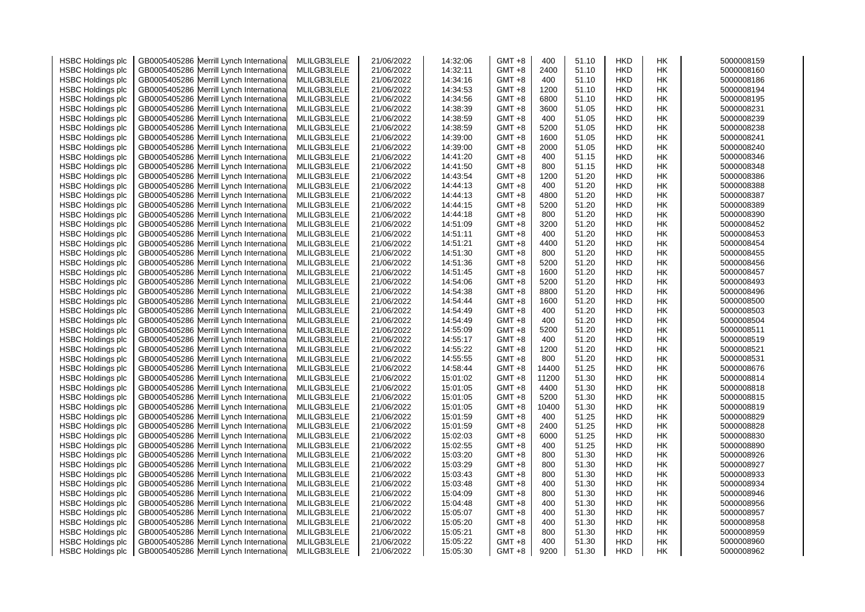| <b>HSBC Holdings plc</b> | GB0005405286 Merrill Lynch Internationa  | MLILGB3LELE | 21/06/2022 | 14:32:06 | $GMT +8$  | 400   | 51.10 | <b>HKD</b> | НK | 5000008159 |
|--------------------------|------------------------------------------|-------------|------------|----------|-----------|-------|-------|------------|----|------------|
| <b>HSBC Holdings plc</b> | GB0005405286 Merrill Lynch Internationa  | MLILGB3LELE | 21/06/2022 | 14:32:11 | GMT +8    | 2400  | 51.10 | <b>HKD</b> | НK | 5000008160 |
| <b>HSBC Holdings plc</b> | GB0005405286 Merrill Lynch Internationa  | MLILGB3LELE | 21/06/2022 | 14:34:16 | $GMT + 8$ | 400   | 51.10 | HKD        | HΚ | 5000008186 |
| <b>HSBC Holdings plc</b> | GB0005405286 Merrill Lynch Internationa  | MLILGB3LELE | 21/06/2022 | 14:34:53 | GMT +8    | 1200  | 51.10 | <b>HKD</b> | НK | 5000008194 |
| <b>HSBC Holdings plc</b> | GB0005405286 Merrill Lynch Internationa  | MLILGB3LELE | 21/06/2022 | 14:34:56 | $GMT +8$  | 6800  | 51.10 | <b>HKD</b> | HK | 5000008195 |
| <b>HSBC Holdings plc</b> | GB0005405286 Merrill Lynch Internationa  | MLILGB3LELE | 21/06/2022 | 14:38:39 | GMT +8    | 3600  | 51.05 | <b>HKD</b> | НK | 5000008231 |
| <b>HSBC Holdings plc</b> | GB0005405286 Merrill Lynch Internationa  | MLILGB3LELE | 21/06/2022 | 14:38:59 | GMT +8    | 400   | 51.05 | HKD        | HК | 5000008239 |
| <b>HSBC Holdings plc</b> | GB0005405286 Merrill Lynch Internationa  | MLILGB3LELE | 21/06/2022 | 14:38:59 | GMT +8    | 5200  | 51.05 | <b>HKD</b> | НK | 5000008238 |
| <b>HSBC Holdings plc</b> | GB0005405286 Merrill Lynch Internationa  | MLILGB3LELE | 21/06/2022 | 14:39:00 | GMT +8    | 1600  | 51.05 | <b>HKD</b> | НK | 5000008241 |
| <b>HSBC Holdings plc</b> | GB0005405286 Merrill Lynch Internationa  | MLILGB3LELE | 21/06/2022 | 14:39:00 | GMT +8    | 2000  | 51.05 | <b>HKD</b> | HΚ | 5000008240 |
| <b>HSBC Holdings plc</b> | GB0005405286 Merrill Lynch Internationa  | MLILGB3LELE | 21/06/2022 | 14:41:20 | GMT +8    | 400   | 51.15 | HKD        | HΚ | 5000008346 |
| <b>HSBC Holdings plc</b> | GB0005405286 Merrill Lynch Internationa  | MLILGB3LELE | 21/06/2022 | 14:41:50 | GMT +8    | 800   | 51.15 | <b>HKD</b> | НK | 5000008348 |
|                          | GB0005405286 Merrill Lynch Internationa  | MLILGB3LELE | 21/06/2022 | 14:43:54 | GMT +8    | 1200  | 51.20 | <b>HKD</b> | НK | 5000008386 |
| <b>HSBC Holdings plc</b> |                                          |             |            | 14:44:13 | $GMT +8$  | 400   | 51.20 | <b>HKD</b> |    | 5000008388 |
| <b>HSBC Holdings plc</b> | GB0005405286 Merrill Lynch Internationa  | MLILGB3LELE | 21/06/2022 |          |           |       |       |            | НK |            |
| <b>HSBC Holdings plc</b> | GB0005405286 Merrill Lynch Internationa  | MLILGB3LELE | 21/06/2022 | 14:44:13 | GMT +8    | 4800  | 51.20 | HKD        | HК | 5000008387 |
| <b>HSBC Holdings plc</b> | GB0005405286 Merrill Lynch Internationa  | MLILGB3LELE | 21/06/2022 | 14:44:15 | $GMT +8$  | 5200  | 51.20 | HKD        | НK | 5000008389 |
| <b>HSBC Holdings plc</b> | GB0005405286 Merrill Lynch Internationa  | MLILGB3LELE | 21/06/2022 | 14:44:18 | $GMT +8$  | 800   | 51.20 | <b>HKD</b> | НK | 5000008390 |
| <b>HSBC Holdings plc</b> | GB0005405286 Merrill Lynch Internationa  | MLILGB3LELE | 21/06/2022 | 14:51:09 | GMT +8    | 3200  | 51.20 | HKD        | HΚ | 5000008452 |
| <b>HSBC Holdings plc</b> | GB0005405286 Merrill Lynch Internationa  | MLILGB3LELE | 21/06/2022 | 14:51:11 | GMT +8    | 400   | 51.20 | HKD        | HΚ | 5000008453 |
| <b>HSBC Holdings plc</b> | GB0005405286 Merrill Lynch Internationa  | MLILGB3LELE | 21/06/2022 | 14:51:21 | GMT +8    | 4400  | 51.20 | HKD        | HΚ | 5000008454 |
| <b>HSBC Holdings plc</b> | GB0005405286 Merrill Lynch Internationa  | MLILGB3LELE | 21/06/2022 | 14:51:30 | $GMT +8$  | 800   | 51.20 | <b>HKD</b> | HK | 5000008455 |
| <b>HSBC Holdings plc</b> | GB0005405286 Merrill Lynch Internationa  | MLILGB3LELE | 21/06/2022 | 14:51:36 | GMT +8    | 5200  | 51.20 | HKD        | HΚ | 5000008456 |
| <b>HSBC Holdings plc</b> | GB0005405286 Merrill Lynch Internationa  | MLILGB3LELE | 21/06/2022 | 14:51:45 | GMT +8    | 1600  | 51.20 | HKD        | HΚ | 5000008457 |
| <b>HSBC Holdings plc</b> | GB0005405286 Merrill Lynch Internationa  | MLILGB3LELE | 21/06/2022 | 14:54:06 | GMT +8    | 5200  | 51.20 | HKD        | НK | 5000008493 |
| <b>HSBC Holdings plc</b> | GB0005405286 Merrill Lynch Internationa  | MLILGB3LELE | 21/06/2022 | 14:54:38 | GMT +8    | 8800  | 51.20 | HKD        | HΚ | 5000008496 |
| <b>HSBC Holdings plc</b> | GB0005405286 Merrill Lynch Internationa  | MLILGB3LELE | 21/06/2022 | 14:54:44 | GMT +8    | 1600  | 51.20 | HKD        | НK | 5000008500 |
| <b>HSBC Holdings plc</b> | GB0005405286 Merrill Lynch Internationa  | MLILGB3LELE | 21/06/2022 | 14:54:49 | GMT +8    | 400   | 51.20 | HKD        | НK | 5000008503 |
| <b>HSBC Holdings plc</b> | GB0005405286 Merrill Lynch Internationa  | MLILGB3LELE | 21/06/2022 | 14:54:49 | GMT +8    | 400   | 51.20 | <b>HKD</b> | HK | 5000008504 |
| <b>HSBC Holdings plc</b> | GB0005405286 Merrill Lynch Internationa  | MLILGB3LELE | 21/06/2022 | 14:55:09 | GMT +8    | 5200  | 51.20 | HKD        | НK | 5000008511 |
| <b>HSBC Holdings plc</b> | GB0005405286 Merrill Lynch Internationa  | MLILGB3LELE | 21/06/2022 | 14:55:17 | GMT +8    | 400   | 51.20 | HKD        | НK | 5000008519 |
| <b>HSBC Holdings plc</b> | GB0005405286 Merrill Lynch Internationa  | MLILGB3LELE | 21/06/2022 | 14:55:22 | GMT +8    | 1200  | 51.20 | HKD        | HΚ | 5000008521 |
| <b>HSBC Holdings plc</b> | GB0005405286 Merrill Lynch Internationa  | MLILGB3LELE | 21/06/2022 | 14:55:55 | GMT +8    | 800   | 51.20 | HKD        | HΚ | 5000008531 |
| <b>HSBC Holdings plc</b> | GB0005405286 Merrill Lynch Internationa  | MLILGB3LELE | 21/06/2022 | 14:58:44 | GMT +8    | 14400 | 51.25 | HKD        | HК | 5000008676 |
| <b>HSBC Holdings plc</b> | GB0005405286 Merrill Lynch Internationa  | MLILGB3LELE | 21/06/2022 | 15:01:02 | GMT +8    | 11200 | 51.30 | HKD        | НK | 5000008814 |
| <b>HSBC Holdings plc</b> | GB0005405286 Merrill Lynch Internationa  | MLILGB3LELE | 21/06/2022 | 15:01:05 | $GMT +8$  | 4400  | 51.30 | HKD        | HΚ | 5000008818 |
| <b>HSBC Holdings plc</b> | GB0005405286 Merrill Lynch Internationa  | MLILGB3LELE | 21/06/2022 | 15:01:05 | $GMT +8$  | 5200  | 51.30 | <b>HKD</b> | НK | 5000008815 |
| <b>HSBC Holdings plc</b> | GB0005405286 Merrill Lynch Internationa  | MLILGB3LELE | 21/06/2022 | 15:01:05 | $GMT +8$  | 10400 | 51.30 | <b>HKD</b> | НK | 5000008819 |
| <b>HSBC Holdings plc</b> | GB0005405286 Merrill Lynch Internationa  | MLILGB3LELE | 21/06/2022 | 15:01:59 | $GMT +8$  | 400   | 51.25 | <b>HKD</b> | НK | 5000008829 |
| <b>HSBC Holdings plc</b> | GB0005405286 Merrill Lynch Internationa  | MLILGB3LELE | 21/06/2022 | 15:01:59 | $GMT +8$  | 2400  | 51.25 | HKD        | НK | 5000008828 |
| <b>HSBC Holdings plc</b> | GB0005405286 Merrill Lynch Internationa  | MLILGB3LELE | 21/06/2022 | 15:02:03 | $GMT +8$  | 6000  | 51.25 | <b>HKD</b> | НK | 5000008830 |
| <b>HSBC Holdings plc</b> | GB0005405286 Merrill Lynch Internationa  | MLILGB3LELE | 21/06/2022 | 15:02:55 | $GMT +8$  | 400   | 51.25 | <b>HKD</b> | НK | 5000008890 |
| <b>HSBC Holdings plc</b> | GB0005405286 Merrill Lynch Internationa  | MLILGB3LELE | 21/06/2022 | 15:03:20 | GMT +8    | 800   | 51.30 | <b>HKD</b> | НK | 5000008926 |
| <b>HSBC Holdings plc</b> | GB0005405286 Merrill Lynch Internationa  | MLILGB3LELE | 21/06/2022 | 15:03:29 | GMT +8    | 800   | 51.30 | HKD        | HΚ | 5000008927 |
| <b>HSBC Holdings plc</b> | GB0005405286 Merrill Lynch Internationa  | MLILGB3LELE | 21/06/2022 | 15:03:43 | GMT +8    | 800   | 51.30 | <b>HKD</b> | НK | 5000008933 |
| <b>HSBC Holdings plc</b> | GB0005405286 Merrill Lynch Internationa  | MLILGB3LELE | 21/06/2022 | 15:03:48 | $GMT +8$  | 400   | 51.30 | <b>HKD</b> | НK | 5000008934 |
| <b>HSBC Holdings plc</b> | GB0005405286 Merrill Lynch Internationa  | MLILGB3LELE | 21/06/2022 | 15:04:09 | $GMT +8$  | 800   | 51.30 | <b>HKD</b> | НK | 5000008946 |
| <b>HSBC Holdings plc</b> | GB0005405286 Merrill Lynch Internationa  | MLILGB3LELE | 21/06/2022 | 15:04:48 | GMT +8    | 400   | 51.30 | HKD        | НK | 5000008956 |
|                          | GB0005405286 Merrill Lynch Internationa  |             |            |          | $GMT +8$  | 400   | 51.30 | HKD        | НK |            |
| <b>HSBC Holdings plc</b> |                                          | MLILGB3LELE | 21/06/2022 | 15:05:07 |           |       |       |            |    | 5000008957 |
| <b>HSBC Holdings plc</b> | GB0005405286 Merrill Lynch Internationa  | MLILGB3LELE | 21/06/2022 | 15:05:20 | $GMT +8$  | 400   | 51.30 | <b>HKD</b> | НK | 5000008958 |
| <b>HSBC Holdings plc</b> | GB0005405286 Merrill Lynch Internationa  | MLILGB3LELE | 21/06/2022 | 15:05:21 | GMT +8    | 800   | 51.30 | HKD        | HΚ | 5000008959 |
| <b>HSBC Holdings plc</b> | GB0005405286 Merrill Lynch International | MLILGB3LELE | 21/06/2022 | 15:05:22 | $GMT +8$  | 400   | 51.30 | HKD        | НK | 5000008960 |
| <b>HSBC Holdings plc</b> | GB0005405286 Merrill Lynch International | MLILGB3LELE | 21/06/2022 | 15:05:30 | $GMT +8$  | 9200  | 51.30 | <b>HKD</b> | НK | 5000008962 |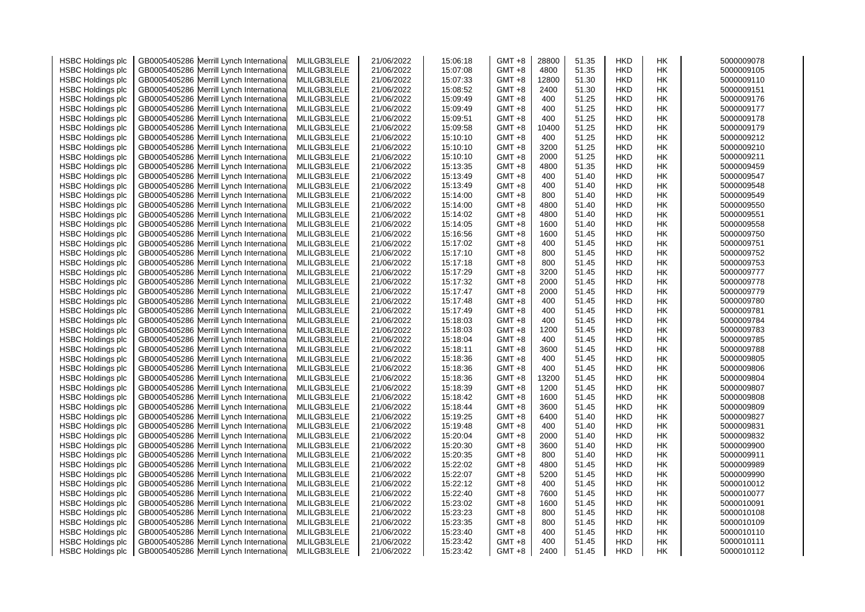| <b>HSBC Holdings plc</b> |              | GB0005405286 Merrill Lynch Internationa  | MLILGB3LELE | 21/06/2022 | 15:06:18 | GMT +8   | 28800 | 51.35 | <b>HKD</b> | НK        | 5000009078 |
|--------------------------|--------------|------------------------------------------|-------------|------------|----------|----------|-------|-------|------------|-----------|------------|
| <b>HSBC Holdings plc</b> | GB0005405286 | Merrill Lynch Internationa               | MLILGB3LELE | 21/06/2022 | 15:07:08 | GMT +8   | 4800  | 51.35 | <b>HKD</b> | HK        | 5000009105 |
| <b>HSBC Holdings plc</b> |              | GB0005405286 Merrill Lynch Internationa  | MLILGB3LELE | 21/06/2022 | 15:07:33 | GMT +8   | 12800 | 51.30 | <b>HKD</b> | НK        | 5000009110 |
| <b>HSBC Holdings plc</b> |              | GB0005405286 Merrill Lynch Internationa  | MLILGB3LELE | 21/06/2022 | 15:08:52 | GMT +8   | 2400  | 51.30 | <b>HKD</b> | <b>HK</b> | 5000009151 |
| <b>HSBC Holdings plc</b> |              | GB0005405286 Merrill Lynch Internationa  | MLILGB3LELE | 21/06/2022 | 15:09:49 | GMT +8   | 400   | 51.25 | <b>HKD</b> | <b>HK</b> | 5000009176 |
| <b>HSBC Holdings plc</b> |              | GB0005405286 Merrill Lynch Internationa  | MLILGB3LELE | 21/06/2022 | 15:09:49 | GMT +8   | 400   | 51.25 | <b>HKD</b> | HK        | 5000009177 |
| <b>HSBC Holdings plc</b> |              | GB0005405286 Merrill Lynch Internationa  | MLILGB3LELE | 21/06/2022 | 15:09:51 | GMT +8   | 400   | 51.25 | HKD        | НK        | 5000009178 |
| <b>HSBC Holdings plc</b> |              | GB0005405286 Merrill Lynch Internationa  | MLILGB3LELE | 21/06/2022 | 15:09:58 | GMT +8   | 10400 | 51.25 | <b>HKD</b> | <b>HK</b> | 5000009179 |
| <b>HSBC Holdings plc</b> |              | GB0005405286 Merrill Lynch Internationa  | MLILGB3LELE | 21/06/2022 | 15:10:10 | GMT +8   | 400   | 51.25 | <b>HKD</b> | HK        | 5000009212 |
| <b>HSBC Holdings plc</b> |              | GB0005405286 Merrill Lynch Internationa  | MLILGB3LELE | 21/06/2022 | 15:10:10 | GMT +8   | 3200  | 51.25 | <b>HKD</b> | HK        | 5000009210 |
| <b>HSBC Holdings plc</b> |              | GB0005405286 Merrill Lynch Internationa  | MLILGB3LELE | 21/06/2022 | 15:10:10 | GMT +8   | 2000  | 51.25 | HKD        | HK        | 5000009211 |
|                          |              | GB0005405286 Merrill Lynch Internationa  | MLILGB3LELE | 21/06/2022 | 15:13:35 | GMT +8   | 4800  | 51.35 | <b>HKD</b> | <b>HK</b> | 5000009459 |
| <b>HSBC Holdings plc</b> |              | GB0005405286 Merrill Lynch Internationa  | MLILGB3LELE |            | 15:13:49 |          | 400   | 51.40 | <b>HKD</b> | <b>HK</b> | 5000009547 |
| <b>HSBC Holdings plc</b> |              |                                          |             | 21/06/2022 |          | GMT +8   |       |       |            |           |            |
| <b>HSBC Holdings plc</b> |              | GB0005405286 Merrill Lynch Internationa  | MLILGB3LELE | 21/06/2022 | 15:13:49 | GMT +8   | 400   | 51.40 | <b>HKD</b> | HK        | 5000009548 |
| <b>HSBC Holdings plc</b> |              | GB0005405286 Merrill Lynch Internationa  | MLILGB3LELE | 21/06/2022 | 15:14:00 | GMT +8   | 800   | 51.40 | <b>HKD</b> | НK        | 5000009549 |
| <b>HSBC Holdings plc</b> |              | GB0005405286 Merrill Lynch Internationa  | MLILGB3LELE | 21/06/2022 | 15:14:00 | GMT +8   | 4800  | 51.40 | <b>HKD</b> | HK        | 5000009550 |
| <b>HSBC Holdings plc</b> |              | GB0005405286 Merrill Lynch Internationa  | MLILGB3LELE | 21/06/2022 | 15:14:02 | GMT +8   | 4800  | 51.40 | <b>HKD</b> | <b>HK</b> | 5000009551 |
| <b>HSBC Holdings plc</b> |              | GB0005405286 Merrill Lynch Internationa  | MLILGB3LELE | 21/06/2022 | 15:14:05 | GMT +8   | 1600  | 51.40 | <b>HKD</b> | HK        | 5000009558 |
| <b>HSBC Holdings plc</b> |              | GB0005405286 Merrill Lynch Internationa  | MLILGB3LELE | 21/06/2022 | 15:16:56 | GMT +8   | 1600  | 51.45 | HKD        | HK        | 5000009750 |
| <b>HSBC Holdings plc</b> |              | GB0005405286 Merrill Lynch Internationa  | MLILGB3LELE | 21/06/2022 | 15:17:02 | GMT +8   | 400   | 51.45 | <b>HKD</b> | HK        | 5000009751 |
| <b>HSBC Holdings plc</b> |              | GB0005405286 Merrill Lynch Internationa  | MLILGB3LELE | 21/06/2022 | 15:17:10 | GMT +8   | 800   | 51.45 | <b>HKD</b> | <b>HK</b> | 5000009752 |
| <b>HSBC Holdings plc</b> |              | GB0005405286 Merrill Lynch Internationa  | MLILGB3LELE | 21/06/2022 | 15:17:18 | GMT +8   | 800   | 51.45 | <b>HKD</b> | HK        | 5000009753 |
| <b>HSBC Holdings plc</b> |              | GB0005405286 Merrill Lynch Internationa  | MLILGB3LELE | 21/06/2022 | 15:17:29 | GMT +8   | 3200  | 51.45 | HKD        | НK        | 5000009777 |
| <b>HSBC Holdings plc</b> |              | GB0005405286 Merrill Lynch Internationa  | MLILGB3LELE | 21/06/2022 | 15:17:32 | GMT +8   | 2000  | 51.45 | <b>HKD</b> | HK        | 5000009778 |
| <b>HSBC Holdings plc</b> |              | GB0005405286 Merrill Lynch Internationa  | MLILGB3LELE | 21/06/2022 | 15:17:47 | GMT +8   | 2000  | 51.45 | <b>HKD</b> | HK        | 5000009779 |
| <b>HSBC Holdings plc</b> |              | GB0005405286 Merrill Lynch Internationa  | MLILGB3LELE | 21/06/2022 | 15:17:48 | GMT +8   | 400   | 51.45 | <b>HKD</b> | HK        | 5000009780 |
| <b>HSBC Holdings plc</b> |              | GB0005405286 Merrill Lynch Internationa  | MLILGB3LELE | 21/06/2022 | 15:17:49 | GMT +8   | 400   | 51.45 | <b>HKD</b> | HK        | 5000009781 |
| <b>HSBC Holdings plc</b> |              | GB0005405286 Merrill Lynch Internationa  | MLILGB3LELE | 21/06/2022 | 15:18:03 | GMT +8   | 400   | 51.45 | <b>HKD</b> | HK        | 5000009784 |
| <b>HSBC Holdings plc</b> |              | GB0005405286 Merrill Lynch Internationa  | MLILGB3LELE | 21/06/2022 | 15:18:03 | GMT +8   | 1200  | 51.45 | <b>HKD</b> | HK        | 5000009783 |
| <b>HSBC Holdings plc</b> |              | GB0005405286 Merrill Lynch Internationa  | MLILGB3LELE | 21/06/2022 | 15:18:04 | GMT +8   | 400   | 51.45 | <b>HKD</b> | HK        | 5000009785 |
| <b>HSBC Holdings plc</b> |              | GB0005405286 Merrill Lynch Internationa  | MLILGB3LELE | 21/06/2022 | 15:18:11 | GMT +8   | 3600  | 51.45 | <b>HKD</b> | HK        | 5000009788 |
| <b>HSBC Holdings plc</b> |              | GB0005405286 Merrill Lynch Internationa  | MLILGB3LELE | 21/06/2022 | 15:18:36 | GMT +8   | 400   | 51.45 | <b>HKD</b> | HK        | 5000009805 |
| <b>HSBC Holdings plc</b> |              | GB0005405286 Merrill Lynch Internationa  | MLILGB3LELE | 21/06/2022 | 15:18:36 | GMT +8   | 400   | 51.45 | <b>HKD</b> | HK        | 5000009806 |
| <b>HSBC Holdings plc</b> |              | GB0005405286 Merrill Lynch Internationa  | MLILGB3LELE | 21/06/2022 | 15:18:36 | GMT +8   | 13200 | 51.45 | <b>HKD</b> | HK        | 5000009804 |
| <b>HSBC Holdings plc</b> |              | GB0005405286 Merrill Lynch Internationa  | MLILGB3LELE | 21/06/2022 | 15:18:39 | GMT +8   | 1200  | 51.45 | <b>HKD</b> | HK        | 5000009807 |
| <b>HSBC Holdings plc</b> |              | GB0005405286 Merrill Lynch Internationa  | MLILGB3LELE | 21/06/2022 | 15:18:42 | GMT +8   | 1600  | 51.45 | <b>HKD</b> | <b>HK</b> | 5000009808 |
| <b>HSBC Holdings plc</b> |              | GB0005405286 Merrill Lynch Internationa  | MLILGB3LELE | 21/06/2022 | 15:18:44 | GMT +8   | 3600  | 51.45 | <b>HKD</b> | <b>HK</b> | 5000009809 |
| <b>HSBC Holdings plc</b> |              | GB0005405286 Merrill Lynch Internationa  | MLILGB3LELE | 21/06/2022 | 15:19:25 | GMT +8   | 6400  | 51.40 | <b>HKD</b> | HK        | 5000009827 |
| <b>HSBC Holdings plc</b> |              | GB0005405286 Merrill Lynch Internationa  | MLILGB3LELE | 21/06/2022 | 15:19:48 | GMT +8   | 400   | 51.40 | <b>HKD</b> | НK        | 5000009831 |
| <b>HSBC Holdings plc</b> |              | GB0005405286 Merrill Lynch Internationa  | MLILGB3LELE | 21/06/2022 | 15:20:04 | GMT +8   | 2000  | 51.40 | <b>HKD</b> | НK        | 5000009832 |
| <b>HSBC Holdings plc</b> |              | GB0005405286 Merrill Lynch Internationa  | MLILGB3LELE | 21/06/2022 | 15:20:30 | GMT +8   | 3600  | 51.40 | <b>HKD</b> | HK        | 5000009900 |
| <b>HSBC Holdings plc</b> |              | GB0005405286 Merrill Lynch Internationa  | MLILGB3LELE | 21/06/2022 | 15:20:35 | GMT +8   | 800   | 51.40 | <b>HKD</b> | HK        | 5000009911 |
| <b>HSBC Holdings plc</b> |              | GB0005405286 Merrill Lynch Internationa  | MLILGB3LELE | 21/06/2022 | 15:22:02 | GMT +8   | 4800  | 51.45 | <b>HKD</b> | HK        | 5000009989 |
| <b>HSBC Holdings plc</b> |              | GB0005405286 Merrill Lynch Internationa  | MLILGB3LELE | 21/06/2022 | 15:22:07 | GMT +8   | 5200  | 51.45 | <b>HKD</b> | <b>HK</b> | 5000009990 |
| <b>HSBC Holdings plc</b> |              | GB0005405286 Merrill Lynch Internationa  | MLILGB3LELE | 21/06/2022 | 15:22:12 | GMT +8   | 400   | 51.45 | <b>HKD</b> | <b>HK</b> | 5000010012 |
| <b>HSBC Holdings plc</b> |              | GB0005405286 Merrill Lynch Internationa  | MLILGB3LELE | 21/06/2022 | 15:22:40 | GMT +8   | 7600  | 51.45 | <b>HKD</b> | HK        | 5000010077 |
| <b>HSBC Holdings plc</b> |              | GB0005405286 Merrill Lynch Internationa  | MLILGB3LELE | 21/06/2022 | 15:23:02 | GMT +8   | 1600  | 51.45 | <b>HKD</b> | HK        | 5000010091 |
| <b>HSBC Holdings plc</b> |              | GB0005405286 Merrill Lynch Internationa  | MLILGB3LELE | 21/06/2022 | 15:23:23 | GMT +8   | 800   | 51.45 | <b>HKD</b> | <b>HK</b> | 5000010108 |
| <b>HSBC Holdings plc</b> |              | GB0005405286 Merrill Lynch Internationa  | MLILGB3LELE | 21/06/2022 | 15:23:35 | GMT +8   | 800   | 51.45 | <b>HKD</b> | <b>HK</b> | 5000010109 |
| <b>HSBC Holdings plc</b> |              | GB0005405286 Merrill Lynch Internationa  | MLILGB3LELE | 21/06/2022 | 15:23:40 | GMT +8   | 400   | 51.45 | <b>HKD</b> | HK        | 5000010110 |
| <b>HSBC Holdings plc</b> |              | GB0005405286 Merrill Lynch Internationa  | MLILGB3LELE | 21/06/2022 | 15:23:42 | GMT +8   | 400   | 51.45 | <b>HKD</b> | HK        | 5000010111 |
| <b>HSBC Holdings plc</b> |              | GB0005405286 Merrill Lynch International | MLILGB3LELE | 21/06/2022 | 15:23:42 | $GMT +8$ | 2400  | 51.45 | <b>HKD</b> | <b>HK</b> | 5000010112 |
|                          |              |                                          |             |            |          |          |       |       |            |           |            |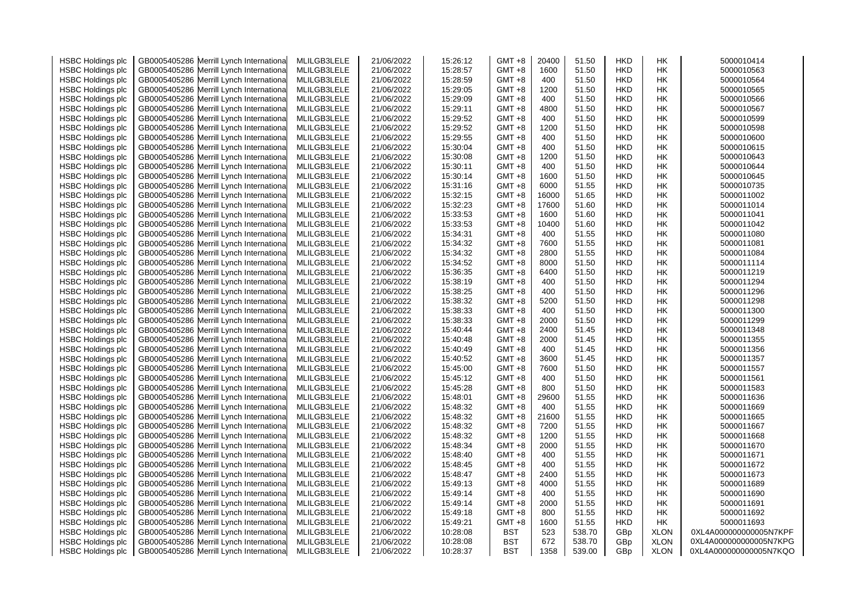| <b>HSBC Holdings plc</b> | GB0005405286 Merrill Lynch Internationa    | MLILGB3LELE | 21/06/2022 | 15:26:12 | $GMT + 8$  | 20400 | 51.50  | <b>HKD</b> | HK          | 5000010414             |
|--------------------------|--------------------------------------------|-------------|------------|----------|------------|-------|--------|------------|-------------|------------------------|
| <b>HSBC Holdings plc</b> | GB0005405286 Merrill Lynch Internationa    | MLILGB3LELE | 21/06/2022 | 15:28:57 | $GMT +8$   | 1600  | 51.50  | <b>HKD</b> | HK          | 5000010563             |
| <b>HSBC Holdings plc</b> | GB0005405286 Merrill Lynch Internationa    | MLILGB3LELE | 21/06/2022 | 15:28:59 | GMT +8     | 400   | 51.50  | <b>HKD</b> | HK          | 5000010564             |
| <b>HSBC Holdings plc</b> | GB0005405286 Merrill Lynch Internationa    | MLILGB3LELE | 21/06/2022 | 15:29:05 | GMT +8     | 1200  | 51.50  | <b>HKD</b> | HK          | 5000010565             |
| <b>HSBC Holdings plc</b> | GB0005405286 Merrill Lynch Internationa    | MLILGB3LELE | 21/06/2022 | 15:29:09 | GMT +8     | 400   | 51.50  | <b>HKD</b> | HK          | 5000010566             |
| <b>HSBC Holdings plc</b> | GB0005405286 Merrill Lynch Internationa    | MLILGB3LELE | 21/06/2022 | 15:29:11 | GMT +8     | 4800  | 51.50  | <b>HKD</b> | HK          | 5000010567             |
| <b>HSBC Holdings plc</b> | GB0005405286<br>Merrill Lynch Internationa | MLILGB3LELE | 21/06/2022 | 15:29:52 | $GMT + 8$  | 400   | 51.50  | <b>HKD</b> | HK          | 5000010599             |
| <b>HSBC Holdings plc</b> | GB0005405286 Merrill Lynch Internationa    | MLILGB3LELE | 21/06/2022 | 15:29:52 | GMT +8     | 1200  | 51.50  | <b>HKD</b> | HK          | 5000010598             |
| <b>HSBC Holdings plc</b> | GB0005405286<br>Merrill Lynch Internationa | MLILGB3LELE | 21/06/2022 | 15:29:55 | $GMT + 8$  | 400   | 51.50  | <b>HKD</b> | HK          | 5000010600             |
| <b>HSBC Holdings plc</b> | GB0005405286 Merrill Lynch Internationa    | MLILGB3LELE | 21/06/2022 | 15:30:04 | $GMT +8$   | 400   | 51.50  | <b>HKD</b> | HK          | 5000010615             |
| <b>HSBC Holdings plc</b> | GB0005405286 Merrill Lynch Internationa    | MLILGB3LELE | 21/06/2022 | 15:30:08 | GMT +8     | 1200  | 51.50  | <b>HKD</b> | HK          | 5000010643             |
| <b>HSBC Holdings plc</b> | GB0005405286 Merrill Lynch Internationa    | MLILGB3LELE | 21/06/2022 | 15:30:11 | GMT +8     | 400   | 51.50  | <b>HKD</b> | HK          | 5000010644             |
| <b>HSBC Holdings plc</b> | GB0005405286 Merrill Lynch Internationa    | MLILGB3LELE | 21/06/2022 | 15:30:14 | GMT +8     | 1600  | 51.50  | <b>HKD</b> | HK          | 5000010645             |
| <b>HSBC Holdings plc</b> | GB0005405286 Merrill Lynch Internationa    | MLILGB3LELE | 21/06/2022 | 15:31:16 | GMT +8     | 6000  | 51.55  | <b>HKD</b> | HK          | 5000010735             |
| <b>HSBC Holdings plc</b> | GB0005405286 Merrill Lynch Internationa    | MLILGB3LELE | 21/06/2022 | 15:32:15 | $GMT +8$   | 16000 | 51.65  | <b>HKD</b> | HK          | 5000011002             |
| <b>HSBC Holdings plc</b> | GB0005405286 Merrill Lynch Internationa    | MLILGB3LELE | 21/06/2022 | 15:32:23 | $GMT + 8$  | 17600 | 51.60  | <b>HKD</b> | HK          | 5000011014             |
| <b>HSBC Holdings plc</b> | GB0005405286 Merrill Lynch Internationa    | MLILGB3LELE | 21/06/2022 | 15:33:53 | $GMT + 8$  | 1600  | 51.60  | <b>HKD</b> | HK          | 5000011041             |
|                          |                                            |             |            |          |            |       |        |            |             |                        |
| <b>HSBC Holdings plc</b> | GB0005405286<br>Merrill Lynch Internationa | MLILGB3LELE | 21/06/2022 | 15:33:53 | $GMT + 8$  | 10400 | 51.60  | <b>HKD</b> | HK          | 5000011042             |
| <b>HSBC Holdings plc</b> | GB0005405286 Merrill Lynch Internationa    | MLILGB3LELE | 21/06/2022 | 15:34:31 | $GMT +8$   | 400   | 51.55  | <b>HKD</b> | HK          | 5000011080             |
| <b>HSBC Holdings plc</b> | GB0005405286 Merrill Lynch Internationa    | MLILGB3LELE | 21/06/2022 | 15:34:32 | GMT +8     | 7600  | 51.55  | <b>HKD</b> | HK          | 5000011081             |
| <b>HSBC Holdings plc</b> | GB0005405286 Merrill Lynch Internationa    | MLILGB3LELE | 21/06/2022 | 15:34:32 | GMT +8     | 2800  | 51.55  | HKD        | HK          | 5000011084             |
| <b>HSBC Holdings plc</b> | GB0005405286<br>Merrill Lynch Internationa | MLILGB3LELE | 21/06/2022 | 15:34:52 | $GMT +8$   | 8000  | 51.50  | <b>HKD</b> | HK          | 5000011114             |
| <b>HSBC Holdings plc</b> | GB0005405286 Merrill Lynch Internationa    | MLILGB3LELE | 21/06/2022 | 15:36:35 | $GMT +8$   | 6400  | 51.50  | <b>HKD</b> | HK          | 5000011219             |
| <b>HSBC Holdings plc</b> | GB0005405286 Merrill Lynch Internationa    | MLILGB3LELE | 21/06/2022 | 15:38:19 | $GMT +8$   | 400   | 51.50  | <b>HKD</b> | HK          | 5000011294             |
| <b>HSBC Holdings plc</b> | GB0005405286<br>Merrill Lynch Internationa | MLILGB3LELE | 21/06/2022 | 15:38:25 | $GMT + 8$  | 400   | 51.50  | <b>HKD</b> | HK          | 5000011296             |
| <b>HSBC Holdings plc</b> | GB0005405286 Merrill Lynch Internationa    | MLILGB3LELE | 21/06/2022 | 15:38:32 | GMT +8     | 5200  | 51.50  | <b>HKD</b> | HK          | 5000011298             |
| <b>HSBC Holdings plc</b> | GB0005405286 Merrill Lynch Internationa    | MLILGB3LELE | 21/06/2022 | 15:38:33 | GMT +8     | 400   | 51.50  | <b>HKD</b> | HK          | 5000011300             |
| <b>HSBC Holdings plc</b> | GB0005405286 Merrill Lynch Internationa    | MLILGB3LELE | 21/06/2022 | 15:38:33 | GMT +8     | 2000  | 51.50  | HKD        | HK          | 5000011299             |
| <b>HSBC Holdings plc</b> | GB0005405286 Merrill Lynch Internationa    | MLILGB3LELE | 21/06/2022 | 15:40:44 | $GMT +8$   | 2400  | 51.45  | <b>HKD</b> | HK          | 5000011348             |
| <b>HSBC Holdings plc</b> | GB0005405286 Merrill Lynch Internationa    | MLILGB3LELE | 21/06/2022 | 15:40:48 | $GMT + 8$  | 2000  | 51.45  | <b>HKD</b> | HK          | 5000011355             |
| <b>HSBC Holdings plc</b> | GB0005405286 Merrill Lynch Internationa    | MLILGB3LELE | 21/06/2022 | 15:40:49 | GMT +8     | 400   | 51.45  | <b>HKD</b> | HK          | 5000011356             |
| <b>HSBC Holdings plc</b> | GB0005405286<br>Merrill Lynch Internationa | MLILGB3LELE | 21/06/2022 | 15:40:52 | $GMT + 8$  | 3600  | 51.45  | <b>HKD</b> | HK          | 5000011357             |
| <b>HSBC Holdings plc</b> | GB0005405286 Merrill Lynch Internationa    | MLILGB3LELE | 21/06/2022 | 15:45:00 | GMT +8     | 7600  | 51.50  | <b>HKD</b> | HK          | 5000011557             |
| <b>HSBC Holdings plc</b> | GB0005405286<br>Merrill Lynch Internationa | MLILGB3LELE | 21/06/2022 | 15:45:12 | GMT +8     | 400   | 51.50  | <b>HKD</b> | HK          | 5000011561             |
| <b>HSBC Holdings plc</b> | GB0005405286 Merrill Lynch Internationa    | MLILGB3LELE | 21/06/2022 | 15:45:28 | GMT +8     | 800   | 51.50  | <b>HKD</b> | HK          | 5000011583             |
| <b>HSBC Holdings plc</b> | GB0005405286 Merrill Lynch Internationa    | MLILGB3LELE | 21/06/2022 | 15:48:01 | GMT +8     | 29600 | 51.55  | <b>HKD</b> | HK          | 5000011636             |
| <b>HSBC Holdings plc</b> | GB0005405286 Merrill Lynch Internationa    | MLILGB3LELE | 21/06/2022 | 15:48:32 | $GMT +8$   | 400   | 51.55  | <b>HKD</b> | HK          | 5000011669             |
| <b>HSBC Holdings plc</b> | GB0005405286<br>Merrill Lynch Internationa | MLILGB3LELE | 21/06/2022 | 15:48:32 | GMT +8     | 21600 | 51.55  | <b>HKD</b> | HK          | 5000011665             |
| <b>HSBC Holdings plc</b> | GB0005405286<br>Merrill Lynch Internationa | MLILGB3LELE | 21/06/2022 | 15:48:32 | GMT +8     | 7200  | 51.55  | <b>HKD</b> | HK          | 5000011667             |
| <b>HSBC Holdings plc</b> | GB0005405286 Merrill Lynch Internationa    | MLILGB3LELE | 21/06/2022 | 15:48:32 | GMT +8     | 1200  | 51.55  | <b>HKD</b> | HK          | 5000011668             |
| <b>HSBC Holdings plc</b> | GB0005405286<br>Merrill Lynch Internationa | MLILGB3LELE | 21/06/2022 | 15:48:34 | GMT +8     | 2000  | 51.55  | <b>HKD</b> | HK          | 5000011670             |
| <b>HSBC Holdings plc</b> | GB0005405286 Merrill Lynch Internationa    | MLILGB3LELE | 21/06/2022 | 15:48:40 | GMT +8     | 400   | 51.55  | <b>HKD</b> | HK          | 5000011671             |
| <b>HSBC Holdings plc</b> | GB0005405286 Merrill Lynch Internationa    | MLILGB3LELE | 21/06/2022 | 15:48:45 | GMT +8     | 400   | 51.55  | <b>HKD</b> | HK          | 5000011672             |
| <b>HSBC Holdings plc</b> | GB0005405286 Merrill Lynch Internationa    | MLILGB3LELE | 21/06/2022 | 15:48:47 | GMT +8     | 2400  | 51.55  | <b>HKD</b> | HK          | 5000011673             |
|                          | GB0005405286                               | MLILGB3LELE | 21/06/2022 | 15:49:13 | GMT +8     | 4000  | 51.55  | <b>HKD</b> | HK          | 5000011689             |
| <b>HSBC Holdings plc</b> | Merrill Lynch Internationa                 |             |            |          |            |       |        |            |             |                        |
| <b>HSBC Holdings plc</b> | GB0005405286<br>Merrill Lynch Internationa | MLILGB3LELE | 21/06/2022 | 15:49:14 | GMT +8     | 400   | 51.55  | <b>HKD</b> | HK          | 5000011690             |
| <b>HSBC Holdings plc</b> | GB0005405286 Merrill Lynch Internationa    | MLILGB3LELE | 21/06/2022 | 15:49:14 | GMT +8     | 2000  | 51.55  | <b>HKD</b> | HK          | 5000011691             |
| <b>HSBC Holdings plc</b> | GB0005405286<br>Merrill Lynch Internationa | MLILGB3LELE | 21/06/2022 | 15:49:18 | $GMT + 8$  | 800   | 51.55  | <b>HKD</b> | HK          | 5000011692             |
| <b>HSBC Holdings plc</b> | GB0005405286<br>Merrill Lynch Internationa | MLILGB3LELE | 21/06/2022 | 15:49:21 | GMT +8     | 1600  | 51.55  | <b>HKD</b> | HK          | 5000011693             |
| <b>HSBC Holdings plc</b> | GB0005405286 Merrill Lynch Internationa    | MLILGB3LELE | 21/06/2022 | 10:28:08 | BST        | 523   | 538.70 | GBp        | <b>XLON</b> | 0XL4A000000000005N7KPF |
| <b>HSBC Holdings plc</b> | GB0005405286 Merrill Lynch Internationa    | MLILGB3LELE | 21/06/2022 | 10:28:08 | BST        | 672   | 538.70 | GBp        | <b>XLON</b> | 0XL4A000000000005N7KPG |
| <b>HSBC Holdings plc</b> | GB0005405286 Merrill Lynch International   | MLILGB3LELE | 21/06/2022 | 10:28:37 | <b>BST</b> | 1358  | 539.00 | GBp        | <b>XLON</b> | 0XL4A000000000005N7KQO |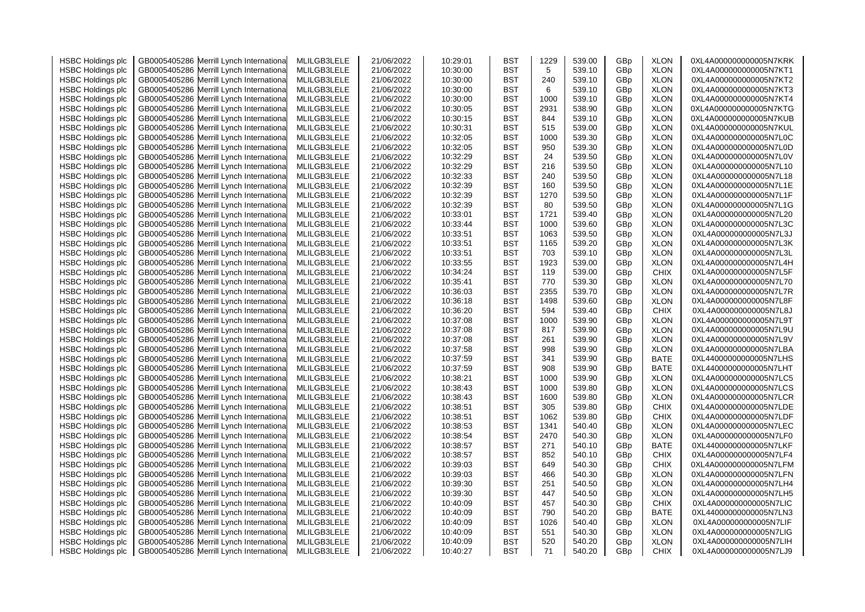| <b>HSBC Holdings plc</b> | GB0005405286 Merrill Lynch Internationa    | MLILGB3LELE | 21/06/2022 | 10:29:01 | BST        | 1229 | 539.00 | GBp | <b>XLON</b> | 0XL4A000000000005N7KRK |
|--------------------------|--------------------------------------------|-------------|------------|----------|------------|------|--------|-----|-------------|------------------------|
| <b>HSBC Holdings plc</b> | Merrill Lynch Internationa<br>GB0005405286 | MLILGB3LELE | 21/06/2022 | 10:30:00 | <b>BST</b> | 5    | 539.10 | GBp | <b>XLON</b> | 0XL4A000000000005N7KT1 |
| <b>HSBC Holdings plc</b> | GB0005405286<br>Merrill Lynch Internationa | MLILGB3LELE | 21/06/2022 | 10:30:00 | <b>BST</b> | 240  | 539.10 | GBp | <b>XLON</b> | 0XL4A000000000005N7KT2 |
| <b>HSBC Holdings plc</b> | GB0005405286<br>Merrill Lynch Internationa | MLILGB3LELE | 21/06/2022 | 10:30:00 | <b>BST</b> | 6    | 539.10 | GBp | <b>XLON</b> | 0XL4A000000000005N7KT3 |
| <b>HSBC Holdings plc</b> | Merrill Lynch Internationa<br>GB0005405286 | MLILGB3LELE | 21/06/2022 | 10:30:00 | <b>BST</b> | 1000 | 539.10 | GBp | <b>XLON</b> | 0XL4A000000000005N7KT4 |
| <b>HSBC Holdings plc</b> | GB0005405286<br>Merrill Lynch Internationa | MLILGB3LELE | 21/06/2022 | 10:30:05 | BST        | 2931 | 538.90 | GBp | <b>XLON</b> | 0XL4A000000000005N7KTG |
| <b>HSBC Holdings plc</b> | GB0005405286<br>Merrill Lynch Internationa | MLILGB3LELE | 21/06/2022 | 10:30:15 | <b>BST</b> | 844  | 539.10 | GBp | <b>XLON</b> | 0XL4A000000000005N7KUB |
| <b>HSBC Holdings plc</b> | GB0005405286 Merrill Lynch Internationa    | MLILGB3LELE | 21/06/2022 | 10:30:31 | <b>BST</b> | 515  | 539.00 | GBp | <b>XLON</b> | 0XL4A000000000005N7KUL |
| <b>HSBC Holdings plc</b> | GB0005405286<br>Merrill Lynch Internationa | MLILGB3LELE | 21/06/2022 | 10:32:05 | BST        | 1000 | 539.30 | GBp | <b>XLON</b> | 0XL4A000000000005N7L0C |
| <b>HSBC Holdings plc</b> | GB0005405286 Merrill Lynch Internationa    | MLILGB3LELE | 21/06/2022 | 10:32:05 | BST        | 950  | 539.30 | GBp | <b>XLON</b> | 0XL4A000000000005N7L0D |
| <b>HSBC Holdings plc</b> | GB0005405286<br>Merrill Lynch Internationa | MLILGB3LELE | 21/06/2022 | 10:32:29 | BST        | 24   | 539.50 | GBp | <b>XLON</b> | 0XL4A000000000005N7L0V |
| <b>HSBC Holdings plc</b> | GB0005405286 Merrill Lynch Internationa    | MLILGB3LELE | 21/06/2022 | 10:32:29 | <b>BST</b> | 216  | 539.50 | GBp | <b>XLON</b> | 0XL4A000000000005N7L10 |
| <b>HSBC Holdings plc</b> | GB0005405286<br>Merrill Lynch Internationa | MLILGB3LELE | 21/06/2022 | 10:32:33 | BST        | 240  | 539.50 | GBp | <b>XLON</b> | 0XL4A000000000005N7L18 |
| <b>HSBC Holdings plc</b> | GB0005405286<br>Merrill Lynch Internationa | MLILGB3LELE | 21/06/2022 | 10:32:39 | BST        | 160  | 539.50 | GBp | <b>XLON</b> | 0XL4A000000000005N7L1E |
| <b>HSBC Holdings plc</b> | GB0005405286 Merrill Lynch Internationa    | MLILGB3LELE | 21/06/2022 | 10:32:39 | <b>BST</b> | 1270 | 539.50 | GBp | <b>XLON</b> | 0XL4A000000000005N7L1F |
| <b>HSBC Holdings plc</b> | GB0005405286<br>Merrill Lynch Internationa | MLILGB3LELE | 21/06/2022 | 10:32:39 | <b>BST</b> | 80   | 539.50 | GBp | <b>XLON</b> | 0XL4A000000000005N7L1G |
| <b>HSBC Holdings plc</b> | GB0005405286 Merrill Lynch Internationa    | MLILGB3LELE | 21/06/2022 | 10:33:01 | <b>BST</b> | 1721 | 539.40 | GBp | <b>XLON</b> | 0XL4A000000000005N7L20 |
| <b>HSBC Holdings plc</b> | Merrill Lynch Internationa<br>GB0005405286 | MLILGB3LELE | 21/06/2022 | 10:33:44 | <b>BST</b> | 1000 | 539.60 | GBp | <b>XLON</b> | 0XL4A000000000005N7L3C |
|                          |                                            |             |            | 10:33:51 |            | 1063 | 539.50 |     | <b>XLON</b> | 0XL4A000000000005N7L3J |
| <b>HSBC Holdings plc</b> | GB0005405286 Merrill Lynch Internationa    | MLILGB3LELE | 21/06/2022 | 10:33:51 | BST        | 1165 | 539.20 | GBp |             | 0XL4A000000000005N7L3K |
| <b>HSBC Holdings plc</b> | GB0005405286<br>Merrill Lynch Internationa | MLILGB3LELE | 21/06/2022 |          | <b>BST</b> | 703  |        | GBp | <b>XLON</b> |                        |
| <b>HSBC Holdings plc</b> | GB0005405286<br>Merrill Lynch Internationa | MLILGB3LELE | 21/06/2022 | 10:33:51 | <b>BST</b> |      | 539.10 | GBp | <b>XLON</b> | 0XL4A000000000005N7L3L |
| <b>HSBC Holdings plc</b> | GB0005405286<br>Merrill Lynch Internationa | MLILGB3LELE | 21/06/2022 | 10:33:55 | <b>BST</b> | 1923 | 539.00 | GBp | <b>XLON</b> | 0XL4A000000000005N7L4H |
| <b>HSBC Holdings plc</b> | Merrill Lynch Internationa<br>GB0005405286 | MLILGB3LELE | 21/06/2022 | 10:34:24 | <b>BST</b> | 119  | 539.00 | GBp | <b>CHIX</b> | 0XL4A000000000005N7L5F |
| <b>HSBC Holdings plc</b> | GB0005405286<br>Merrill Lynch Internationa | MLILGB3LELE | 21/06/2022 | 10:35:41 | <b>BST</b> | 770  | 539.30 | GBp | <b>XLON</b> | 0XL4A000000000005N7L70 |
| <b>HSBC Holdings plc</b> | Merrill Lynch Internationa<br>GB0005405286 | MLILGB3LELE | 21/06/2022 | 10:36:03 | <b>BST</b> | 2355 | 539.70 | GBp | <b>XLON</b> | 0XL4A000000000005N7L7R |
| <b>HSBC Holdings plc</b> | GB0005405286 Merrill Lynch Internationa    | MLILGB3LELE | 21/06/2022 | 10:36:18 | BST        | 1498 | 539.60 | GBp | <b>XLON</b> | 0XL4A000000000005N7L8F |
| <b>HSBC Holdings plc</b> | Merrill Lynch Internationa<br>GB0005405286 | MLILGB3LELE | 21/06/2022 | 10:36:20 | <b>BST</b> | 594  | 539.40 | GBp | <b>CHIX</b> | 0XL4A000000000005N7L8J |
| <b>HSBC Holdings plc</b> | GB0005405286 Merrill Lynch Internationa    | MLILGB3LELE | 21/06/2022 | 10:37:08 | <b>BST</b> | 1000 | 539.90 | GBp | <b>XLON</b> | 0XL4A000000000005N7L9T |
| <b>HSBC Holdings plc</b> | GB0005405286<br>Merrill Lynch Internationa | MLILGB3LELE | 21/06/2022 | 10:37:08 | BST        | 817  | 539.90 | GBp | <b>XLON</b> | 0XL4A000000000005N7L9U |
| <b>HSBC Holdings plc</b> | GB0005405286<br>Merrill Lynch Internationa | MLILGB3LELE | 21/06/2022 | 10:37:08 | <b>BST</b> | 261  | 539.90 | GBp | <b>XLON</b> | 0XL4A000000000005N7L9V |
| <b>HSBC Holdings plc</b> | GB0005405286 Merrill Lynch Internationa    | MLILGB3LELE | 21/06/2022 | 10:37:58 | BST        | 998  | 539.90 | GBp | <b>XLON</b> | 0XL4A000000000005N7LBA |
| <b>HSBC Holdings plc</b> | GB0005405286<br>Merrill Lynch Internationa | MLILGB3LELE | 21/06/2022 | 10:37:59 | <b>BST</b> | 341  | 539.90 | GBp | <b>BATE</b> | 0XL44000000000005N7LHS |
| <b>HSBC Holdings plc</b> | GB0005405286 Merrill Lynch Internationa    | MLILGB3LELE | 21/06/2022 | 10:37:59 | BST        | 908  | 539.90 | GBp | <b>BATE</b> | 0XL44000000000005N7LHT |
| <b>HSBC Holdings plc</b> | GB0005405286<br>Merrill Lynch Internationa | MLILGB3LELE | 21/06/2022 | 10:38:21 | BST        | 1000 | 539.90 | GBp | <b>XLON</b> | 0XL4A000000000005N7LC5 |
| <b>HSBC Holdings plc</b> | GB0005405286 Merrill Lynch Internationa    | MLILGB3LELE | 21/06/2022 | 10:38:43 | BST        | 1000 | 539.80 | GBp | <b>XLON</b> | 0XL4A000000000005N7LCS |
| <b>HSBC Holdings plc</b> | GB0005405286<br>Merrill Lynch Internationa | MLILGB3LELE | 21/06/2022 | 10:38:43 | BST        | 1600 | 539.80 | GBp | <b>XLON</b> | 0XL4A000000000005N7LCR |
| <b>HSBC Holdings plc</b> | GB0005405286<br>Merrill Lynch Internationa | MLILGB3LELE | 21/06/2022 | 10:38:51 | <b>BST</b> | 305  | 539.80 | GBp | <b>CHIX</b> | 0XL4A000000000005N7LDE |
| <b>HSBC Holdings plc</b> | GB0005405286<br>Merrill Lynch Internationa | MLILGB3LELE | 21/06/2022 | 10:38:51 | <b>BST</b> | 1062 | 539.80 | GBp | <b>CHIX</b> | 0XL4A000000000005N7LDF |
| <b>HSBC Holdings plc</b> | GB0005405286<br>Merrill Lynch Internationa | MLILGB3LELE | 21/06/2022 | 10:38:53 | BST        | 1341 | 540.40 | GBp | <b>XLON</b> | 0XL4A000000000005N7LEC |
| <b>HSBC Holdings plc</b> | GB0005405286 Merrill Lynch Internationa    | MLILGB3LELE | 21/06/2022 | 10:38:54 | <b>BST</b> | 2470 | 540.30 | GBp | <b>XLON</b> | 0XL4A000000000005N7LF0 |
| <b>HSBC Holdings plc</b> | GB0005405286<br>Merrill Lynch Internationa | MLILGB3LELE | 21/06/2022 | 10:38:57 | <b>BST</b> | 271  | 540.10 | GBp | <b>BATE</b> | 0XL44000000000005N7LKF |
| <b>HSBC Holdings plc</b> | GB0005405286 Merrill Lynch Internationa    | MLILGB3LELE | 21/06/2022 | 10:38:57 | BST        | 852  | 540.10 | GBp | <b>CHIX</b> | 0XL4A000000000005N7LF4 |
| <b>HSBC Holdings plc</b> | Merrill Lynch Internationa<br>GB0005405286 | MLILGB3LELE | 21/06/2022 | 10:39:03 | <b>BST</b> | 649  | 540.30 | GBp | <b>CHIX</b> | 0XL4A000000000005N7LFM |
| <b>HSBC Holdings plc</b> | GB0005405286 Merrill Lynch Internationa    | MLILGB3LELE | 21/06/2022 | 10:39:03 | <b>BST</b> | 466  | 540.30 | GBp | <b>XLON</b> | 0XL4A000000000005N7LFN |
| <b>HSBC Holdings plc</b> | GB0005405286<br>Merrill Lynch Internationa | MLILGB3LELE | 21/06/2022 | 10:39:30 | <b>BST</b> | 251  | 540.50 | GBp | <b>XLON</b> | 0XL4A000000000005N7LH4 |
| <b>HSBC Holdings plc</b> | GB0005405286<br>Merrill Lynch Internationa | MLILGB3LELE | 21/06/2022 | 10:39:30 | <b>BST</b> | 447  | 540.50 | GBp | <b>XLON</b> | 0XL4A000000000005N7LH5 |
| <b>HSBC Holdings plc</b> | GB0005405286<br>Merrill Lynch Internationa | MLILGB3LELE | 21/06/2022 | 10:40:09 | <b>BST</b> | 457  | 540.30 | GBp | <b>CHIX</b> | 0XL4A000000000005N7LIC |
| <b>HSBC Holdings plc</b> | Merrill Lynch Internationa<br>GB0005405286 | MLILGB3LELE | 21/06/2022 | 10:40:09 | <b>BST</b> | 790  | 540.20 | GBp | <b>BATE</b> | 0XL44000000000005N7LN3 |
| <b>HSBC Holdings plc</b> | GB0005405286 Merrill Lynch Internationa    | MLILGB3LELE | 21/06/2022 | 10:40:09 | <b>BST</b> | 1026 | 540.40 | GBp | <b>XLON</b> | 0XL4A000000000005N7LIF |
| <b>HSBC Holdings plc</b> | Merrill Lynch Internationa<br>GB0005405286 | MLILGB3LELE | 21/06/2022 | 10:40:09 | BST        | 551  | 540.30 | GBp | <b>XLON</b> | 0XL4A000000000005N7LIG |
| <b>HSBC Holdings plc</b> | GB0005405286 Merrill Lynch Internationa    | MLILGB3LELE | 21/06/2022 | 10:40:09 | <b>BST</b> | 520  | 540.20 | GBp | <b>XLON</b> | 0XL4A000000000005N7LIH |
| <b>HSBC Holdings plc</b> | GB0005405286 Merrill Lynch International   | MLILGB3LELE | 21/06/2022 | 10:40:27 | <b>BST</b> | 71   | 540.20 | GBp | <b>CHIX</b> | 0XL4A000000000005N7LJ9 |
|                          |                                            |             |            |          |            |      |        |     |             |                        |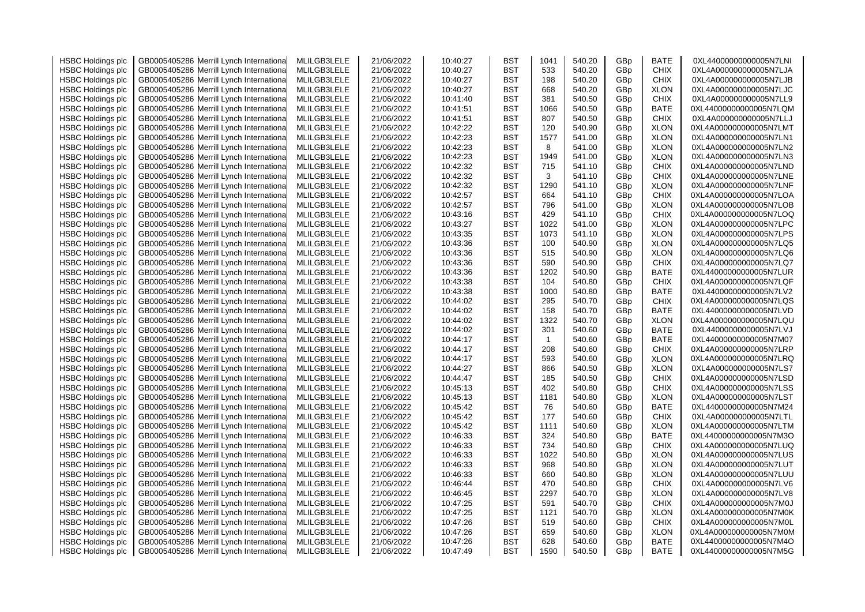| <b>HSBC Holdings plc</b> | GB0005405286 Merrill Lynch Internationa    | MLILGB3LELE | 21/06/2022 | 10:40:27 | <b>BST</b> | 1041           | 540.20 | GBp             | <b>BATE</b> | 0XL44000000000005N7LNI |
|--------------------------|--------------------------------------------|-------------|------------|----------|------------|----------------|--------|-----------------|-------------|------------------------|
| <b>HSBC Holdings plc</b> | GB0005405286 Merrill Lynch Internationa    | MLILGB3LELE | 21/06/2022 | 10:40:27 | <b>BST</b> | 533            | 540.20 | GBp             | <b>CHIX</b> | 0XL4A000000000005N7LJA |
| <b>HSBC Holdings plc</b> | GB0005405286 Merrill Lynch Internationa    | MLILGB3LELE | 21/06/2022 | 10:40:27 | BST        | 198            | 540.20 | GBp             | <b>CHIX</b> | 0XL4A000000000005N7LJB |
| <b>HSBC Holdings plc</b> | GB0005405286<br>Merrill Lynch Internationa | MLILGB3LELE | 21/06/2022 | 10:40:27 | <b>BST</b> | 668            | 540.20 | GBp             | <b>XLON</b> | 0XL4A000000000005N7LJC |
| <b>HSBC Holdings plc</b> | GB0005405286 Merrill Lynch Internationa    | MLILGB3LELE | 21/06/2022 | 10:41:40 | <b>BST</b> | 381            | 540.50 | GBp             | <b>CHIX</b> | 0XL4A000000000005N7LL9 |
| <b>HSBC Holdings plc</b> | GB0005405286<br>Merrill Lynch Internationa | MLILGB3LELE | 21/06/2022 | 10:41:51 | <b>BST</b> | 1066           | 540.50 | GBp             | BATE        | 0XL44000000000005N7LQM |
| <b>HSBC Holdings plc</b> | GB0005405286<br>Merrill Lynch Internationa | MLILGB3LELE | 21/06/2022 | 10:41:51 | <b>BST</b> | 807            | 540.50 | GBp             | <b>CHIX</b> | 0XL4A000000000005N7LLJ |
| <b>HSBC Holdings plc</b> | GB0005405286 Merrill Lynch Internationa    | MLILGB3LELE | 21/06/2022 | 10:42:22 | <b>BST</b> | 120            | 540.90 | GBp             | <b>XLON</b> | 0XL4A000000000005N7LMT |
| <b>HSBC Holdings plc</b> | GB0005405286<br>Merrill Lynch Internationa | MLILGB3LELE | 21/06/2022 | 10:42:23 | <b>BST</b> | 1577           | 541.00 | GBp             | <b>XLON</b> | 0XL4A000000000005N7LN1 |
| <b>HSBC Holdings plc</b> | GB0005405286 Merrill Lynch Internationa    | MLILGB3LELE | 21/06/2022 | 10:42:23 | <b>BST</b> | 8              | 541.00 | GBp             | <b>XLON</b> | 0XL4A000000000005N7LN2 |
| <b>HSBC Holdings plc</b> | Merrill Lynch Internationa<br>GB0005405286 | MLILGB3LELE | 21/06/2022 | 10:42:23 | BST        | 1949           | 541.00 | GBp             | <b>XLON</b> | 0XL4A000000000005N7LN3 |
| <b>HSBC Holdings plc</b> | GB0005405286 Merrill Lynch Internationa    | MLILGB3LELE | 21/06/2022 | 10:42:32 | BST        | 715            | 541.10 | GBp             | <b>CHIX</b> | 0XL4A000000000005N7LND |
| <b>HSBC Holdings plc</b> | GB0005405286<br>Merrill Lynch Internationa | MLILGB3LELE | 21/06/2022 | 10:42:32 | <b>BST</b> | 3              | 541.10 | GBp             | <b>CHIX</b> | 0XL4A000000000005N7LNE |
|                          | GB0005405286<br>Merrill Lynch Internationa | MLILGB3LELE |            | 10:42:32 | <b>BST</b> | 1290           | 541.10 |                 | <b>XLON</b> | 0XL4A000000000005N7LNF |
| <b>HSBC Holdings plc</b> |                                            |             | 21/06/2022 |          |            | 664            |        | GBp             |             |                        |
| <b>HSBC Holdings plc</b> | GB0005405286 Merrill Lynch Internationa    | MLILGB3LELE | 21/06/2022 | 10:42:57 | <b>BST</b> |                | 541.10 | GBp             | <b>CHIX</b> | 0XL4A000000000005N7LOA |
| <b>HSBC Holdings plc</b> | GB0005405286 Merrill Lynch Internationa    | MLILGB3LELE | 21/06/2022 | 10:42:57 | <b>BST</b> | 796            | 541.00 | GBp             | <b>XLON</b> | 0XL4A000000000005N7LOB |
| <b>HSBC Holdings plc</b> | GB0005405286 Merrill Lynch Internationa    | MLILGB3LELE | 21/06/2022 | 10:43:16 | <b>BST</b> | 429            | 541.10 | GBp             | <b>CHIX</b> | 0XL4A000000000005N7LOQ |
| <b>HSBC Holdings plc</b> | GB0005405286<br>Merrill Lynch Internationa | MLILGB3LELE | 21/06/2022 | 10:43:27 | BST        | 1022           | 541.00 | GBp             | <b>XLON</b> | 0XL4A000000000005N7LPC |
| <b>HSBC Holdings plc</b> | GB0005405286 Merrill Lynch Internationa    | MLILGB3LELE | 21/06/2022 | 10:43:35 | BST        | 1073           | 541.10 | GBp             | <b>XLON</b> | 0XL4A000000000005N7LPS |
| <b>HSBC Holdings plc</b> | GB0005405286<br>Merrill Lynch Internationa | MLILGB3LELE | 21/06/2022 | 10:43:36 | BST        | 100            | 540.90 | GBp             | <b>XLON</b> | 0XL4A000000000005N7LQ5 |
| <b>HSBC Holdings plc</b> | GB0005405286 Merrill Lynch Internationa    | MLILGB3LELE | 21/06/2022 | 10:43:36 | <b>BST</b> | 515            | 540.90 | GBp             | <b>XLON</b> | 0XL4A000000000005N7LQ6 |
| <b>HSBC Holdings plc</b> | GB0005405286 Merrill Lynch Internationa    | MLILGB3LELE | 21/06/2022 | 10:43:36 | <b>BST</b> | 590            | 540.90 | GBp             | <b>CHIX</b> | 0XL4A000000000005N7LQ7 |
| <b>HSBC Holdings plc</b> | GB0005405286 Merrill Lynch International   | MLILGB3LELE | 21/06/2022 | 10:43:36 | BST        | 1202           | 540.90 | GBp             | BATE        | 0XL44000000000005N7LUR |
| <b>HSBC Holdings plc</b> | GB0005405286 Merrill Lynch Internationa    | MLILGB3LELE | 21/06/2022 | 10:43:38 | <b>BST</b> | 104            | 540.80 | GBp             | <b>CHIX</b> | 0XL4A000000000005N7LQF |
| <b>HSBC Holdings plc</b> | GB0005405286 Merrill Lynch Internationa    | MLILGB3LELE | 21/06/2022 | 10:43:38 | <b>BST</b> | 1000           | 540.80 | GBp             | BATE        | 0XL44000000000005N7LV2 |
| <b>HSBC Holdings plc</b> | GB0005405286 Merrill Lynch Internationa    | MLILGB3LELE | 21/06/2022 | 10:44:02 | <b>BST</b> | 295            | 540.70 | GBp             | <b>CHIX</b> | 0XL4A000000000005N7LQS |
| <b>HSBC Holdings plc</b> | Merrill Lynch Internationa<br>GB0005405286 | MLILGB3LELE | 21/06/2022 | 10:44:02 | <b>BST</b> | 158            | 540.70 | GBp             | <b>BATE</b> | 0XL44000000000005N7LVD |
| <b>HSBC Holdings plc</b> | GB0005405286 Merrill Lynch Internationa    | MLILGB3LELE | 21/06/2022 | 10:44:02 | <b>BST</b> | 1322           | 540.70 | GBp             | <b>XLON</b> | 0XL4A000000000005N7LQU |
| <b>HSBC Holdings plc</b> | GB0005405286 Merrill Lynch Internationa    | MLILGB3LELE | 21/06/2022 | 10:44:02 | <b>BST</b> | 301            | 540.60 | GBp             | <b>BATE</b> | 0XL44000000000005N7LVJ |
| <b>HSBC Holdings plc</b> | GB0005405286 Merrill Lynch Internationa    | MLILGB3LELE | 21/06/2022 | 10:44:17 | <b>BST</b> | $\overline{1}$ | 540.60 | GBp             | BATE        | 0XL44000000000005N7M07 |
| <b>HSBC Holdings plc</b> | GB0005405286 Merrill Lynch Internationa    | MLILGB3LELE | 21/06/2022 | 10:44:17 | <b>BST</b> | 208            | 540.60 | GBp             | <b>CHIX</b> | 0XL4A000000000005N7LRP |
| <b>HSBC Holdings plc</b> | GB0005405286 Merrill Lynch Internationa    | MLILGB3LELE | 21/06/2022 | 10:44:17 | <b>BST</b> | 593            | 540.60 | GBp             | <b>XLON</b> | 0XL4A000000000005N7LRQ |
| <b>HSBC Holdings plc</b> | GB0005405286 Merrill Lynch Internationa    | MLILGB3LELE | 21/06/2022 | 10:44:27 | <b>BST</b> | 866            | 540.50 | GBp             | <b>XLON</b> | 0XL4A000000000005N7LS7 |
| <b>HSBC Holdings plc</b> | GB0005405286<br>Merrill Lynch Internationa | MLILGB3LELE | 21/06/2022 | 10:44:47 | <b>BST</b> | 185            | 540.50 | GBp             | <b>CHIX</b> | 0XL4A000000000005N7LSD |
| <b>HSBC Holdings plc</b> | GB0005405286 Merrill Lynch Internationa    | MLILGB3LELE | 21/06/2022 | 10:45:13 | <b>BST</b> | 402            | 540.80 | GBp             | <b>CHIX</b> | 0XL4A000000000005N7LSS |
| <b>HSBC Holdings plc</b> | GB0005405286<br>Merrill Lynch Internationa | MLILGB3LELE | 21/06/2022 | 10:45:13 | <b>BST</b> | 1181           | 540.80 | GB <sub>p</sub> | <b>XLON</b> | 0XL4A000000000005N7LST |
| <b>HSBC Holdings plc</b> | GB0005405286 Merrill Lynch Internationa    | MLILGB3LELE | 21/06/2022 | 10:45:42 | <b>BST</b> | 76             | 540.60 | GBp             | <b>BATE</b> | 0XL44000000000005N7M24 |
| <b>HSBC Holdings plc</b> | GB0005405286<br>Merrill Lynch Internationa | MLILGB3LELE | 21/06/2022 | 10:45:42 | <b>BST</b> | 177            | 540.60 | GBp             | <b>CHIX</b> | 0XL4A000000000005N7LTL |
| <b>HSBC Holdings plc</b> | GB0005405286 Merrill Lynch Internationa    | MLILGB3LELE | 21/06/2022 | 10:45:42 | <b>BST</b> | 1111           | 540.60 | GBp             | <b>XLON</b> | 0XL4A000000000005N7LTM |
| <b>HSBC Holdings plc</b> | GB0005405286 Merrill Lynch Internationa    | MLILGB3LELE | 21/06/2022 |          | <b>BST</b> | 324            | 540.80 | GBp             | <b>BATE</b> | 0XL44000000000005N7M3O |
|                          |                                            |             |            | 10:46:33 |            |                |        |                 |             |                        |
| <b>HSBC Holdings plc</b> | GB0005405286<br>Merrill Lynch Internationa | MLILGB3LELE | 21/06/2022 | 10:46:33 | <b>BST</b> | 734            | 540.80 | GBp             | <b>CHIX</b> | 0XL4A000000000005N7LUQ |
| <b>HSBC Holdings plc</b> | GB0005405286 Merrill Lynch Internationa    | MLILGB3LELE | 21/06/2022 | 10:46:33 | <b>BST</b> | 1022           | 540.80 | GBp             | <b>XLON</b> | 0XL4A000000000005N7LUS |
| <b>HSBC Holdings plc</b> | Merrill Lynch Internationa<br>GB0005405286 | MLILGB3LELE | 21/06/2022 | 10:46:33 | BST        | 968            | 540.80 | GBp             | <b>XLON</b> | 0XL4A000000000005N7LUT |
| <b>HSBC Holdings plc</b> | GB0005405286 Merrill Lynch Internationa    | MLILGB3LELE | 21/06/2022 | 10:46:33 | BST        | 660            | 540.80 | GB <sub>p</sub> | <b>XLON</b> | 0XL4A000000000005N7LUU |
| <b>HSBC Holdings plc</b> | GB0005405286<br>Merrill Lynch Internationa | MLILGB3LELE | 21/06/2022 | 10:46:44 | <b>BST</b> | 470            | 540.80 | GBp             | <b>CHIX</b> | 0XL4A000000000005N7LV6 |
| <b>HSBC Holdings plc</b> | GB0005405286<br>Merrill Lynch Internationa | MLILGB3LELE | 21/06/2022 | 10:46:45 | <b>BST</b> | 2297           | 540.70 | GBp             | <b>XLON</b> | 0XL4A000000000005N7LV8 |
| <b>HSBC Holdings plc</b> | GB0005405286 Merrill Lynch Internationa    | MLILGB3LELE | 21/06/2022 | 10:47:25 | <b>BST</b> | 591            | 540.70 | GBp             | <b>CHIX</b> | 0XL4A000000000005N7M0J |
| <b>HSBC Holdings plc</b> | GB0005405286<br>Merrill Lynch Internationa | MLILGB3LELE | 21/06/2022 | 10:47:25 | <b>BST</b> | 1121           | 540.70 | GBp             | <b>XLON</b> | 0XL4A000000000005N7M0K |
| <b>HSBC Holdings plc</b> | GB0005405286 Merrill Lynch Internationa    | MLILGB3LELE | 21/06/2022 | 10:47:26 | <b>BST</b> | 519            | 540.60 | GBp             | <b>CHIX</b> | 0XL4A000000000005N7M0L |
| <b>HSBC Holdings plc</b> | Merrill Lynch Internationa<br>GB0005405286 | MLILGB3LELE | 21/06/2022 | 10:47:26 | BST        | 659            | 540.60 | GBp             | <b>XLON</b> | 0XL4A000000000005N7M0M |
| <b>HSBC Holdings plc</b> | GB0005405286 Merrill Lynch International   | MLILGB3LELE | 21/06/2022 | 10:47:26 | BST        | 628            | 540.60 | GBp             | <b>BATE</b> | 0XL44000000000005N7M4O |
| <b>HSBC Holdings plc</b> | GB0005405286 Merrill Lynch International   | MLILGB3LELE | 21/06/2022 | 10:47:49 | BST        | 1590           | 540.50 | GB <sub>p</sub> | <b>BATE</b> | 0XL44000000000005N7M5G |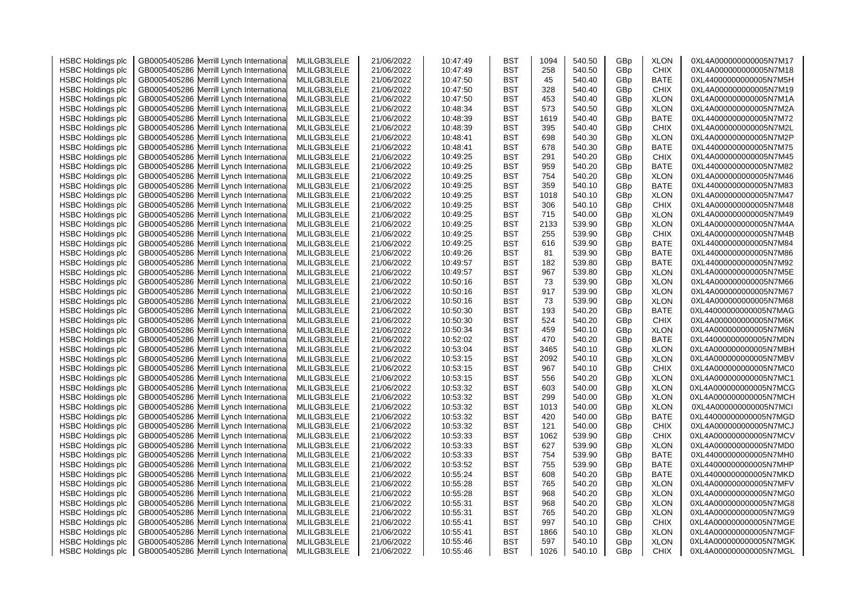| <b>HSBC Holdings plc</b> | GB0005405286 Merrill Lynch Internationa    | MLILGB3LELE | 21/06/2022 | 10:47:49             | <b>BST</b> | 1094 | 540.50           | GBp             | <b>XLON</b> | 0XL4A000000000005N7M17                           |
|--------------------------|--------------------------------------------|-------------|------------|----------------------|------------|------|------------------|-----------------|-------------|--------------------------------------------------|
| <b>HSBC Holdings plc</b> | GB0005405286 Merrill Lynch Internationa    | MLILGB3LELE | 21/06/2022 | 10:47:49             | <b>BST</b> | 258  | 540.50           | GBp             | <b>CHIX</b> | 0XL4A000000000005N7M18                           |
| <b>HSBC Holdings plc</b> | GB0005405286 Merrill Lynch Internationa    | MLILGB3LELE | 21/06/2022 | 10:47:50             | BST        | 45   | 540.40           | GBp             | BATE        | 0XL44000000000005N7M5H                           |
| <b>HSBC Holdings plc</b> | GB0005405286<br>Merrill Lynch Internationa | MLILGB3LELE | 21/06/2022 | 10:47:50             | <b>BST</b> | 328  | 540.40           | GBp             | <b>CHIX</b> | 0XL4A000000000005N7M19                           |
| <b>HSBC Holdings plc</b> | GB0005405286 Merrill Lynch Internationa    | MLILGB3LELE | 21/06/2022 | 10:47:50             | <b>BST</b> | 453  | 540.40           | GBp             | <b>XLON</b> | 0XL4A000000000005N7M1A                           |
| <b>HSBC Holdings plc</b> | GB0005405286<br>Merrill Lynch Internationa | MLILGB3LELE | 21/06/2022 | 10:48:34             | <b>BST</b> | 573  | 540.50           | GBp             | <b>XLON</b> | 0XL4A000000000005N7M2A                           |
| <b>HSBC Holdings plc</b> | GB0005405286<br>Merrill Lynch Internationa | MLILGB3LELE | 21/06/2022 | 10:48:39             | <b>BST</b> | 1619 | 540.40           | GBp             | BATE        | 0XL44000000000005N7M72                           |
| <b>HSBC Holdings plc</b> | GB0005405286 Merrill Lynch Internationa    | MLILGB3LELE | 21/06/2022 | 10:48:39             | <b>BST</b> | 395  | 540.40           | GBp             | <b>CHIX</b> | 0XL4A000000000005N7M2L                           |
| <b>HSBC Holdings plc</b> | Merrill Lynch Internationa<br>GB0005405286 | MLILGB3LELE | 21/06/2022 | 10:48:41             | <b>BST</b> | 698  | 540.30           | GBp             | <b>XLON</b> | 0XL4A000000000005N7M2P                           |
| <b>HSBC Holdings plc</b> | GB0005405286 Merrill Lynch Internationa    | MLILGB3LELE | 21/06/2022 | 10:48:41             | BST        | 678  | 540.30           | GBp             | BATE        | 0XL44000000000005N7M75                           |
| <b>HSBC Holdings plc</b> | Merrill Lynch Internationa<br>GB0005405286 | MLILGB3LELE | 21/06/2022 | 10:49:25             | BST        | 291  | 540.20           | GBp             | CHIX        | 0XL4A000000000005N7M45                           |
| <b>HSBC Holdings plc</b> | GB0005405286 Merrill Lynch Internationa    | MLILGB3LELE | 21/06/2022 | 10:49:25             | BST        | 959  | 540.20           | GBp             | BATE        | 0XL44000000000005N7M82                           |
| <b>HSBC Holdings plc</b> | GB0005405286<br>Merrill Lynch Internationa | MLILGB3LELE | 21/06/2022 | 10:49:25             | <b>BST</b> | 754  | 540.20           | GBp             | <b>XLON</b> | 0XL4A000000000005N7M46                           |
| <b>HSBC Holdings plc</b> | Merrill Lynch Internationa<br>GB0005405286 | MLILGB3LELE | 21/06/2022 | 10:49:25             | <b>BST</b> | 359  | 540.10           | GBp             | <b>BATE</b> | 0XL44000000000005N7M83                           |
|                          | GB0005405286 Merrill Lynch Internationa    | MLILGB3LELE | 21/06/2022 | 10:49:25             | <b>BST</b> | 1018 | 540.10           |                 | <b>XLON</b> | 0XL4A000000000005N7M47                           |
| <b>HSBC Holdings plc</b> |                                            |             |            |                      | <b>BST</b> | 306  |                  | GBp             |             | 0XL4A000000000005N7M48                           |
| <b>HSBC Holdings plc</b> | GB0005405286 Merrill Lynch Internationa    | MLILGB3LELE | 21/06/2022 | 10:49:25             |            |      | 540.10           | GBp             | <b>CHIX</b> |                                                  |
| <b>HSBC Holdings plc</b> | GB0005405286 Merrill Lynch Internationa    | MLILGB3LELE | 21/06/2022 | 10:49:25             | <b>BST</b> | 715  | 540.00           | GBp             | <b>XLON</b> | 0XL4A000000000005N7M49                           |
| <b>HSBC Holdings plc</b> | GB0005405286<br>Merrill Lynch Internationa | MLILGB3LELE | 21/06/2022 | 10:49:25             | BST        | 2133 | 539.90           | GBp             | <b>XLON</b> | 0XL4A000000000005N7M4A                           |
| <b>HSBC Holdings plc</b> | GB0005405286 Merrill Lynch Internationa    | MLILGB3LELE | 21/06/2022 | 10:49:25             | BST        | 255  | 539.90           | GBp             | CHIX        | 0XL4A000000000005N7M4B                           |
| <b>HSBC Holdings plc</b> | GB0005405286<br>Merrill Lynch Internationa | MLILGB3LELE | 21/06/2022 | 10:49:25             | BST        | 616  | 539.90           | GBp             | BATE        | 0XL44000000000005N7M84                           |
| <b>HSBC Holdings plc</b> | GB0005405286 Merrill Lynch Internationa    | MLILGB3LELE | 21/06/2022 | 10:49:26             | <b>BST</b> | 81   | 539.90           | GBp             | <b>BATE</b> | 0XL44000000000005N7M86                           |
| <b>HSBC Holdings plc</b> | GB0005405286 Merrill Lynch Internationa    | MLILGB3LELE | 21/06/2022 | 10:49:57             | <b>BST</b> | 182  | 539.80           | GBp             | BATE        | 0XL44000000000005N7M92                           |
| <b>HSBC Holdings plc</b> | GB0005405286 Merrill Lynch International   | MLILGB3LELE | 21/06/2022 | 10:49:57             | BST        | 967  | 539.80           | GBp             | <b>XLON</b> | 0XL4A000000000005N7M5E                           |
| <b>HSBC Holdings plc</b> | GB0005405286 Merrill Lynch Internationa    | MLILGB3LELE | 21/06/2022 | 10:50:16             | <b>BST</b> | 73   | 539.90           | GBp             | <b>XLON</b> | 0XL4A000000000005N7M66                           |
| <b>HSBC Holdings plc</b> | GB0005405286 Merrill Lynch Internationa    | MLILGB3LELE | 21/06/2022 | 10:50:16             | <b>BST</b> | 917  | 539.90           | GBp             | <b>XLON</b> | 0XL4A000000000005N7M67                           |
| <b>HSBC Holdings plc</b> | GB0005405286 Merrill Lynch Internationa    | MLILGB3LELE | 21/06/2022 | 10:50:16             | <b>BST</b> | 73   | 539.90           | GBp             | <b>XLON</b> | 0XL4A000000000005N7M68                           |
| <b>HSBC Holdings plc</b> | Merrill Lynch Internationa<br>GB0005405286 | MLILGB3LELE | 21/06/2022 | 10:50:30             | BST        | 193  | 540.20           | GBp             | BATE        | 0XL44000000000005N7MAG                           |
| <b>HSBC Holdings plc</b> | GB0005405286 Merrill Lynch Internationa    | MLILGB3LELE | 21/06/2022 | 10:50:30             | <b>BST</b> | 524  | 540.20           | GBp             | <b>CHIX</b> | 0XL4A000000000005N7M6K                           |
| <b>HSBC Holdings plc</b> | GB0005405286 Merrill Lynch Internationa    | MLILGB3LELE | 21/06/2022 | 10:50:34             | <b>BST</b> | 459  | 540.10           | GBp             | <b>XLON</b> | 0XL4A000000000005N7M6N                           |
| <b>HSBC Holdings plc</b> | GB0005405286 Merrill Lynch Internationa    | MLILGB3LELE | 21/06/2022 | 10:52:02             | <b>BST</b> | 470  | 540.20           | GBp             | BATE        | 0XL44000000000005N7MDN                           |
| <b>HSBC Holdings plc</b> | GB0005405286 Merrill Lynch Internationa    | MLILGB3LELE | 21/06/2022 | 10:53:04             | <b>BST</b> | 3465 | 540.10           | GBp             | <b>XLON</b> | 0XL4A000000000005N7MBH                           |
| <b>HSBC Holdings plc</b> | GB0005405286 Merrill Lynch Internationa    | MLILGB3LELE | 21/06/2022 | 10:53:15             | <b>BST</b> | 2092 | 540.10           | GBp             | <b>XLON</b> | 0XL4A000000000005N7MBV                           |
| <b>HSBC Holdings plc</b> | GB0005405286 Merrill Lynch Internationa    | MLILGB3LELE | 21/06/2022 | 10:53:15             | <b>BST</b> | 967  | 540.10           | GBp             | <b>CHIX</b> | 0XL4A000000000005N7MC0                           |
| <b>HSBC Holdings plc</b> | Merrill Lynch Internationa<br>GB0005405286 | MLILGB3LELE | 21/06/2022 | 10:53:15             | <b>BST</b> | 556  | 540.20           | GBp             | <b>XLON</b> | 0XL4A000000000005N7MC1                           |
| <b>HSBC Holdings plc</b> | GB0005405286 Merrill Lynch Internationa    | MLILGB3LELE | 21/06/2022 | 10:53:32             | BST        | 603  | 540.00           | GBp             | <b>XLON</b> | 0XL4A000000000005N7MCG                           |
| <b>HSBC Holdings plc</b> | GB0005405286<br>Merrill Lynch Internationa | MLILGB3LELE | 21/06/2022 | 10:53:32             | <b>BST</b> | 299  | 540.00           | GBp             | <b>XLON</b> | 0XL4A000000000005N7MCH                           |
| <b>HSBC Holdings plc</b> | GB0005405286 Merrill Lynch Internationa    | MLILGB3LELE | 21/06/2022 | 10:53:32             | <b>BST</b> | 1013 | 540.00           | GBp             | <b>XLON</b> | 0XL4A000000000005N7MCI                           |
| <b>HSBC Holdings plc</b> | GB0005405286<br>Merrill Lynch Internationa | MLILGB3LELE | 21/06/2022 | 10:53:32             | <b>BST</b> | 420  | 540.00           | GBp             | <b>BATE</b> | 0XL44000000000005N7MGD                           |
| <b>HSBC Holdings plc</b> | GB0005405286 Merrill Lynch Internationa    | MLILGB3LELE | 21/06/2022 | 10:53:32             | <b>BST</b> | 121  | 540.00           | GBp             | <b>CHIX</b> | 0XL4A000000000005N7MCJ                           |
| <b>HSBC Holdings plc</b> | GB0005405286 Merrill Lynch Internationa    | MLILGB3LELE | 21/06/2022 | 10:53:33             | <b>BST</b> | 1062 | 539.90           | GBp             | <b>CHIX</b> | 0XL4A000000000005N7MCV                           |
| <b>HSBC Holdings plc</b> | GB0005405286<br>Merrill Lynch Internationa | MLILGB3LELE | 21/06/2022 | 10:53:33             | <b>BST</b> | 627  | 539.90           | GBp             | <b>XLON</b> | 0XL4A000000000005N7MD0                           |
| <b>HSBC Holdings plc</b> | GB0005405286 Merrill Lynch Internationa    | MLILGB3LELE | 21/06/2022 | 10:53:33             | <b>BST</b> | 754  | 539.90           | GBp             | <b>BATE</b> | 0XL44000000000005N7MH0                           |
| <b>HSBC Holdings plc</b> | Merrill Lynch Internationa<br>GB0005405286 | MLILGB3LELE | 21/06/2022 | 10:53:52             | BST        | 755  | 539.90           | GBp             | <b>BATE</b> | 0XL44000000000005N7MHP                           |
| <b>HSBC Holdings plc</b> | GB0005405286 Merrill Lynch Internationa    | MLILGB3LELE | 21/06/2022 | 10:55:24             | <b>BST</b> | 608  | 540.20           | GB <sub>p</sub> | <b>BATE</b> | 0XL44000000000005N7MKD                           |
| <b>HSBC Holdings plc</b> | GB0005405286<br>Merrill Lynch Internationa | MLILGB3LELE | 21/06/2022 | 10:55:28             | <b>BST</b> | 765  | 540.20           | GBp             | <b>XLON</b> | 0XL4A000000000005N7MFV                           |
| <b>HSBC Holdings plc</b> | GB0005405286<br>Merrill Lynch Internationa | MLILGB3LELE | 21/06/2022 | 10:55:28             | <b>BST</b> | 968  | 540.20           | GBp             | <b>XLON</b> | 0XL4A000000000005N7MG0                           |
| <b>HSBC Holdings plc</b> | GB0005405286 Merrill Lynch Internationa    | MLILGB3LELE | 21/06/2022 | 10:55:31             | <b>BST</b> | 968  | 540.20           | GBp             | <b>XLON</b> | 0XL4A000000000005N7MG8                           |
|                          |                                            | MLILGB3LELE |            |                      | <b>BST</b> | 765  |                  | GBp             | <b>XLON</b> |                                                  |
| <b>HSBC Holdings plc</b> | GB0005405286<br>Merrill Lynch Internationa |             | 21/06/2022 | 10:55:31<br>10:55:41 | <b>BST</b> | 997  | 540.20<br>540.10 |                 | <b>CHIX</b> | 0XL4A000000000005N7MG9<br>0XL4A000000000005N7MGE |
| <b>HSBC Holdings plc</b> | GB0005405286 Merrill Lynch Internationa    | MLILGB3LELE | 21/06/2022 |                      |            |      |                  | GBp             |             |                                                  |
| <b>HSBC Holdings plc</b> | Merrill Lynch Internationa<br>GB0005405286 | MLILGB3LELE | 21/06/2022 | 10:55:41             | <b>BST</b> | 1866 | 540.10           | GBp             | <b>XLON</b> | 0XL4A000000000005N7MGF                           |
| <b>HSBC Holdings plc</b> | GB0005405286 Merrill Lynch International   | MLILGB3LELE | 21/06/2022 | 10:55:46             | BST        | 597  | 540.10           | GBp             | <b>XLON</b> | 0XL4A000000000005N7MGK                           |
| <b>HSBC Holdings plc</b> | GB0005405286 Merrill Lynch International   | MLILGB3LELE | 21/06/2022 | 10:55:46             | <b>BST</b> | 1026 | 540.10           | GB <sub>p</sub> | <b>CHIX</b> | 0XL4A000000000005N7MGL                           |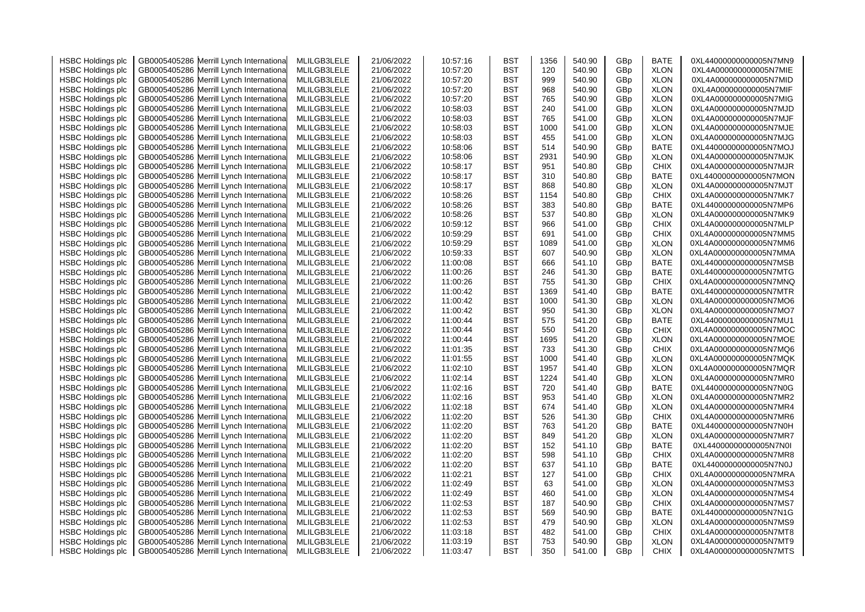| <b>HSBC Holdings plc</b> | GB0005405286 Merrill Lynch Internationa    | MLILGB3LELE | 21/06/2022 | 10:57:16 | BST        | 1356 | 540.90 | GBp | <b>BATE</b> | 0XL44000000000005N7MN9 |
|--------------------------|--------------------------------------------|-------------|------------|----------|------------|------|--------|-----|-------------|------------------------|
| <b>HSBC Holdings plc</b> | Merrill Lynch Internationa<br>GB0005405286 | MLILGB3LELE | 21/06/2022 | 10:57:20 | <b>BST</b> | 120  | 540.90 | GBp | <b>XLON</b> | 0XL4A000000000005N7MIE |
| <b>HSBC Holdings plc</b> | GB0005405286 Merrill Lynch Internationa    | MLILGB3LELE | 21/06/2022 | 10:57:20 | <b>BST</b> | 999  | 540.90 | GBp | <b>XLON</b> | 0XL4A000000000005N7MID |
| <b>HSBC Holdings plc</b> | GB0005405286<br>Merrill Lynch Internationa | MLILGB3LELE | 21/06/2022 | 10:57:20 | <b>BST</b> | 968  | 540.90 | GBp | <b>XLON</b> | 0XL4A000000000005N7MIF |
| <b>HSBC Holdings plc</b> | Merrill Lynch Internationa<br>GB0005405286 | MLILGB3LELE | 21/06/2022 | 10:57:20 | <b>BST</b> | 765  | 540.90 | GBp | <b>XLON</b> | 0XL4A000000000005N7MIG |
| <b>HSBC Holdings plc</b> | GB0005405286<br>Merrill Lynch Internationa | MLILGB3LELE | 21/06/2022 | 10:58:03 | BST        | 240  | 541.00 | GBp | <b>XLON</b> | 0XL4A000000000005N7MJD |
| <b>HSBC Holdings plc</b> | GB0005405286<br>Merrill Lynch Internationa | MLILGB3LELE | 21/06/2022 | 10:58:03 | <b>BST</b> | 765  | 541.00 | GBp | <b>XLON</b> | 0XL4A000000000005N7MJF |
| <b>HSBC Holdings plc</b> | GB0005405286 Merrill Lynch Internationa    | MLILGB3LELE | 21/06/2022 | 10:58:03 | <b>BST</b> | 1000 | 541.00 | GBp | <b>XLON</b> | 0XL4A000000000005N7MJE |
| <b>HSBC Holdings plc</b> | GB0005405286<br>Merrill Lynch Internationa | MLILGB3LELE | 21/06/2022 | 10:58:03 | BST        | 455  | 541.00 | GBp | <b>XLON</b> | 0XL4A000000000005N7MJG |
| <b>HSBC Holdings plc</b> | GB0005405286 Merrill Lynch Internationa    | MLILGB3LELE | 21/06/2022 | 10:58:06 | BST        | 514  | 540.90 | GBp | BATE        | 0XL44000000000005N7MOJ |
| <b>HSBC Holdings plc</b> | GB0005405286<br>Merrill Lynch Internationa | MLILGB3LELE | 21/06/2022 | 10:58:06 | BST        | 2931 | 540.90 | GBp | <b>XLON</b> | 0XL4A000000000005N7MJK |
| <b>HSBC Holdings plc</b> | GB0005405286 Merrill Lynch Internationa    | MLILGB3LELE | 21/06/2022 | 10:58:17 | BST        | 951  | 540.80 | GBp | <b>CHIX</b> | 0XL4A000000000005N7MJR |
| <b>HSBC Holdings plc</b> | GB0005405286<br>Merrill Lynch Internationa | MLILGB3LELE | 21/06/2022 | 10:58:17 | BST        | 310  | 540.80 | GBp | <b>BATE</b> | 0XL44000000000005N7MON |
| <b>HSBC Holdings plc</b> | GB0005405286<br>Merrill Lynch Internationa | MLILGB3LELE | 21/06/2022 | 10:58:17 | BST        | 868  | 540.80 | GBp | <b>XLON</b> | 0XL4A000000000005N7MJT |
| <b>HSBC Holdings plc</b> | GB0005405286 Merrill Lynch Internationa    | MLILGB3LELE | 21/06/2022 | 10:58:26 | <b>BST</b> | 1154 | 540.80 | GBp | <b>CHIX</b> | 0XL4A000000000005N7MK7 |
| <b>HSBC Holdings plc</b> | GB0005405286 Merrill Lynch Internationa    | MLILGB3LELE | 21/06/2022 | 10:58:26 | <b>BST</b> | 383  | 540.80 | GBp | <b>BATE</b> | 0XL44000000000005N7MP6 |
| <b>HSBC Holdings plc</b> | GB0005405286 Merrill Lynch Internationa    | MLILGB3LELE | 21/06/2022 | 10:58:26 | <b>BST</b> | 537  | 540.80 | GBp | <b>XLON</b> | 0XL4A000000000005N7MK9 |
| <b>HSBC Holdings plc</b> | Merrill Lynch Internationa<br>GB0005405286 | MLILGB3LELE | 21/06/2022 | 10:59:12 | BST        | 966  | 541.00 | GBp | <b>CHIX</b> | 0XL4A000000000005N7MLP |
| <b>HSBC Holdings plc</b> | GB0005405286 Merrill Lynch Internationa    | MLILGB3LELE | 21/06/2022 | 10:59:29 | BST        | 691  | 541.00 | GBp | <b>CHIX</b> | 0XL4A000000000005N7MM5 |
| <b>HSBC Holdings plc</b> | GB0005405286<br>Merrill Lynch Internationa | MLILGB3LELE | 21/06/2022 | 10:59:29 | <b>BST</b> | 1089 | 541.00 | GBp | <b>XLON</b> | 0XL4A000000000005N7MM6 |
| <b>HSBC Holdings plc</b> | GB0005405286 Merrill Lynch Internationa    | MLILGB3LELE | 21/06/2022 | 10:59:33 | <b>BST</b> | 607  | 540.90 | GBp | <b>XLON</b> | 0XL4A000000000005N7MMA |
| <b>HSBC Holdings plc</b> | GB0005405286<br>Merrill Lynch Internationa | MLILGB3LELE | 21/06/2022 | 11:00:08 | <b>BST</b> | 666  | 541.10 | GBp | <b>BATE</b> | 0XL44000000000005N7MSB |
| <b>HSBC Holdings plc</b> | Merrill Lynch Internationa<br>GB0005405286 | MLILGB3LELE | 21/06/2022 | 11:00:26 | <b>BST</b> | 246  | 541.30 | GBp | <b>BATE</b> | 0XL44000000000005N7MTG |
| <b>HSBC Holdings plc</b> | GB0005405286<br>Merrill Lynch Internationa | MLILGB3LELE | 21/06/2022 | 11:00:26 | <b>BST</b> | 755  | 541.30 | GBp | <b>CHIX</b> | 0XL4A000000000005N7MNQ |
| <b>HSBC Holdings plc</b> | Merrill Lynch Internationa<br>GB0005405286 | MLILGB3LELE | 21/06/2022 | 11:00:42 | BST        | 1369 | 541.40 | GBp | <b>BATE</b> | 0XL44000000000005N7MTR |
| <b>HSBC Holdings plc</b> | GB0005405286 Merrill Lynch Internationa    | MLILGB3LELE | 21/06/2022 | 11:00:42 | BST        | 1000 | 541.30 | GBp | <b>XLON</b> | 0XL4A000000000005N7MO6 |
| <b>HSBC Holdings plc</b> | Merrill Lynch Internationa<br>GB0005405286 | MLILGB3LELE | 21/06/2022 | 11:00:42 | <b>BST</b> | 950  | 541.30 | GBp | <b>XLON</b> | 0XL4A000000000005N7MO7 |
| <b>HSBC Holdings plc</b> | GB0005405286 Merrill Lynch Internationa    | MLILGB3LELE | 21/06/2022 | 11:00:44 | <b>BST</b> | 575  | 541.20 | GBp | <b>BATE</b> | 0XL44000000000005N7MU1 |
| <b>HSBC Holdings plc</b> | GB0005405286<br>Merrill Lynch Internationa | MLILGB3LELE | 21/06/2022 | 11:00:44 | BST        | 550  | 541.20 | GBp | <b>CHIX</b> | 0XL4A000000000005N7MOC |
| <b>HSBC Holdings plc</b> | GB0005405286<br>Merrill Lynch Internationa | MLILGB3LELE | 21/06/2022 | 11:00:44 | <b>BST</b> | 1695 | 541.20 | GBp | <b>XLON</b> | 0XL4A000000000005N7MOE |
| <b>HSBC Holdings plc</b> | GB0005405286 Merrill Lynch Internationa    | MLILGB3LELE | 21/06/2022 | 11:01:35 | BST        | 733  | 541.30 | GBp | <b>CHIX</b> | 0XL4A000000000005N7MQ6 |
| <b>HSBC Holdings plc</b> | GB0005405286 Merrill Lynch Internationa    | MLILGB3LELE | 21/06/2022 | 11:01:55 | <b>BST</b> | 1000 | 541.40 | GBp | <b>XLON</b> | 0XL4A000000000005N7MQK |
| <b>HSBC Holdings plc</b> | GB0005405286 Merrill Lynch Internationa    | MLILGB3LELE | 21/06/2022 | 11:02:10 | BST        | 1957 | 541.40 | GBp | <b>XLON</b> | 0XL4A000000000005N7MQR |
| <b>HSBC Holdings plc</b> | GB0005405286<br>Merrill Lynch Internationa | MLILGB3LELE | 21/06/2022 | 11:02:14 | BST        | 1224 | 541.40 | GBp | <b>XLON</b> | 0XL4A000000000005N7MR0 |
| <b>HSBC Holdings plc</b> | GB0005405286 Merrill Lynch Internationa    | MLILGB3LELE | 21/06/2022 | 11:02:16 | BST        | 720  | 541.40 | GBp | BATE        | 0XL44000000000005N7N0G |
| <b>HSBC Holdings plc</b> | GB0005405286<br>Merrill Lynch Internationa | MLILGB3LELE | 21/06/2022 | 11:02:16 | BST        | 953  | 541.40 | GBp | <b>XLON</b> | 0XL4A000000000005N7MR2 |
| <b>HSBC Holdings plc</b> | GB0005405286<br>Merrill Lynch Internationa | MLILGB3LELE | 21/06/2022 | 11:02:18 | <b>BST</b> | 674  | 541.40 | GBp | <b>XLON</b> | 0XL4A000000000005N7MR4 |
| <b>HSBC Holdings plc</b> | GB0005405286<br>Merrill Lynch Internationa | MLILGB3LELE | 21/06/2022 | 11:02:20 | <b>BST</b> | 526  | 541.30 | GBp | <b>CHIX</b> | 0XL4A000000000005N7MR6 |
| <b>HSBC Holdings plc</b> | GB0005405286<br>Merrill Lynch Internationa | MLILGB3LELE | 21/06/2022 | 11:02:20 | BST        | 763  | 541.20 | GBp | <b>BATE</b> | 0XL44000000000005N7N0H |
| <b>HSBC Holdings plc</b> | GB0005405286 Merrill Lynch Internationa    | MLILGB3LELE | 21/06/2022 | 11:02:20 | <b>BST</b> | 849  | 541.20 | GBp | <b>XLON</b> | 0XL4A000000000005N7MR7 |
|                          |                                            | MLILGB3LELE |            |          | <b>BST</b> | 152  |        |     | <b>BATE</b> |                        |
| <b>HSBC Holdings plc</b> | GB0005405286<br>Merrill Lynch Internationa |             | 21/06/2022 | 11:02:20 |            |      | 541.10 | GBp |             | 0XL44000000000005N7N0I |
| <b>HSBC Holdings plc</b> | GB0005405286 Merrill Lynch Internationa    | MLILGB3LELE | 21/06/2022 | 11:02:20 | BST        | 598  | 541.10 | GBp | <b>CHIX</b> | 0XL4A000000000005N7MR8 |
| <b>HSBC Holdings plc</b> | Merrill Lynch Internationa<br>GB0005405286 | MLILGB3LELE | 21/06/2022 | 11:02:20 | <b>BST</b> | 637  | 541.10 | GBp | <b>BATE</b> | 0XL44000000000005N7N0J |
| <b>HSBC Holdings plc</b> | GB0005405286 Merrill Lynch Internationa    | MLILGB3LELE | 21/06/2022 | 11:02:21 | <b>BST</b> | 127  | 541.00 | GBp | <b>CHIX</b> | 0XL4A000000000005N7MRA |
| <b>HSBC Holdings plc</b> | GB0005405286<br>Merrill Lynch Internationa | MLILGB3LELE | 21/06/2022 | 11:02:49 | <b>BST</b> | 63   | 541.00 | GBp | <b>XLON</b> | 0XL4A000000000005N7MS3 |
| <b>HSBC Holdings plc</b> | GB0005405286<br>Merrill Lynch Internationa | MLILGB3LELE | 21/06/2022 | 11:02:49 | <b>BST</b> | 460  | 541.00 | GBp | <b>XLON</b> | 0XL4A000000000005N7MS4 |
| <b>HSBC Holdings plc</b> | GB0005405286 Merrill Lynch Internationa    | MLILGB3LELE | 21/06/2022 | 11:02:53 | <b>BST</b> | 187  | 540.90 | GBp | <b>CHIX</b> | 0XL4A000000000005N7MS7 |
| <b>HSBC Holdings plc</b> | Merrill Lynch Internationa<br>GB0005405286 | MLILGB3LELE | 21/06/2022 | 11:02:53 | <b>BST</b> | 569  | 540.90 | GBp | <b>BATE</b> | 0XL44000000000005N7N1G |
| <b>HSBC Holdings plc</b> | GB0005405286 Merrill Lynch Internationa    | MLILGB3LELE | 21/06/2022 | 11:02:53 | <b>BST</b> | 479  | 540.90 | GBp | <b>XLON</b> | 0XL4A000000000005N7MS9 |
| <b>HSBC Holdings plc</b> | Merrill Lynch Internationa<br>GB0005405286 | MLILGB3LELE | 21/06/2022 | 11:03:18 | BST        | 482  | 541.00 | GBp | <b>CHIX</b> | 0XL4A000000000005N7MT8 |
| <b>HSBC Holdings plc</b> | GB0005405286 Merrill Lynch Internationa    | MLILGB3LELE | 21/06/2022 | 11:03:19 | <b>BST</b> | 753  | 540.90 | GBp | <b>XLON</b> | 0XL4A000000000005N7MT9 |
| <b>HSBC Holdings plc</b> | GB0005405286 Merrill Lynch International   | MLILGB3LELE | 21/06/2022 | 11:03:47 | <b>BST</b> | 350  | 541.00 | GBp | <b>CHIX</b> | 0XL4A000000000005N7MTS |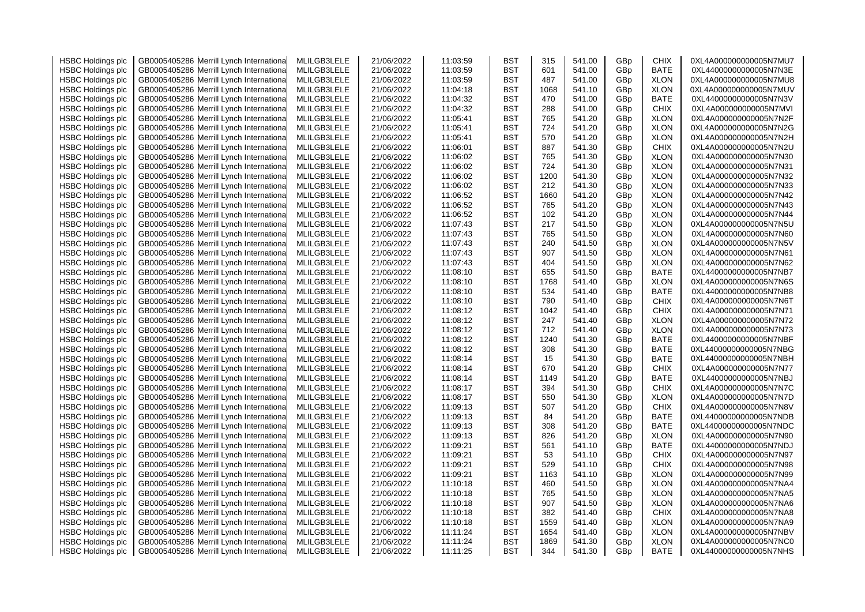| <b>HSBC Holdings plc</b><br>GB0005405286 Merrill Lynch Internationa<br>MLILGB3LELE<br>21/06/2022<br><b>BST</b><br>601<br>BATE<br>0XL44000000000005N7N3E<br>11:03:59<br>541.00<br>GBp<br><b>HSBC Holdings plc</b><br>GB0005405286 Merrill Lynch Internationa<br><b>XLON</b><br>MLILGB3LELE<br>21/06/2022<br>11:03:59<br>BST<br>487<br>541.00<br>GBp<br>0XL4A000000000005N7MU8<br><b>HSBC Holdings plc</b><br>GB0005405286<br>Merrill Lynch Internationa<br>MLILGB3LELE<br><b>BST</b><br>GBp<br><b>XLON</b><br>21/06/2022<br>11:04:18<br>1068<br>541.10<br>0XL4A000000000005N7MUV<br><b>HSBC Holdings plc</b><br>GB0005405286 Merrill Lynch Internationa<br>MLILGB3LELE<br><b>BST</b><br>470<br><b>BATE</b><br>21/06/2022<br>11:04:32<br>541.00<br>GBp<br>0XL44000000000005N7N3V<br><b>HSBC Holdings plc</b><br>GB0005405286 Merrill Lynch Internationa<br>MLILGB3LELE<br><b>BST</b><br>288<br><b>CHIX</b><br>0XL4A000000000005N7MVI<br>21/06/2022<br>11:04:32<br>541.00<br>GBp<br><b>HSBC Holdings plc</b><br>GB0005405286<br>Merrill Lynch Internationa<br>MLILGB3LELE<br><b>BST</b><br>765<br><b>XLON</b><br>21/06/2022<br>11:05:41<br>541.20<br>GBp<br>0XL4A000000000005N7N2F<br>724<br><b>XLON</b><br><b>HSBC Holdings plc</b><br>GB0005405286 Merrill Lynch Internationa<br>MLILGB3LELE<br>21/06/2022<br><b>BST</b><br>541.20<br>GBp<br>0XL4A000000000005N7N2G<br>11:05:41<br><b>HSBC Holdings plc</b><br>GB0005405286<br>Merrill Lynch Internationa<br>MLILGB3LELE<br>21/06/2022<br><b>BST</b><br>570<br>GBp<br><b>XLON</b><br>0XL4A000000000005N7N2H<br>11:05:41<br>541.20<br><b>HSBC Holdings plc</b><br>GB0005405286 Merrill Lynch Internationa<br>MLILGB3LELE<br><b>BST</b><br>887<br><b>CHIX</b><br>21/06/2022<br>11:06:01<br>541.30<br>GBp<br>0XL4A000000000005N7N2U<br>Merrill Lynch Internationa<br><b>XLON</b><br><b>HSBC Holdings plc</b><br>GB0005405286<br>MLILGB3LELE<br>21/06/2022<br>11:06:02<br>BST<br>765<br>541.30<br>GBp<br>0XL4A000000000005N7N30<br><b>HSBC Holdings plc</b><br>GB0005405286 Merrill Lynch Internationa<br>MLILGB3LELE<br><b>BST</b><br>724<br>GBp<br><b>XLON</b><br>21/06/2022<br>11:06:02<br>541.30<br>0XL4A000000000005N7N31<br>1200<br><b>HSBC Holdings plc</b><br>GB0005405286<br>Merrill Lynch Internationa<br>MLILGB3LELE<br>21/06/2022<br>11:06:02<br><b>BST</b><br>541.30<br><b>XLON</b><br>0XL4A000000000005N7N32<br>GBp<br>212<br><b>HSBC Holdings plc</b><br>GB0005405286<br>Merrill Lynch Internationa<br>MLILGB3LELE<br>11:06:02<br><b>BST</b><br>541.30<br><b>XLON</b><br>0XL4A000000000005N7N33<br>21/06/2022<br>GBp<br>1660<br><b>HSBC Holdings plc</b><br>GB0005405286 Merrill Lynch Internationa<br>MLILGB3LELE<br>11:06:52<br><b>BST</b><br>541.20<br><b>XLON</b><br>0XL4A000000000005N7N42<br>21/06/2022<br>GBp<br>765<br><b>HSBC Holdings plc</b><br>GB0005405286 Merrill Lynch Internationa<br>MLILGB3LELE<br>21/06/2022<br>11:06:52<br><b>BST</b><br>541.20<br>GBp<br><b>XLON</b><br>0XL4A000000000005N7N43<br><b>HSBC Holdings plc</b><br>GB0005405286 Merrill Lynch Internationa<br>MLILGB3LELE<br>21/06/2022<br>11:06:52<br><b>BST</b><br>102<br>541.20<br>GBp<br><b>XLON</b><br>0XL4A000000000005N7N44<br><b>HSBC Holdings plc</b><br>Merrill Lynch Internationa<br>MLILGB3LELE<br>21/06/2022<br>11:07:43<br><b>BST</b><br>217<br>541.50<br><b>XLON</b><br>0XL4A000000000005N7N5U<br>GB0005405286<br>GBp<br>765<br>11:07:43<br><b>XLON</b><br>0XL4A000000000005N7N60<br><b>HSBC Holdings plc</b><br>GB0005405286 Merrill Lynch Internationa<br>MLILGB3LELE<br>21/06/2022<br>BST<br>541.50<br>GBp<br><b>HSBC Holdings plc</b><br>11:07:43<br><b>BST</b><br>240<br>541.50<br>GBp<br><b>XLON</b><br>0XL4A000000000005N7N5V<br>GB0005405286<br>Merrill Lynch Internationa<br>MLILGB3LELE<br>21/06/2022<br>907<br><b>HSBC Holdings plc</b><br>GB0005405286 Merrill Lynch Internationa<br>MLILGB3LELE<br>11:07:43<br><b>BST</b><br>541.50<br><b>XLON</b><br>0XL4A000000000005N7N61<br>21/06/2022<br>GBp<br><b>HSBC Holdings plc</b><br>GB0005405286<br>MLILGB3LELE<br>21/06/2022<br>11:07:43<br><b>BST</b><br>404<br>541.50<br><b>XLON</b><br>0XL4A000000000005N7N62<br>Merrill Lynch Internationa<br>GBp<br>655<br><b>HSBC Holdings plc</b><br>Merrill Lynch Internationa<br>MLILGB3LELE<br>11:08:10<br><b>BST</b><br><b>BATE</b><br>0XL44000000000005N7NB7<br>GB0005405286<br>21/06/2022<br>541.50<br>GBp<br>1768<br><b>XLON</b><br><b>HSBC Holdings plc</b><br>GB0005405286 Merrill Lynch Internationa<br>MLILGB3LELE<br>21/06/2022<br>11:08:10<br><b>BST</b><br>541.40<br>GBp<br>0XL4A000000000005N7N6S<br><b>HSBC Holdings plc</b><br>BATE<br>GB0005405286<br>Merrill Lynch Internationa<br>MLILGB3LELE<br>21/06/2022<br>11:08:10<br>BST<br>534<br>541.40<br>GBp<br>0XL44000000000005N7NB8<br><b>HSBC Holdings plc</b><br>GB0005405286 Merrill Lynch Internationa<br>MLILGB3LELE<br>21/06/2022<br>11:08:10<br>BST<br>790<br>541.40<br>GBp<br>CHIX<br>0XL4A000000000005N7N6T<br><b>HSBC Holdings plc</b><br><b>BST</b><br><b>CHIX</b><br>GB0005405286<br>Merrill Lynch Internationa<br>MLILGB3LELE<br>21/06/2022<br>11:08:12<br>1042<br>541.40<br>GBp<br>0XL4A000000000005N7N71<br><b>HSBC Holdings plc</b><br>GB0005405286 Merrill Lynch Internationa<br>MLILGB3LELE<br><b>BST</b><br>247<br><b>XLON</b><br>21/06/2022<br>11:08:12<br>541.40<br>GBp<br>0XL4A000000000005N7N72<br><b>HSBC Holdings plc</b><br>GB0005405286 Merrill Lynch Internationa<br>MLILGB3LELE<br><b>BST</b><br>712<br><b>XLON</b><br>21/06/2022<br>11:08:12<br>541.40<br>GBp<br>0XL4A000000000005N7N73<br><b>BST</b><br>1240<br>BATE<br><b>HSBC Holdings plc</b><br>GB0005405286<br>Merrill Lynch Internationa<br>MLILGB3LELE<br>21/06/2022<br>11:08:12<br>541.30<br>GBp<br>0XL44000000000005N7NBF<br><b>BATE</b><br><b>HSBC Holdings plc</b><br>GB0005405286 Merrill Lynch Internationa<br>MLILGB3LELE<br><b>BST</b><br>308<br>GBp<br>21/06/2022<br>11:08:12<br>541.30<br>0XL44000000000005N7NBG<br><b>HSBC Holdings plc</b><br>GB0005405286 Merrill Lynch Internationa<br><b>BST</b><br>15<br>BATE<br>MLILGB3LELE<br>21/06/2022<br>11:08:14<br>541.30<br>GBp<br>0XL44000000000005N7NBH<br><b>HSBC Holdings plc</b><br>GB0005405286 Merrill Lynch Internationa<br><b>CHIX</b><br>MLILGB3LELE<br>21/06/2022<br>11:08:14<br>BST<br>670<br>541.20<br>GBp<br>0XL4A000000000005N7N77<br>BATE<br><b>HSBC Holdings plc</b><br>GB0005405286<br>Merrill Lynch Internationa<br>MLILGB3LELE<br>21/06/2022<br>11:08:14<br>BST<br>1149<br>541.20<br>GBp<br>0XL44000000000005N7NBJ<br>394<br><b>CHIX</b><br><b>HSBC Holdings plc</b><br>GB0005405286 Merrill Lynch Internationa<br>MLILGB3LELE<br>21/06/2022<br>BST<br>541.30<br>GBp<br>0XL4A000000000005N7N7C<br>11:08:17<br><b>HSBC Holdings plc</b><br><b>BST</b><br>550<br><b>XLON</b><br>GB0005405286 Merrill Lynch Internationa<br>MLILGB3LELE<br>21/06/2022<br>11:08:17<br>541.30<br>GBp<br>0XL4A000000000005N7N7D<br><b>HSBC Holdings plc</b><br>MLILGB3LELE<br><b>BST</b><br><b>CHIX</b><br>GB0005405286<br>Merrill Lynch Internationa<br>21/06/2022<br>11:09:13<br>507<br>541.20<br>GBp<br>0XL4A000000000005N7N8V<br>GB0005405286 Merrill Lynch Internationa<br><b>BST</b><br>84<br>BATE<br><b>HSBC Holdings plc</b><br>MLILGB3LELE<br>21/06/2022<br>11:09:13<br>541.20<br>GBp<br>0XL44000000000005N7NDB<br><b>HSBC Holdings plc</b><br>GB0005405286 Merrill Lynch Internationa<br>MLILGB3LELE<br><b>BST</b><br>308<br>BATE<br>21/06/2022<br>11:09:13<br>541.20<br>GBp<br>0XL44000000000005N7NDC<br><b>HSBC Holdings plc</b><br>GB0005405286 Merrill Lynch Internationa<br><b>BST</b><br>826<br>GBp<br><b>XLON</b><br>0XL4A000000000005N7N90<br>MLILGB3LELE<br>21/06/2022<br>11:09:13<br>541.20<br><b>HSBC Holdings plc</b><br>BATE<br>GB0005405286<br>Merrill Lynch Internationa<br>MLILGB3LELE<br>21/06/2022<br>11:09:21<br>BST<br>561<br>541.10<br>GBp<br>0XL44000000000005N7NDJ<br><b>HSBC Holdings plc</b><br>GB0005405286 Merrill Lynch Internationa<br>MLILGB3LELE<br>21/06/2022<br>11:09:21<br>BST<br>53<br>541.10<br>GBp<br>CHIX<br>0XL4A000000000005N7N97<br><b>CHIX</b><br><b>HSBC Holdings plc</b><br>GB0005405286<br>Merrill Lynch Internationa<br>MLILGB3LELE<br>21/06/2022<br>11:09:21<br>BST<br>529<br>541.10<br>GBp<br>0XL4A000000000005N7N98<br><b>HSBC Holdings plc</b><br>MLILGB3LELE<br><b>BST</b><br><b>XLON</b><br>GB0005405286 Merrill Lynch Internationa<br>21/06/2022<br>11:09:21<br>1163<br>541.10<br>GBp<br>0XL4A000000000005N7N99<br><b>HSBC Holdings plc</b><br><b>BST</b><br><b>XLON</b><br>GB0005405286<br>Merrill Lynch Internationa<br>MLILGB3LELE<br>21/06/2022<br>11:10:18<br>460<br>541.50<br>GBp<br>0XL4A000000000005N7NA4<br>765<br><b>HSBC Holdings plc</b><br>GB0005405286 Merrill Lynch International<br>MLILGB3LELE<br>21/06/2022<br>11:10:18<br>BST<br>541.50<br>GBp<br><b>XLON</b><br>0XL4A000000000005N7NA5<br><b>XLON</b><br><b>HSBC Holdings plc</b><br>GB0005405286 Merrill Lynch Internationa<br>MLILGB3LELE<br><b>BST</b><br>907<br>GBp<br>21/06/2022<br>11:10:18<br>541.50<br>0XL4A000000000005N7NA6<br><b>HSBC Holdings plc</b><br>382<br><b>CHIX</b><br>GB0005405286<br>Merrill Lynch Internationa<br>MLILGB3LELE<br>21/06/2022<br>11:10:18<br>BST<br>541.40<br>GBp<br>0XL4A000000000005N7NA8<br><b>HSBC Holdings plc</b><br>1559<br>541.40<br><b>XLON</b><br>0XL4A000000000005N7NA9<br>GB0005405286 Merrill Lynch Internationa<br>MLILGB3LELE<br>21/06/2022<br>11:10:18<br>BST<br>GBp<br>1654<br><b>HSBC Holdings plc</b><br>GB0005405286<br>Merrill Lynch Internationa<br>MLILGB3LELE<br>21/06/2022<br>11:11:24<br>BST<br>541.40<br>GBp<br><b>XLON</b><br>0XL4A000000000005N7NBV<br>1869<br>541.30<br>0XL4A000000000005N7NC0<br><b>HSBC Holdings plc</b><br>GB0005405286 Merrill Lynch Internationa<br>MLILGB3LELE<br>21/06/2022<br>11:11:24<br>BST<br>GBp<br><b>XLON</b> | <b>HSBC Holdings plc</b> | GB0005405286 Merrill Lynch Internationa  | MLILGB3LELE | 21/06/2022 | 11:03:59 | <b>BST</b> | 315 | 541.00 | GBp             | <b>CHIX</b> | 0XL4A000000000005N7MU7 |
|---------------------------------------------------------------------------------------------------------------------------------------------------------------------------------------------------------------------------------------------------------------------------------------------------------------------------------------------------------------------------------------------------------------------------------------------------------------------------------------------------------------------------------------------------------------------------------------------------------------------------------------------------------------------------------------------------------------------------------------------------------------------------------------------------------------------------------------------------------------------------------------------------------------------------------------------------------------------------------------------------------------------------------------------------------------------------------------------------------------------------------------------------------------------------------------------------------------------------------------------------------------------------------------------------------------------------------------------------------------------------------------------------------------------------------------------------------------------------------------------------------------------------------------------------------------------------------------------------------------------------------------------------------------------------------------------------------------------------------------------------------------------------------------------------------------------------------------------------------------------------------------------------------------------------------------------------------------------------------------------------------------------------------------------------------------------------------------------------------------------------------------------------------------------------------------------------------------------------------------------------------------------------------------------------------------------------------------------------------------------------------------------------------------------------------------------------------------------------------------------------------------------------------------------------------------------------------------------------------------------------------------------------------------------------------------------------------------------------------------------------------------------------------------------------------------------------------------------------------------------------------------------------------------------------------------------------------------------------------------------------------------------------------------------------------------------------------------------------------------------------------------------------------------------------------------------------------------------------------------------------------------------------------------------------------------------------------------------------------------------------------------------------------------------------------------------------------------------------------------------------------------------------------------------------------------------------------------------------------------------------------------------------------------------------------------------------------------------------------------------------------------------------------------------------------------------------------------------------------------------------------------------------------------------------------------------------------------------------------------------------------------------------------------------------------------------------------------------------------------------------------------------------------------------------------------------------------------------------------------------------------------------------------------------------------------------------------------------------------------------------------------------------------------------------------------------------------------------------------------------------------------------------------------------------------------------------------------------------------------------------------------------------------------------------------------------------------------------------------------------------------------------------------------------------------------------------------------------------------------------------------------------------------------------------------------------------------------------------------------------------------------------------------------------------------------------------------------------------------------------------------------------------------------------------------------------------------------------------------------------------------------------------------------------------------------------------------------------------------------------------------------------------------------------------------------------------------------------------------------------------------------------------------------------------------------------------------------------------------------------------------------------------------------------------------------------------------------------------------------------------------------------------------------------------------------------------------------------------------------------------------------------------------------------------------------------------------------------------------------------------------------------------------------------------------------------------------------------------------------------------------------------------------------------------------------------------------------------------------------------------------------------------------------------------------------------------------------------------------------------------------------------------------------------------------------------------------------------------------------------------------------------------------------------------------------------------------------------------------------------------------------------------------------------------------------------------------------------------------------------------------------------------------------------------------------------------------------------------------------------------------------------------------------------------------------------------------------------------------------------------------------------------------------------------------------------------------------------------------------------------------------------------------------------------------------------------------------------------------------------------------------------------------------------------------------------------------------------------------------------------------------------------------------------------------------------------------------------------------------------------------------------------------------------------------------------------------------------------------------------------------------------------------------------------------------------------------------------------------------------------------------------------------------------------------------------------------------------------------------------------------------------------------------------------------------------------------------------------------------------------------------------------------------------------------------------------------------------------------------------------------------------------------------------------------------------------------------------------------------------------------------------------------------------------------------------------------------------------------------------------------------------------------------------------------------------------------------------------------------------------------------------------------------------------------------------------------------------------------------------------------------------------------------------------------------------------------------------------------------------------------------------------------------------------------------------------------------------------------------------------------------------------------------------------------------------------------------------------------------------------------------------------------------------------------------------------------------------------------------------------------------------------------------------------------------------------------------------------------------------------------------------------------------------------------------------------------------------------------------------------------------------------------------------------------------------------------------------------------------------------------------------------------------------------------------------------------------------------------------------------------------------------------------------------------------------------------------------------------------------------------------------------------------------------------------------------|--------------------------|------------------------------------------|-------------|------------|----------|------------|-----|--------|-----------------|-------------|------------------------|
|                                                                                                                                                                                                                                                                                                                                                                                                                                                                                                                                                                                                                                                                                                                                                                                                                                                                                                                                                                                                                                                                                                                                                                                                                                                                                                                                                                                                                                                                                                                                                                                                                                                                                                                                                                                                                                                                                                                                                                                                                                                                                                                                                                                                                                                                                                                                                                                                                                                                                                                                                                                                                                                                                                                                                                                                                                                                                                                                                                                                                                                                                                                                                                                                                                                                                                                                                                                                                                                                                                                                                                                                                                                                                                                                                                                                                                                                                                                                                                                                                                                                                                                                                                                                                                                                                                                                                                                                                                                                                                                                                                                                                                                                                                                                                                                                                                                                                                                                                                                                                                                                                                                                                                                                                                                                                                                                                                                                                                                                                                                                                                                                                                                                                                                                                                                                                                                                                                                                                                                                                                                                                                                                                                                                                                                                                                                                                                                                                                                                                                                                                                                                                                                                                                                                                                                                                                                                                                                                                                                                                                                                                                                                                                                                                                                                                                                                                                                                                                                                                                                                                                                                                                                                                                                                                                                                                                                                                                                                                                                                                                                                                                                                                                                                                                                                                                                                                                                                                                                                                                                                                                                                                                                                                                                                                                                                                                                                                                                                                                                                                                                                                                                                                                                                                                                                                                                                                                                                                                                                                                                                                                                                                                                                                                                                                                                                                           |                          |                                          |             |            |          |            |     |        |                 |             |                        |
|                                                                                                                                                                                                                                                                                                                                                                                                                                                                                                                                                                                                                                                                                                                                                                                                                                                                                                                                                                                                                                                                                                                                                                                                                                                                                                                                                                                                                                                                                                                                                                                                                                                                                                                                                                                                                                                                                                                                                                                                                                                                                                                                                                                                                                                                                                                                                                                                                                                                                                                                                                                                                                                                                                                                                                                                                                                                                                                                                                                                                                                                                                                                                                                                                                                                                                                                                                                                                                                                                                                                                                                                                                                                                                                                                                                                                                                                                                                                                                                                                                                                                                                                                                                                                                                                                                                                                                                                                                                                                                                                                                                                                                                                                                                                                                                                                                                                                                                                                                                                                                                                                                                                                                                                                                                                                                                                                                                                                                                                                                                                                                                                                                                                                                                                                                                                                                                                                                                                                                                                                                                                                                                                                                                                                                                                                                                                                                                                                                                                                                                                                                                                                                                                                                                                                                                                                                                                                                                                                                                                                                                                                                                                                                                                                                                                                                                                                                                                                                                                                                                                                                                                                                                                                                                                                                                                                                                                                                                                                                                                                                                                                                                                                                                                                                                                                                                                                                                                                                                                                                                                                                                                                                                                                                                                                                                                                                                                                                                                                                                                                                                                                                                                                                                                                                                                                                                                                                                                                                                                                                                                                                                                                                                                                                                                                                                                                           |                          |                                          |             |            |          |            |     |        |                 |             |                        |
|                                                                                                                                                                                                                                                                                                                                                                                                                                                                                                                                                                                                                                                                                                                                                                                                                                                                                                                                                                                                                                                                                                                                                                                                                                                                                                                                                                                                                                                                                                                                                                                                                                                                                                                                                                                                                                                                                                                                                                                                                                                                                                                                                                                                                                                                                                                                                                                                                                                                                                                                                                                                                                                                                                                                                                                                                                                                                                                                                                                                                                                                                                                                                                                                                                                                                                                                                                                                                                                                                                                                                                                                                                                                                                                                                                                                                                                                                                                                                                                                                                                                                                                                                                                                                                                                                                                                                                                                                                                                                                                                                                                                                                                                                                                                                                                                                                                                                                                                                                                                                                                                                                                                                                                                                                                                                                                                                                                                                                                                                                                                                                                                                                                                                                                                                                                                                                                                                                                                                                                                                                                                                                                                                                                                                                                                                                                                                                                                                                                                                                                                                                                                                                                                                                                                                                                                                                                                                                                                                                                                                                                                                                                                                                                                                                                                                                                                                                                                                                                                                                                                                                                                                                                                                                                                                                                                                                                                                                                                                                                                                                                                                                                                                                                                                                                                                                                                                                                                                                                                                                                                                                                                                                                                                                                                                                                                                                                                                                                                                                                                                                                                                                                                                                                                                                                                                                                                                                                                                                                                                                                                                                                                                                                                                                                                                                                                                           |                          |                                          |             |            |          |            |     |        |                 |             |                        |
|                                                                                                                                                                                                                                                                                                                                                                                                                                                                                                                                                                                                                                                                                                                                                                                                                                                                                                                                                                                                                                                                                                                                                                                                                                                                                                                                                                                                                                                                                                                                                                                                                                                                                                                                                                                                                                                                                                                                                                                                                                                                                                                                                                                                                                                                                                                                                                                                                                                                                                                                                                                                                                                                                                                                                                                                                                                                                                                                                                                                                                                                                                                                                                                                                                                                                                                                                                                                                                                                                                                                                                                                                                                                                                                                                                                                                                                                                                                                                                                                                                                                                                                                                                                                                                                                                                                                                                                                                                                                                                                                                                                                                                                                                                                                                                                                                                                                                                                                                                                                                                                                                                                                                                                                                                                                                                                                                                                                                                                                                                                                                                                                                                                                                                                                                                                                                                                                                                                                                                                                                                                                                                                                                                                                                                                                                                                                                                                                                                                                                                                                                                                                                                                                                                                                                                                                                                                                                                                                                                                                                                                                                                                                                                                                                                                                                                                                                                                                                                                                                                                                                                                                                                                                                                                                                                                                                                                                                                                                                                                                                                                                                                                                                                                                                                                                                                                                                                                                                                                                                                                                                                                                                                                                                                                                                                                                                                                                                                                                                                                                                                                                                                                                                                                                                                                                                                                                                                                                                                                                                                                                                                                                                                                                                                                                                                                                                           |                          |                                          |             |            |          |            |     |        |                 |             |                        |
|                                                                                                                                                                                                                                                                                                                                                                                                                                                                                                                                                                                                                                                                                                                                                                                                                                                                                                                                                                                                                                                                                                                                                                                                                                                                                                                                                                                                                                                                                                                                                                                                                                                                                                                                                                                                                                                                                                                                                                                                                                                                                                                                                                                                                                                                                                                                                                                                                                                                                                                                                                                                                                                                                                                                                                                                                                                                                                                                                                                                                                                                                                                                                                                                                                                                                                                                                                                                                                                                                                                                                                                                                                                                                                                                                                                                                                                                                                                                                                                                                                                                                                                                                                                                                                                                                                                                                                                                                                                                                                                                                                                                                                                                                                                                                                                                                                                                                                                                                                                                                                                                                                                                                                                                                                                                                                                                                                                                                                                                                                                                                                                                                                                                                                                                                                                                                                                                                                                                                                                                                                                                                                                                                                                                                                                                                                                                                                                                                                                                                                                                                                                                                                                                                                                                                                                                                                                                                                                                                                                                                                                                                                                                                                                                                                                                                                                                                                                                                                                                                                                                                                                                                                                                                                                                                                                                                                                                                                                                                                                                                                                                                                                                                                                                                                                                                                                                                                                                                                                                                                                                                                                                                                                                                                                                                                                                                                                                                                                                                                                                                                                                                                                                                                                                                                                                                                                                                                                                                                                                                                                                                                                                                                                                                                                                                                                                                           |                          |                                          |             |            |          |            |     |        |                 |             |                        |
|                                                                                                                                                                                                                                                                                                                                                                                                                                                                                                                                                                                                                                                                                                                                                                                                                                                                                                                                                                                                                                                                                                                                                                                                                                                                                                                                                                                                                                                                                                                                                                                                                                                                                                                                                                                                                                                                                                                                                                                                                                                                                                                                                                                                                                                                                                                                                                                                                                                                                                                                                                                                                                                                                                                                                                                                                                                                                                                                                                                                                                                                                                                                                                                                                                                                                                                                                                                                                                                                                                                                                                                                                                                                                                                                                                                                                                                                                                                                                                                                                                                                                                                                                                                                                                                                                                                                                                                                                                                                                                                                                                                                                                                                                                                                                                                                                                                                                                                                                                                                                                                                                                                                                                                                                                                                                                                                                                                                                                                                                                                                                                                                                                                                                                                                                                                                                                                                                                                                                                                                                                                                                                                                                                                                                                                                                                                                                                                                                                                                                                                                                                                                                                                                                                                                                                                                                                                                                                                                                                                                                                                                                                                                                                                                                                                                                                                                                                                                                                                                                                                                                                                                                                                                                                                                                                                                                                                                                                                                                                                                                                                                                                                                                                                                                                                                                                                                                                                                                                                                                                                                                                                                                                                                                                                                                                                                                                                                                                                                                                                                                                                                                                                                                                                                                                                                                                                                                                                                                                                                                                                                                                                                                                                                                                                                                                                                                           |                          |                                          |             |            |          |            |     |        |                 |             |                        |
|                                                                                                                                                                                                                                                                                                                                                                                                                                                                                                                                                                                                                                                                                                                                                                                                                                                                                                                                                                                                                                                                                                                                                                                                                                                                                                                                                                                                                                                                                                                                                                                                                                                                                                                                                                                                                                                                                                                                                                                                                                                                                                                                                                                                                                                                                                                                                                                                                                                                                                                                                                                                                                                                                                                                                                                                                                                                                                                                                                                                                                                                                                                                                                                                                                                                                                                                                                                                                                                                                                                                                                                                                                                                                                                                                                                                                                                                                                                                                                                                                                                                                                                                                                                                                                                                                                                                                                                                                                                                                                                                                                                                                                                                                                                                                                                                                                                                                                                                                                                                                                                                                                                                                                                                                                                                                                                                                                                                                                                                                                                                                                                                                                                                                                                                                                                                                                                                                                                                                                                                                                                                                                                                                                                                                                                                                                                                                                                                                                                                                                                                                                                                                                                                                                                                                                                                                                                                                                                                                                                                                                                                                                                                                                                                                                                                                                                                                                                                                                                                                                                                                                                                                                                                                                                                                                                                                                                                                                                                                                                                                                                                                                                                                                                                                                                                                                                                                                                                                                                                                                                                                                                                                                                                                                                                                                                                                                                                                                                                                                                                                                                                                                                                                                                                                                                                                                                                                                                                                                                                                                                                                                                                                                                                                                                                                                                                                           |                          |                                          |             |            |          |            |     |        |                 |             |                        |
|                                                                                                                                                                                                                                                                                                                                                                                                                                                                                                                                                                                                                                                                                                                                                                                                                                                                                                                                                                                                                                                                                                                                                                                                                                                                                                                                                                                                                                                                                                                                                                                                                                                                                                                                                                                                                                                                                                                                                                                                                                                                                                                                                                                                                                                                                                                                                                                                                                                                                                                                                                                                                                                                                                                                                                                                                                                                                                                                                                                                                                                                                                                                                                                                                                                                                                                                                                                                                                                                                                                                                                                                                                                                                                                                                                                                                                                                                                                                                                                                                                                                                                                                                                                                                                                                                                                                                                                                                                                                                                                                                                                                                                                                                                                                                                                                                                                                                                                                                                                                                                                                                                                                                                                                                                                                                                                                                                                                                                                                                                                                                                                                                                                                                                                                                                                                                                                                                                                                                                                                                                                                                                                                                                                                                                                                                                                                                                                                                                                                                                                                                                                                                                                                                                                                                                                                                                                                                                                                                                                                                                                                                                                                                                                                                                                                                                                                                                                                                                                                                                                                                                                                                                                                                                                                                                                                                                                                                                                                                                                                                                                                                                                                                                                                                                                                                                                                                                                                                                                                                                                                                                                                                                                                                                                                                                                                                                                                                                                                                                                                                                                                                                                                                                                                                                                                                                                                                                                                                                                                                                                                                                                                                                                                                                                                                                                                                           |                          |                                          |             |            |          |            |     |        |                 |             |                        |
|                                                                                                                                                                                                                                                                                                                                                                                                                                                                                                                                                                                                                                                                                                                                                                                                                                                                                                                                                                                                                                                                                                                                                                                                                                                                                                                                                                                                                                                                                                                                                                                                                                                                                                                                                                                                                                                                                                                                                                                                                                                                                                                                                                                                                                                                                                                                                                                                                                                                                                                                                                                                                                                                                                                                                                                                                                                                                                                                                                                                                                                                                                                                                                                                                                                                                                                                                                                                                                                                                                                                                                                                                                                                                                                                                                                                                                                                                                                                                                                                                                                                                                                                                                                                                                                                                                                                                                                                                                                                                                                                                                                                                                                                                                                                                                                                                                                                                                                                                                                                                                                                                                                                                                                                                                                                                                                                                                                                                                                                                                                                                                                                                                                                                                                                                                                                                                                                                                                                                                                                                                                                                                                                                                                                                                                                                                                                                                                                                                                                                                                                                                                                                                                                                                                                                                                                                                                                                                                                                                                                                                                                                                                                                                                                                                                                                                                                                                                                                                                                                                                                                                                                                                                                                                                                                                                                                                                                                                                                                                                                                                                                                                                                                                                                                                                                                                                                                                                                                                                                                                                                                                                                                                                                                                                                                                                                                                                                                                                                                                                                                                                                                                                                                                                                                                                                                                                                                                                                                                                                                                                                                                                                                                                                                                                                                                                                                           |                          |                                          |             |            |          |            |     |        |                 |             |                        |
|                                                                                                                                                                                                                                                                                                                                                                                                                                                                                                                                                                                                                                                                                                                                                                                                                                                                                                                                                                                                                                                                                                                                                                                                                                                                                                                                                                                                                                                                                                                                                                                                                                                                                                                                                                                                                                                                                                                                                                                                                                                                                                                                                                                                                                                                                                                                                                                                                                                                                                                                                                                                                                                                                                                                                                                                                                                                                                                                                                                                                                                                                                                                                                                                                                                                                                                                                                                                                                                                                                                                                                                                                                                                                                                                                                                                                                                                                                                                                                                                                                                                                                                                                                                                                                                                                                                                                                                                                                                                                                                                                                                                                                                                                                                                                                                                                                                                                                                                                                                                                                                                                                                                                                                                                                                                                                                                                                                                                                                                                                                                                                                                                                                                                                                                                                                                                                                                                                                                                                                                                                                                                                                                                                                                                                                                                                                                                                                                                                                                                                                                                                                                                                                                                                                                                                                                                                                                                                                                                                                                                                                                                                                                                                                                                                                                                                                                                                                                                                                                                                                                                                                                                                                                                                                                                                                                                                                                                                                                                                                                                                                                                                                                                                                                                                                                                                                                                                                                                                                                                                                                                                                                                                                                                                                                                                                                                                                                                                                                                                                                                                                                                                                                                                                                                                                                                                                                                                                                                                                                                                                                                                                                                                                                                                                                                                                                                           |                          |                                          |             |            |          |            |     |        |                 |             |                        |
|                                                                                                                                                                                                                                                                                                                                                                                                                                                                                                                                                                                                                                                                                                                                                                                                                                                                                                                                                                                                                                                                                                                                                                                                                                                                                                                                                                                                                                                                                                                                                                                                                                                                                                                                                                                                                                                                                                                                                                                                                                                                                                                                                                                                                                                                                                                                                                                                                                                                                                                                                                                                                                                                                                                                                                                                                                                                                                                                                                                                                                                                                                                                                                                                                                                                                                                                                                                                                                                                                                                                                                                                                                                                                                                                                                                                                                                                                                                                                                                                                                                                                                                                                                                                                                                                                                                                                                                                                                                                                                                                                                                                                                                                                                                                                                                                                                                                                                                                                                                                                                                                                                                                                                                                                                                                                                                                                                                                                                                                                                                                                                                                                                                                                                                                                                                                                                                                                                                                                                                                                                                                                                                                                                                                                                                                                                                                                                                                                                                                                                                                                                                                                                                                                                                                                                                                                                                                                                                                                                                                                                                                                                                                                                                                                                                                                                                                                                                                                                                                                                                                                                                                                                                                                                                                                                                                                                                                                                                                                                                                                                                                                                                                                                                                                                                                                                                                                                                                                                                                                                                                                                                                                                                                                                                                                                                                                                                                                                                                                                                                                                                                                                                                                                                                                                                                                                                                                                                                                                                                                                                                                                                                                                                                                                                                                                                                                           |                          |                                          |             |            |          |            |     |        |                 |             |                        |
|                                                                                                                                                                                                                                                                                                                                                                                                                                                                                                                                                                                                                                                                                                                                                                                                                                                                                                                                                                                                                                                                                                                                                                                                                                                                                                                                                                                                                                                                                                                                                                                                                                                                                                                                                                                                                                                                                                                                                                                                                                                                                                                                                                                                                                                                                                                                                                                                                                                                                                                                                                                                                                                                                                                                                                                                                                                                                                                                                                                                                                                                                                                                                                                                                                                                                                                                                                                                                                                                                                                                                                                                                                                                                                                                                                                                                                                                                                                                                                                                                                                                                                                                                                                                                                                                                                                                                                                                                                                                                                                                                                                                                                                                                                                                                                                                                                                                                                                                                                                                                                                                                                                                                                                                                                                                                                                                                                                                                                                                                                                                                                                                                                                                                                                                                                                                                                                                                                                                                                                                                                                                                                                                                                                                                                                                                                                                                                                                                                                                                                                                                                                                                                                                                                                                                                                                                                                                                                                                                                                                                                                                                                                                                                                                                                                                                                                                                                                                                                                                                                                                                                                                                                                                                                                                                                                                                                                                                                                                                                                                                                                                                                                                                                                                                                                                                                                                                                                                                                                                                                                                                                                                                                                                                                                                                                                                                                                                                                                                                                                                                                                                                                                                                                                                                                                                                                                                                                                                                                                                                                                                                                                                                                                                                                                                                                                                                           |                          |                                          |             |            |          |            |     |        |                 |             |                        |
|                                                                                                                                                                                                                                                                                                                                                                                                                                                                                                                                                                                                                                                                                                                                                                                                                                                                                                                                                                                                                                                                                                                                                                                                                                                                                                                                                                                                                                                                                                                                                                                                                                                                                                                                                                                                                                                                                                                                                                                                                                                                                                                                                                                                                                                                                                                                                                                                                                                                                                                                                                                                                                                                                                                                                                                                                                                                                                                                                                                                                                                                                                                                                                                                                                                                                                                                                                                                                                                                                                                                                                                                                                                                                                                                                                                                                                                                                                                                                                                                                                                                                                                                                                                                                                                                                                                                                                                                                                                                                                                                                                                                                                                                                                                                                                                                                                                                                                                                                                                                                                                                                                                                                                                                                                                                                                                                                                                                                                                                                                                                                                                                                                                                                                                                                                                                                                                                                                                                                                                                                                                                                                                                                                                                                                                                                                                                                                                                                                                                                                                                                                                                                                                                                                                                                                                                                                                                                                                                                                                                                                                                                                                                                                                                                                                                                                                                                                                                                                                                                                                                                                                                                                                                                                                                                                                                                                                                                                                                                                                                                                                                                                                                                                                                                                                                                                                                                                                                                                                                                                                                                                                                                                                                                                                                                                                                                                                                                                                                                                                                                                                                                                                                                                                                                                                                                                                                                                                                                                                                                                                                                                                                                                                                                                                                                                                                                           |                          |                                          |             |            |          |            |     |        |                 |             |                        |
|                                                                                                                                                                                                                                                                                                                                                                                                                                                                                                                                                                                                                                                                                                                                                                                                                                                                                                                                                                                                                                                                                                                                                                                                                                                                                                                                                                                                                                                                                                                                                                                                                                                                                                                                                                                                                                                                                                                                                                                                                                                                                                                                                                                                                                                                                                                                                                                                                                                                                                                                                                                                                                                                                                                                                                                                                                                                                                                                                                                                                                                                                                                                                                                                                                                                                                                                                                                                                                                                                                                                                                                                                                                                                                                                                                                                                                                                                                                                                                                                                                                                                                                                                                                                                                                                                                                                                                                                                                                                                                                                                                                                                                                                                                                                                                                                                                                                                                                                                                                                                                                                                                                                                                                                                                                                                                                                                                                                                                                                                                                                                                                                                                                                                                                                                                                                                                                                                                                                                                                                                                                                                                                                                                                                                                                                                                                                                                                                                                                                                                                                                                                                                                                                                                                                                                                                                                                                                                                                                                                                                                                                                                                                                                                                                                                                                                                                                                                                                                                                                                                                                                                                                                                                                                                                                                                                                                                                                                                                                                                                                                                                                                                                                                                                                                                                                                                                                                                                                                                                                                                                                                                                                                                                                                                                                                                                                                                                                                                                                                                                                                                                                                                                                                                                                                                                                                                                                                                                                                                                                                                                                                                                                                                                                                                                                                                                                           |                          |                                          |             |            |          |            |     |        |                 |             |                        |
|                                                                                                                                                                                                                                                                                                                                                                                                                                                                                                                                                                                                                                                                                                                                                                                                                                                                                                                                                                                                                                                                                                                                                                                                                                                                                                                                                                                                                                                                                                                                                                                                                                                                                                                                                                                                                                                                                                                                                                                                                                                                                                                                                                                                                                                                                                                                                                                                                                                                                                                                                                                                                                                                                                                                                                                                                                                                                                                                                                                                                                                                                                                                                                                                                                                                                                                                                                                                                                                                                                                                                                                                                                                                                                                                                                                                                                                                                                                                                                                                                                                                                                                                                                                                                                                                                                                                                                                                                                                                                                                                                                                                                                                                                                                                                                                                                                                                                                                                                                                                                                                                                                                                                                                                                                                                                                                                                                                                                                                                                                                                                                                                                                                                                                                                                                                                                                                                                                                                                                                                                                                                                                                                                                                                                                                                                                                                                                                                                                                                                                                                                                                                                                                                                                                                                                                                                                                                                                                                                                                                                                                                                                                                                                                                                                                                                                                                                                                                                                                                                                                                                                                                                                                                                                                                                                                                                                                                                                                                                                                                                                                                                                                                                                                                                                                                                                                                                                                                                                                                                                                                                                                                                                                                                                                                                                                                                                                                                                                                                                                                                                                                                                                                                                                                                                                                                                                                                                                                                                                                                                                                                                                                                                                                                                                                                                                                                           |                          |                                          |             |            |          |            |     |        |                 |             |                        |
|                                                                                                                                                                                                                                                                                                                                                                                                                                                                                                                                                                                                                                                                                                                                                                                                                                                                                                                                                                                                                                                                                                                                                                                                                                                                                                                                                                                                                                                                                                                                                                                                                                                                                                                                                                                                                                                                                                                                                                                                                                                                                                                                                                                                                                                                                                                                                                                                                                                                                                                                                                                                                                                                                                                                                                                                                                                                                                                                                                                                                                                                                                                                                                                                                                                                                                                                                                                                                                                                                                                                                                                                                                                                                                                                                                                                                                                                                                                                                                                                                                                                                                                                                                                                                                                                                                                                                                                                                                                                                                                                                                                                                                                                                                                                                                                                                                                                                                                                                                                                                                                                                                                                                                                                                                                                                                                                                                                                                                                                                                                                                                                                                                                                                                                                                                                                                                                                                                                                                                                                                                                                                                                                                                                                                                                                                                                                                                                                                                                                                                                                                                                                                                                                                                                                                                                                                                                                                                                                                                                                                                                                                                                                                                                                                                                                                                                                                                                                                                                                                                                                                                                                                                                                                                                                                                                                                                                                                                                                                                                                                                                                                                                                                                                                                                                                                                                                                                                                                                                                                                                                                                                                                                                                                                                                                                                                                                                                                                                                                                                                                                                                                                                                                                                                                                                                                                                                                                                                                                                                                                                                                                                                                                                                                                                                                                                                                           |                          |                                          |             |            |          |            |     |        |                 |             |                        |
|                                                                                                                                                                                                                                                                                                                                                                                                                                                                                                                                                                                                                                                                                                                                                                                                                                                                                                                                                                                                                                                                                                                                                                                                                                                                                                                                                                                                                                                                                                                                                                                                                                                                                                                                                                                                                                                                                                                                                                                                                                                                                                                                                                                                                                                                                                                                                                                                                                                                                                                                                                                                                                                                                                                                                                                                                                                                                                                                                                                                                                                                                                                                                                                                                                                                                                                                                                                                                                                                                                                                                                                                                                                                                                                                                                                                                                                                                                                                                                                                                                                                                                                                                                                                                                                                                                                                                                                                                                                                                                                                                                                                                                                                                                                                                                                                                                                                                                                                                                                                                                                                                                                                                                                                                                                                                                                                                                                                                                                                                                                                                                                                                                                                                                                                                                                                                                                                                                                                                                                                                                                                                                                                                                                                                                                                                                                                                                                                                                                                                                                                                                                                                                                                                                                                                                                                                                                                                                                                                                                                                                                                                                                                                                                                                                                                                                                                                                                                                                                                                                                                                                                                                                                                                                                                                                                                                                                                                                                                                                                                                                                                                                                                                                                                                                                                                                                                                                                                                                                                                                                                                                                                                                                                                                                                                                                                                                                                                                                                                                                                                                                                                                                                                                                                                                                                                                                                                                                                                                                                                                                                                                                                                                                                                                                                                                                                                           |                          |                                          |             |            |          |            |     |        |                 |             |                        |
|                                                                                                                                                                                                                                                                                                                                                                                                                                                                                                                                                                                                                                                                                                                                                                                                                                                                                                                                                                                                                                                                                                                                                                                                                                                                                                                                                                                                                                                                                                                                                                                                                                                                                                                                                                                                                                                                                                                                                                                                                                                                                                                                                                                                                                                                                                                                                                                                                                                                                                                                                                                                                                                                                                                                                                                                                                                                                                                                                                                                                                                                                                                                                                                                                                                                                                                                                                                                                                                                                                                                                                                                                                                                                                                                                                                                                                                                                                                                                                                                                                                                                                                                                                                                                                                                                                                                                                                                                                                                                                                                                                                                                                                                                                                                                                                                                                                                                                                                                                                                                                                                                                                                                                                                                                                                                                                                                                                                                                                                                                                                                                                                                                                                                                                                                                                                                                                                                                                                                                                                                                                                                                                                                                                                                                                                                                                                                                                                                                                                                                                                                                                                                                                                                                                                                                                                                                                                                                                                                                                                                                                                                                                                                                                                                                                                                                                                                                                                                                                                                                                                                                                                                                                                                                                                                                                                                                                                                                                                                                                                                                                                                                                                                                                                                                                                                                                                                                                                                                                                                                                                                                                                                                                                                                                                                                                                                                                                                                                                                                                                                                                                                                                                                                                                                                                                                                                                                                                                                                                                                                                                                                                                                                                                                                                                                                                                                           |                          |                                          |             |            |          |            |     |        |                 |             |                        |
|                                                                                                                                                                                                                                                                                                                                                                                                                                                                                                                                                                                                                                                                                                                                                                                                                                                                                                                                                                                                                                                                                                                                                                                                                                                                                                                                                                                                                                                                                                                                                                                                                                                                                                                                                                                                                                                                                                                                                                                                                                                                                                                                                                                                                                                                                                                                                                                                                                                                                                                                                                                                                                                                                                                                                                                                                                                                                                                                                                                                                                                                                                                                                                                                                                                                                                                                                                                                                                                                                                                                                                                                                                                                                                                                                                                                                                                                                                                                                                                                                                                                                                                                                                                                                                                                                                                                                                                                                                                                                                                                                                                                                                                                                                                                                                                                                                                                                                                                                                                                                                                                                                                                                                                                                                                                                                                                                                                                                                                                                                                                                                                                                                                                                                                                                                                                                                                                                                                                                                                                                                                                                                                                                                                                                                                                                                                                                                                                                                                                                                                                                                                                                                                                                                                                                                                                                                                                                                                                                                                                                                                                                                                                                                                                                                                                                                                                                                                                                                                                                                                                                                                                                                                                                                                                                                                                                                                                                                                                                                                                                                                                                                                                                                                                                                                                                                                                                                                                                                                                                                                                                                                                                                                                                                                                                                                                                                                                                                                                                                                                                                                                                                                                                                                                                                                                                                                                                                                                                                                                                                                                                                                                                                                                                                                                                                                                                           |                          |                                          |             |            |          |            |     |        |                 |             |                        |
|                                                                                                                                                                                                                                                                                                                                                                                                                                                                                                                                                                                                                                                                                                                                                                                                                                                                                                                                                                                                                                                                                                                                                                                                                                                                                                                                                                                                                                                                                                                                                                                                                                                                                                                                                                                                                                                                                                                                                                                                                                                                                                                                                                                                                                                                                                                                                                                                                                                                                                                                                                                                                                                                                                                                                                                                                                                                                                                                                                                                                                                                                                                                                                                                                                                                                                                                                                                                                                                                                                                                                                                                                                                                                                                                                                                                                                                                                                                                                                                                                                                                                                                                                                                                                                                                                                                                                                                                                                                                                                                                                                                                                                                                                                                                                                                                                                                                                                                                                                                                                                                                                                                                                                                                                                                                                                                                                                                                                                                                                                                                                                                                                                                                                                                                                                                                                                                                                                                                                                                                                                                                                                                                                                                                                                                                                                                                                                                                                                                                                                                                                                                                                                                                                                                                                                                                                                                                                                                                                                                                                                                                                                                                                                                                                                                                                                                                                                                                                                                                                                                                                                                                                                                                                                                                                                                                                                                                                                                                                                                                                                                                                                                                                                                                                                                                                                                                                                                                                                                                                                                                                                                                                                                                                                                                                                                                                                                                                                                                                                                                                                                                                                                                                                                                                                                                                                                                                                                                                                                                                                                                                                                                                                                                                                                                                                                                                           |                          |                                          |             |            |          |            |     |        |                 |             |                        |
|                                                                                                                                                                                                                                                                                                                                                                                                                                                                                                                                                                                                                                                                                                                                                                                                                                                                                                                                                                                                                                                                                                                                                                                                                                                                                                                                                                                                                                                                                                                                                                                                                                                                                                                                                                                                                                                                                                                                                                                                                                                                                                                                                                                                                                                                                                                                                                                                                                                                                                                                                                                                                                                                                                                                                                                                                                                                                                                                                                                                                                                                                                                                                                                                                                                                                                                                                                                                                                                                                                                                                                                                                                                                                                                                                                                                                                                                                                                                                                                                                                                                                                                                                                                                                                                                                                                                                                                                                                                                                                                                                                                                                                                                                                                                                                                                                                                                                                                                                                                                                                                                                                                                                                                                                                                                                                                                                                                                                                                                                                                                                                                                                                                                                                                                                                                                                                                                                                                                                                                                                                                                                                                                                                                                                                                                                                                                                                                                                                                                                                                                                                                                                                                                                                                                                                                                                                                                                                                                                                                                                                                                                                                                                                                                                                                                                                                                                                                                                                                                                                                                                                                                                                                                                                                                                                                                                                                                                                                                                                                                                                                                                                                                                                                                                                                                                                                                                                                                                                                                                                                                                                                                                                                                                                                                                                                                                                                                                                                                                                                                                                                                                                                                                                                                                                                                                                                                                                                                                                                                                                                                                                                                                                                                                                                                                                                                                           |                          |                                          |             |            |          |            |     |        |                 |             |                        |
|                                                                                                                                                                                                                                                                                                                                                                                                                                                                                                                                                                                                                                                                                                                                                                                                                                                                                                                                                                                                                                                                                                                                                                                                                                                                                                                                                                                                                                                                                                                                                                                                                                                                                                                                                                                                                                                                                                                                                                                                                                                                                                                                                                                                                                                                                                                                                                                                                                                                                                                                                                                                                                                                                                                                                                                                                                                                                                                                                                                                                                                                                                                                                                                                                                                                                                                                                                                                                                                                                                                                                                                                                                                                                                                                                                                                                                                                                                                                                                                                                                                                                                                                                                                                                                                                                                                                                                                                                                                                                                                                                                                                                                                                                                                                                                                                                                                                                                                                                                                                                                                                                                                                                                                                                                                                                                                                                                                                                                                                                                                                                                                                                                                                                                                                                                                                                                                                                                                                                                                                                                                                                                                                                                                                                                                                                                                                                                                                                                                                                                                                                                                                                                                                                                                                                                                                                                                                                                                                                                                                                                                                                                                                                                                                                                                                                                                                                                                                                                                                                                                                                                                                                                                                                                                                                                                                                                                                                                                                                                                                                                                                                                                                                                                                                                                                                                                                                                                                                                                                                                                                                                                                                                                                                                                                                                                                                                                                                                                                                                                                                                                                                                                                                                                                                                                                                                                                                                                                                                                                                                                                                                                                                                                                                                                                                                                                                           |                          |                                          |             |            |          |            |     |        |                 |             |                        |
|                                                                                                                                                                                                                                                                                                                                                                                                                                                                                                                                                                                                                                                                                                                                                                                                                                                                                                                                                                                                                                                                                                                                                                                                                                                                                                                                                                                                                                                                                                                                                                                                                                                                                                                                                                                                                                                                                                                                                                                                                                                                                                                                                                                                                                                                                                                                                                                                                                                                                                                                                                                                                                                                                                                                                                                                                                                                                                                                                                                                                                                                                                                                                                                                                                                                                                                                                                                                                                                                                                                                                                                                                                                                                                                                                                                                                                                                                                                                                                                                                                                                                                                                                                                                                                                                                                                                                                                                                                                                                                                                                                                                                                                                                                                                                                                                                                                                                                                                                                                                                                                                                                                                                                                                                                                                                                                                                                                                                                                                                                                                                                                                                                                                                                                                                                                                                                                                                                                                                                                                                                                                                                                                                                                                                                                                                                                                                                                                                                                                                                                                                                                                                                                                                                                                                                                                                                                                                                                                                                                                                                                                                                                                                                                                                                                                                                                                                                                                                                                                                                                                                                                                                                                                                                                                                                                                                                                                                                                                                                                                                                                                                                                                                                                                                                                                                                                                                                                                                                                                                                                                                                                                                                                                                                                                                                                                                                                                                                                                                                                                                                                                                                                                                                                                                                                                                                                                                                                                                                                                                                                                                                                                                                                                                                                                                                                                                           |                          |                                          |             |            |          |            |     |        |                 |             |                        |
|                                                                                                                                                                                                                                                                                                                                                                                                                                                                                                                                                                                                                                                                                                                                                                                                                                                                                                                                                                                                                                                                                                                                                                                                                                                                                                                                                                                                                                                                                                                                                                                                                                                                                                                                                                                                                                                                                                                                                                                                                                                                                                                                                                                                                                                                                                                                                                                                                                                                                                                                                                                                                                                                                                                                                                                                                                                                                                                                                                                                                                                                                                                                                                                                                                                                                                                                                                                                                                                                                                                                                                                                                                                                                                                                                                                                                                                                                                                                                                                                                                                                                                                                                                                                                                                                                                                                                                                                                                                                                                                                                                                                                                                                                                                                                                                                                                                                                                                                                                                                                                                                                                                                                                                                                                                                                                                                                                                                                                                                                                                                                                                                                                                                                                                                                                                                                                                                                                                                                                                                                                                                                                                                                                                                                                                                                                                                                                                                                                                                                                                                                                                                                                                                                                                                                                                                                                                                                                                                                                                                                                                                                                                                                                                                                                                                                                                                                                                                                                                                                                                                                                                                                                                                                                                                                                                                                                                                                                                                                                                                                                                                                                                                                                                                                                                                                                                                                                                                                                                                                                                                                                                                                                                                                                                                                                                                                                                                                                                                                                                                                                                                                                                                                                                                                                                                                                                                                                                                                                                                                                                                                                                                                                                                                                                                                                                                                           |                          |                                          |             |            |          |            |     |        |                 |             |                        |
|                                                                                                                                                                                                                                                                                                                                                                                                                                                                                                                                                                                                                                                                                                                                                                                                                                                                                                                                                                                                                                                                                                                                                                                                                                                                                                                                                                                                                                                                                                                                                                                                                                                                                                                                                                                                                                                                                                                                                                                                                                                                                                                                                                                                                                                                                                                                                                                                                                                                                                                                                                                                                                                                                                                                                                                                                                                                                                                                                                                                                                                                                                                                                                                                                                                                                                                                                                                                                                                                                                                                                                                                                                                                                                                                                                                                                                                                                                                                                                                                                                                                                                                                                                                                                                                                                                                                                                                                                                                                                                                                                                                                                                                                                                                                                                                                                                                                                                                                                                                                                                                                                                                                                                                                                                                                                                                                                                                                                                                                                                                                                                                                                                                                                                                                                                                                                                                                                                                                                                                                                                                                                                                                                                                                                                                                                                                                                                                                                                                                                                                                                                                                                                                                                                                                                                                                                                                                                                                                                                                                                                                                                                                                                                                                                                                                                                                                                                                                                                                                                                                                                                                                                                                                                                                                                                                                                                                                                                                                                                                                                                                                                                                                                                                                                                                                                                                                                                                                                                                                                                                                                                                                                                                                                                                                                                                                                                                                                                                                                                                                                                                                                                                                                                                                                                                                                                                                                                                                                                                                                                                                                                                                                                                                                                                                                                                                                           |                          |                                          |             |            |          |            |     |        |                 |             |                        |
|                                                                                                                                                                                                                                                                                                                                                                                                                                                                                                                                                                                                                                                                                                                                                                                                                                                                                                                                                                                                                                                                                                                                                                                                                                                                                                                                                                                                                                                                                                                                                                                                                                                                                                                                                                                                                                                                                                                                                                                                                                                                                                                                                                                                                                                                                                                                                                                                                                                                                                                                                                                                                                                                                                                                                                                                                                                                                                                                                                                                                                                                                                                                                                                                                                                                                                                                                                                                                                                                                                                                                                                                                                                                                                                                                                                                                                                                                                                                                                                                                                                                                                                                                                                                                                                                                                                                                                                                                                                                                                                                                                                                                                                                                                                                                                                                                                                                                                                                                                                                                                                                                                                                                                                                                                                                                                                                                                                                                                                                                                                                                                                                                                                                                                                                                                                                                                                                                                                                                                                                                                                                                                                                                                                                                                                                                                                                                                                                                                                                                                                                                                                                                                                                                                                                                                                                                                                                                                                                                                                                                                                                                                                                                                                                                                                                                                                                                                                                                                                                                                                                                                                                                                                                                                                                                                                                                                                                                                                                                                                                                                                                                                                                                                                                                                                                                                                                                                                                                                                                                                                                                                                                                                                                                                                                                                                                                                                                                                                                                                                                                                                                                                                                                                                                                                                                                                                                                                                                                                                                                                                                                                                                                                                                                                                                                                                                                           |                          |                                          |             |            |          |            |     |        |                 |             |                        |
|                                                                                                                                                                                                                                                                                                                                                                                                                                                                                                                                                                                                                                                                                                                                                                                                                                                                                                                                                                                                                                                                                                                                                                                                                                                                                                                                                                                                                                                                                                                                                                                                                                                                                                                                                                                                                                                                                                                                                                                                                                                                                                                                                                                                                                                                                                                                                                                                                                                                                                                                                                                                                                                                                                                                                                                                                                                                                                                                                                                                                                                                                                                                                                                                                                                                                                                                                                                                                                                                                                                                                                                                                                                                                                                                                                                                                                                                                                                                                                                                                                                                                                                                                                                                                                                                                                                                                                                                                                                                                                                                                                                                                                                                                                                                                                                                                                                                                                                                                                                                                                                                                                                                                                                                                                                                                                                                                                                                                                                                                                                                                                                                                                                                                                                                                                                                                                                                                                                                                                                                                                                                                                                                                                                                                                                                                                                                                                                                                                                                                                                                                                                                                                                                                                                                                                                                                                                                                                                                                                                                                                                                                                                                                                                                                                                                                                                                                                                                                                                                                                                                                                                                                                                                                                                                                                                                                                                                                                                                                                                                                                                                                                                                                                                                                                                                                                                                                                                                                                                                                                                                                                                                                                                                                                                                                                                                                                                                                                                                                                                                                                                                                                                                                                                                                                                                                                                                                                                                                                                                                                                                                                                                                                                                                                                                                                                                                           |                          |                                          |             |            |          |            |     |        |                 |             |                        |
|                                                                                                                                                                                                                                                                                                                                                                                                                                                                                                                                                                                                                                                                                                                                                                                                                                                                                                                                                                                                                                                                                                                                                                                                                                                                                                                                                                                                                                                                                                                                                                                                                                                                                                                                                                                                                                                                                                                                                                                                                                                                                                                                                                                                                                                                                                                                                                                                                                                                                                                                                                                                                                                                                                                                                                                                                                                                                                                                                                                                                                                                                                                                                                                                                                                                                                                                                                                                                                                                                                                                                                                                                                                                                                                                                                                                                                                                                                                                                                                                                                                                                                                                                                                                                                                                                                                                                                                                                                                                                                                                                                                                                                                                                                                                                                                                                                                                                                                                                                                                                                                                                                                                                                                                                                                                                                                                                                                                                                                                                                                                                                                                                                                                                                                                                                                                                                                                                                                                                                                                                                                                                                                                                                                                                                                                                                                                                                                                                                                                                                                                                                                                                                                                                                                                                                                                                                                                                                                                                                                                                                                                                                                                                                                                                                                                                                                                                                                                                                                                                                                                                                                                                                                                                                                                                                                                                                                                                                                                                                                                                                                                                                                                                                                                                                                                                                                                                                                                                                                                                                                                                                                                                                                                                                                                                                                                                                                                                                                                                                                                                                                                                                                                                                                                                                                                                                                                                                                                                                                                                                                                                                                                                                                                                                                                                                                                                           |                          |                                          |             |            |          |            |     |        |                 |             |                        |
|                                                                                                                                                                                                                                                                                                                                                                                                                                                                                                                                                                                                                                                                                                                                                                                                                                                                                                                                                                                                                                                                                                                                                                                                                                                                                                                                                                                                                                                                                                                                                                                                                                                                                                                                                                                                                                                                                                                                                                                                                                                                                                                                                                                                                                                                                                                                                                                                                                                                                                                                                                                                                                                                                                                                                                                                                                                                                                                                                                                                                                                                                                                                                                                                                                                                                                                                                                                                                                                                                                                                                                                                                                                                                                                                                                                                                                                                                                                                                                                                                                                                                                                                                                                                                                                                                                                                                                                                                                                                                                                                                                                                                                                                                                                                                                                                                                                                                                                                                                                                                                                                                                                                                                                                                                                                                                                                                                                                                                                                                                                                                                                                                                                                                                                                                                                                                                                                                                                                                                                                                                                                                                                                                                                                                                                                                                                                                                                                                                                                                                                                                                                                                                                                                                                                                                                                                                                                                                                                                                                                                                                                                                                                                                                                                                                                                                                                                                                                                                                                                                                                                                                                                                                                                                                                                                                                                                                                                                                                                                                                                                                                                                                                                                                                                                                                                                                                                                                                                                                                                                                                                                                                                                                                                                                                                                                                                                                                                                                                                                                                                                                                                                                                                                                                                                                                                                                                                                                                                                                                                                                                                                                                                                                                                                                                                                                                                           |                          |                                          |             |            |          |            |     |        |                 |             |                        |
|                                                                                                                                                                                                                                                                                                                                                                                                                                                                                                                                                                                                                                                                                                                                                                                                                                                                                                                                                                                                                                                                                                                                                                                                                                                                                                                                                                                                                                                                                                                                                                                                                                                                                                                                                                                                                                                                                                                                                                                                                                                                                                                                                                                                                                                                                                                                                                                                                                                                                                                                                                                                                                                                                                                                                                                                                                                                                                                                                                                                                                                                                                                                                                                                                                                                                                                                                                                                                                                                                                                                                                                                                                                                                                                                                                                                                                                                                                                                                                                                                                                                                                                                                                                                                                                                                                                                                                                                                                                                                                                                                                                                                                                                                                                                                                                                                                                                                                                                                                                                                                                                                                                                                                                                                                                                                                                                                                                                                                                                                                                                                                                                                                                                                                                                                                                                                                                                                                                                                                                                                                                                                                                                                                                                                                                                                                                                                                                                                                                                                                                                                                                                                                                                                                                                                                                                                                                                                                                                                                                                                                                                                                                                                                                                                                                                                                                                                                                                                                                                                                                                                                                                                                                                                                                                                                                                                                                                                                                                                                                                                                                                                                                                                                                                                                                                                                                                                                                                                                                                                                                                                                                                                                                                                                                                                                                                                                                                                                                                                                                                                                                                                                                                                                                                                                                                                                                                                                                                                                                                                                                                                                                                                                                                                                                                                                                                                           |                          |                                          |             |            |          |            |     |        |                 |             |                        |
|                                                                                                                                                                                                                                                                                                                                                                                                                                                                                                                                                                                                                                                                                                                                                                                                                                                                                                                                                                                                                                                                                                                                                                                                                                                                                                                                                                                                                                                                                                                                                                                                                                                                                                                                                                                                                                                                                                                                                                                                                                                                                                                                                                                                                                                                                                                                                                                                                                                                                                                                                                                                                                                                                                                                                                                                                                                                                                                                                                                                                                                                                                                                                                                                                                                                                                                                                                                                                                                                                                                                                                                                                                                                                                                                                                                                                                                                                                                                                                                                                                                                                                                                                                                                                                                                                                                                                                                                                                                                                                                                                                                                                                                                                                                                                                                                                                                                                                                                                                                                                                                                                                                                                                                                                                                                                                                                                                                                                                                                                                                                                                                                                                                                                                                                                                                                                                                                                                                                                                                                                                                                                                                                                                                                                                                                                                                                                                                                                                                                                                                                                                                                                                                                                                                                                                                                                                                                                                                                                                                                                                                                                                                                                                                                                                                                                                                                                                                                                                                                                                                                                                                                                                                                                                                                                                                                                                                                                                                                                                                                                                                                                                                                                                                                                                                                                                                                                                                                                                                                                                                                                                                                                                                                                                                                                                                                                                                                                                                                                                                                                                                                                                                                                                                                                                                                                                                                                                                                                                                                                                                                                                                                                                                                                                                                                                                                                           |                          |                                          |             |            |          |            |     |        |                 |             |                        |
|                                                                                                                                                                                                                                                                                                                                                                                                                                                                                                                                                                                                                                                                                                                                                                                                                                                                                                                                                                                                                                                                                                                                                                                                                                                                                                                                                                                                                                                                                                                                                                                                                                                                                                                                                                                                                                                                                                                                                                                                                                                                                                                                                                                                                                                                                                                                                                                                                                                                                                                                                                                                                                                                                                                                                                                                                                                                                                                                                                                                                                                                                                                                                                                                                                                                                                                                                                                                                                                                                                                                                                                                                                                                                                                                                                                                                                                                                                                                                                                                                                                                                                                                                                                                                                                                                                                                                                                                                                                                                                                                                                                                                                                                                                                                                                                                                                                                                                                                                                                                                                                                                                                                                                                                                                                                                                                                                                                                                                                                                                                                                                                                                                                                                                                                                                                                                                                                                                                                                                                                                                                                                                                                                                                                                                                                                                                                                                                                                                                                                                                                                                                                                                                                                                                                                                                                                                                                                                                                                                                                                                                                                                                                                                                                                                                                                                                                                                                                                                                                                                                                                                                                                                                                                                                                                                                                                                                                                                                                                                                                                                                                                                                                                                                                                                                                                                                                                                                                                                                                                                                                                                                                                                                                                                                                                                                                                                                                                                                                                                                                                                                                                                                                                                                                                                                                                                                                                                                                                                                                                                                                                                                                                                                                                                                                                                                                                           |                          |                                          |             |            |          |            |     |        |                 |             |                        |
|                                                                                                                                                                                                                                                                                                                                                                                                                                                                                                                                                                                                                                                                                                                                                                                                                                                                                                                                                                                                                                                                                                                                                                                                                                                                                                                                                                                                                                                                                                                                                                                                                                                                                                                                                                                                                                                                                                                                                                                                                                                                                                                                                                                                                                                                                                                                                                                                                                                                                                                                                                                                                                                                                                                                                                                                                                                                                                                                                                                                                                                                                                                                                                                                                                                                                                                                                                                                                                                                                                                                                                                                                                                                                                                                                                                                                                                                                                                                                                                                                                                                                                                                                                                                                                                                                                                                                                                                                                                                                                                                                                                                                                                                                                                                                                                                                                                                                                                                                                                                                                                                                                                                                                                                                                                                                                                                                                                                                                                                                                                                                                                                                                                                                                                                                                                                                                                                                                                                                                                                                                                                                                                                                                                                                                                                                                                                                                                                                                                                                                                                                                                                                                                                                                                                                                                                                                                                                                                                                                                                                                                                                                                                                                                                                                                                                                                                                                                                                                                                                                                                                                                                                                                                                                                                                                                                                                                                                                                                                                                                                                                                                                                                                                                                                                                                                                                                                                                                                                                                                                                                                                                                                                                                                                                                                                                                                                                                                                                                                                                                                                                                                                                                                                                                                                                                                                                                                                                                                                                                                                                                                                                                                                                                                                                                                                                                                           |                          |                                          |             |            |          |            |     |        |                 |             |                        |
|                                                                                                                                                                                                                                                                                                                                                                                                                                                                                                                                                                                                                                                                                                                                                                                                                                                                                                                                                                                                                                                                                                                                                                                                                                                                                                                                                                                                                                                                                                                                                                                                                                                                                                                                                                                                                                                                                                                                                                                                                                                                                                                                                                                                                                                                                                                                                                                                                                                                                                                                                                                                                                                                                                                                                                                                                                                                                                                                                                                                                                                                                                                                                                                                                                                                                                                                                                                                                                                                                                                                                                                                                                                                                                                                                                                                                                                                                                                                                                                                                                                                                                                                                                                                                                                                                                                                                                                                                                                                                                                                                                                                                                                                                                                                                                                                                                                                                                                                                                                                                                                                                                                                                                                                                                                                                                                                                                                                                                                                                                                                                                                                                                                                                                                                                                                                                                                                                                                                                                                                                                                                                                                                                                                                                                                                                                                                                                                                                                                                                                                                                                                                                                                                                                                                                                                                                                                                                                                                                                                                                                                                                                                                                                                                                                                                                                                                                                                                                                                                                                                                                                                                                                                                                                                                                                                                                                                                                                                                                                                                                                                                                                                                                                                                                                                                                                                                                                                                                                                                                                                                                                                                                                                                                                                                                                                                                                                                                                                                                                                                                                                                                                                                                                                                                                                                                                                                                                                                                                                                                                                                                                                                                                                                                                                                                                                                                           |                          |                                          |             |            |          |            |     |        |                 |             |                        |
|                                                                                                                                                                                                                                                                                                                                                                                                                                                                                                                                                                                                                                                                                                                                                                                                                                                                                                                                                                                                                                                                                                                                                                                                                                                                                                                                                                                                                                                                                                                                                                                                                                                                                                                                                                                                                                                                                                                                                                                                                                                                                                                                                                                                                                                                                                                                                                                                                                                                                                                                                                                                                                                                                                                                                                                                                                                                                                                                                                                                                                                                                                                                                                                                                                                                                                                                                                                                                                                                                                                                                                                                                                                                                                                                                                                                                                                                                                                                                                                                                                                                                                                                                                                                                                                                                                                                                                                                                                                                                                                                                                                                                                                                                                                                                                                                                                                                                                                                                                                                                                                                                                                                                                                                                                                                                                                                                                                                                                                                                                                                                                                                                                                                                                                                                                                                                                                                                                                                                                                                                                                                                                                                                                                                                                                                                                                                                                                                                                                                                                                                                                                                                                                                                                                                                                                                                                                                                                                                                                                                                                                                                                                                                                                                                                                                                                                                                                                                                                                                                                                                                                                                                                                                                                                                                                                                                                                                                                                                                                                                                                                                                                                                                                                                                                                                                                                                                                                                                                                                                                                                                                                                                                                                                                                                                                                                                                                                                                                                                                                                                                                                                                                                                                                                                                                                                                                                                                                                                                                                                                                                                                                                                                                                                                                                                                                                                           |                          |                                          |             |            |          |            |     |        |                 |             |                        |
|                                                                                                                                                                                                                                                                                                                                                                                                                                                                                                                                                                                                                                                                                                                                                                                                                                                                                                                                                                                                                                                                                                                                                                                                                                                                                                                                                                                                                                                                                                                                                                                                                                                                                                                                                                                                                                                                                                                                                                                                                                                                                                                                                                                                                                                                                                                                                                                                                                                                                                                                                                                                                                                                                                                                                                                                                                                                                                                                                                                                                                                                                                                                                                                                                                                                                                                                                                                                                                                                                                                                                                                                                                                                                                                                                                                                                                                                                                                                                                                                                                                                                                                                                                                                                                                                                                                                                                                                                                                                                                                                                                                                                                                                                                                                                                                                                                                                                                                                                                                                                                                                                                                                                                                                                                                                                                                                                                                                                                                                                                                                                                                                                                                                                                                                                                                                                                                                                                                                                                                                                                                                                                                                                                                                                                                                                                                                                                                                                                                                                                                                                                                                                                                                                                                                                                                                                                                                                                                                                                                                                                                                                                                                                                                                                                                                                                                                                                                                                                                                                                                                                                                                                                                                                                                                                                                                                                                                                                                                                                                                                                                                                                                                                                                                                                                                                                                                                                                                                                                                                                                                                                                                                                                                                                                                                                                                                                                                                                                                                                                                                                                                                                                                                                                                                                                                                                                                                                                                                                                                                                                                                                                                                                                                                                                                                                                                                           |                          |                                          |             |            |          |            |     |        |                 |             |                        |
|                                                                                                                                                                                                                                                                                                                                                                                                                                                                                                                                                                                                                                                                                                                                                                                                                                                                                                                                                                                                                                                                                                                                                                                                                                                                                                                                                                                                                                                                                                                                                                                                                                                                                                                                                                                                                                                                                                                                                                                                                                                                                                                                                                                                                                                                                                                                                                                                                                                                                                                                                                                                                                                                                                                                                                                                                                                                                                                                                                                                                                                                                                                                                                                                                                                                                                                                                                                                                                                                                                                                                                                                                                                                                                                                                                                                                                                                                                                                                                                                                                                                                                                                                                                                                                                                                                                                                                                                                                                                                                                                                                                                                                                                                                                                                                                                                                                                                                                                                                                                                                                                                                                                                                                                                                                                                                                                                                                                                                                                                                                                                                                                                                                                                                                                                                                                                                                                                                                                                                                                                                                                                                                                                                                                                                                                                                                                                                                                                                                                                                                                                                                                                                                                                                                                                                                                                                                                                                                                                                                                                                                                                                                                                                                                                                                                                                                                                                                                                                                                                                                                                                                                                                                                                                                                                                                                                                                                                                                                                                                                                                                                                                                                                                                                                                                                                                                                                                                                                                                                                                                                                                                                                                                                                                                                                                                                                                                                                                                                                                                                                                                                                                                                                                                                                                                                                                                                                                                                                                                                                                                                                                                                                                                                                                                                                                                                                           |                          |                                          |             |            |          |            |     |        |                 |             |                        |
|                                                                                                                                                                                                                                                                                                                                                                                                                                                                                                                                                                                                                                                                                                                                                                                                                                                                                                                                                                                                                                                                                                                                                                                                                                                                                                                                                                                                                                                                                                                                                                                                                                                                                                                                                                                                                                                                                                                                                                                                                                                                                                                                                                                                                                                                                                                                                                                                                                                                                                                                                                                                                                                                                                                                                                                                                                                                                                                                                                                                                                                                                                                                                                                                                                                                                                                                                                                                                                                                                                                                                                                                                                                                                                                                                                                                                                                                                                                                                                                                                                                                                                                                                                                                                                                                                                                                                                                                                                                                                                                                                                                                                                                                                                                                                                                                                                                                                                                                                                                                                                                                                                                                                                                                                                                                                                                                                                                                                                                                                                                                                                                                                                                                                                                                                                                                                                                                                                                                                                                                                                                                                                                                                                                                                                                                                                                                                                                                                                                                                                                                                                                                                                                                                                                                                                                                                                                                                                                                                                                                                                                                                                                                                                                                                                                                                                                                                                                                                                                                                                                                                                                                                                                                                                                                                                                                                                                                                                                                                                                                                                                                                                                                                                                                                                                                                                                                                                                                                                                                                                                                                                                                                                                                                                                                                                                                                                                                                                                                                                                                                                                                                                                                                                                                                                                                                                                                                                                                                                                                                                                                                                                                                                                                                                                                                                                                                           |                          |                                          |             |            |          |            |     |        |                 |             |                        |
|                                                                                                                                                                                                                                                                                                                                                                                                                                                                                                                                                                                                                                                                                                                                                                                                                                                                                                                                                                                                                                                                                                                                                                                                                                                                                                                                                                                                                                                                                                                                                                                                                                                                                                                                                                                                                                                                                                                                                                                                                                                                                                                                                                                                                                                                                                                                                                                                                                                                                                                                                                                                                                                                                                                                                                                                                                                                                                                                                                                                                                                                                                                                                                                                                                                                                                                                                                                                                                                                                                                                                                                                                                                                                                                                                                                                                                                                                                                                                                                                                                                                                                                                                                                                                                                                                                                                                                                                                                                                                                                                                                                                                                                                                                                                                                                                                                                                                                                                                                                                                                                                                                                                                                                                                                                                                                                                                                                                                                                                                                                                                                                                                                                                                                                                                                                                                                                                                                                                                                                                                                                                                                                                                                                                                                                                                                                                                                                                                                                                                                                                                                                                                                                                                                                                                                                                                                                                                                                                                                                                                                                                                                                                                                                                                                                                                                                                                                                                                                                                                                                                                                                                                                                                                                                                                                                                                                                                                                                                                                                                                                                                                                                                                                                                                                                                                                                                                                                                                                                                                                                                                                                                                                                                                                                                                                                                                                                                                                                                                                                                                                                                                                                                                                                                                                                                                                                                                                                                                                                                                                                                                                                                                                                                                                                                                                                                                           |                          |                                          |             |            |          |            |     |        |                 |             |                        |
|                                                                                                                                                                                                                                                                                                                                                                                                                                                                                                                                                                                                                                                                                                                                                                                                                                                                                                                                                                                                                                                                                                                                                                                                                                                                                                                                                                                                                                                                                                                                                                                                                                                                                                                                                                                                                                                                                                                                                                                                                                                                                                                                                                                                                                                                                                                                                                                                                                                                                                                                                                                                                                                                                                                                                                                                                                                                                                                                                                                                                                                                                                                                                                                                                                                                                                                                                                                                                                                                                                                                                                                                                                                                                                                                                                                                                                                                                                                                                                                                                                                                                                                                                                                                                                                                                                                                                                                                                                                                                                                                                                                                                                                                                                                                                                                                                                                                                                                                                                                                                                                                                                                                                                                                                                                                                                                                                                                                                                                                                                                                                                                                                                                                                                                                                                                                                                                                                                                                                                                                                                                                                                                                                                                                                                                                                                                                                                                                                                                                                                                                                                                                                                                                                                                                                                                                                                                                                                                                                                                                                                                                                                                                                                                                                                                                                                                                                                                                                                                                                                                                                                                                                                                                                                                                                                                                                                                                                                                                                                                                                                                                                                                                                                                                                                                                                                                                                                                                                                                                                                                                                                                                                                                                                                                                                                                                                                                                                                                                                                                                                                                                                                                                                                                                                                                                                                                                                                                                                                                                                                                                                                                                                                                                                                                                                                                                                           |                          |                                          |             |            |          |            |     |        |                 |             |                        |
|                                                                                                                                                                                                                                                                                                                                                                                                                                                                                                                                                                                                                                                                                                                                                                                                                                                                                                                                                                                                                                                                                                                                                                                                                                                                                                                                                                                                                                                                                                                                                                                                                                                                                                                                                                                                                                                                                                                                                                                                                                                                                                                                                                                                                                                                                                                                                                                                                                                                                                                                                                                                                                                                                                                                                                                                                                                                                                                                                                                                                                                                                                                                                                                                                                                                                                                                                                                                                                                                                                                                                                                                                                                                                                                                                                                                                                                                                                                                                                                                                                                                                                                                                                                                                                                                                                                                                                                                                                                                                                                                                                                                                                                                                                                                                                                                                                                                                                                                                                                                                                                                                                                                                                                                                                                                                                                                                                                                                                                                                                                                                                                                                                                                                                                                                                                                                                                                                                                                                                                                                                                                                                                                                                                                                                                                                                                                                                                                                                                                                                                                                                                                                                                                                                                                                                                                                                                                                                                                                                                                                                                                                                                                                                                                                                                                                                                                                                                                                                                                                                                                                                                                                                                                                                                                                                                                                                                                                                                                                                                                                                                                                                                                                                                                                                                                                                                                                                                                                                                                                                                                                                                                                                                                                                                                                                                                                                                                                                                                                                                                                                                                                                                                                                                                                                                                                                                                                                                                                                                                                                                                                                                                                                                                                                                                                                                                                           |                          |                                          |             |            |          |            |     |        |                 |             |                        |
|                                                                                                                                                                                                                                                                                                                                                                                                                                                                                                                                                                                                                                                                                                                                                                                                                                                                                                                                                                                                                                                                                                                                                                                                                                                                                                                                                                                                                                                                                                                                                                                                                                                                                                                                                                                                                                                                                                                                                                                                                                                                                                                                                                                                                                                                                                                                                                                                                                                                                                                                                                                                                                                                                                                                                                                                                                                                                                                                                                                                                                                                                                                                                                                                                                                                                                                                                                                                                                                                                                                                                                                                                                                                                                                                                                                                                                                                                                                                                                                                                                                                                                                                                                                                                                                                                                                                                                                                                                                                                                                                                                                                                                                                                                                                                                                                                                                                                                                                                                                                                                                                                                                                                                                                                                                                                                                                                                                                                                                                                                                                                                                                                                                                                                                                                                                                                                                                                                                                                                                                                                                                                                                                                                                                                                                                                                                                                                                                                                                                                                                                                                                                                                                                                                                                                                                                                                                                                                                                                                                                                                                                                                                                                                                                                                                                                                                                                                                                                                                                                                                                                                                                                                                                                                                                                                                                                                                                                                                                                                                                                                                                                                                                                                                                                                                                                                                                                                                                                                                                                                                                                                                                                                                                                                                                                                                                                                                                                                                                                                                                                                                                                                                                                                                                                                                                                                                                                                                                                                                                                                                                                                                                                                                                                                                                                                                                                           |                          |                                          |             |            |          |            |     |        |                 |             |                        |
|                                                                                                                                                                                                                                                                                                                                                                                                                                                                                                                                                                                                                                                                                                                                                                                                                                                                                                                                                                                                                                                                                                                                                                                                                                                                                                                                                                                                                                                                                                                                                                                                                                                                                                                                                                                                                                                                                                                                                                                                                                                                                                                                                                                                                                                                                                                                                                                                                                                                                                                                                                                                                                                                                                                                                                                                                                                                                                                                                                                                                                                                                                                                                                                                                                                                                                                                                                                                                                                                                                                                                                                                                                                                                                                                                                                                                                                                                                                                                                                                                                                                                                                                                                                                                                                                                                                                                                                                                                                                                                                                                                                                                                                                                                                                                                                                                                                                                                                                                                                                                                                                                                                                                                                                                                                                                                                                                                                                                                                                                                                                                                                                                                                                                                                                                                                                                                                                                                                                                                                                                                                                                                                                                                                                                                                                                                                                                                                                                                                                                                                                                                                                                                                                                                                                                                                                                                                                                                                                                                                                                                                                                                                                                                                                                                                                                                                                                                                                                                                                                                                                                                                                                                                                                                                                                                                                                                                                                                                                                                                                                                                                                                                                                                                                                                                                                                                                                                                                                                                                                                                                                                                                                                                                                                                                                                                                                                                                                                                                                                                                                                                                                                                                                                                                                                                                                                                                                                                                                                                                                                                                                                                                                                                                                                                                                                                                                           |                          |                                          |             |            |          |            |     |        |                 |             |                        |
|                                                                                                                                                                                                                                                                                                                                                                                                                                                                                                                                                                                                                                                                                                                                                                                                                                                                                                                                                                                                                                                                                                                                                                                                                                                                                                                                                                                                                                                                                                                                                                                                                                                                                                                                                                                                                                                                                                                                                                                                                                                                                                                                                                                                                                                                                                                                                                                                                                                                                                                                                                                                                                                                                                                                                                                                                                                                                                                                                                                                                                                                                                                                                                                                                                                                                                                                                                                                                                                                                                                                                                                                                                                                                                                                                                                                                                                                                                                                                                                                                                                                                                                                                                                                                                                                                                                                                                                                                                                                                                                                                                                                                                                                                                                                                                                                                                                                                                                                                                                                                                                                                                                                                                                                                                                                                                                                                                                                                                                                                                                                                                                                                                                                                                                                                                                                                                                                                                                                                                                                                                                                                                                                                                                                                                                                                                                                                                                                                                                                                                                                                                                                                                                                                                                                                                                                                                                                                                                                                                                                                                                                                                                                                                                                                                                                                                                                                                                                                                                                                                                                                                                                                                                                                                                                                                                                                                                                                                                                                                                                                                                                                                                                                                                                                                                                                                                                                                                                                                                                                                                                                                                                                                                                                                                                                                                                                                                                                                                                                                                                                                                                                                                                                                                                                                                                                                                                                                                                                                                                                                                                                                                                                                                                                                                                                                                                                           |                          |                                          |             |            |          |            |     |        |                 |             |                        |
|                                                                                                                                                                                                                                                                                                                                                                                                                                                                                                                                                                                                                                                                                                                                                                                                                                                                                                                                                                                                                                                                                                                                                                                                                                                                                                                                                                                                                                                                                                                                                                                                                                                                                                                                                                                                                                                                                                                                                                                                                                                                                                                                                                                                                                                                                                                                                                                                                                                                                                                                                                                                                                                                                                                                                                                                                                                                                                                                                                                                                                                                                                                                                                                                                                                                                                                                                                                                                                                                                                                                                                                                                                                                                                                                                                                                                                                                                                                                                                                                                                                                                                                                                                                                                                                                                                                                                                                                                                                                                                                                                                                                                                                                                                                                                                                                                                                                                                                                                                                                                                                                                                                                                                                                                                                                                                                                                                                                                                                                                                                                                                                                                                                                                                                                                                                                                                                                                                                                                                                                                                                                                                                                                                                                                                                                                                                                                                                                                                                                                                                                                                                                                                                                                                                                                                                                                                                                                                                                                                                                                                                                                                                                                                                                                                                                                                                                                                                                                                                                                                                                                                                                                                                                                                                                                                                                                                                                                                                                                                                                                                                                                                                                                                                                                                                                                                                                                                                                                                                                                                                                                                                                                                                                                                                                                                                                                                                                                                                                                                                                                                                                                                                                                                                                                                                                                                                                                                                                                                                                                                                                                                                                                                                                                                                                                                                                                           |                          |                                          |             |            |          |            |     |        |                 |             |                        |
|                                                                                                                                                                                                                                                                                                                                                                                                                                                                                                                                                                                                                                                                                                                                                                                                                                                                                                                                                                                                                                                                                                                                                                                                                                                                                                                                                                                                                                                                                                                                                                                                                                                                                                                                                                                                                                                                                                                                                                                                                                                                                                                                                                                                                                                                                                                                                                                                                                                                                                                                                                                                                                                                                                                                                                                                                                                                                                                                                                                                                                                                                                                                                                                                                                                                                                                                                                                                                                                                                                                                                                                                                                                                                                                                                                                                                                                                                                                                                                                                                                                                                                                                                                                                                                                                                                                                                                                                                                                                                                                                                                                                                                                                                                                                                                                                                                                                                                                                                                                                                                                                                                                                                                                                                                                                                                                                                                                                                                                                                                                                                                                                                                                                                                                                                                                                                                                                                                                                                                                                                                                                                                                                                                                                                                                                                                                                                                                                                                                                                                                                                                                                                                                                                                                                                                                                                                                                                                                                                                                                                                                                                                                                                                                                                                                                                                                                                                                                                                                                                                                                                                                                                                                                                                                                                                                                                                                                                                                                                                                                                                                                                                                                                                                                                                                                                                                                                                                                                                                                                                                                                                                                                                                                                                                                                                                                                                                                                                                                                                                                                                                                                                                                                                                                                                                                                                                                                                                                                                                                                                                                                                                                                                                                                                                                                                                                                           |                          |                                          |             |            |          |            |     |        |                 |             |                        |
|                                                                                                                                                                                                                                                                                                                                                                                                                                                                                                                                                                                                                                                                                                                                                                                                                                                                                                                                                                                                                                                                                                                                                                                                                                                                                                                                                                                                                                                                                                                                                                                                                                                                                                                                                                                                                                                                                                                                                                                                                                                                                                                                                                                                                                                                                                                                                                                                                                                                                                                                                                                                                                                                                                                                                                                                                                                                                                                                                                                                                                                                                                                                                                                                                                                                                                                                                                                                                                                                                                                                                                                                                                                                                                                                                                                                                                                                                                                                                                                                                                                                                                                                                                                                                                                                                                                                                                                                                                                                                                                                                                                                                                                                                                                                                                                                                                                                                                                                                                                                                                                                                                                                                                                                                                                                                                                                                                                                                                                                                                                                                                                                                                                                                                                                                                                                                                                                                                                                                                                                                                                                                                                                                                                                                                                                                                                                                                                                                                                                                                                                                                                                                                                                                                                                                                                                                                                                                                                                                                                                                                                                                                                                                                                                                                                                                                                                                                                                                                                                                                                                                                                                                                                                                                                                                                                                                                                                                                                                                                                                                                                                                                                                                                                                                                                                                                                                                                                                                                                                                                                                                                                                                                                                                                                                                                                                                                                                                                                                                                                                                                                                                                                                                                                                                                                                                                                                                                                                                                                                                                                                                                                                                                                                                                                                                                                                                           |                          |                                          |             |            |          |            |     |        |                 |             |                        |
|                                                                                                                                                                                                                                                                                                                                                                                                                                                                                                                                                                                                                                                                                                                                                                                                                                                                                                                                                                                                                                                                                                                                                                                                                                                                                                                                                                                                                                                                                                                                                                                                                                                                                                                                                                                                                                                                                                                                                                                                                                                                                                                                                                                                                                                                                                                                                                                                                                                                                                                                                                                                                                                                                                                                                                                                                                                                                                                                                                                                                                                                                                                                                                                                                                                                                                                                                                                                                                                                                                                                                                                                                                                                                                                                                                                                                                                                                                                                                                                                                                                                                                                                                                                                                                                                                                                                                                                                                                                                                                                                                                                                                                                                                                                                                                                                                                                                                                                                                                                                                                                                                                                                                                                                                                                                                                                                                                                                                                                                                                                                                                                                                                                                                                                                                                                                                                                                                                                                                                                                                                                                                                                                                                                                                                                                                                                                                                                                                                                                                                                                                                                                                                                                                                                                                                                                                                                                                                                                                                                                                                                                                                                                                                                                                                                                                                                                                                                                                                                                                                                                                                                                                                                                                                                                                                                                                                                                                                                                                                                                                                                                                                                                                                                                                                                                                                                                                                                                                                                                                                                                                                                                                                                                                                                                                                                                                                                                                                                                                                                                                                                                                                                                                                                                                                                                                                                                                                                                                                                                                                                                                                                                                                                                                                                                                                                                                           |                          |                                          |             |            |          |            |     |        |                 |             |                        |
|                                                                                                                                                                                                                                                                                                                                                                                                                                                                                                                                                                                                                                                                                                                                                                                                                                                                                                                                                                                                                                                                                                                                                                                                                                                                                                                                                                                                                                                                                                                                                                                                                                                                                                                                                                                                                                                                                                                                                                                                                                                                                                                                                                                                                                                                                                                                                                                                                                                                                                                                                                                                                                                                                                                                                                                                                                                                                                                                                                                                                                                                                                                                                                                                                                                                                                                                                                                                                                                                                                                                                                                                                                                                                                                                                                                                                                                                                                                                                                                                                                                                                                                                                                                                                                                                                                                                                                                                                                                                                                                                                                                                                                                                                                                                                                                                                                                                                                                                                                                                                                                                                                                                                                                                                                                                                                                                                                                                                                                                                                                                                                                                                                                                                                                                                                                                                                                                                                                                                                                                                                                                                                                                                                                                                                                                                                                                                                                                                                                                                                                                                                                                                                                                                                                                                                                                                                                                                                                                                                                                                                                                                                                                                                                                                                                                                                                                                                                                                                                                                                                                                                                                                                                                                                                                                                                                                                                                                                                                                                                                                                                                                                                                                                                                                                                                                                                                                                                                                                                                                                                                                                                                                                                                                                                                                                                                                                                                                                                                                                                                                                                                                                                                                                                                                                                                                                                                                                                                                                                                                                                                                                                                                                                                                                                                                                                                                           |                          |                                          |             |            |          |            |     |        |                 |             |                        |
|                                                                                                                                                                                                                                                                                                                                                                                                                                                                                                                                                                                                                                                                                                                                                                                                                                                                                                                                                                                                                                                                                                                                                                                                                                                                                                                                                                                                                                                                                                                                                                                                                                                                                                                                                                                                                                                                                                                                                                                                                                                                                                                                                                                                                                                                                                                                                                                                                                                                                                                                                                                                                                                                                                                                                                                                                                                                                                                                                                                                                                                                                                                                                                                                                                                                                                                                                                                                                                                                                                                                                                                                                                                                                                                                                                                                                                                                                                                                                                                                                                                                                                                                                                                                                                                                                                                                                                                                                                                                                                                                                                                                                                                                                                                                                                                                                                                                                                                                                                                                                                                                                                                                                                                                                                                                                                                                                                                                                                                                                                                                                                                                                                                                                                                                                                                                                                                                                                                                                                                                                                                                                                                                                                                                                                                                                                                                                                                                                                                                                                                                                                                                                                                                                                                                                                                                                                                                                                                                                                                                                                                                                                                                                                                                                                                                                                                                                                                                                                                                                                                                                                                                                                                                                                                                                                                                                                                                                                                                                                                                                                                                                                                                                                                                                                                                                                                                                                                                                                                                                                                                                                                                                                                                                                                                                                                                                                                                                                                                                                                                                                                                                                                                                                                                                                                                                                                                                                                                                                                                                                                                                                                                                                                                                                                                                                                                                           |                          |                                          |             |            |          |            |     |        |                 |             |                        |
|                                                                                                                                                                                                                                                                                                                                                                                                                                                                                                                                                                                                                                                                                                                                                                                                                                                                                                                                                                                                                                                                                                                                                                                                                                                                                                                                                                                                                                                                                                                                                                                                                                                                                                                                                                                                                                                                                                                                                                                                                                                                                                                                                                                                                                                                                                                                                                                                                                                                                                                                                                                                                                                                                                                                                                                                                                                                                                                                                                                                                                                                                                                                                                                                                                                                                                                                                                                                                                                                                                                                                                                                                                                                                                                                                                                                                                                                                                                                                                                                                                                                                                                                                                                                                                                                                                                                                                                                                                                                                                                                                                                                                                                                                                                                                                                                                                                                                                                                                                                                                                                                                                                                                                                                                                                                                                                                                                                                                                                                                                                                                                                                                                                                                                                                                                                                                                                                                                                                                                                                                                                                                                                                                                                                                                                                                                                                                                                                                                                                                                                                                                                                                                                                                                                                                                                                                                                                                                                                                                                                                                                                                                                                                                                                                                                                                                                                                                                                                                                                                                                                                                                                                                                                                                                                                                                                                                                                                                                                                                                                                                                                                                                                                                                                                                                                                                                                                                                                                                                                                                                                                                                                                                                                                                                                                                                                                                                                                                                                                                                                                                                                                                                                                                                                                                                                                                                                                                                                                                                                                                                                                                                                                                                                                                                                                                                                                           |                          |                                          |             |            |          |            |     |        |                 |             |                        |
|                                                                                                                                                                                                                                                                                                                                                                                                                                                                                                                                                                                                                                                                                                                                                                                                                                                                                                                                                                                                                                                                                                                                                                                                                                                                                                                                                                                                                                                                                                                                                                                                                                                                                                                                                                                                                                                                                                                                                                                                                                                                                                                                                                                                                                                                                                                                                                                                                                                                                                                                                                                                                                                                                                                                                                                                                                                                                                                                                                                                                                                                                                                                                                                                                                                                                                                                                                                                                                                                                                                                                                                                                                                                                                                                                                                                                                                                                                                                                                                                                                                                                                                                                                                                                                                                                                                                                                                                                                                                                                                                                                                                                                                                                                                                                                                                                                                                                                                                                                                                                                                                                                                                                                                                                                                                                                                                                                                                                                                                                                                                                                                                                                                                                                                                                                                                                                                                                                                                                                                                                                                                                                                                                                                                                                                                                                                                                                                                                                                                                                                                                                                                                                                                                                                                                                                                                                                                                                                                                                                                                                                                                                                                                                                                                                                                                                                                                                                                                                                                                                                                                                                                                                                                                                                                                                                                                                                                                                                                                                                                                                                                                                                                                                                                                                                                                                                                                                                                                                                                                                                                                                                                                                                                                                                                                                                                                                                                                                                                                                                                                                                                                                                                                                                                                                                                                                                                                                                                                                                                                                                                                                                                                                                                                                                                                                                                                           | <b>HSBC Holdings plc</b> | GB0005405286 Merrill Lynch International | MLILGB3LELE | 21/06/2022 | 11:11:25 | <b>BST</b> | 344 | 541.30 | GB <sub>p</sub> | <b>BATE</b> | 0XL44000000000005N7NHS |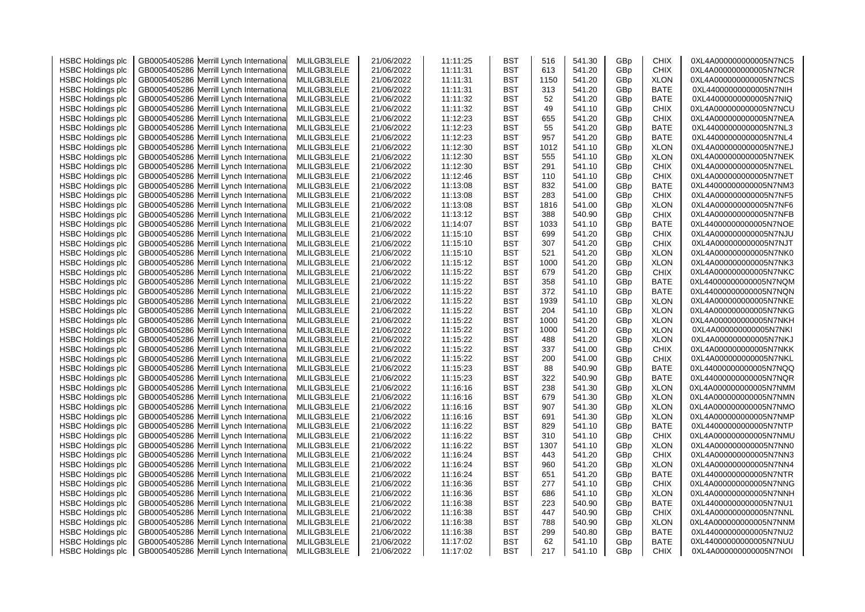| <b>HSBC Holdings plc</b> | GB0005405286 Merrill Lynch Internationa    | MLILGB3LELE | 21/06/2022 | 11:11:25 | <b>BST</b> | 516  | 541.30 | GBp             | <b>CHIX</b> | 0XL4A000000000005N7NC5 |
|--------------------------|--------------------------------------------|-------------|------------|----------|------------|------|--------|-----------------|-------------|------------------------|
| <b>HSBC Holdings plc</b> | GB0005405286 Merrill Lynch Internationa    | MLILGB3LELE | 21/06/2022 | 11:11:31 | <b>BST</b> | 613  | 541.20 | GBp             | <b>CHIX</b> | 0XL4A000000000005N7NCR |
| <b>HSBC Holdings plc</b> | GB0005405286 Merrill Lynch Internationa    | MLILGB3LELE | 21/06/2022 | 11:11:31 | BST        | 1150 | 541.20 | GBp             | <b>XLON</b> | 0XL4A000000000005N7NCS |
| <b>HSBC Holdings plc</b> | GB0005405286 Merrill Lynch Internationa    | MLILGB3LELE | 21/06/2022 | 11:11:31 | <b>BST</b> | 313  | 541.20 | GBp             | <b>BATE</b> | 0XL44000000000005N7NIH |
| <b>HSBC Holdings plc</b> | GB0005405286 Merrill Lynch Internationa    | MLILGB3LELE | 21/06/2022 | 11:11:32 | <b>BST</b> | 52   | 541.20 | GBp             | <b>BATE</b> | 0XL44000000000005N7NIQ |
|                          |                                            |             |            |          | <b>BST</b> |      |        |                 |             |                        |
| <b>HSBC Holdings plc</b> | GB0005405286 Merrill Lynch Internationa    | MLILGB3LELE | 21/06/2022 | 11:11:32 |            | 49   | 541.10 | GBp             | <b>CHIX</b> | 0XL4A000000000005N7NCU |
| <b>HSBC Holdings plc</b> | Merrill Lynch Internationa<br>GB0005405286 | MLILGB3LELE | 21/06/2022 | 11:12:23 | <b>BST</b> | 655  | 541.20 | GBp             | CHIX        | 0XL4A000000000005N7NEA |
| <b>HSBC Holdings plc</b> | GB0005405286 Merrill Lynch Internationa    | MLILGB3LELE | 21/06/2022 | 11:12:23 | <b>BST</b> | 55   | 541.20 | GBp             | <b>BATE</b> | 0XL44000000000005N7NL3 |
| <b>HSBC Holdings plc</b> | Merrill Lynch Internationa<br>GB0005405286 | MLILGB3LELE | 21/06/2022 | 11:12:23 | <b>BST</b> | 957  | 541.20 | GBp             | BATE        | 0XL44000000000005N7NL4 |
| <b>HSBC Holdings plc</b> | GB0005405286 Merrill Lynch Internationa    | MLILGB3LELE | 21/06/2022 | 11:12:30 | BST        | 1012 | 541.10 | GBp             | <b>XLON</b> | 0XL4A000000000005N7NEJ |
| <b>HSBC Holdings plc</b> | GB0005405286 Merrill Lynch Internationa    | MLILGB3LELE | 21/06/2022 | 11:12:30 | BST        | 555  | 541.10 | GBp             | <b>XLON</b> | 0XL4A000000000005N7NEK |
| <b>HSBC Holdings plc</b> | GB0005405286 Merrill Lynch Internationa    | MLILGB3LELE | 21/06/2022 | 11:12:30 | BST        | 291  | 541.10 | GBp             | <b>CHIX</b> | 0XL4A000000000005N7NEL |
| <b>HSBC Holdings plc</b> | GB0005405286 Merrill Lynch Internationa    | MLILGB3LELE | 21/06/2022 | 11:12:46 | <b>BST</b> | 110  | 541.10 | GBp             | <b>CHIX</b> | 0XL4A000000000005N7NET |
| <b>HSBC Holdings plc</b> | Merrill Lynch Internationa<br>GB0005405286 | MLILGB3LELE | 21/06/2022 | 11:13:08 | <b>BST</b> | 832  | 541.00 | GBp             | BATE        | 0XL44000000000005N7NM3 |
| <b>HSBC Holdings plc</b> | GB0005405286 Merrill Lynch Internationa    | MLILGB3LELE | 21/06/2022 | 11:13:08 | <b>BST</b> | 283  | 541.00 | GBp             | <b>CHIX</b> | 0XL4A000000000005N7NF5 |
| <b>HSBC Holdings plc</b> | GB0005405286 Merrill Lynch Internationa    | MLILGB3LELE | 21/06/2022 | 11:13:08 | <b>BST</b> | 1816 | 541.00 | GBp             | <b>XLON</b> | 0XL4A000000000005N7NF6 |
| <b>HSBC Holdings plc</b> | GB0005405286 Merrill Lynch Internationa    | MLILGB3LELE | 21/06/2022 | 11:13:12 | <b>BST</b> | 388  | 540.90 | GBp             | <b>CHIX</b> | 0XL4A000000000005N7NFB |
| <b>HSBC Holdings plc</b> | GB0005405286<br>Merrill Lynch Internationa | MLILGB3LELE | 21/06/2022 | 11:14:07 | BST        | 1033 | 541.10 | GBp             | BATE        | 0XL44000000000005N7NOE |
| <b>HSBC Holdings plc</b> | GB0005405286 Merrill Lynch Internationa    | MLILGB3LELE | 21/06/2022 | 11:15:10 | BST        | 699  | 541.20 | GBp             | CHIX        | 0XL4A000000000005N7NJU |
| <b>HSBC Holdings plc</b> | GB0005405286<br>Merrill Lynch Internationa | MLILGB3LELE | 21/06/2022 | 11:15:10 | BST        | 307  | 541.20 | GBp             | <b>CHIX</b> | 0XL4A000000000005N7NJT |
| <b>HSBC Holdings plc</b> | GB0005405286 Merrill Lynch Internationa    | MLILGB3LELE | 21/06/2022 | 11:15:10 | <b>BST</b> | 521  | 541.20 | GBp             | <b>XLON</b> | 0XL4A000000000005N7NK0 |
| <b>HSBC Holdings plc</b> | GB0005405286 Merrill Lynch Internationa    | MLILGB3LELE | 21/06/2022 | 11:15:12 | <b>BST</b> | 1000 | 541.20 | GBp             | <b>XLON</b> | 0XL4A000000000005N7NK3 |
| <b>HSBC Holdings plc</b> | GB0005405286 Merrill Lynch International   | MLILGB3LELE | 21/06/2022 | 11:15:22 | BST        | 679  | 541.20 | GBp             | CHIX        | 0XL4A000000000005N7NKC |
| <b>HSBC Holdings plc</b> | GB0005405286 Merrill Lynch Internationa    | MLILGB3LELE | 21/06/2022 | 11:15:22 | <b>BST</b> | 358  | 541.10 | GBp             | BATE        | 0XL44000000000005N7NQM |
| <b>HSBC Holdings plc</b> | GB0005405286 Merrill Lynch Internationa    | MLILGB3LELE | 21/06/2022 | 11:15:22 | <b>BST</b> | 372  | 541.10 | GBp             | BATE        | 0XL44000000000005N7NQN |
|                          |                                            |             |            |          |            |      |        |                 |             |                        |
| <b>HSBC Holdings plc</b> | GB0005405286 Merrill Lynch Internationa    | MLILGB3LELE | 21/06/2022 | 11:15:22 | <b>BST</b> | 1939 | 541.10 | GBp             | <b>XLON</b> | 0XL4A000000000005N7NKE |
| <b>HSBC Holdings plc</b> | Merrill Lynch Internationa<br>GB0005405286 | MLILGB3LELE | 21/06/2022 | 11:15:22 | BST        | 204  | 541.10 | GBp             | <b>XLON</b> | 0XL4A000000000005N7NKG |
| <b>HSBC Holdings plc</b> | GB0005405286 Merrill Lynch Internationa    | MLILGB3LELE | 21/06/2022 | 11:15:22 | <b>BST</b> | 1000 | 541.20 | GBp             | <b>XLON</b> | 0XL4A000000000005N7NKH |
| <b>HSBC Holdings plc</b> | GB0005405286 Merrill Lynch Internationa    | MLILGB3LELE | 21/06/2022 | 11:15:22 | <b>BST</b> | 1000 | 541.20 | GBp             | <b>XLON</b> | 0XL4A000000000005N7NKI |
| <b>HSBC Holdings plc</b> | GB0005405286 Merrill Lynch Internationa    | MLILGB3LELE | 21/06/2022 | 11:15:22 | <b>BST</b> | 488  | 541.20 | GBp             | <b>XLON</b> | 0XL4A000000000005N7NKJ |
| <b>HSBC Holdings plc</b> | GB0005405286 Merrill Lynch Internationa    | MLILGB3LELE | 21/06/2022 | 11:15:22 | <b>BST</b> | 337  | 541.00 | GBp             | <b>CHIX</b> | 0XL4A000000000005N7NKK |
| <b>HSBC Holdings plc</b> | GB0005405286 Merrill Lynch Internationa    | MLILGB3LELE | 21/06/2022 | 11:15:22 | <b>BST</b> | 200  | 541.00 | GBp             | <b>CHIX</b> | 0XL4A000000000005N7NKL |
| <b>HSBC Holdings plc</b> | GB0005405286 Merrill Lynch Internationa    | MLILGB3LELE | 21/06/2022 | 11:15:23 | <b>BST</b> | 88   | 540.90 | GBp             | BATE        | 0XL44000000000005N7NQQ |
| <b>HSBC Holdings plc</b> | Merrill Lynch Internationa<br>GB0005405286 | MLILGB3LELE | 21/06/2022 | 11:15:23 | <b>BST</b> | 322  | 540.90 | GBp             | BATE        | 0XL44000000000005N7NQR |
| <b>HSBC Holdings plc</b> | GB0005405286 Merrill Lynch Internationa    | MLILGB3LELE | 21/06/2022 | 11:16:16 | BST        | 238  | 541.30 | GBp             | <b>XLON</b> | 0XL4A000000000005N7NMM |
| <b>HSBC Holdings plc</b> | GB0005405286 Merrill Lynch Internationa    | MLILGB3LELE | 21/06/2022 | 11:16:16 | <b>BST</b> | 679  | 541.30 | GBp             | <b>XLON</b> | 0XL4A000000000005N7NMN |
| <b>HSBC Holdings plc</b> | GB0005405286 Merrill Lynch Internationa    | MLILGB3LELE | 21/06/2022 | 11:16:16 | <b>BST</b> | 907  | 541.30 | GBp             | <b>XLON</b> | 0XL4A000000000005N7NMO |
| <b>HSBC Holdings plc</b> | GB0005405286 Merrill Lynch Internationa    | MLILGB3LELE | 21/06/2022 | 11:16:16 | <b>BST</b> | 691  | 541.30 | GBp             | <b>XLON</b> | 0XL4A000000000005N7NMP |
| <b>HSBC Holdings plc</b> | GB0005405286 Merrill Lynch Internationa    | MLILGB3LELE | 21/06/2022 | 11:16:22 | <b>BST</b> | 829  | 541.10 | GBp             | <b>BATE</b> | 0XL44000000000005N7NTP |
| <b>HSBC Holdings plc</b> | GB0005405286 Merrill Lynch Internationa    | MLILGB3LELE | 21/06/2022 | 11:16:22 | <b>BST</b> | 310  | 541.10 | GBp             | <b>CHIX</b> | 0XL4A000000000005N7NMU |
| <b>HSBC Holdings plc</b> | Merrill Lynch Internationa<br>GB0005405286 | MLILGB3LELE | 21/06/2022 | 11:16:22 | <b>BST</b> | 1307 | 541.10 | GBp             | <b>XLON</b> | 0XL4A000000000005N7NN0 |
| <b>HSBC Holdings plc</b> | GB0005405286 Merrill Lynch Internationa    | MLILGB3LELE | 21/06/2022 | 11:16:24 | <b>BST</b> | 443  | 541.20 | GBp             | <b>CHIX</b> | 0XL4A000000000005N7NN3 |
| <b>HSBC Holdings plc</b> | Merrill Lynch Internationa<br>GB0005405286 | MLILGB3LELE | 21/06/2022 | 11:16:24 | BST        | 960  | 541.20 | GBp             | <b>XLON</b> | 0XL4A000000000005N7NN4 |
| <b>HSBC Holdings plc</b> | GB0005405286 Merrill Lynch Internationa    | MLILGB3LELE | 21/06/2022 | 11:16:24 | BST        | 651  | 541.20 | GB <sub>p</sub> | <b>BATE</b> | 0XL44000000000005N7NTR |
| <b>HSBC Holdings plc</b> | GB0005405286<br>Merrill Lynch Internationa | MLILGB3LELE | 21/06/2022 | 11:16:36 | <b>BST</b> | 277  | 541.10 | GBp             | <b>CHIX</b> | 0XL4A000000000005N7NNG |
| <b>HSBC Holdings plc</b> | Merrill Lynch Internationa<br>GB0005405286 | MLILGB3LELE | 21/06/2022 | 11:16:36 | <b>BST</b> | 686  | 541.10 | GBp             | <b>XLON</b> | 0XL4A000000000005N7NNH |
|                          | GB0005405286 Merrill Lynch Internationa    | MLILGB3LELE | 21/06/2022 | 11:16:38 | <b>BST</b> | 223  | 540.90 |                 | <b>BATE</b> | 0XL44000000000005N7NU1 |
| <b>HSBC Holdings plc</b> |                                            | MLILGB3LELE |            |          | <b>BST</b> | 447  |        | GBp<br>GBp      | <b>CHIX</b> |                        |
| <b>HSBC Holdings plc</b> | GB0005405286<br>Merrill Lynch Internationa |             | 21/06/2022 | 11:16:38 |            |      | 540.90 |                 |             | 0XL4A000000000005N7NNL |
| <b>HSBC Holdings plc</b> | GB0005405286 Merrill Lynch Internationa    | MLILGB3LELE | 21/06/2022 | 11:16:38 | <b>BST</b> | 788  | 540.90 | GBp             | <b>XLON</b> | 0XL4A000000000005N7NNM |
| <b>HSBC Holdings plc</b> | Merrill Lynch Internationa<br>GB0005405286 | MLILGB3LELE | 21/06/2022 | 11:16:38 | BST        | 299  | 540.80 | GBp             | BATE        | 0XL44000000000005N7NU2 |
| <b>HSBC Holdings plc</b> | GB0005405286 Merrill Lynch International   | MLILGB3LELE | 21/06/2022 | 11:17:02 | BST        | 62   | 541.10 | GBp             | BATE        | 0XL44000000000005N7NUU |
| <b>HSBC Holdings plc</b> | GB0005405286 Merrill Lynch International   | MLILGB3LELE | 21/06/2022 | 11:17:02 | BST        | 217  | 541.10 | GB <sub>p</sub> | <b>CHIX</b> | 0XL4A000000000005N7NOI |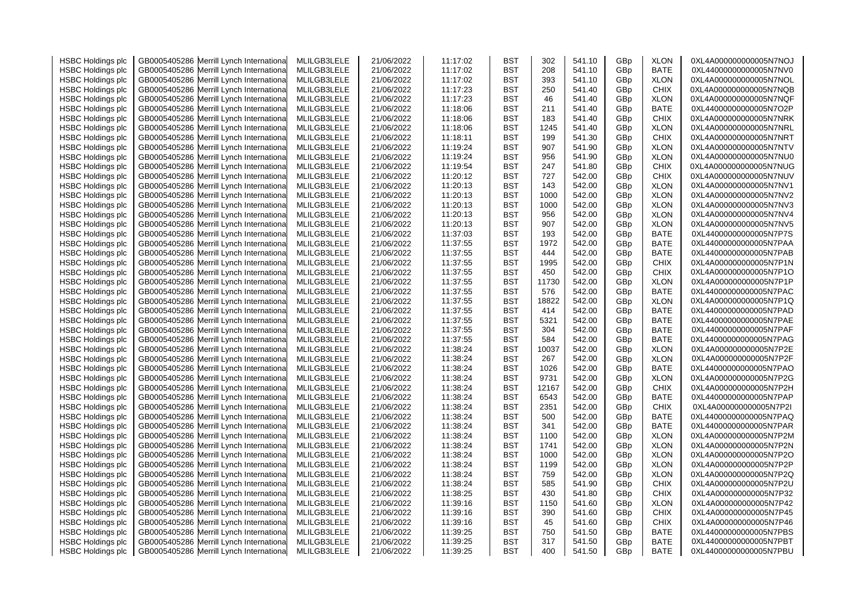| <b>HSBC Holdings plc</b> | GB0005405286 Merrill Lynch Internationa    | MLILGB3LELE | 21/06/2022 | 11:17:02 | <b>BST</b> | 302   | 541.10 | GBp             | <b>XLON</b> | 0XL4A000000000005N7NOJ |
|--------------------------|--------------------------------------------|-------------|------------|----------|------------|-------|--------|-----------------|-------------|------------------------|
| <b>HSBC Holdings plc</b> | GB0005405286 Merrill Lynch Internationa    | MLILGB3LELE | 21/06/2022 | 11:17:02 | <b>BST</b> | 208   | 541.10 | GBp             | BATE        | 0XL44000000000005N7NV0 |
| <b>HSBC Holdings plc</b> | GB0005405286 Merrill Lynch Internationa    | MLILGB3LELE | 21/06/2022 | 11:17:02 | BST        | 393   | 541.10 | GBp             | <b>XLON</b> | 0XL4A000000000005N7NOL |
| <b>HSBC Holdings plc</b> | Merrill Lynch Internationa<br>GB0005405286 | MLILGB3LELE | 21/06/2022 | 11:17:23 | <b>BST</b> | 250   | 541.40 | GBp             | <b>CHIX</b> | 0XL4A000000000005N7NQB |
| <b>HSBC Holdings plc</b> | GB0005405286 Merrill Lynch Internationa    | MLILGB3LELE | 21/06/2022 | 11:17:23 | <b>BST</b> | 46    | 541.40 | GBp             | <b>XLON</b> | 0XL4A000000000005N7NQF |
| <b>HSBC Holdings plc</b> | GB0005405286<br>Merrill Lynch Internationa | MLILGB3LELE | 21/06/2022 | 11:18:06 | <b>BST</b> | 211   | 541.40 | GBp             | <b>BATE</b> | 0XL44000000000005N7O2P |
| <b>HSBC Holdings plc</b> | Merrill Lynch Internationa<br>GB0005405286 | MLILGB3LELE | 21/06/2022 | 11:18:06 | <b>BST</b> | 183   | 541.40 | GBp             | <b>CHIX</b> | 0XL4A000000000005N7NRK |
| <b>HSBC Holdings plc</b> | GB0005405286 Merrill Lynch Internationa    | MLILGB3LELE | 21/06/2022 | 11:18:06 | <b>BST</b> | 1245  | 541.40 | GBp             | <b>XLON</b> | 0XL4A000000000005N7NRL |
| <b>HSBC Holdings plc</b> | Merrill Lynch Internationa<br>GB0005405286 | MLILGB3LELE | 21/06/2022 | 11:18:11 | <b>BST</b> | 199   | 541.30 | GBp             | <b>CHIX</b> | 0XL4A000000000005N7NRT |
| <b>HSBC Holdings plc</b> | GB0005405286 Merrill Lynch Internationa    | MLILGB3LELE | 21/06/2022 | 11:19:24 | BST        | 907   | 541.90 | GBp             | <b>XLON</b> | 0XL4A000000000005N7NTV |
| <b>HSBC Holdings plc</b> | GB0005405286<br>Merrill Lynch Internationa | MLILGB3LELE | 21/06/2022 | 11:19:24 | BST        | 956   | 541.90 | GBp             | <b>XLON</b> | 0XL4A000000000005N7NU0 |
| <b>HSBC Holdings plc</b> | GB0005405286 Merrill Lynch Internationa    | MLILGB3LELE | 21/06/2022 | 11:19:54 | BST        | 247   | 541.80 | GBp             | <b>CHIX</b> | 0XL4A000000000005N7NUG |
| <b>HSBC Holdings plc</b> | GB0005405286<br>Merrill Lynch Internationa | MLILGB3LELE | 21/06/2022 | 11:20:12 | <b>BST</b> | 727   | 542.00 | GBp             | <b>CHIX</b> | 0XL4A000000000005N7NUV |
|                          |                                            |             |            | 11:20:13 | <b>BST</b> | 143   |        |                 |             | 0XL4A000000000005N7NV1 |
| <b>HSBC Holdings plc</b> | GB0005405286<br>Merrill Lynch Internationa | MLILGB3LELE | 21/06/2022 |          |            |       | 542.00 | GBp             | <b>XLON</b> |                        |
| <b>HSBC Holdings plc</b> | GB0005405286 Merrill Lynch Internationa    | MLILGB3LELE | 21/06/2022 | 11:20:13 | <b>BST</b> | 1000  | 542.00 | GBp             | <b>XLON</b> | 0XL4A000000000005N7NV2 |
| <b>HSBC Holdings plc</b> | GB0005405286 Merrill Lynch Internationa    | MLILGB3LELE | 21/06/2022 | 11:20:13 | <b>BST</b> | 1000  | 542.00 | GBp             | <b>XLON</b> | 0XL4A000000000005N7NV3 |
| <b>HSBC Holdings plc</b> | GB0005405286 Merrill Lynch Internationa    | MLILGB3LELE | 21/06/2022 | 11:20:13 | <b>BST</b> | 956   | 542.00 | GBp             | <b>XLON</b> | 0XL4A000000000005N7NV4 |
| <b>HSBC Holdings plc</b> | GB0005405286<br>Merrill Lynch Internationa | MLILGB3LELE | 21/06/2022 | 11:20:13 | BST        | 907   | 542.00 | GBp             | <b>XLON</b> | 0XL4A000000000005N7NV5 |
| <b>HSBC Holdings plc</b> | GB0005405286 Merrill Lynch Internationa    | MLILGB3LELE | 21/06/2022 | 11:37:03 | BST        | 193   | 542.00 | GBp             | BATE        | 0XL44000000000005N7P7S |
| <b>HSBC Holdings plc</b> | GB0005405286<br>Merrill Lynch Internationa | MLILGB3LELE | 21/06/2022 | 11:37:55 | BST        | 1972  | 542.00 | GBp             | BATE        | 0XL44000000000005N7PAA |
| <b>HSBC Holdings plc</b> | GB0005405286 Merrill Lynch Internationa    | MLILGB3LELE | 21/06/2022 | 11:37:55 | <b>BST</b> | 444   | 542.00 | GBp             | <b>BATE</b> | 0XL44000000000005N7PAB |
| <b>HSBC Holdings plc</b> | GB0005405286 Merrill Lynch Internationa    | MLILGB3LELE | 21/06/2022 | 11:37:55 | <b>BST</b> | 1995  | 542.00 | GBp             | <b>CHIX</b> | 0XL4A000000000005N7P1N |
| <b>HSBC Holdings plc</b> | GB0005405286 Merrill Lynch International   | MLILGB3LELE | 21/06/2022 | 11:37:55 | BST        | 450   | 542.00 | GBp             | CHIX        | 0XL4A000000000005N7P1O |
| <b>HSBC Holdings plc</b> | GB0005405286 Merrill Lynch Internationa    | MLILGB3LELE | 21/06/2022 | 11:37:55 | <b>BST</b> | 11730 | 542.00 | GBp             | <b>XLON</b> | 0XL4A000000000005N7P1P |
| <b>HSBC Holdings plc</b> | GB0005405286 Merrill Lynch Internationa    | MLILGB3LELE | 21/06/2022 | 11:37:55 | <b>BST</b> | 576   | 542.00 | GBp             | BATE        | 0XL44000000000005N7PAC |
| <b>HSBC Holdings plc</b> | GB0005405286 Merrill Lynch Internationa    | MLILGB3LELE | 21/06/2022 | 11:37:55 | <b>BST</b> | 18822 | 542.00 | GBp             | <b>XLON</b> | 0XL4A000000000005N7P1Q |
| <b>HSBC Holdings plc</b> | Merrill Lynch Internationa<br>GB0005405286 | MLILGB3LELE | 21/06/2022 | 11:37:55 | BST        | 414   | 542.00 | GBp             | BATE        | 0XL44000000000005N7PAD |
| <b>HSBC Holdings plc</b> | GB0005405286 Merrill Lynch Internationa    | MLILGB3LELE | 21/06/2022 | 11:37:55 | <b>BST</b> | 5321  | 542.00 | GBp             | <b>BATE</b> | 0XL44000000000005N7PAE |
| <b>HSBC Holdings plc</b> | GB0005405286 Merrill Lynch Internationa    | MLILGB3LELE | 21/06/2022 | 11:37:55 | <b>BST</b> | 304   | 542.00 | GBp             | <b>BATE</b> | 0XL44000000000005N7PAF |
| <b>HSBC Holdings plc</b> | GB0005405286 Merrill Lynch Internationa    | MLILGB3LELE | 21/06/2022 | 11:37:55 | <b>BST</b> | 584   | 542.00 | GBp             | BATE        | 0XL44000000000005N7PAG |
| <b>HSBC Holdings plc</b> | GB0005405286 Merrill Lynch Internationa    | MLILGB3LELE | 21/06/2022 | 11:38:24 | <b>BST</b> | 10037 | 542.00 | GBp             | <b>XLON</b> | 0XL4A000000000005N7P2E |
| <b>HSBC Holdings plc</b> | GB0005405286 Merrill Lynch Internationa    | MLILGB3LELE | 21/06/2022 | 11:38:24 | <b>BST</b> | 267   | 542.00 | GBp             | <b>XLON</b> | 0XL4A000000000005N7P2F |
| <b>HSBC Holdings plc</b> | GB0005405286 Merrill Lynch Internationa    | MLILGB3LELE | 21/06/2022 | 11:38:24 | <b>BST</b> | 1026  | 542.00 | GBp             | BATE        | 0XL44000000000005N7PAO |
| <b>HSBC Holdings plc</b> | Merrill Lynch Internationa<br>GB0005405286 | MLILGB3LELE | 21/06/2022 | 11:38:24 | <b>BST</b> | 9731  | 542.00 | GBp             | <b>XLON</b> | 0XL4A000000000005N7P2G |
| <b>HSBC Holdings plc</b> | GB0005405286 Merrill Lynch Internationa    | MLILGB3LELE | 21/06/2022 | 11:38:24 | BST        | 12167 | 542.00 | GBp             | <b>CHIX</b> | 0XL4A000000000005N7P2H |
| <b>HSBC Holdings plc</b> | GB0005405286<br>Merrill Lynch Internationa | MLILGB3LELE | 21/06/2022 | 11:38:24 | <b>BST</b> | 6543  | 542.00 | GBp             | <b>BATE</b> | 0XL44000000000005N7PAP |
| <b>HSBC Holdings plc</b> | GB0005405286 Merrill Lynch Internationa    | MLILGB3LELE | 21/06/2022 | 11:38:24 | <b>BST</b> | 2351  | 542.00 | GBp             | <b>CHIX</b> | 0XL4A000000000005N7P2I |
| <b>HSBC Holdings plc</b> | GB0005405286<br>Merrill Lynch Internationa | MLILGB3LELE | 21/06/2022 | 11:38:24 | <b>BST</b> | 500   | 542.00 | GBp             | <b>BATE</b> | 0XL44000000000005N7PAQ |
| <b>HSBC Holdings plc</b> | GB0005405286 Merrill Lynch Internationa    | MLILGB3LELE | 21/06/2022 | 11:38:24 | <b>BST</b> | 341   | 542.00 | GBp             | <b>BATE</b> | 0XL44000000000005N7PAR |
|                          |                                            | MLILGB3LELE |            |          | <b>BST</b> | 1100  |        |                 | <b>XLON</b> | 0XL4A000000000005N7P2M |
| <b>HSBC Holdings plc</b> | GB0005405286 Merrill Lynch Internationa    |             | 21/06/2022 | 11:38:24 |            |       | 542.00 | GBp             |             |                        |
| <b>HSBC Holdings plc</b> | Merrill Lynch Internationa<br>GB0005405286 | MLILGB3LELE | 21/06/2022 | 11:38:24 | <b>BST</b> | 1741  | 542.00 | GBp             | <b>XLON</b> | 0XL4A000000000005N7P2N |
| <b>HSBC Holdings plc</b> | GB0005405286 Merrill Lynch Internationa    | MLILGB3LELE | 21/06/2022 | 11:38:24 | <b>BST</b> | 1000  | 542.00 | GBp             | <b>XLON</b> | 0XL4A000000000005N7P2O |
| <b>HSBC Holdings plc</b> | Merrill Lynch Internationa<br>GB0005405286 | MLILGB3LELE | 21/06/2022 | 11:38:24 | BST        | 1199  | 542.00 | GBp             | <b>XLON</b> | 0XL4A000000000005N7P2P |
| <b>HSBC Holdings plc</b> | GB0005405286 Merrill Lynch Internationa    | MLILGB3LELE | 21/06/2022 | 11:38:24 | BST        | 759   | 542.00 | GB <sub>p</sub> | <b>XLON</b> | 0XL4A000000000005N7P2Q |
| <b>HSBC Holdings plc</b> | GB0005405286<br>Merrill Lynch Internationa | MLILGB3LELE | 21/06/2022 | 11:38:24 | <b>BST</b> | 585   | 541.90 | GBp             | <b>CHIX</b> | 0XL4A000000000005N7P2U |
| <b>HSBC Holdings plc</b> | Merrill Lynch Internationa<br>GB0005405286 | MLILGB3LELE | 21/06/2022 | 11:38:25 | <b>BST</b> | 430   | 541.80 | GBp             | <b>CHIX</b> | 0XL4A000000000005N7P32 |
| <b>HSBC Holdings plc</b> | GB0005405286 Merrill Lynch Internationa    | MLILGB3LELE | 21/06/2022 | 11:39:16 | <b>BST</b> | 1150  | 541.60 | GBp             | <b>XLON</b> | 0XL4A000000000005N7P42 |
| <b>HSBC Holdings plc</b> | GB0005405286<br>Merrill Lynch Internationa | MLILGB3LELE | 21/06/2022 | 11:39:16 | <b>BST</b> | 390   | 541.60 | GBp             | <b>CHIX</b> | 0XL4A000000000005N7P45 |
| <b>HSBC Holdings plc</b> | GB0005405286 Merrill Lynch Internationa    | MLILGB3LELE | 21/06/2022 | 11:39:16 | <b>BST</b> | 45    | 541.60 | GBp             | <b>CHIX</b> | 0XL4A000000000005N7P46 |
| <b>HSBC Holdings plc</b> | Merrill Lynch Internationa<br>GB0005405286 | MLILGB3LELE | 21/06/2022 | 11:39:25 | BST        | 750   | 541.50 | GBp             | BATE        | 0XL44000000000005N7PBS |
| <b>HSBC Holdings plc</b> | GB0005405286 Merrill Lynch International   | MLILGB3LELE | 21/06/2022 | 11:39:25 | BST        | 317   | 541.50 | GBp             | <b>BATE</b> | 0XL44000000000005N7PBT |
| <b>HSBC Holdings plc</b> | GB0005405286 Merrill Lynch International   | MLILGB3LELE | 21/06/2022 | 11:39:25 | BST        | 400   | 541.50 | GB <sub>p</sub> | <b>BATE</b> | 0XL44000000000005N7PBU |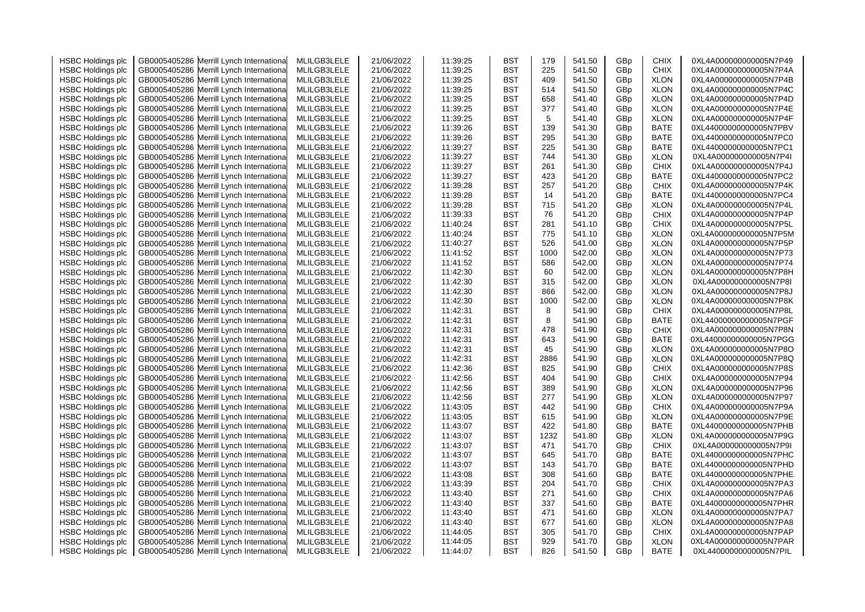| <b>HSBC Holdings plc</b> | GB0005405286 Merrill Lynch Internationa                                  | MLILGB3LELE | 21/06/2022 | 11:39:25 | BST        | 179  | 541.50 | GBp | <b>CHIX</b>         | 0XL4A000000000005N7P49                           |
|--------------------------|--------------------------------------------------------------------------|-------------|------------|----------|------------|------|--------|-----|---------------------|--------------------------------------------------|
| <b>HSBC Holdings plc</b> | Merrill Lynch Internationa<br>GB0005405286                               | MLILGB3LELE | 21/06/2022 | 11:39:25 | BST        | 225  | 541.50 | GBp | <b>CHIX</b>         | 0XL4A000000000005N7P4A                           |
| <b>HSBC Holdings plc</b> | Merrill Lynch Internationa<br>GB0005405286                               | MLILGB3LELE | 21/06/2022 | 11:39:25 | BST        | 409  | 541.50 | GBp | <b>XLON</b>         | 0XL4A000000000005N7P4B                           |
| <b>HSBC Holdings plc</b> | Merrill Lynch Internationa<br>GB0005405286                               | MLILGB3LELE | 21/06/2022 | 11:39:25 | BST        | 514  | 541.50 | GBp | <b>XLON</b>         | 0XL4A000000000005N7P4C                           |
| <b>HSBC Holdings plc</b> | GB0005405286<br>Merrill Lynch Internationa                               | MLILGB3LELE | 21/06/2022 | 11:39:25 | BST        | 658  | 541.40 | GBp | <b>XLON</b>         | 0XL4A000000000005N7P4D                           |
| <b>HSBC Holdings plc</b> | Merrill Lynch Internationa<br>GB0005405286                               | MLILGB3LELE | 21/06/2022 | 11:39:25 | BST        | 377  | 541.40 | GBp | <b>XLON</b>         | 0XL4A000000000005N7P4E                           |
| <b>HSBC Holdings plc</b> | GB0005405286<br>Merrill Lynch Internationa                               | MLILGB3LELE | 21/06/2022 | 11:39:25 | BST        | 5    | 541.40 | GBp | <b>XLON</b>         | 0XL4A000000000005N7P4F                           |
| <b>HSBC Holdings plc</b> | GB0005405286<br>Merrill Lynch Internationa                               | MLILGB3LELE | 21/06/2022 | 11:39:26 | BST        | 139  | 541.30 | GBp | <b>BATE</b>         | 0XL44000000000005N7PBV                           |
| <b>HSBC Holdings plc</b> | GB0005405286<br>Merrill Lynch Internationa                               | MLILGB3LELE | 21/06/2022 | 11:39:26 | BST        | 295  | 541.30 | GBp | BATE                | 0XL44000000000005N7PC0                           |
| <b>HSBC Holdings plc</b> | GB0005405286<br>Merrill Lynch Internationa                               | MLILGB3LELE | 21/06/2022 | 11:39:27 | BST        | 225  | 541.30 | GBp | BATE                | 0XL44000000000005N7PC1                           |
| <b>HSBC Holdings plc</b> | Merrill Lynch Internationa<br>GB0005405286                               | MLILGB3LELE | 21/06/2022 | 11:39:27 | BST        | 744  | 541.30 | GBp | <b>XLON</b>         | 0XL4A000000000005N7P4I                           |
| <b>HSBC Holdings plc</b> | Merrill Lynch Internationa<br>GB0005405286                               | MLILGB3LELE | 21/06/2022 | 11:39:27 | BST        | 261  | 541.30 | GBp | <b>CHIX</b>         | 0XL4A000000000005N7P4J                           |
| <b>HSBC Holdings plc</b> | Merrill Lynch Internationa<br>GB0005405286                               | MLILGB3LELE | 21/06/2022 | 11:39:27 | BST        | 423  | 541.20 | GBp | <b>BATE</b>         | 0XL44000000000005N7PC2                           |
| <b>HSBC Holdings plc</b> | GB0005405286<br>Merrill Lynch Internationa                               | MLILGB3LELE | 21/06/2022 | 11:39:28 | BST        | 257  | 541.20 | GBp | <b>CHIX</b>         | 0XL4A000000000005N7P4K                           |
| <b>HSBC Holdings plc</b> | GB0005405286<br>Merrill Lynch Internationa                               | MLILGB3LELE | 21/06/2022 | 11:39:28 | BST        | 14   | 541.20 | GBp | <b>BATE</b>         | 0XL44000000000005N7PC4                           |
| <b>HSBC Holdings plc</b> | GB0005405286<br>Merrill Lynch Internationa                               | MLILGB3LELE | 21/06/2022 | 11:39:28 | BST        | 715  | 541.20 | GBp | <b>XLON</b>         | 0XL4A000000000005N7P4L                           |
| <b>HSBC Holdings plc</b> | GB0005405286<br>Merrill Lynch Internationa                               | MLILGB3LELE | 21/06/2022 | 11:39:33 | BST        | 76   | 541.20 | GBp | <b>CHIX</b>         | 0XL4A000000000005N7P4P                           |
| <b>HSBC Holdings plc</b> | GB0005405286<br>Merrill Lynch Internationa                               | MLILGB3LELE | 21/06/2022 | 11:40:24 | BST        | 281  | 541.10 | GBp | <b>CHIX</b>         | 0XL4A000000000005N7P5L                           |
| <b>HSBC Holdings plc</b> | Merrill Lynch Internationa<br>GB0005405286                               | MLILGB3LELE | 21/06/2022 | 11:40:24 | BST        | 775  | 541.10 | GBp | <b>XLON</b>         | 0XL4A000000000005N7P5M                           |
| <b>HSBC Holdings plc</b> | Merrill Lynch Internationa<br>GB0005405286                               | MLILGB3LELE | 21/06/2022 | 11:40:27 | BST        | 526  | 541.00 | GBp | <b>XLON</b>         | 0XL4A000000000005N7P5P                           |
| <b>HSBC Holdings plc</b> | Merrill Lynch Internationa<br>GB0005405286                               | MLILGB3LELE | 21/06/2022 | 11:41:52 | BST        | 1000 | 542.00 | GBp | <b>XLON</b>         | 0XL4A000000000005N7P73                           |
| <b>HSBC Holdings plc</b> | GB0005405286<br>Merrill Lynch Internationa                               | MLILGB3LELE | 21/06/2022 | 11:41:52 | BST        | 586  | 542.00 | GBp | <b>XLON</b>         | 0XL4A000000000005N7P74                           |
| <b>HSBC Holdings plc</b> | Merrill Lynch Internationa<br>GB0005405286                               | MLILGB3LELE | 21/06/2022 | 11:42:30 | BST        | 60   | 542.00 | GBp | <b>XLON</b>         | 0XL4A000000000005N7P8H                           |
| <b>HSBC Holdings plc</b> | GB0005405286<br>Merrill Lynch Internationa                               | MLILGB3LELE | 21/06/2022 | 11:42:30 | BST        | 315  | 542.00 | GBp | <b>XLON</b>         | 0XL4A000000000005N7P8I                           |
| <b>HSBC Holdings plc</b> | Merrill Lynch Internationa<br>GB0005405286                               | MLILGB3LELE | 21/06/2022 | 11:42:30 | <b>BST</b> | 866  | 542.00 | GBp | <b>XLON</b>         | 0XL4A000000000005N7P8J                           |
| <b>HSBC Holdings plc</b> | Merrill Lynch Internationa<br>GB0005405286                               | MLILGB3LELE | 21/06/2022 | 11:42:30 | BST        | 1000 | 542.00 | GBp | <b>XLON</b>         | 0XL4A000000000005N7P8K                           |
| <b>HSBC Holdings plc</b> | Merrill Lynch Internationa<br>GB0005405286                               | MLILGB3LELE | 21/06/2022 | 11:42:31 | BST        | 8    | 541.90 | GBp | <b>CHIX</b>         | 0XL4A000000000005N7P8L                           |
| <b>HSBC Holdings plc</b> | Merrill Lynch Internationa<br>GB0005405286                               | MLILGB3LELE | 21/06/2022 | 11:42:31 | BST        | 8    | 541.90 | GBp | <b>BATE</b>         | 0XL44000000000005N7PGF                           |
| <b>HSBC Holdings plc</b> | Merrill Lynch Internationa<br>GB0005405286                               | MLILGB3LELE | 21/06/2022 | 11:42:31 | <b>BST</b> | 478  | 541.90 | GBp | <b>CHIX</b>         | 0XL4A000000000005N7P8N                           |
| <b>HSBC Holdings plc</b> | Merrill Lynch Internationa<br>GB0005405286                               | MLILGB3LELE | 21/06/2022 | 11:42:31 | BST        | 643  | 541.90 | GBp | <b>BATE</b>         | 0XL44000000000005N7PGG                           |
| <b>HSBC Holdings plc</b> | Merrill Lynch Internationa<br>GB0005405286                               | MLILGB3LELE | 21/06/2022 | 11:42:31 | BST        | 45   | 541.90 | GBp | <b>XLON</b>         | 0XL4A000000000005N7P8O                           |
| <b>HSBC Holdings plc</b> | Merrill Lynch Internationa<br>GB0005405286                               | MLILGB3LELE | 21/06/2022 | 11:42:31 | BST        | 2886 | 541.90 | GBp | <b>XLON</b>         | 0XL4A000000000005N7P8Q                           |
| <b>HSBC Holdings plc</b> | Merrill Lynch Internationa<br>GB0005405286                               | MLILGB3LELE | 21/06/2022 | 11:42:36 | <b>BST</b> | 825  | 541.90 | GBp | <b>CHIX</b>         | 0XL4A000000000005N7P8S                           |
| <b>HSBC Holdings plc</b> | Merrill Lynch Internationa<br>GB0005405286                               | MLILGB3LELE | 21/06/2022 | 11:42:56 | BST        | 404  | 541.90 | GBp | <b>CHIX</b>         | 0XL4A000000000005N7P94                           |
| <b>HSBC Holdings plc</b> | GB0005405286<br>Merrill Lynch Internationa                               | MLILGB3LELE | 21/06/2022 | 11:42:56 | BST        | 389  | 541.90 | GBp | <b>XLON</b>         | 0XL4A000000000005N7P96                           |
| <b>HSBC Holdings plc</b> | Merrill Lynch Internationa<br>GB0005405286                               | MLILGB3LELE | 21/06/2022 | 11:42:56 | BST        | 277  | 541.90 | GBp | <b>XLON</b>         | 0XL4A000000000005N7P97                           |
| <b>HSBC Holdings plc</b> | GB0005405286<br>Merrill Lynch Internationa                               | MLILGB3LELE | 21/06/2022 | 11:43:05 | BST        | 442  | 541.90 | GBp | <b>CHIX</b>         |                                                  |
| <b>HSBC Holdings plc</b> | Merrill Lynch Internationa<br>GB0005405286                               | MLILGB3LELE | 21/06/2022 | 11:43:05 | BST        | 615  | 541.90 | GBp | <b>XLON</b>         | 0XL4A000000000005N7P9A<br>0XL4A000000000005N7P9E |
|                          | GB0005405286<br>Merrill Lynch Internationa                               | MLILGB3LELE | 21/06/2022 | 11:43:07 | BST        | 422  | 541.80 | GBp | BATE                | 0XL44000000000005N7PHB                           |
| <b>HSBC Holdings plc</b> | GB0005405286<br>Merrill Lynch Internationa                               | MLILGB3LELE | 21/06/2022 | 11:43:07 | <b>BST</b> | 1232 | 541.80 |     | <b>XLON</b>         | 0XL4A000000000005N7P9G                           |
| <b>HSBC Holdings plc</b> |                                                                          |             |            |          | BST        |      |        | GBp |                     |                                                  |
| <b>HSBC Holdings plc</b> | GB0005405286<br>Merrill Lynch Internationa<br>Merrill Lynch Internationa | MLILGB3LELE | 21/06/2022 | 11:43:07 |            | 471  | 541.70 | GBp | <b>CHIX</b><br>BATE | 0XL4A000000000005N7P9I                           |
| <b>HSBC Holdings plc</b> | GB0005405286                                                             | MLILGB3LELE | 21/06/2022 | 11:43:07 | BST        | 645  | 541.70 | GBp |                     | 0XL44000000000005N7PHC                           |
| <b>HSBC Holdings plc</b> | Merrill Lynch Internationa<br>GB0005405286                               | MLILGB3LELE | 21/06/2022 | 11:43:07 | BST        | 143  | 541.70 | GBp | BATE                | 0XL44000000000005N7PHD                           |
| <b>HSBC Holdings plc</b> | Merrill Lynch Internationa<br>GB0005405286                               | MLILGB3LELE | 21/06/2022 | 11:43:08 | BST        | 308  | 541.60 | GBp | BATE                | 0XL44000000000005N7PHE                           |
| <b>HSBC Holdings plc</b> | Merrill Lynch Internationa<br>GB0005405286                               | MLILGB3LELE | 21/06/2022 | 11:43:39 | BST        | 204  | 541.70 | GBp | <b>CHIX</b>         | 0XL4A000000000005N7PA3                           |
| <b>HSBC Holdings plc</b> | Merrill Lynch Internationa<br>GB0005405286                               | MLILGB3LELE | 21/06/2022 | 11:43:40 | BST        | 271  | 541.60 | GBp | <b>CHIX</b>         | 0XL4A000000000005N7PA6                           |
| <b>HSBC Holdings plc</b> | GB0005405286<br>Merrill Lynch Internationa                               | MLILGB3LELE | 21/06/2022 | 11:43:40 | BST        | 337  | 541.60 | GBp | <b>BATE</b>         | 0XL44000000000005N7PHR                           |
| <b>HSBC Holdings plc</b> | Merrill Lynch Internationa<br>GB0005405286                               | MLILGB3LELE | 21/06/2022 | 11:43:40 | BST        | 471  | 541.60 | GBp | <b>XLON</b>         | 0XL4A000000000005N7PA7                           |
| <b>HSBC Holdings plc</b> | Merrill Lynch Internationa<br>GB0005405286                               | MLILGB3LELE | 21/06/2022 | 11:43:40 | BST        | 677  | 541.60 | GBp | <b>XLON</b>         | 0XL4A000000000005N7PA8                           |
| <b>HSBC Holdings plc</b> | Merrill Lynch Internationa<br>GB0005405286                               | MLILGB3LELE | 21/06/2022 | 11:44:05 | BST        | 305  | 541.70 | GBp | <b>CHIX</b>         | 0XL4A000000000005N7PAP                           |
| <b>HSBC Holdings plc</b> | GB0005405286 Merrill Lynch Internationa                                  | MLILGB3LELE | 21/06/2022 | 11:44:05 | BST        | 929  | 541.70 | GBp | <b>XLON</b>         | 0XL4A000000000005N7PAR                           |
| <b>HSBC Holdings plc</b> | GB0005405286 Merrill Lynch International                                 | MLILGB3LELE | 21/06/2022 | 11:44:07 | BST        | 826  | 541.50 | GBp | BATE                | 0XL44000000000005N7PIL                           |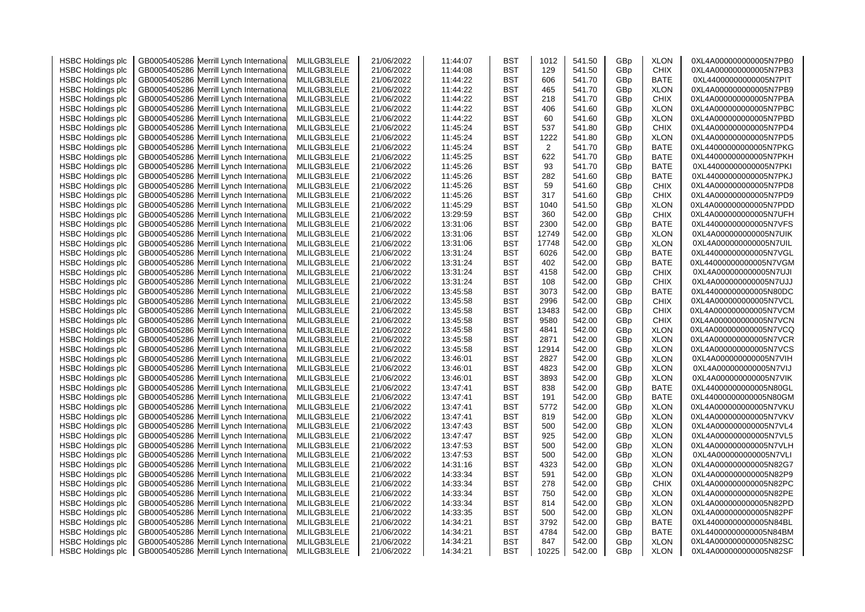| <b>HSBC Holdings plc</b> | GB0005405286 Merrill Lynch Internationa    | MLILGB3LELE | 21/06/2022 | 11:44:07 | <b>BST</b> | 1012           | 541.50 | GBp | <b>XLON</b> | 0XL4A000000000005N7PB0 |
|--------------------------|--------------------------------------------|-------------|------------|----------|------------|----------------|--------|-----|-------------|------------------------|
| <b>HSBC Holdings plc</b> | Merrill Lynch Internationa<br>GB0005405286 | MLILGB3LELE | 21/06/2022 | 11:44:08 | <b>BST</b> | 129            | 541.50 | GBp | <b>CHIX</b> | 0XL4A000000000005N7PB3 |
| <b>HSBC Holdings plc</b> | GB0005405286 Merrill Lynch Internationa    | MLILGB3LELE | 21/06/2022 | 11:44:22 | <b>BST</b> | 606            | 541.70 | GBp | BATE        | 0XL44000000000005N7PIT |
| <b>HSBC Holdings plc</b> | Merrill Lynch Internationa<br>GB0005405286 | MLILGB3LELE | 21/06/2022 | 11:44:22 | <b>BST</b> | 465            | 541.70 | GBp | <b>XLON</b> | 0XL4A000000000005N7PB9 |
| <b>HSBC Holdings plc</b> | GB0005405286<br>Merrill Lynch Internationa | MLILGB3LELE | 21/06/2022 | 11:44:22 | <b>BST</b> | 218            | 541.70 | GBp | <b>CHIX</b> | 0XL4A000000000005N7PBA |
| <b>HSBC Holdings plc</b> | GB0005405286<br>Merrill Lynch Internationa | MLILGB3LELE | 21/06/2022 | 11:44:22 | <b>BST</b> | 406            | 541.60 | GBp | <b>XLON</b> | 0XL4A000000000005N7PBC |
| <b>HSBC Holdings plc</b> | Merrill Lynch Internationa<br>GB0005405286 | MLILGB3LELE | 21/06/2022 | 11:44:22 | <b>BST</b> | 60             | 541.60 | GBp | <b>XLON</b> | 0XL4A000000000005N7PBD |
| <b>HSBC Holdings plc</b> | GB0005405286 Merrill Lynch Internationa    | MLILGB3LELE | 21/06/2022 | 11:45:24 | <b>BST</b> | 537            | 541.80 | GBp | <b>CHIX</b> | 0XL4A000000000005N7PD4 |
| <b>HSBC Holdings plc</b> | Merrill Lynch Internationa<br>GB0005405286 | MLILGB3LELE | 21/06/2022 | 11:45:24 | <b>BST</b> | 1222           | 541.80 | GBp | <b>XLON</b> | 0XL4A000000000005N7PD5 |
| <b>HSBC Holdings plc</b> | Merrill Lynch Internationa<br>GB0005405286 | MLILGB3LELE | 21/06/2022 | 11:45:24 | BST        | $\overline{2}$ | 541.70 | GBp | <b>BATE</b> | 0XL44000000000005N7PKG |
| <b>HSBC Holdings plc</b> | GB0005405286<br>Merrill Lynch Internationa | MLILGB3LELE | 21/06/2022 | 11:45:25 | <b>BST</b> | 622            | 541.70 | GBp | BATE        | 0XL44000000000005N7PKH |
| <b>HSBC Holdings plc</b> | GB0005405286 Merrill Lynch Internationa    | MLILGB3LELE | 21/06/2022 | 11:45:26 | <b>BST</b> | 93             | 541.70 | GBp | <b>BATE</b> | 0XL44000000000005N7PKI |
| <b>HSBC Holdings plc</b> | GB0005405286<br>Merrill Lynch Internationa | MLILGB3LELE | 21/06/2022 | 11:45:26 | <b>BST</b> | 282            | 541.60 | GBp | <b>BATE</b> | 0XL44000000000005N7PKJ |
|                          |                                            |             |            |          |            | 59             | 541.60 |     |             | 0XL4A000000000005N7PD8 |
| <b>HSBC Holdings plc</b> | Merrill Lynch Internationa<br>GB0005405286 | MLILGB3LELE | 21/06/2022 | 11:45:26 | <b>BST</b> |                |        | GBp | <b>CHIX</b> |                        |
| <b>HSBC Holdings plc</b> | GB0005405286 Merrill Lynch Internationa    | MLILGB3LELE | 21/06/2022 | 11:45:26 | <b>BST</b> | 317            | 541.60 | GBp | <b>CHIX</b> | 0XL4A000000000005N7PD9 |
| <b>HSBC Holdings plc</b> | GB0005405286<br>Merrill Lynch Internationa | MLILGB3LELE | 21/06/2022 | 11:45:29 | <b>BST</b> | 1040           | 541.50 | GBp | <b>XLON</b> | 0XL4A000000000005N7PDD |
| <b>HSBC Holdings plc</b> | GB0005405286 Merrill Lynch Internationa    | MLILGB3LELE | 21/06/2022 | 13:29:59 | <b>BST</b> | 360            | 542.00 | GBp | <b>CHIX</b> | 0XL4A000000000005N7UFH |
| <b>HSBC Holdings plc</b> | GB0005405286<br>Merrill Lynch Internationa | MLILGB3LELE | 21/06/2022 | 13:31:06 | BST        | 2300           | 542.00 | GBp | <b>BATE</b> | 0XL44000000000005N7VFS |
| <b>HSBC Holdings plc</b> | GB0005405286 Merrill Lynch Internationa    | MLILGB3LELE | 21/06/2022 | 13:31:06 | BST        | 12749          | 542.00 | GBp | <b>XLON</b> | 0XL4A000000000005N7UIK |
| <b>HSBC Holdings plc</b> | GB0005405286<br>Merrill Lynch Internationa | MLILGB3LELE | 21/06/2022 | 13:31:06 | <b>BST</b> | 17748          | 542.00 | GBp | <b>XLON</b> | 0XL4A000000000005N7UIL |
| <b>HSBC Holdings plc</b> | GB0005405286 Merrill Lynch Internationa    | MLILGB3LELE | 21/06/2022 | 13:31:24 | <b>BST</b> | 6026           | 542.00 | GBp | <b>BATE</b> | 0XL44000000000005N7VGL |
| <b>HSBC Holdings plc</b> | GB0005405286<br>Merrill Lynch Internationa | MLILGB3LELE | 21/06/2022 | 13:31:24 | BST        | 402            | 542.00 | GBp | <b>BATE</b> | 0XL44000000000005N7VGM |
| <b>HSBC Holdings plc</b> | GB0005405286<br>Merrill Lynch Internationa | MLILGB3LELE | 21/06/2022 | 13:31:24 | BST        | 4158           | 542.00 | GBp | <b>CHIX</b> | 0XL4A000000000005N7UJI |
| <b>HSBC Holdings plc</b> | GB0005405286<br>Merrill Lynch Internationa | MLILGB3LELE | 21/06/2022 | 13:31:24 | BST        | 108            | 542.00 | GBp | <b>CHIX</b> | 0XL4A000000000005N7UJJ |
| <b>HSBC Holdings plc</b> | GB0005405286<br>Merrill Lynch Internationa | MLILGB3LELE | 21/06/2022 | 13:45:58 | <b>BST</b> | 3073           | 542.00 | GBp | <b>BATE</b> | 0XL44000000000005N80DC |
| <b>HSBC Holdings plc</b> | GB0005405286 Merrill Lynch Internationa    | MLILGB3LELE | 21/06/2022 | 13:45:58 | <b>BST</b> | 2996           | 542.00 | GBp | <b>CHIX</b> | 0XL4A000000000005N7VCL |
| <b>HSBC Holdings plc</b> | Merrill Lynch Internationa<br>GB0005405286 | MLILGB3LELE | 21/06/2022 | 13:45:58 | BST        | 13483          | 542.00 | GBp | <b>CHIX</b> | 0XL4A000000000005N7VCM |
| <b>HSBC Holdings plc</b> | GB0005405286 Merrill Lynch Internationa    | MLILGB3LELE | 21/06/2022 | 13:45:58 | BST        | 9580           | 542.00 | GBp | <b>CHIX</b> | 0XL4A000000000005N7VCN |
| <b>HSBC Holdings plc</b> | GB0005405286<br>Merrill Lynch Internationa | MLILGB3LELE | 21/06/2022 | 13:45:58 | <b>BST</b> | 4841           | 542.00 | GBp | <b>XLON</b> | 0XL4A000000000005N7VCQ |
| <b>HSBC Holdings plc</b> | GB0005405286<br>Merrill Lynch Internationa | MLILGB3LELE | 21/06/2022 | 13:45:58 | <b>BST</b> | 2871           | 542.00 | GBp | <b>XLON</b> | 0XL4A000000000005N7VCR |
| <b>HSBC Holdings plc</b> | GB0005405286 Merrill Lynch Internationa    | MLILGB3LELE | 21/06/2022 | 13:45:58 | BST        | 12914          | 542.00 | GBp | <b>XLON</b> | 0XL4A000000000005N7VCS |
| <b>HSBC Holdings plc</b> | GB0005405286<br>Merrill Lynch Internationa | MLILGB3LELE | 21/06/2022 | 13:46:01 | <b>BST</b> | 2827           | 542.00 | GBp | <b>XLON</b> | 0XL4A000000000005N7VIH |
| <b>HSBC Holdings plc</b> | GB0005405286 Merrill Lynch Internationa    | MLILGB3LELE | 21/06/2022 | 13:46:01 | <b>BST</b> | 4823           | 542.00 | GBp | <b>XLON</b> | 0XL4A000000000005N7VIJ |
| <b>HSBC Holdings plc</b> | Merrill Lynch Internationa<br>GB0005405286 | MLILGB3LELE | 21/06/2022 | 13:46:01 | BST        | 3893           | 542.00 | GBp | <b>XLON</b> | 0XL4A000000000005N7VIK |
| <b>HSBC Holdings plc</b> | GB0005405286 Merrill Lynch Internationa    | MLILGB3LELE | 21/06/2022 | 13:47:41 | BST        | 838            | 542.00 | GBp | BATE        | 0XL44000000000005N80GL |
| <b>HSBC Holdings plc</b> | Merrill Lynch Internationa<br>GB0005405286 | MLILGB3LELE | 21/06/2022 | 13:47:41 | <b>BST</b> | 191            | 542.00 | GBp | <b>BATE</b> | 0XL44000000000005N80GM |
| <b>HSBC Holdings plc</b> | GB0005405286<br>Merrill Lynch Internationa | MLILGB3LELE | 21/06/2022 | 13:47:41 | <b>BST</b> | 5772           | 542.00 | GBp | <b>XLON</b> | 0XL4A000000000005N7VKU |
| <b>HSBC Holdings plc</b> | GB0005405286<br>Merrill Lynch Internationa | MLILGB3LELE | 21/06/2022 | 13:47:41 | <b>BST</b> | 819            | 542.00 | GBp | <b>XLON</b> | 0XL4A000000000005N7VKV |
| <b>HSBC Holdings plc</b> | Merrill Lynch Internationa<br>GB0005405286 | MLILGB3LELE | 21/06/2022 | 13:47:43 | <b>BST</b> | 500            | 542.00 | GBp | <b>XLON</b> | 0XL4A000000000005N7VL4 |
| <b>HSBC Holdings plc</b> | GB0005405286 Merrill Lynch Internationa    | MLILGB3LELE | 21/06/2022 | 13:47:47 | <b>BST</b> | 925            | 542.00 | GBp | <b>XLON</b> | 0XL4A000000000005N7VL5 |
| <b>HSBC Holdings plc</b> | Merrill Lynch Internationa<br>GB0005405286 | MLILGB3LELE | 21/06/2022 | 13:47:53 | <b>BST</b> | 500            | 542.00 | GBp | <b>XLON</b> | 0XL4A000000000005N7VLH |
|                          |                                            |             |            |          |            |                |        |     |             |                        |
| <b>HSBC Holdings plc</b> | Merrill Lynch Internationa<br>GB0005405286 | MLILGB3LELE | 21/06/2022 | 13:47:53 | BST        | 500            | 542.00 | GBp | <b>XLON</b> | 0XL4A000000000005N7VLI |
| <b>HSBC Holdings plc</b> | Merrill Lynch Internationa<br>GB0005405286 | MLILGB3LELE | 21/06/2022 | 14:31:16 | <b>BST</b> | 4323           | 542.00 | GBp | <b>XLON</b> | 0XL4A000000000005N82G7 |
| <b>HSBC Holdings plc</b> | GB0005405286<br>Merrill Lynch Internationa | MLILGB3LELE | 21/06/2022 | 14:33:34 | <b>BST</b> | 591            | 542.00 | GBp | <b>XLON</b> | 0XL4A000000000005N82P9 |
| <b>HSBC Holdings plc</b> | GB0005405286<br>Merrill Lynch Internationa | MLILGB3LELE | 21/06/2022 | 14:33:34 | <b>BST</b> | 278            | 542.00 | GBp | <b>CHIX</b> | 0XL4A000000000005N82PC |
| <b>HSBC Holdings plc</b> | Merrill Lynch Internationa<br>GB0005405286 | MLILGB3LELE | 21/06/2022 | 14:33:34 | <b>BST</b> | 750            | 542.00 | GBp | <b>XLON</b> | 0XL4A000000000005N82PE |
| <b>HSBC Holdings plc</b> | GB0005405286<br>Merrill Lynch Internationa | MLILGB3LELE | 21/06/2022 | 14:33:34 | <b>BST</b> | 814            | 542.00 | GBp | <b>XLON</b> | 0XL4A000000000005N82PD |
| <b>HSBC Holdings plc</b> | Merrill Lynch Internationa<br>GB0005405286 | MLILGB3LELE | 21/06/2022 | 14:33:35 | <b>BST</b> | 500            | 542.00 | GBp | <b>XLON</b> | 0XL4A000000000005N82PF |
| <b>HSBC Holdings plc</b> | GB0005405286 Merrill Lynch Internationa    | MLILGB3LELE | 21/06/2022 | 14:34:21 | <b>BST</b> | 3792           | 542.00 | GBp | <b>BATE</b> | 0XL44000000000005N84BL |
| <b>HSBC Holdings plc</b> | Merrill Lynch Internationa<br>GB0005405286 | MLILGB3LELE | 21/06/2022 | 14:34:21 | BST        | 4784           | 542.00 | GBp | <b>BATE</b> | 0XL44000000000005N84BM |
| <b>HSBC Holdings plc</b> | GB0005405286 Merrill Lynch International   | MLILGB3LELE | 21/06/2022 | 14:34:21 | <b>BST</b> | 847            | 542.00 | GBp | <b>XLON</b> | 0XL4A000000000005N82SC |
| <b>HSBC Holdings plc</b> | GB0005405286 Merrill Lynch International   | MLILGB3LELE | 21/06/2022 | 14:34:21 | <b>BST</b> | 10225          | 542.00 | GBp | <b>XLON</b> | 0XL4A000000000005N82SF |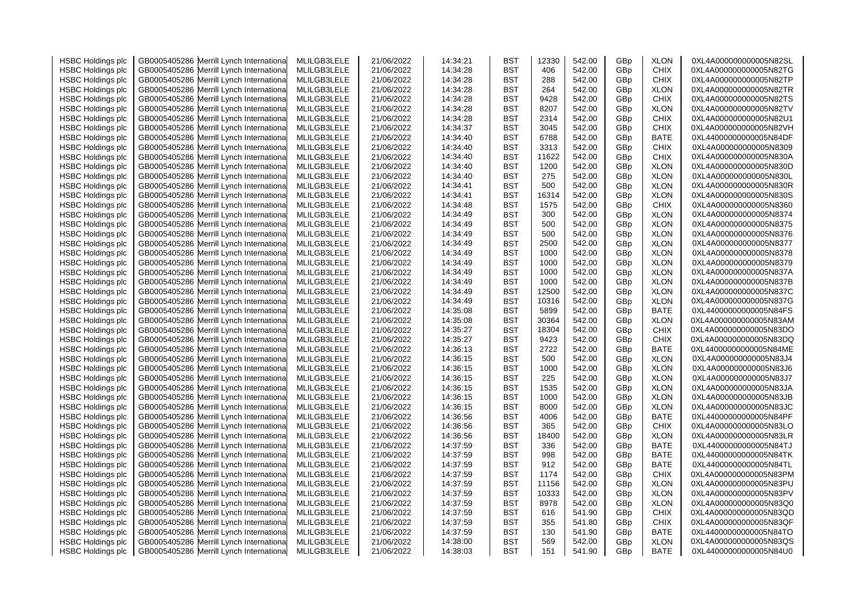| <b>HSBC Holdings plc</b> | GB0005405286 Merrill Lynch Internationa    | MLILGB3LELE | 21/06/2022 | 14:34:21 | BST        | 12330 | 542.00 | GBp | <b>XLON</b> | 0XL4A000000000005N82SL |
|--------------------------|--------------------------------------------|-------------|------------|----------|------------|-------|--------|-----|-------------|------------------------|
| <b>HSBC Holdings plc</b> | Merrill Lynch Internationa<br>GB0005405286 | MLILGB3LELE | 21/06/2022 | 14:34:28 | <b>BST</b> | 406   | 542.00 | GBp | <b>CHIX</b> | 0XL4A000000000005N82TG |
| <b>HSBC Holdings plc</b> | GB0005405286<br>Merrill Lynch Internationa | MLILGB3LELE | 21/06/2022 | 14:34:28 | <b>BST</b> | 288   | 542.00 | GBp | <b>CHIX</b> | 0XL4A000000000005N82TP |
| <b>HSBC Holdings plc</b> | Merrill Lynch Internationa<br>GB0005405286 | MLILGB3LELE | 21/06/2022 | 14:34:28 | <b>BST</b> | 264   | 542.00 | GBp | <b>XLON</b> | 0XL4A000000000005N82TR |
| <b>HSBC Holdings plc</b> | Merrill Lynch Internationa<br>GB0005405286 | MLILGB3LELE | 21/06/2022 | 14:34:28 | <b>BST</b> | 9428  | 542.00 | GBp | <b>CHIX</b> | 0XL4A000000000005N82TS |
| <b>HSBC Holdings plc</b> | GB0005405286<br>Merrill Lynch Internationa | MLILGB3LELE | 21/06/2022 | 14:34:28 | BST        | 8207  | 542.00 | GBp | <b>XLON</b> | 0XL4A000000000005N82TV |
| <b>HSBC Holdings plc</b> | GB0005405286<br>Merrill Lynch Internationa | MLILGB3LELE | 21/06/2022 | 14:34:28 | <b>BST</b> | 2314  | 542.00 | GBp | <b>CHIX</b> | 0XL4A000000000005N82U1 |
| <b>HSBC Holdings plc</b> | GB0005405286 Merrill Lynch Internationa    | MLILGB3LELE | 21/06/2022 | 14:34:37 | <b>BST</b> | 3045  | 542.00 | GBp | <b>CHIX</b> | 0XL4A000000000005N82VH |
| <b>HSBC Holdings plc</b> | GB0005405286<br>Merrill Lynch Internationa | MLILGB3LELE | 21/06/2022 | 14:34:40 | BST        | 6788  | 542.00 | GBp | BATE        | 0XL44000000000005N84DF |
| <b>HSBC Holdings plc</b> | GB0005405286 Merrill Lynch Internationa    | MLILGB3LELE | 21/06/2022 | 14:34:40 | BST        | 3313  | 542.00 | GBp | <b>CHIX</b> | 0XL4A000000000005N8309 |
| <b>HSBC Holdings plc</b> | Merrill Lynch Internationa<br>GB0005405286 | MLILGB3LELE | 21/06/2022 | 14:34:40 | BST        | 11622 | 542.00 | GBp | <b>CHIX</b> | 0XL4A000000000005N830A |
| <b>HSBC Holdings plc</b> | GB0005405286 Merrill Lynch Internationa    | MLILGB3LELE | 21/06/2022 | 14:34:40 | BST        | 1200  | 542.00 | GBp | <b>XLON</b> | 0XL4A000000000005N830D |
| <b>HSBC Holdings plc</b> | GB0005405286<br>Merrill Lynch Internationa | MLILGB3LELE | 21/06/2022 | 14:34:40 | BST        | 275   | 542.00 | GBp | <b>XLON</b> | 0XL4A000000000005N830L |
| <b>HSBC Holdings plc</b> | GB0005405286<br>Merrill Lynch Internationa | MLILGB3LELE | 21/06/2022 | 14:34:41 | BST        | 500   | 542.00 | GBp | <b>XLON</b> | 0XL4A000000000005N830R |
| <b>HSBC Holdings plc</b> | GB0005405286 Merrill Lynch Internationa    | MLILGB3LELE | 21/06/2022 | 14:34:41 | <b>BST</b> | 16314 | 542.00 | GBp | <b>XLON</b> | 0XL4A000000000005N830S |
|                          |                                            | MLILGB3LELE |            | 14:34:48 | <b>BST</b> | 1575  | 542.00 |     |             | 0XL4A000000000005N8360 |
| <b>HSBC Holdings plc</b> | GB0005405286<br>Merrill Lynch Internationa |             | 21/06/2022 |          |            |       |        | GBp | <b>CHIX</b> |                        |
| <b>HSBC Holdings plc</b> | GB0005405286 Merrill Lynch Internationa    | MLILGB3LELE | 21/06/2022 | 14:34:49 | <b>BST</b> | 300   | 542.00 | GBp | <b>XLON</b> | 0XL4A000000000005N8374 |
| <b>HSBC Holdings plc</b> | Merrill Lynch Internationa<br>GB0005405286 | MLILGB3LELE | 21/06/2022 | 14:34:49 | BST        | 500   | 542.00 | GBp | <b>XLON</b> | 0XL4A000000000005N8375 |
| <b>HSBC Holdings plc</b> | GB0005405286 Merrill Lynch Internationa    | MLILGB3LELE | 21/06/2022 | 14:34:49 | BST        | 500   | 542.00 | GBp | <b>XLON</b> | 0XL4A000000000005N8376 |
| <b>HSBC Holdings plc</b> | Merrill Lynch Internationa<br>GB0005405286 | MLILGB3LELE | 21/06/2022 | 14:34:49 | <b>BST</b> | 2500  | 542.00 | GBp | <b>XLON</b> | 0XL4A000000000005N8377 |
| <b>HSBC Holdings plc</b> | GB0005405286<br>Merrill Lynch Internationa | MLILGB3LELE | 21/06/2022 | 14:34:49 | <b>BST</b> | 1000  | 542.00 | GBp | <b>XLON</b> | 0XL4A000000000005N8378 |
| <b>HSBC Holdings plc</b> | GB0005405286<br>Merrill Lynch Internationa | MLILGB3LELE | 21/06/2022 | 14:34:49 | <b>BST</b> | 1000  | 542.00 | GBp | <b>XLON</b> | 0XL4A000000000005N8379 |
| <b>HSBC Holdings plc</b> | Merrill Lynch Internationa<br>GB0005405286 | MLILGB3LELE | 21/06/2022 | 14:34:49 | <b>BST</b> | 1000  | 542.00 | GBp | <b>XLON</b> | 0XL4A000000000005N837A |
| <b>HSBC Holdings plc</b> | GB0005405286<br>Merrill Lynch Internationa | MLILGB3LELE | 21/06/2022 | 14:34:49 | <b>BST</b> | 1000  | 542.00 | GBp | <b>XLON</b> | 0XL4A000000000005N837B |
| <b>HSBC Holdings plc</b> | GB0005405286<br>Merrill Lynch Internationa | MLILGB3LELE | 21/06/2022 | 14:34:49 | BST        | 12500 | 542.00 | GBp | <b>XLON</b> | 0XL4A000000000005N837C |
| <b>HSBC Holdings plc</b> | GB0005405286 Merrill Lynch Internationa    | MLILGB3LELE | 21/06/2022 | 14:34:49 | BST        | 10316 | 542.00 | GBp | <b>XLON</b> | 0XL4A000000000005N837G |
| <b>HSBC Holdings plc</b> | GB0005405286<br>Merrill Lynch Internationa | MLILGB3LELE | 21/06/2022 | 14:35:08 | <b>BST</b> | 5899  | 542.00 | GBp | <b>BATE</b> | 0XL44000000000005N84FS |
| <b>HSBC Holdings plc</b> | GB0005405286 Merrill Lynch Internationa    | MLILGB3LELE | 21/06/2022 | 14:35:08 | <b>BST</b> | 30364 | 542.00 | GBp | <b>XLON</b> | 0XL4A000000000005N83AM |
| <b>HSBC Holdings plc</b> | GB0005405286<br>Merrill Lynch Internationa | MLILGB3LELE | 21/06/2022 | 14:35:27 | BST        | 18304 | 542.00 | GBp | <b>CHIX</b> | 0XL4A000000000005N83DO |
| <b>HSBC Holdings plc</b> | GB0005405286<br>Merrill Lynch Internationa | MLILGB3LELE | 21/06/2022 | 14:35:27 | <b>BST</b> | 9423  | 542.00 | GBp | <b>CHIX</b> | 0XL4A000000000005N83DQ |
| <b>HSBC Holdings plc</b> | GB0005405286<br>Merrill Lynch Internationa | MLILGB3LELE | 21/06/2022 | 14:36:13 | BST        | 2722  | 542.00 | GBp | <b>BATE</b> | 0XL44000000000005N84ME |
| <b>HSBC Holdings plc</b> | GB0005405286<br>Merrill Lynch Internationa | MLILGB3LELE | 21/06/2022 | 14:36:15 | <b>BST</b> | 500   | 542.00 | GBp | <b>XLON</b> | 0XL4A000000000005N83J4 |
| <b>HSBC Holdings plc</b> | GB0005405286 Merrill Lynch Internationa    | MLILGB3LELE | 21/06/2022 | 14:36:15 | BST        | 1000  | 542.00 | GBp | <b>XLON</b> | 0XL4A000000000005N83J6 |
| <b>HSBC Holdings plc</b> | GB0005405286<br>Merrill Lynch Internationa | MLILGB3LELE | 21/06/2022 | 14:36:15 | BST        | 225   | 542.00 | GBp | <b>XLON</b> | 0XL4A000000000005N83J7 |
| <b>HSBC Holdings plc</b> | GB0005405286 Merrill Lynch Internationa    | MLILGB3LELE | 21/06/2022 | 14:36:15 | BST        | 1535  | 542.00 | GBp | <b>XLON</b> | 0XL4A000000000005N83JA |
| <b>HSBC Holdings plc</b> | GB0005405286<br>Merrill Lynch Internationa | MLILGB3LELE | 21/06/2022 | 14:36:15 | BST        | 1000  | 542.00 | GBp | <b>XLON</b> | 0XL4A000000000005N83JB |
| <b>HSBC Holdings plc</b> | GB0005405286<br>Merrill Lynch Internationa | MLILGB3LELE | 21/06/2022 | 14:36:15 | <b>BST</b> | 8000  | 542.00 | GBp | <b>XLON</b> | 0XL4A000000000005N83JC |
| <b>HSBC Holdings plc</b> | GB0005405286<br>Merrill Lynch Internationa | MLILGB3LELE | 21/06/2022 | 14:36:56 | <b>BST</b> | 4006  | 542.00 | GBp | <b>BATE</b> | 0XL44000000000005N84PF |
| <b>HSBC Holdings plc</b> | GB0005405286<br>Merrill Lynch Internationa | MLILGB3LELE | 21/06/2022 | 14:36:56 | BST        | 365   | 542.00 | GBp | <b>CHIX</b> | 0XL4A000000000005N83LO |
| <b>HSBC Holdings plc</b> | GB0005405286 Merrill Lynch Internationa    | MLILGB3LELE | 21/06/2022 | 14:36:56 | <b>BST</b> | 18400 | 542.00 | GBp | <b>XLON</b> | 0XL4A000000000005N83LR |
| <b>HSBC Holdings plc</b> | GB0005405286<br>Merrill Lynch Internationa | MLILGB3LELE | 21/06/2022 | 14:37:59 | BST        | 336   | 542.00 | GBp | <b>BATE</b> | 0XL44000000000005N84TJ |
| <b>HSBC Holdings plc</b> | GB0005405286 Merrill Lynch Internationa    | MLILGB3LELE | 21/06/2022 | 14:37:59 | BST        | 998   | 542.00 | GBp | <b>BATE</b> | 0XL44000000000005N84TK |
| <b>HSBC Holdings plc</b> | Merrill Lynch Internationa<br>GB0005405286 | MLILGB3LELE | 21/06/2022 | 14:37:59 | <b>BST</b> | 912   | 542.00 | GBp | <b>BATE</b> | 0XL44000000000005N84TL |
| <b>HSBC Holdings plc</b> | GB0005405286<br>Merrill Lynch Internationa | MLILGB3LELE | 21/06/2022 | 14:37:59 | <b>BST</b> | 1174  | 542.00 | GBp | <b>CHIX</b> | 0XL4A000000000005N83PM |
| <b>HSBC Holdings plc</b> | GB0005405286<br>Merrill Lynch Internationa | MLILGB3LELE | 21/06/2022 | 14:37:59 | <b>BST</b> | 11156 | 542.00 | GBp | <b>XLON</b> | 0XL4A000000000005N83PU |
| <b>HSBC Holdings plc</b> | Merrill Lynch Internationa<br>GB0005405286 | MLILGB3LELE | 21/06/2022 | 14:37:59 | <b>BST</b> | 10333 | 542.00 | GBp | <b>XLON</b> | 0XL4A000000000005N83PV |
| <b>HSBC Holdings plc</b> | GB0005405286<br>Merrill Lynch Internationa | MLILGB3LELE | 21/06/2022 | 14:37:59 | <b>BST</b> | 8978  | 542.00 | GBp | <b>XLON</b> | 0XL4A000000000005N83Q0 |
| <b>HSBC Holdings plc</b> | Merrill Lynch Internationa<br>GB0005405286 | MLILGB3LELE | 21/06/2022 | 14:37:59 | <b>BST</b> | 616   | 541.90 | GBp | <b>CHIX</b> | 0XL4A000000000005N83QD |
|                          |                                            |             |            | 14:37:59 |            | 355   | 541.80 |     |             | 0XL4A000000000005N83QF |
| <b>HSBC Holdings plc</b> | GB0005405286 Merrill Lynch Internationa    | MLILGB3LELE | 21/06/2022 |          | <b>BST</b> |       |        | GBp | <b>CHIX</b> |                        |
| <b>HSBC Holdings plc</b> | Merrill Lynch Internationa<br>GB0005405286 | MLILGB3LELE | 21/06/2022 | 14:37:59 | BST        | 130   | 541.90 | GBp | <b>BATE</b> | 0XL44000000000005N84TO |
| <b>HSBC Holdings plc</b> | GB0005405286 Merrill Lynch Internationa    | MLILGB3LELE | 21/06/2022 | 14:38:00 | <b>BST</b> | 569   | 542.00 | GBp | <b>XLON</b> | 0XL4A000000000005N83QS |
| <b>HSBC Holdings plc</b> | GB0005405286 Merrill Lynch International   | MLILGB3LELE | 21/06/2022 | 14:38:03 | <b>BST</b> | 151   | 541.90 | GBp | <b>BATE</b> | 0XL44000000000005N84U0 |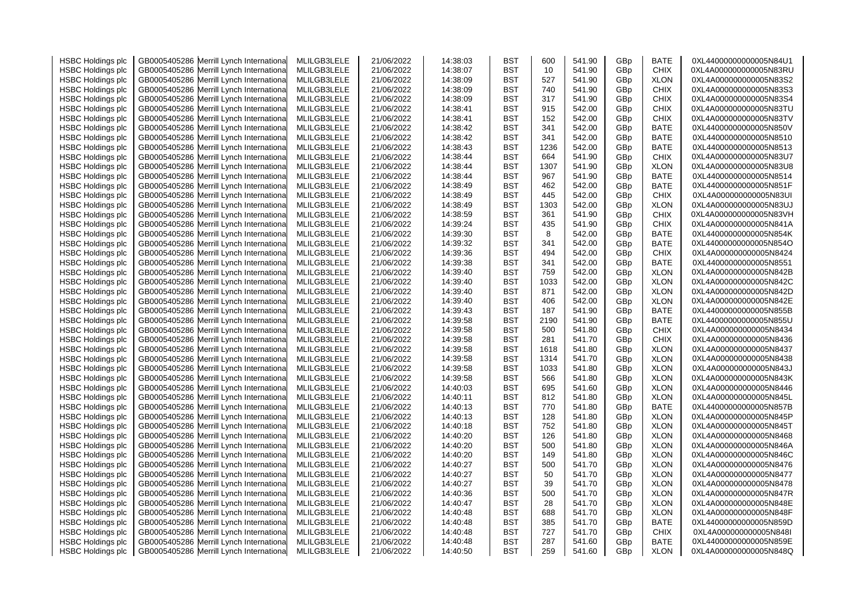| <b>HSBC Holdings plc</b> | GB0005405286 Merrill Lynch Internationa    | MLILGB3LELE                | 21/06/2022               | 14:38:03 | BST        | 600  | 541.90           | GBp | <b>BATE</b> | 0XL44000000000005N84U1 |
|--------------------------|--------------------------------------------|----------------------------|--------------------------|----------|------------|------|------------------|-----|-------------|------------------------|
| <b>HSBC Holdings plc</b> | Merrill Lynch Internationa<br>GB0005405286 | MLILGB3LELE                | 21/06/2022               | 14:38:07 | <b>BST</b> | 10   | 541.90           | GBp | <b>CHIX</b> | 0XL4A000000000005N83RU |
| <b>HSBC Holdings plc</b> | Merrill Lynch Internationa<br>GB0005405286 | MLILGB3LELE                | 21/06/2022               | 14:38:09 | <b>BST</b> | 527  | 541.90           | GBp | <b>XLON</b> | 0XL4A000000000005N83S2 |
| <b>HSBC Holdings plc</b> | Merrill Lynch Internationa<br>GB0005405286 | MLILGB3LELE                | 21/06/2022               | 14:38:09 | <b>BST</b> | 740  | 541.90           | GBp | <b>CHIX</b> | 0XL4A000000000005N83S3 |
| <b>HSBC Holdings plc</b> | GB0005405286<br>Merrill Lynch Internationa | MLILGB3LELE                | 21/06/2022               | 14:38:09 | BST        | 317  | 541.90           | GBp | <b>CHIX</b> | 0XL4A000000000005N83S4 |
| <b>HSBC Holdings plc</b> | GB0005405286<br>Merrill Lynch Internationa | MLILGB3LELE                | 21/06/2022               | 14:38:41 | <b>BST</b> | 915  | 542.00           | GBp | <b>CHIX</b> | 0XL4A000000000005N83TU |
| <b>HSBC Holdings plc</b> | GB0005405286<br>Merrill Lynch Internationa | MLILGB3LELE                | 21/06/2022               | 14:38:41 | <b>BST</b> | 152  | 542.00           | GBp | <b>CHIX</b> | 0XL4A000000000005N83TV |
| <b>HSBC Holdings plc</b> | GB0005405286<br>Merrill Lynch Internationa | MLILGB3LELE                | 21/06/2022               | 14:38:42 | BST        | 341  | 542.00           | GBp | BATE        | 0XL44000000000005N850V |
| <b>HSBC Holdings plc</b> | GB0005405286<br>Merrill Lynch Internationa | MLILGB3LELE                | 21/06/2022               | 14:38:42 | BST        | 341  | 542.00           | GBp | BATE        | 0XL44000000000005N8510 |
| <b>HSBC Holdings plc</b> | GB0005405286<br>Merrill Lynch Internationa | MLILGB3LELE                | 21/06/2022               | 14:38:43 | BST        | 1236 | 542.00           | GBp | BATE        | 0XL44000000000005N8513 |
| <b>HSBC Holdings plc</b> | Merrill Lynch Internationa<br>GB0005405286 | MLILGB3LELE                | 21/06/2022               | 14:38:44 | <b>BST</b> | 664  | 541.90           | GBp | <b>CHIX</b> | 0XL4A000000000005N83U7 |
| <b>HSBC Holdings plc</b> | GB0005405286 Merrill Lynch Internationa    | MLILGB3LELE                | 21/06/2022               | 14:38:44 | <b>BST</b> | 1307 | 541.90           | GBp | <b>XLON</b> | 0XL4A000000000005N83U8 |
| <b>HSBC Holdings plc</b> | GB0005405286<br>Merrill Lynch Internationa | MLILGB3LELE                | 21/06/2022               | 14:38:44 | BST        | 967  | 541.90           | GBp | <b>BATE</b> | 0XL44000000000005N8514 |
| <b>HSBC Holdings plc</b> | GB0005405286<br>Merrill Lynch Internationa | MLILGB3LELE                | 21/06/2022               | 14:38:49 | BST        | 462  | 542.00           | GBp | BATE        | 0XL44000000000005N851F |
| <b>HSBC Holdings plc</b> | GB0005405286<br>Merrill Lynch Internationa | MLILGB3LELE                | 21/06/2022               | 14:38:49 | BST        | 445  | 542.00           | GBp | <b>CHIX</b> | 0XL4A000000000005N83UI |
| <b>HSBC Holdings plc</b> | GB0005405286<br>Merrill Lynch Internationa | MLILGB3LELE                | 21/06/2022               | 14:38:49 | <b>BST</b> | 1303 | 542.00           | GBp | <b>XLON</b> | 0XL4A000000000005N83UJ |
| <b>HSBC Holdings plc</b> | GB0005405286<br>Merrill Lynch Internationa | MLILGB3LELE                | 21/06/2022               | 14:38:59 | BST        | 361  | 541.90           | GBp | <b>CHIX</b> | 0XL4A000000000005N83VH |
| <b>HSBC Holdings plc</b> | Merrill Lynch Internationa<br>GB0005405286 | MLILGB3LELE                | 21/06/2022               | 14:39:24 | BST        | 435  | 541.90           | GBp | <b>CHIX</b> | 0XL4A000000000005N841A |
| <b>HSBC Holdings plc</b> | GB0005405286 Merrill Lynch Internationa    | MLILGB3LELE                | 21/06/2022               | 14:39:30 | BST        | 8    | 542.00           | GBp | BATE        | 0XL44000000000005N854K |
| <b>HSBC Holdings plc</b> | Merrill Lynch Internationa<br>GB0005405286 | MLILGB3LELE                | 21/06/2022               | 14:39:32 | <b>BST</b> | 341  | 542.00           | GBp | <b>BATE</b> | 0XL44000000000005N854O |
| <b>HSBC Holdings plc</b> | GB0005405286<br>Merrill Lynch Internationa | MLILGB3LELE                | 21/06/2022               | 14:39:36 | <b>BST</b> | 494  | 542.00           | GBp | <b>CHIX</b> | 0XL4A000000000005N8424 |
| <b>HSBC Holdings plc</b> | GB0005405286<br>Merrill Lynch Internationa | MLILGB3LELE                | 21/06/2022               | 14:39:38 | BST        | 341  | 542.00           | GBp | BATE        | 0XL44000000000005N8551 |
| <b>HSBC Holdings plc</b> | GB0005405286<br>Merrill Lynch Internationa | MLILGB3LELE                | 21/06/2022               | 14:39:40 | <b>BST</b> | 759  | 542.00           | GBp | <b>XLON</b> | 0XL4A000000000005N842B |
| <b>HSBC Holdings plc</b> | GB0005405286<br>Merrill Lynch Internationa | MLILGB3LELE                | 21/06/2022               | 14:39:40 | <b>BST</b> | 1033 | 542.00           | GBp | <b>XLON</b> | 0XL4A000000000005N842C |
| <b>HSBC Holdings plc</b> | GB0005405286<br>Merrill Lynch Internationa | MLILGB3LELE                | 21/06/2022               | 14:39:40 | BST        | 871  | 542.00           | GBp | <b>XLON</b> | 0XL4A000000000005N842D |
| <b>HSBC Holdings plc</b> | GB0005405286 Merrill Lynch Internationa    | MLILGB3LELE                | 21/06/2022               | 14:39:40 | <b>BST</b> | 406  | 542.00           | GBp | XLON        | 0XL4A000000000005N842E |
| <b>HSBC Holdings plc</b> | GB0005405286<br>Merrill Lynch Internationa | MLILGB3LELE                | 21/06/2022               | 14:39:43 | <b>BST</b> | 187  | 541.90           | GBp | <b>BATE</b> | 0XL44000000000005N855B |
| <b>HSBC Holdings plc</b> | GB0005405286 Merrill Lynch Internationa    | MLILGB3LELE                | 21/06/2022               | 14:39:58 | <b>BST</b> | 2190 | 541.90           | GBp | <b>BATE</b> | 0XL44000000000005N855U |
| <b>HSBC Holdings plc</b> | GB0005405286<br>Merrill Lynch Internationa | MLILGB3LELE                | 21/06/2022               | 14:39:58 | BST        | 500  | 541.80           | GBp | <b>CHIX</b> | 0XL4A000000000005N8434 |
| <b>HSBC Holdings plc</b> | GB0005405286<br>Merrill Lynch Internationa | MLILGB3LELE                | 21/06/2022               | 14:39:58 | BST        | 281  | 541.70           | GBp | <b>CHIX</b> | 0XL4A000000000005N8436 |
| <b>HSBC Holdings plc</b> | GB0005405286<br>Merrill Lynch Internationa | MLILGB3LELE                | 21/06/2022               | 14:39:58 | BST        | 1618 | 541.80           | GBp | <b>XLON</b> | 0XL4A000000000005N8437 |
| <b>HSBC Holdings plc</b> | GB0005405286<br>Merrill Lynch Internationa | MLILGB3LELE                | 21/06/2022               | 14:39:58 | <b>BST</b> | 1314 | 541.70           | GBp | <b>XLON</b> | 0XL4A000000000005N8438 |
| <b>HSBC Holdings plc</b> | GB0005405286<br>Merrill Lynch Internationa | MLILGB3LELE                | 21/06/2022               | 14:39:58 | BST        | 1033 | 541.80           | GBp | <b>XLON</b> | 0XL4A000000000005N843J |
| <b>HSBC Holdings plc</b> | GB0005405286<br>Merrill Lynch Internationa | MLILGB3LELE                | 21/06/2022               | 14:39:58 | BST        | 566  |                  | GBp | <b>XLON</b> | 0XL4A000000000005N843K |
| <b>HSBC Holdings plc</b> | GB0005405286 Merrill Lynch Internationa    | MLILGB3LELE                | 21/06/2022               | 14:40:03 | BST        | 695  | 541.80<br>541.60 | GBp | <b>XLON</b> | 0XL4A000000000005N8446 |
| <b>HSBC Holdings plc</b> | GB0005405286<br>Merrill Lynch Internationa | MLILGB3LELE                | 21/06/2022               | 14:40:11 | BST        | 812  | 541.80           | GBp | <b>XLON</b> | 0XL4A000000000005N845L |
| <b>HSBC Holdings plc</b> | GB0005405286<br>Merrill Lynch Internationa | MLILGB3LELE                | 21/06/2022               | 14:40:13 | BST        | 770  | 541.80           | GBp | <b>BATE</b> | 0XL44000000000005N857B |
| <b>HSBC Holdings plc</b> | GB0005405286<br>Merrill Lynch Internationa | MLILGB3LELE                | 21/06/2022               | 14:40:13 | <b>BST</b> | 128  | 541.80           | GBp | <b>XLON</b> | 0XL4A000000000005N845P |
| <b>HSBC Holdings plc</b> | GB0005405286<br>Merrill Lynch Internationa |                            |                          | 14:40:18 | BST        | 752  |                  | GBp | <b>XLON</b> | 0XL4A000000000005N845T |
|                          |                                            | MLILGB3LELE<br>MLILGB3LELE | 21/06/2022<br>21/06/2022 | 14:40:20 | <b>BST</b> | 126  | 541.80<br>541.80 |     | <b>XLON</b> | 0XL4A000000000005N8468 |
| <b>HSBC Holdings plc</b> | GB0005405286<br>Merrill Lynch Internationa | MLILGB3LELE                |                          |          | BST        | 500  |                  | GBp |             |                        |
| <b>HSBC Holdings plc</b> | GB0005405286<br>Merrill Lynch Internationa |                            | 21/06/2022               | 14:40:20 |            |      | 541.80           | GBp | <b>XLON</b> | 0XL4A000000000005N846A |
| <b>HSBC Holdings plc</b> | GB0005405286<br>Merrill Lynch Internationa | MLILGB3LELE                | 21/06/2022               | 14:40:20 | BST        | 149  | 541.80           | GBp | <b>XLON</b> | 0XL4A000000000005N846C |
| <b>HSBC Holdings plc</b> | Merrill Lynch Internationa<br>GB0005405286 | MLILGB3LELE                | 21/06/2022               | 14:40:27 | <b>BST</b> | 500  | 541.70           | GBp | <b>XLON</b> | 0XL4A000000000005N8476 |
| <b>HSBC Holdings plc</b> | Merrill Lynch Internationa<br>GB0005405286 | MLILGB3LELE                | 21/06/2022               | 14:40:27 | <b>BST</b> | 50   | 541.70           | GBp | <b>XLON</b> | 0XL4A000000000005N8477 |
| <b>HSBC Holdings plc</b> | GB0005405286<br>Merrill Lynch Internationa | MLILGB3LELE                | 21/06/2022               | 14:40:27 | <b>BST</b> | 39   | 541.70           | GBp | <b>XLON</b> | 0XL4A000000000005N8478 |
| <b>HSBC Holdings plc</b> | Merrill Lynch Internationa<br>GB0005405286 | MLILGB3LELE                | 21/06/2022               | 14:40:36 | <b>BST</b> | 500  | 541.70           | GBp | <b>XLON</b> | 0XL4A000000000005N847R |
| <b>HSBC Holdings plc</b> | GB0005405286<br>Merrill Lynch Internationa | MLILGB3LELE                | 21/06/2022               | 14:40:47 | <b>BST</b> | 28   | 541.70           | GBp | <b>XLON</b> | 0XL4A000000000005N848E |
| <b>HSBC Holdings plc</b> | Merrill Lynch Internationa<br>GB0005405286 | MLILGB3LELE                | 21/06/2022               | 14:40:48 | <b>BST</b> | 688  | 541.70           | GBp | <b>XLON</b> | 0XL4A000000000005N848F |
| <b>HSBC Holdings plc</b> | GB0005405286<br>Merrill Lynch Internationa | MLILGB3LELE                | 21/06/2022               | 14:40:48 | BST        | 385  | 541.70           | GBp | <b>BATE</b> | 0XL44000000000005N859D |
| <b>HSBC Holdings plc</b> | Merrill Lynch Internationa<br>GB0005405286 | MLILGB3LELE                | 21/06/2022               | 14:40:48 | BST        | 727  | 541.70           | GBp | <b>CHIX</b> | 0XL4A000000000005N848I |
| <b>HSBC Holdings plc</b> | GB0005405286 Merrill Lynch Internationa    | MLILGB3LELE                | 21/06/2022               | 14:40:48 | <b>BST</b> | 287  | 541.60           | GBp | BATE        | 0XL44000000000005N859E |
| <b>HSBC Holdings plc</b> | GB0005405286 Merrill Lynch International   | MLILGB3LELE                | 21/06/2022               | 14:40:50 | <b>BST</b> | 259  | 541.60           | GBp | <b>XLON</b> | 0XL4A000000000005N848Q |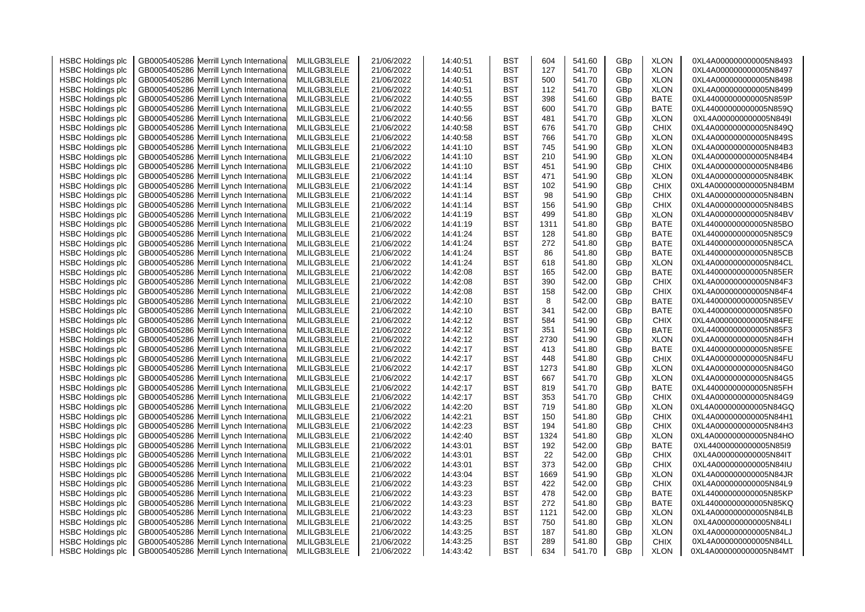| <b>HSBC Holdings plc</b> | GB0005405286 Merrill Lynch Internationa                                  | MLILGB3LELE                | 21/06/2022 | 14:40:51 | <b>BST</b>               | 604        | 541.60 | GBp | <b>XLON</b>                | 0XL4A000000000005N8493 |
|--------------------------|--------------------------------------------------------------------------|----------------------------|------------|----------|--------------------------|------------|--------|-----|----------------------------|------------------------|
| <b>HSBC Holdings plc</b> | Merrill Lynch Internationa<br>GB0005405286                               | MLILGB3LELE                | 21/06/2022 | 14:40:51 | <b>BST</b>               | 127        | 541.70 | GBp | <b>XLON</b>                | 0XL4A000000000005N8497 |
| <b>HSBC Holdings plc</b> | GB0005405286 Merrill Lynch Internationa                                  | MLILGB3LELE                | 21/06/2022 | 14:40:51 | <b>BST</b>               | 500        | 541.70 | GBp | <b>XLON</b>                | 0XL4A000000000005N8498 |
| <b>HSBC Holdings plc</b> | Merrill Lynch Internationa<br>GB0005405286                               | MLILGB3LELE                | 21/06/2022 | 14:40:51 | <b>BST</b>               | 112        | 541.70 | GBp | <b>XLON</b>                | 0XL4A000000000005N8499 |
| <b>HSBC Holdings plc</b> | GB0005405286 Merrill Lynch Internationa                                  | MLILGB3LELE                | 21/06/2022 | 14:40:55 | <b>BST</b>               | 398        | 541.60 | GBp | <b>BATE</b>                | 0XL44000000000005N859P |
| <b>HSBC Holdings plc</b> | GB0005405286<br>Merrill Lynch Internationa                               | MLILGB3LELE                | 21/06/2022 | 14:40:55 | <b>BST</b>               | 600        | 541.70 | GBp | <b>BATE</b>                | 0XL44000000000005N859Q |
| <b>HSBC Holdings plc</b> | Merrill Lynch Internationa<br>GB0005405286                               | MLILGB3LELE                | 21/06/2022 | 14:40:56 | <b>BST</b>               | 481        | 541.70 | GBp | <b>XLON</b>                | 0XL4A000000000005N849I |
| <b>HSBC Holdings plc</b> | GB0005405286 Merrill Lynch Internationa                                  | MLILGB3LELE                | 21/06/2022 | 14:40:58 | <b>BST</b>               | 676        | 541.70 | GBp | <b>CHIX</b>                | 0XL4A000000000005N849Q |
| <b>HSBC Holdings plc</b> | Merrill Lynch Internationa<br>GB0005405286                               | MLILGB3LELE                | 21/06/2022 | 14:40:58 | <b>BST</b>               | 766        | 541.70 | GBp | <b>XLON</b>                | 0XL4A000000000005N849S |
| <b>HSBC Holdings plc</b> | Merrill Lynch Internationa<br>GB0005405286                               | MLILGB3LELE                | 21/06/2022 | 14:41:10 | BST                      | 745        | 541.90 | GBp | <b>XLON</b>                | 0XL4A000000000005N84B3 |
| <b>HSBC Holdings plc</b> | GB0005405286<br>Merrill Lynch Internationa                               | MLILGB3LELE                | 21/06/2022 | 14:41:10 | <b>BST</b>               | 210        | 541.90 | GBp | <b>XLON</b>                | 0XL4A000000000005N84B4 |
| <b>HSBC Holdings plc</b> | GB0005405286 Merrill Lynch Internationa                                  | MLILGB3LELE                | 21/06/2022 | 14:41:10 | <b>BST</b>               | 451        | 541.90 | GBp | <b>CHIX</b>                | 0XL4A000000000005N84B6 |
| <b>HSBC Holdings plc</b> | GB0005405286<br>Merrill Lynch Internationa                               | MLILGB3LELE                | 21/06/2022 | 14:41:14 | <b>BST</b>               | 471        | 541.90 | GBp | <b>XLON</b>                | 0XL4A000000000005N84BK |
|                          |                                                                          |                            |            | 14:41:14 |                          | 102        | 541.90 |     |                            | 0XL4A000000000005N84BM |
| <b>HSBC Holdings plc</b> | GB0005405286<br>Merrill Lynch Internationa                               | MLILGB3LELE                | 21/06/2022 |          | <b>BST</b>               |            |        | GBp | <b>CHIX</b>                |                        |
| <b>HSBC Holdings plc</b> | GB0005405286 Merrill Lynch Internationa                                  | MLILGB3LELE                | 21/06/2022 | 14:41:14 | <b>BST</b>               | 98         | 541.90 | GBp | <b>CHIX</b>                | 0XL4A000000000005N84BN |
| <b>HSBC Holdings plc</b> | GB0005405286<br>Merrill Lynch Internationa                               | MLILGB3LELE                | 21/06/2022 | 14:41:14 | <b>BST</b>               | 156        | 541.90 | GBp | <b>CHIX</b>                | 0XL4A000000000005N84BS |
| <b>HSBC Holdings plc</b> | GB0005405286 Merrill Lynch Internationa                                  | MLILGB3LELE                | 21/06/2022 | 14:41:19 | <b>BST</b>               | 499        | 541.80 | GBp | <b>XLON</b>                | 0XL4A000000000005N84BV |
| <b>HSBC Holdings plc</b> | GB0005405286<br>Merrill Lynch Internationa                               | MLILGB3LELE                | 21/06/2022 | 14:41:19 | BST                      | 1311       | 541.80 | GBp | <b>BATE</b>                | 0XL44000000000005N85BO |
| <b>HSBC Holdings plc</b> | GB0005405286 Merrill Lynch Internationa                                  | MLILGB3LELE                | 21/06/2022 | 14:41:24 | BST                      | 128        | 541.80 | GBp | BATE                       | 0XL44000000000005N85C9 |
| <b>HSBC Holdings plc</b> | GB0005405286<br>Merrill Lynch Internationa                               | MLILGB3LELE                | 21/06/2022 | 14:41:24 | BST                      | 272        | 541.80 | GBp | <b>BATE</b>                | 0XL44000000000005N85CA |
| <b>HSBC Holdings plc</b> | GB0005405286 Merrill Lynch Internationa                                  | MLILGB3LELE                | 21/06/2022 | 14:41:24 | <b>BST</b>               | 86         | 541.80 | GBp | <b>BATE</b>                | 0XL44000000000005N85CB |
| <b>HSBC Holdings plc</b> | GB0005405286<br>Merrill Lynch Internationa                               | MLILGB3LELE                | 21/06/2022 | 14:41:24 | BST                      | 618        | 541.80 | GBp | <b>XLON</b>                | 0XL4A000000000005N84CL |
| <b>HSBC Holdings plc</b> | GB0005405286<br>Merrill Lynch Internationa                               | MLILGB3LELE                | 21/06/2022 | 14:42:08 | BST                      | 165        | 542.00 | GBp | BATE                       | 0XL44000000000005N85ER |
| <b>HSBC Holdings plc</b> | GB0005405286<br>Merrill Lynch Internationa                               | MLILGB3LELE                | 21/06/2022 | 14:42:08 | BST                      | 390        | 542.00 | GBp | <b>CHIX</b>                | 0XL4A000000000005N84F3 |
| <b>HSBC Holdings plc</b> | GB0005405286<br>Merrill Lynch Internationa                               | MLILGB3LELE                | 21/06/2022 | 14:42:08 | <b>BST</b>               | 158        | 542.00 | GBp | <b>CHIX</b>                | 0XL4A000000000005N84F4 |
| <b>HSBC Holdings plc</b> | GB0005405286 Merrill Lynch Internationa                                  | MLILGB3LELE                | 21/06/2022 | 14:42:10 | BST                      | 8          | 542.00 | GBp | <b>BATE</b>                | 0XL44000000000005N85EV |
| <b>HSBC Holdings plc</b> | Merrill Lynch Internationa<br>GB0005405286                               | MLILGB3LELE                | 21/06/2022 | 14:42:10 | BST                      | 341        | 542.00 | GBp | <b>BATE</b>                | 0XL44000000000005N85F0 |
| <b>HSBC Holdings plc</b> | GB0005405286 Merrill Lynch Internationa                                  | MLILGB3LELE                | 21/06/2022 | 14:42:12 | BST                      | 584        | 541.90 | GBp | <b>CHIX</b>                | 0XL4A000000000005N84FE |
| <b>HSBC Holdings plc</b> | GB0005405286<br>Merrill Lynch Internationa                               | MLILGB3LELE                | 21/06/2022 | 14:42:12 | <b>BST</b>               | 351        | 541.90 | GBp | <b>BATE</b>                | 0XL44000000000005N85F3 |
| <b>HSBC Holdings plc</b> | GB0005405286<br>Merrill Lynch Internationa                               | MLILGB3LELE                | 21/06/2022 | 14:42:12 | <b>BST</b>               | 2730       | 541.90 | GBp | <b>XLON</b>                | 0XL4A000000000005N84FH |
| <b>HSBC Holdings plc</b> | GB0005405286 Merrill Lynch Internationa                                  | MLILGB3LELE                | 21/06/2022 | 14:42:17 | BST                      | 413        | 541.80 | GBp | <b>BATE</b>                | 0XL44000000000005N85FE |
| <b>HSBC Holdings plc</b> | GB0005405286<br>Merrill Lynch Internationa                               | MLILGB3LELE                | 21/06/2022 | 14:42:17 | <b>BST</b>               | 448        | 541.80 | GBp | <b>CHIX</b>                | 0XL4A000000000005N84FU |
| <b>HSBC Holdings plc</b> | GB0005405286 Merrill Lynch Internationa                                  | MLILGB3LELE                | 21/06/2022 | 14:42:17 | <b>BST</b>               | 1273       | 541.80 | GBp | <b>XLON</b>                | 0XL4A000000000005N84G0 |
| <b>HSBC Holdings plc</b> | Merrill Lynch Internationa<br>GB0005405286                               | MLILGB3LELE                | 21/06/2022 | 14:42:17 | BST                      | 667        | 541.70 | GBp | <b>XLON</b>                | 0XL4A000000000005N84G5 |
| <b>HSBC Holdings plc</b> | GB0005405286 Merrill Lynch Internationa                                  | MLILGB3LELE                | 21/06/2022 | 14:42:17 | BST                      | 819        | 541.70 | GBp | <b>BATE</b>                | 0XL44000000000005N85FH |
| <b>HSBC Holdings plc</b> | Merrill Lynch Internationa<br>GB0005405286                               | MLILGB3LELE                | 21/06/2022 | 14:42:17 | <b>BST</b>               | 353        | 541.70 | GBp | <b>CHIX</b>                | 0XL4A000000000005N84G9 |
| <b>HSBC Holdings plc</b> | GB0005405286<br>Merrill Lynch Internationa                               | MLILGB3LELE                | 21/06/2022 | 14:42:20 | <b>BST</b>               | 719        | 541.80 | GBp | <b>XLON</b>                | 0XL4A000000000005N84GQ |
| <b>HSBC Holdings plc</b> | GB0005405286<br>Merrill Lynch Internationa                               | MLILGB3LELE                | 21/06/2022 | 14:42:21 | <b>BST</b>               | 150        | 541.80 | GBp | <b>CHIX</b>                | 0XL4A000000000005N84H1 |
| <b>HSBC Holdings plc</b> | Merrill Lynch Internationa<br>GB0005405286                               | MLILGB3LELE                | 21/06/2022 | 14:42:23 | <b>BST</b>               | 194        | 541.80 | GBp | <b>CHIX</b>                | 0XL4A000000000005N84H3 |
| <b>HSBC Holdings plc</b> | GB0005405286 Merrill Lynch Internationa                                  | MLILGB3LELE                | 21/06/2022 | 14:42:40 | <b>BST</b>               | 1324       | 541.80 | GBp | <b>XLON</b>                | 0XL4A000000000005N84HO |
| <b>HSBC Holdings plc</b> | Merrill Lynch Internationa<br>GB0005405286                               | MLILGB3LELE                | 21/06/2022 | 14:43:01 | <b>BST</b>               | 192        | 542.00 | GBp | <b>BATE</b>                | 0XL44000000000005N85I9 |
| <b>HSBC Holdings plc</b> | Merrill Lynch Internationa<br>GB0005405286                               | MLILGB3LELE                | 21/06/2022 | 14:43:01 | <b>BST</b>               | 22         | 542.00 | GBp | <b>CHIX</b>                | 0XL4A000000000005N84IT |
| <b>HSBC Holdings plc</b> | Merrill Lynch Internationa<br>GB0005405286                               | MLILGB3LELE                | 21/06/2022 | 14:43:01 | <b>BST</b>               | 373        | 542.00 | GBp | <b>CHIX</b>                | 0XL4A000000000005N84IU |
|                          | GB0005405286<br>Merrill Lynch Internationa                               | MLILGB3LELE                | 21/06/2022 | 14:43:04 | <b>BST</b>               | 1669       | 541.90 | GBp | <b>XLON</b>                | 0XL4A000000000005N84JR |
| <b>HSBC Holdings plc</b> |                                                                          |                            |            |          |                          |            |        |     |                            |                        |
| <b>HSBC Holdings plc</b> | GB0005405286<br>Merrill Lynch Internationa<br>Merrill Lynch Internationa | MLILGB3LELE<br>MLILGB3LELE | 21/06/2022 | 14:43:23 | <b>BST</b><br><b>BST</b> | 422<br>478 | 542.00 | GBp | <b>CHIX</b><br><b>BATE</b> | 0XL4A000000000005N84L9 |
| <b>HSBC Holdings plc</b> | GB0005405286                                                             |                            | 21/06/2022 | 14:43:23 |                          |            | 542.00 | GBp |                            | 0XL44000000000005N85KP |
| <b>HSBC Holdings plc</b> | GB0005405286<br>Merrill Lynch Internationa                               | MLILGB3LELE                | 21/06/2022 | 14:43:23 | <b>BST</b>               | 272        | 541.80 | GBp | <b>BATE</b>                | 0XL44000000000005N85KQ |
| <b>HSBC Holdings plc</b> | Merrill Lynch Internationa<br>GB0005405286                               | MLILGB3LELE                | 21/06/2022 | 14:43:23 | <b>BST</b>               | 1121       | 542.00 | GBp | <b>XLON</b>                | 0XL4A000000000005N84LB |
| <b>HSBC Holdings plc</b> | GB0005405286 Merrill Lynch Internationa                                  | MLILGB3LELE                | 21/06/2022 | 14:43:25 | <b>BST</b>               | 750        | 541.80 | GBp | <b>XLON</b>                | 0XL4A000000000005N84LI |
| <b>HSBC Holdings plc</b> | Merrill Lynch Internationa<br>GB0005405286                               | MLILGB3LELE                | 21/06/2022 | 14:43:25 | BST                      | 187        | 541.80 | GBp | <b>XLON</b>                | 0XL4A000000000005N84LJ |
| <b>HSBC Holdings plc</b> | GB0005405286 Merrill Lynch Internationa                                  | MLILGB3LELE                | 21/06/2022 | 14:43:25 | <b>BST</b>               | 289        | 541.80 | GBp | <b>CHIX</b>                | 0XL4A000000000005N84LL |
| <b>HSBC Holdings plc</b> | GB0005405286 Merrill Lynch International                                 | MLILGB3LELE                | 21/06/2022 | 14:43:42 | <b>BST</b>               | 634        | 541.70 | GBp | <b>XLON</b>                | 0XL4A000000000005N84MT |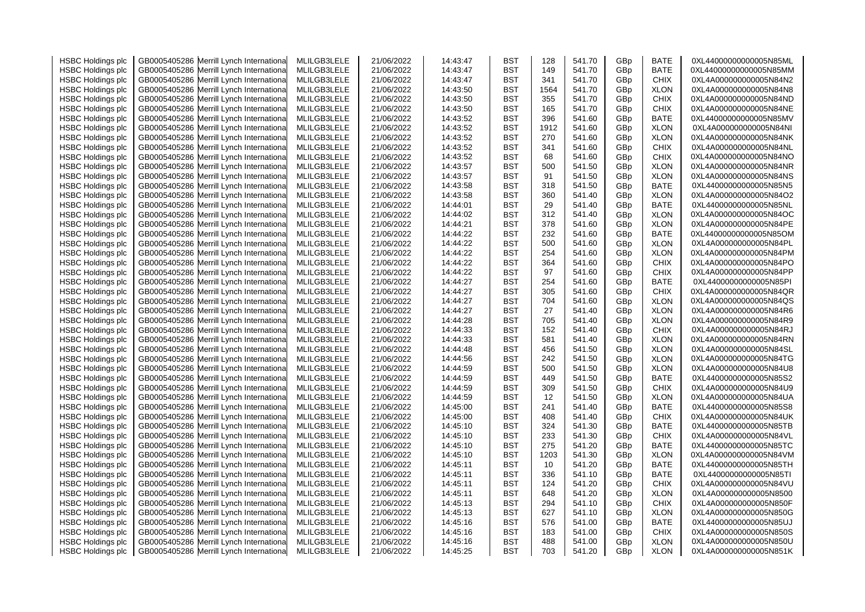| <b>HSBC Holdings plc</b> | GB0005405286 Merrill Lynch Internationa    | MLILGB3LELE | 21/06/2022 | 14:43:47 | <b>BST</b> | 128  | 541.70 | GBp             | <b>BATE</b> | 0XL44000000000005N85ML  |
|--------------------------|--------------------------------------------|-------------|------------|----------|------------|------|--------|-----------------|-------------|-------------------------|
| <b>HSBC Holdings plc</b> | GB0005405286 Merrill Lynch Internationa    | MLILGB3LELE | 21/06/2022 | 14:43:47 | <b>BST</b> | 149  | 541.70 | GBp             | BATE        | 0XL44000000000005N85MM  |
| <b>HSBC Holdings plc</b> | GB0005405286 Merrill Lynch Internationa    | MLILGB3LELE | 21/06/2022 | 14:43:47 | BST        | 341  | 541.70 | GBp             | CHIX        | 0XL4A000000000005N84N2  |
| <b>HSBC Holdings plc</b> | GB0005405286 Merrill Lynch Internationa    | MLILGB3LELE | 21/06/2022 | 14:43:50 | <b>BST</b> | 1564 | 541.70 | GBp             | <b>XLON</b> | 0XL4A000000000005N84N8  |
| <b>HSBC Holdings plc</b> | GB0005405286 Merrill Lynch Internationa    | MLILGB3LELE | 21/06/2022 | 14:43:50 | <b>BST</b> | 355  | 541.70 | GBp             | <b>CHIX</b> | 0XL4A000000000005N84ND  |
| <b>HSBC Holdings plc</b> | GB0005405286 Merrill Lynch Internationa    | MLILGB3LELE | 21/06/2022 | 14:43:50 | <b>BST</b> | 165  | 541.70 | GBp             | <b>CHIX</b> | 0XL4A000000000005N84NE  |
| <b>HSBC Holdings plc</b> | Merrill Lynch Internationa<br>GB0005405286 | MLILGB3LELE | 21/06/2022 | 14:43:52 | <b>BST</b> | 396  | 541.60 | GBp             | BATE        | 0XL44000000000005N85MV  |
| <b>HSBC Holdings plc</b> | GB0005405286 Merrill Lynch Internationa    | MLILGB3LELE | 21/06/2022 | 14:43:52 | <b>BST</b> | 1912 | 541.60 | GBp             | <b>XLON</b> | 0XL4A000000000005N84NI  |
| <b>HSBC Holdings plc</b> | Merrill Lynch Internationa<br>GB0005405286 | MLILGB3LELE | 21/06/2022 | 14:43:52 | <b>BST</b> | 270  | 541.60 | GBp             | <b>XLON</b> | 0XL4A000000000005N84NK  |
| <b>HSBC Holdings plc</b> | GB0005405286 Merrill Lynch Internationa    | MLILGB3LELE | 21/06/2022 | 14:43:52 | BST        | 341  | 541.60 | GBp             | <b>CHIX</b> | 0XL4A000000000005N84NL  |
| <b>HSBC Holdings plc</b> | GB0005405286<br>Merrill Lynch Internationa | MLILGB3LELE | 21/06/2022 | 14:43:52 | BST        | 68   | 541.60 | GBp             | CHIX        | 0XL4A000000000005N84NO  |
| <b>HSBC Holdings plc</b> | GB0005405286 Merrill Lynch Internationa    | MLILGB3LELE | 21/06/2022 | 14:43:57 | BST        | 500  | 541.50 | GBp             | <b>XLON</b> | 0XL4A0000000000005N84NR |
| <b>HSBC Holdings plc</b> | GB0005405286<br>Merrill Lynch Internationa | MLILGB3LELE | 21/06/2022 | 14:43:57 | <b>BST</b> | 91   | 541.50 | GBp             | <b>XLON</b> | 0XL4A000000000005N84NS  |
|                          |                                            |             |            |          | <b>BST</b> | 318  | 541.50 |                 | <b>BATE</b> | 0XL44000000000005N85N5  |
| <b>HSBC Holdings plc</b> | GB0005405286<br>Merrill Lynch Internationa | MLILGB3LELE | 21/06/2022 | 14:43:58 |            |      |        | GBp             |             |                         |
| <b>HSBC Holdings plc</b> | GB0005405286 Merrill Lynch Internationa    | MLILGB3LELE | 21/06/2022 | 14:43:58 | <b>BST</b> | 360  | 541.40 | GBp             | <b>XLON</b> | 0XL4A000000000005N84O2  |
| <b>HSBC Holdings plc</b> | GB0005405286 Merrill Lynch Internationa    | MLILGB3LELE | 21/06/2022 | 14:44:01 | <b>BST</b> | 29   | 541.40 | GBp             | BATE        | 0XL44000000000005N85NL  |
| <b>HSBC Holdings plc</b> | GB0005405286 Merrill Lynch Internationa    | MLILGB3LELE | 21/06/2022 | 14:44:02 | <b>BST</b> | 312  | 541.40 | GBp             | <b>XLON</b> | 0XL4A000000000005N84OC  |
| <b>HSBC Holdings plc</b> | GB0005405286<br>Merrill Lynch Internationa | MLILGB3LELE | 21/06/2022 | 14:44:21 | BST        | 378  | 541.60 | GBp             | <b>XLON</b> | 0XL4A000000000005N84PE  |
| <b>HSBC Holdings plc</b> | GB0005405286 Merrill Lynch Internationa    | MLILGB3LELE | 21/06/2022 | 14:44:22 | BST        | 232  | 541.60 | GBp             | BATE        | 0XL44000000000005N85OM  |
| <b>HSBC Holdings plc</b> | GB0005405286<br>Merrill Lynch Internationa | MLILGB3LELE | 21/06/2022 | 14:44:22 | BST        | 500  | 541.60 | GBp             | <b>XLON</b> | 0XL4A000000000005N84PL  |
| <b>HSBC Holdings plc</b> | GB0005405286 Merrill Lynch Internationa    | MLILGB3LELE | 21/06/2022 | 14:44:22 | BST        | 254  | 541.60 | GBp             | <b>XLON</b> | 0XL4A000000000005N84PM  |
| <b>HSBC Holdings plc</b> | GB0005405286 Merrill Lynch Internationa    | MLILGB3LELE | 21/06/2022 | 14:44:22 | <b>BST</b> | 364  | 541.60 | GBp             | <b>CHIX</b> | 0XL4A000000000005N84PO  |
| <b>HSBC Holdings plc</b> | GB0005405286 Merrill Lynch International   | MLILGB3LELE | 21/06/2022 | 14:44:22 | BST        | 97   | 541.60 | GBp             | CHIX        | 0XL4A000000000005N84PP  |
| <b>HSBC Holdings plc</b> | GB0005405286 Merrill Lynch Internationa    | MLILGB3LELE | 21/06/2022 | 14:44:27 | <b>BST</b> | 254  | 541.60 | GBp             | BATE        | 0XL44000000000005N85PI  |
| <b>HSBC Holdings plc</b> | GB0005405286 Merrill Lynch Internationa    | MLILGB3LELE | 21/06/2022 | 14:44:27 | <b>BST</b> | 305  | 541.60 | GBp             | <b>CHIX</b> | 0XL4A000000000005N84QR  |
| <b>HSBC Holdings plc</b> | GB0005405286 Merrill Lynch Internationa    | MLILGB3LELE | 21/06/2022 | 14:44:27 | <b>BST</b> | 704  | 541.60 | GBp             | <b>XLON</b> | 0XL4A000000000005N84QS  |
| <b>HSBC Holdings plc</b> | Merrill Lynch Internationa<br>GB0005405286 | MLILGB3LELE | 21/06/2022 | 14:44:27 | BST        | 27   | 541.40 | GBp             | <b>XLON</b> | 0XL4A000000000005N84R6  |
| <b>HSBC Holdings plc</b> | GB0005405286 Merrill Lynch Internationa    | MLILGB3LELE | 21/06/2022 | 14:44:28 | <b>BST</b> | 705  | 541.40 | GBp             | <b>XLON</b> | 0XL4A000000000005N84R9  |
| <b>HSBC Holdings plc</b> | GB0005405286 Merrill Lynch Internationa    | MLILGB3LELE | 21/06/2022 | 14:44:33 | <b>BST</b> | 152  | 541.40 | GBp             | <b>CHIX</b> | 0XL4A000000000005N84RJ  |
| <b>HSBC Holdings plc</b> | GB0005405286 Merrill Lynch Internationa    | MLILGB3LELE | 21/06/2022 | 14:44:33 | <b>BST</b> | 581  | 541.40 | GBp             | <b>XLON</b> | 0XL4A000000000005N84RN  |
| <b>HSBC Holdings plc</b> | GB0005405286 Merrill Lynch Internationa    | MLILGB3LELE | 21/06/2022 | 14:44:48 | <b>BST</b> | 456  | 541.50 | GBp             | <b>XLON</b> | 0XL4A000000000005N84SL  |
| <b>HSBC Holdings plc</b> | GB0005405286 Merrill Lynch Internationa    | MLILGB3LELE | 21/06/2022 | 14:44:56 | <b>BST</b> | 242  | 541.50 | GBp             | <b>XLON</b> | 0XL4A000000000005N84TG  |
| <b>HSBC Holdings plc</b> | GB0005405286 Merrill Lynch Internationa    | MLILGB3LELE | 21/06/2022 | 14:44:59 | <b>BST</b> | 500  | 541.50 | GBp             | <b>XLON</b> | 0XL4A000000000005N84U8  |
| <b>HSBC Holdings plc</b> | Merrill Lynch Internationa<br>GB0005405286 | MLILGB3LELE | 21/06/2022 | 14:44:59 | <b>BST</b> | 449  | 541.50 | GBp             | BATE        | 0XL44000000000005N85S2  |
| <b>HSBC Holdings plc</b> | GB0005405286 Merrill Lynch Internationa    | MLILGB3LELE | 21/06/2022 | 14:44:59 | BST        | 309  | 541.50 | GBp             | <b>CHIX</b> | 0XL4A000000000005N84U9  |
| <b>HSBC Holdings plc</b> | GB0005405286 Merrill Lynch Internationa    | MLILGB3LELE | 21/06/2022 | 14:44:59 | <b>BST</b> | 12   | 541.50 | GBp             | <b>XLON</b> | 0XL4A000000000005N84UA  |
| <b>HSBC Holdings plc</b> | GB0005405286 Merrill Lynch Internationa    | MLILGB3LELE | 21/06/2022 | 14:45:00 | <b>BST</b> | 241  | 541.40 | GBp             | <b>BATE</b> | 0XL44000000000005N85S8  |
| <b>HSBC Holdings plc</b> | GB0005405286 Merrill Lynch Internationa    | MLILGB3LELE | 21/06/2022 | 14:45:00 | <b>BST</b> | 408  | 541.40 | GBp             | <b>CHIX</b> | 0XL4A000000000005N84UK  |
| <b>HSBC Holdings plc</b> | GB0005405286 Merrill Lynch Internationa    | MLILGB3LELE | 21/06/2022 | 14:45:10 | <b>BST</b> | 324  | 541.30 | GBp             | <b>BATE</b> | 0XL44000000000005N85TB  |
| <b>HSBC Holdings plc</b> | GB0005405286 Merrill Lynch Internationa    | MLILGB3LELE | 21/06/2022 | 14:45:10 | <b>BST</b> | 233  | 541.30 | GBp             | <b>CHIX</b> | 0XL4A000000000005N84VL  |
| <b>HSBC Holdings plc</b> | Merrill Lynch Internationa<br>GB0005405286 | MLILGB3LELE | 21/06/2022 | 14:45:10 | <b>BST</b> | 275  | 541.20 | GBp             | <b>BATE</b> | 0XL44000000000005N85TC  |
| <b>HSBC Holdings plc</b> | GB0005405286 Merrill Lynch Internationa    | MLILGB3LELE | 21/06/2022 | 14:45:10 | <b>BST</b> | 1203 | 541.30 | GBp             | <b>XLON</b> | 0XL4A000000000005N84VM  |
|                          | Merrill Lynch Internationa                 |             |            |          | BST        | 10   |        |                 | <b>BATE</b> |                         |
| <b>HSBC Holdings plc</b> | GB0005405286                               | MLILGB3LELE | 21/06/2022 | 14:45:11 |            | 336  | 541.20 | GBp             | <b>BATE</b> | 0XL44000000000005N85TH  |
| <b>HSBC Holdings plc</b> | GB0005405286 Merrill Lynch Internationa    | MLILGB3LELE | 21/06/2022 | 14:45:11 | BST        |      | 541.10 | GB <sub>p</sub> |             | 0XL44000000000005N85TI  |
| <b>HSBC Holdings plc</b> | GB0005405286<br>Merrill Lynch Internationa | MLILGB3LELE | 21/06/2022 | 14:45:11 | <b>BST</b> | 124  | 541.20 | GBp             | <b>CHIX</b> | 0XL4A000000000005N84VU  |
| <b>HSBC Holdings plc</b> | Merrill Lynch Internationa<br>GB0005405286 | MLILGB3LELE | 21/06/2022 | 14:45:11 | <b>BST</b> | 648  | 541.20 | GBp             | <b>XLON</b> | 0XL4A000000000005N8500  |
| <b>HSBC Holdings plc</b> | GB0005405286 Merrill Lynch Internationa    | MLILGB3LELE | 21/06/2022 | 14:45:13 | <b>BST</b> | 294  | 541.10 | GBp             | <b>CHIX</b> | 0XL4A000000000005N850F  |
| <b>HSBC Holdings plc</b> | GB0005405286<br>Merrill Lynch Internationa | MLILGB3LELE | 21/06/2022 | 14:45:13 | <b>BST</b> | 627  | 541.10 | GBp             | <b>XLON</b> | 0XL4A000000000005N850G  |
| <b>HSBC Holdings plc</b> | GB0005405286 Merrill Lynch Internationa    | MLILGB3LELE | 21/06/2022 | 14:45:16 | <b>BST</b> | 576  | 541.00 | GBp             | <b>BATE</b> | 0XL44000000000005N85UJ  |
| <b>HSBC Holdings plc</b> | Merrill Lynch Internationa<br>GB0005405286 | MLILGB3LELE | 21/06/2022 | 14:45:16 | BST        | 183  | 541.00 | GBp             | CHIX        | 0XL4A000000000005N850S  |
| <b>HSBC Holdings plc</b> | GB0005405286 Merrill Lynch International   | MLILGB3LELE | 21/06/2022 | 14:45:16 | BST        | 488  | 541.00 | GBp             | <b>XLON</b> | 0XL4A000000000005N850U  |
| <b>HSBC Holdings plc</b> | GB0005405286 Merrill Lynch International   | MLILGB3LELE | 21/06/2022 | 14:45:25 | BST        | 703  | 541.20 | GB <sub>p</sub> | <b>XLON</b> | 0XL4A000000000005N851K  |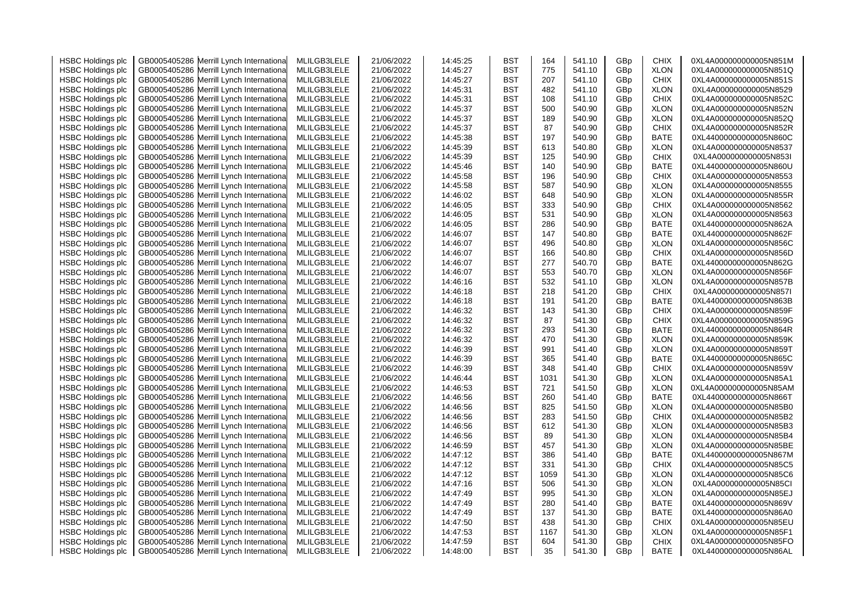| <b>HSBC Holdings plc</b> | GB0005405286 Merrill Lynch Internationa    | MLILGB3LELE | 21/06/2022 | 14:45:25 | BST        | 164        | 541.10           | GBp | <b>CHIX</b> | 0XL4A000000000005N851M |
|--------------------------|--------------------------------------------|-------------|------------|----------|------------|------------|------------------|-----|-------------|------------------------|
| <b>HSBC Holdings plc</b> | Merrill Lynch Internationa<br>GB0005405286 | MLILGB3LELE | 21/06/2022 | 14:45:27 | BST        | 775        | 541.10           | GBp | <b>XLON</b> | 0XL4A000000000005N851Q |
| <b>HSBC Holdings plc</b> | Merrill Lynch Internationa<br>GB0005405286 | MLILGB3LELE | 21/06/2022 | 14:45:27 | BST        | 207        | 541.10           | GBp | <b>CHIX</b> | 0XL4A000000000005N851S |
| <b>HSBC Holdings plc</b> | Merrill Lynch Internationa<br>GB0005405286 | MLILGB3LELE | 21/06/2022 | 14:45:31 | BST        | 482        | 541.10           | GBp | <b>XLON</b> | 0XL4A000000000005N8529 |
| <b>HSBC Holdings plc</b> | GB0005405286<br>Merrill Lynch Internationa | MLILGB3LELE | 21/06/2022 | 14:45:31 | BST        | 108        | 541.10           | GBp | <b>CHIX</b> | 0XL4A000000000005N852C |
| <b>HSBC Holdings plc</b> | GB0005405286<br>Merrill Lynch Internationa | MLILGB3LELE | 21/06/2022 | 14:45:37 | BST        | 500        | 540.90           | GBp | <b>XLON</b> | 0XL4A000000000005N852N |
| <b>HSBC Holdings plc</b> | GB0005405286<br>Merrill Lynch Internationa | MLILGB3LELE | 21/06/2022 | 14:45:37 | BST        | 189        | 540.90           | GBp | <b>XLON</b> | 0XL4A000000000005N852Q |
| <b>HSBC Holdings plc</b> | GB0005405286<br>Merrill Lynch Internationa | MLILGB3LELE | 21/06/2022 | 14:45:37 | BST        | 87         | 540.90           | GBp | <b>CHIX</b> | 0XL4A000000000005N852R |
| <b>HSBC Holdings plc</b> | GB0005405286<br>Merrill Lynch Internationa | MLILGB3LELE | 21/06/2022 | 14:45:38 | BST        | 197        | 540.90           | GBp | <b>BATE</b> | 0XL44000000000005N860C |
| <b>HSBC Holdings plc</b> | GB0005405286<br>Merrill Lynch Internationa | MLILGB3LELE | 21/06/2022 | 14:45:39 | BST        | 613        | 540.80           | GBp | <b>XLON</b> | 0XL4A000000000005N8537 |
| <b>HSBC Holdings plc</b> | Merrill Lynch Internationa<br>GB0005405286 | MLILGB3LELE | 21/06/2022 | 14:45:39 | BST        | 125        | 540.90           | GBp | <b>CHIX</b> | 0XL4A000000000005N853I |
| <b>HSBC Holdings plc</b> | Merrill Lynch Internationa<br>GB0005405286 | MLILGB3LELE | 21/06/2022 | 14:45:46 | BST        | 140        | 540.90           | GBp | BATE        | 0XL44000000000005N860U |
| <b>HSBC Holdings plc</b> | Merrill Lynch Internationa<br>GB0005405286 | MLILGB3LELE | 21/06/2022 | 14:45:58 | BST        | 196        | 540.90           | GBp | <b>CHIX</b> | 0XL4A000000000005N8553 |
| <b>HSBC Holdings plc</b> | GB0005405286<br>Merrill Lynch Internationa | MLILGB3LELE | 21/06/2022 | 14:45:58 | BST        | 587        | 540.90           | GBp | <b>XLON</b> | 0XL4A000000000005N8555 |
|                          | GB0005405286<br>Merrill Lynch Internationa | MLILGB3LELE | 21/06/2022 | 14:46:02 | BST        | 648        | 540.90           |     | <b>XLON</b> | 0XL4A000000000005N855R |
| <b>HSBC Holdings plc</b> |                                            |             |            |          |            | 333        |                  | GBp |             |                        |
| <b>HSBC Holdings plc</b> | Merrill Lynch Internationa<br>GB0005405286 | MLILGB3LELE | 21/06/2022 | 14:46:05 | BST        |            | 540.90           | GBp | <b>CHIX</b> | 0XL4A000000000005N8562 |
| <b>HSBC Holdings plc</b> | GB0005405286<br>Merrill Lynch Internationa | MLILGB3LELE | 21/06/2022 | 14:46:05 | BST        | 531        | 540.90           | GBp | <b>XLON</b> | 0XL4A000000000005N8563 |
| <b>HSBC Holdings plc</b> | GB0005405286<br>Merrill Lynch Internationa | MLILGB3LELE | 21/06/2022 | 14:46:05 | BST        | 286        | 540.90           | GBp | BATE        | 0XL44000000000005N862A |
| <b>HSBC Holdings plc</b> | Merrill Lynch Internationa<br>GB0005405286 | MLILGB3LELE | 21/06/2022 | 14:46:07 | BST        | 147        | 540.80           | GBp | BATE        | 0XL44000000000005N862F |
| <b>HSBC Holdings plc</b> | Merrill Lynch Internationa<br>GB0005405286 | MLILGB3LELE | 21/06/2022 | 14:46:07 | BST        | 496        | 540.80           | GBp | <b>XLON</b> | 0XL4A000000000005N856C |
| <b>HSBC Holdings plc</b> | Merrill Lynch Internationa<br>GB0005405286 | MLILGB3LELE | 21/06/2022 | 14:46:07 | BST        | 166        | 540.80           | GBp | <b>CHIX</b> | 0XL4A000000000005N856D |
| <b>HSBC Holdings plc</b> | Merrill Lynch Internationa<br>GB0005405286 | MLILGB3LELE | 21/06/2022 | 14:46:07 | BST        | 277        | 540.70           | GBp | <b>BATE</b> | 0XL44000000000005N862G |
| <b>HSBC Holdings plc</b> | Merrill Lynch Internationa<br>GB0005405286 | MLILGB3LELE | 21/06/2022 | 14:46:07 | BST        | 553        | 540.70           | GBp | <b>XLON</b> | 0XL4A000000000005N856F |
| <b>HSBC Holdings plc</b> | Merrill Lynch Internationa<br>GB0005405286 | MLILGB3LELE | 21/06/2022 | 14:46:16 | BST        | 532        | 541.10           | GBp | <b>XLON</b> | 0XL4A000000000005N857B |
| <b>HSBC Holdings plc</b> | Merrill Lynch Internationa<br>GB0005405286 | MLILGB3LELE | 21/06/2022 | 14:46:18 | BST        | 218        | 541.20           | GBp | <b>CHIX</b> | 0XL4A000000000005N857I |
| <b>HSBC Holdings plc</b> | Merrill Lynch Internationa<br>GB0005405286 | MLILGB3LELE | 21/06/2022 | 14:46:18 | BST        | 191        | 541.20           | GBp | BATE        | 0XL44000000000005N863B |
| <b>HSBC Holdings plc</b> | Merrill Lynch Internationa<br>GB0005405286 | MLILGB3LELE | 21/06/2022 | 14:46:32 | BST        | 143        | 541.30           | GBp | CHIX        | 0XL4A000000000005N859F |
| <b>HSBC Holdings plc</b> | Merrill Lynch Internationa<br>GB0005405286 | MLILGB3LELE | 21/06/2022 | 14:46:32 | BST        | 87         | 541.30           | GBp | <b>CHIX</b> | 0XL4A000000000005N859G |
| <b>HSBC Holdings plc</b> | Merrill Lynch Internationa<br>GB0005405286 | MLILGB3LELE | 21/06/2022 | 14:46:32 | <b>BST</b> | 293        | 541.30           | GBp | <b>BATE</b> | 0XL44000000000005N864R |
| <b>HSBC Holdings plc</b> | Merrill Lynch Internationa<br>GB0005405286 | MLILGB3LELE | 21/06/2022 | 14:46:32 | BST        | 470        | 541.30           | GBp | <b>XLON</b> | 0XL4A000000000005N859K |
| <b>HSBC Holdings plc</b> | Merrill Lynch Internationa<br>GB0005405286 | MLILGB3LELE | 21/06/2022 | 14:46:39 | BST        | 991        | 541.40           | GBp | <b>XLON</b> | 0XL4A000000000005N859T |
| <b>HSBC Holdings plc</b> | Merrill Lynch Internationa<br>GB0005405286 | MLILGB3LELE | 21/06/2022 | 14:46:39 | BST        | 365        | 541.40           | GBp | <b>BATE</b> | 0XL44000000000005N865C |
| <b>HSBC Holdings plc</b> | Merrill Lynch Internationa<br>GB0005405286 | MLILGB3LELE | 21/06/2022 | 14:46:39 | <b>BST</b> | 348        | 541.40           | GBp | <b>CHIX</b> | 0XL4A000000000005N859V |
| <b>HSBC Holdings plc</b> | Merrill Lynch Internationa<br>GB0005405286 | MLILGB3LELE | 21/06/2022 | 14:46:44 | BST        | 1031       | 541.30           | GBp | <b>XLON</b> | 0XL4A000000000005N85A1 |
| <b>HSBC Holdings plc</b> | GB0005405286<br>Merrill Lynch Internationa | MLILGB3LELE | 21/06/2022 | 14:46:53 | BST        | 721        | 541.50           | GBp | <b>XLON</b> | 0XL4A000000000005N85AM |
| <b>HSBC Holdings plc</b> | GB0005405286<br>Merrill Lynch Internationa | MLILGB3LELE | 21/06/2022 | 14:46:56 | BST        | 260        | 541.40           | GBp | <b>BATE</b> | 0XL44000000000005N866T |
| <b>HSBC Holdings plc</b> | GB0005405286<br>Merrill Lynch Internationa | MLILGB3LELE | 21/06/2022 | 14:46:56 | BST        | 825        | 541.50           | GBp | <b>XLON</b> | 0XL4A000000000005N85B0 |
| <b>HSBC Holdings plc</b> | Merrill Lynch Internationa<br>GB0005405286 | MLILGB3LELE | 21/06/2022 | 14:46:56 | BST        | 283        | 541.50           | GBp | <b>CHIX</b> | 0XL4A000000000005N85B2 |
| <b>HSBC Holdings plc</b> | GB0005405286<br>Merrill Lynch Internationa | MLILGB3LELE | 21/06/2022 | 14:46:56 | BST        | 612        | 541.30           | GBp | <b>XLON</b> | 0XL4A000000000005N85B3 |
| <b>HSBC Holdings plc</b> | GB0005405286<br>Merrill Lynch Internationa | MLILGB3LELE | 21/06/2022 | 14:46:56 | <b>BST</b> | 89         | 541.30           | GBp | <b>XLON</b> | 0XL4A000000000005N85B4 |
| <b>HSBC Holdings plc</b> | GB0005405286<br>Merrill Lynch Internationa | MLILGB3LELE | 21/06/2022 | 14:46:59 | BST        | 457        | 541.30           | GBp | <b>XLON</b> | 0XL4A000000000005N85BE |
| <b>HSBC Holdings plc</b> | Merrill Lynch Internationa<br>GB0005405286 | MLILGB3LELE | 21/06/2022 | 14:47:12 | BST        | 386        | 541.40           | GBp | <b>BATE</b> | 0XL44000000000005N867M |
| <b>HSBC Holdings plc</b> | Merrill Lynch Internationa<br>GB0005405286 | MLILGB3LELE | 21/06/2022 | 14:47:12 | BST        | 331        | 541.30           | GBp | <b>CHIX</b> | 0XL4A000000000005N85C5 |
| <b>HSBC Holdings plc</b> | Merrill Lynch Internationa<br>GB0005405286 | MLILGB3LELE | 21/06/2022 | 14:47:12 | BST        | 1059       | 541.30           | GBp | <b>XLON</b> | 0XL4A000000000005N85C6 |
| <b>HSBC Holdings plc</b> | GB0005405286<br>Merrill Lynch Internationa | MLILGB3LELE | 21/06/2022 | 14:47:16 | BST        | 506        | 541.30           | GBp | <b>XLON</b> | 0XL4A000000000005N85CI |
| <b>HSBC Holdings plc</b> | GB0005405286<br>Merrill Lynch Internationa | MLILGB3LELE | 21/06/2022 | 14:47:49 | BST        | 995        | 541.30           | GBp | <b>XLON</b> | 0XL4A000000000005N85EJ |
| <b>HSBC Holdings plc</b> | GB0005405286<br>Merrill Lynch Internationa | MLILGB3LELE | 21/06/2022 | 14:47:49 | BST        | 280        | 541.40           | GBp | <b>BATE</b> | 0XL44000000000005N869V |
|                          |                                            |             |            |          | BST        |            |                  |     | BATE        |                        |
| <b>HSBC Holdings plc</b> | Merrill Lynch Internationa<br>GB0005405286 | MLILGB3LELE | 21/06/2022 | 14:47:49 |            | 137<br>438 | 541.30<br>541.30 | GBp |             | 0XL44000000000005N86A0 |
| <b>HSBC Holdings plc</b> | Merrill Lynch Internationa<br>GB0005405286 | MLILGB3LELE | 21/06/2022 | 14:47:50 | BST        |            |                  | GBp | <b>CHIX</b> | 0XL4A000000000005N85EU |
| <b>HSBC Holdings plc</b> | Merrill Lynch Internationa<br>GB0005405286 | MLILGB3LELE | 21/06/2022 | 14:47:53 | BST        | 1167       | 541.30           | GBp | <b>XLON</b> | 0XL4A000000000005N85F1 |
| <b>HSBC Holdings plc</b> | GB0005405286 Merrill Lynch Internationa    | MLILGB3LELE | 21/06/2022 | 14:47:59 | BST        | 604        | 541.30           | GBp | <b>CHIX</b> | 0XL4A000000000005N85FO |
| <b>HSBC Holdings plc</b> | GB0005405286 Merrill Lynch International   | MLILGB3LELE | 21/06/2022 | 14:48:00 | BST        | 35         | 541.30           | GBp | BATE        | 0XL44000000000005N86AL |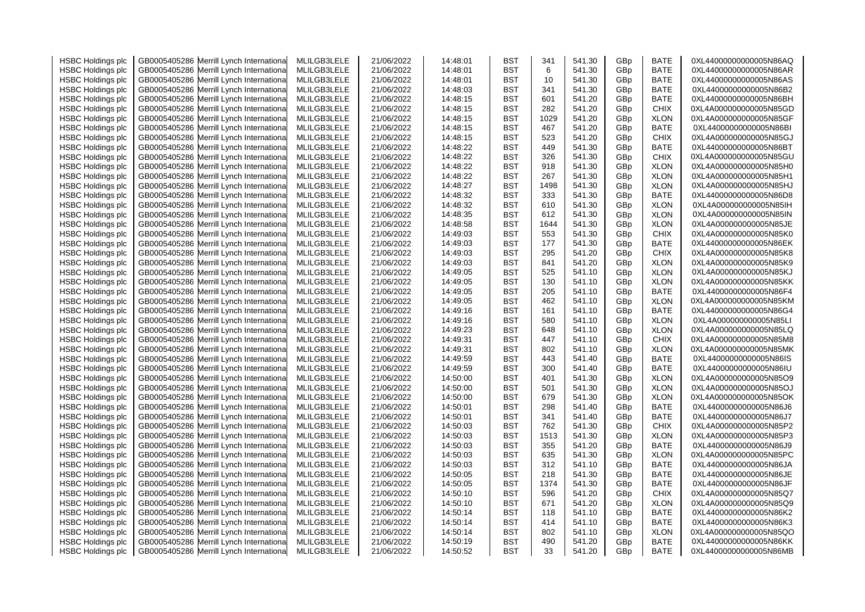| <b>HSBC Holdings plc</b> | GB0005405286 Merrill Lynch Internationa    | MLILGB3LELE                | 21/06/2022 | 14:48:01 | BST        | 341  | 541.30 | GBp | <b>BATE</b> | 0XL44000000000005N86AQ |
|--------------------------|--------------------------------------------|----------------------------|------------|----------|------------|------|--------|-----|-------------|------------------------|
| <b>HSBC Holdings plc</b> | Merrill Lynch Internationa<br>GB0005405286 | MLILGB3LELE                | 21/06/2022 | 14:48:01 | BST        | 6    | 541.30 | GBp | BATE        | 0XL44000000000005N86AR |
| <b>HSBC Holdings plc</b> | Merrill Lynch Internationa<br>GB0005405286 | MLILGB3LELE                | 21/06/2022 | 14:48:01 | BST        | 10   | 541.30 | GBp | BATE        | 0XL44000000000005N86AS |
| <b>HSBC Holdings plc</b> | Merrill Lynch Internationa<br>GB0005405286 | MLILGB3LELE                | 21/06/2022 | 14:48:03 | BST        | 341  | 541.30 | GBp | <b>BATE</b> | 0XL44000000000005N86B2 |
| <b>HSBC Holdings plc</b> | GB0005405286<br>Merrill Lynch Internationa | MLILGB3LELE                | 21/06/2022 | 14:48:15 | BST        | 601  | 541.20 | GBp | <b>BATE</b> | 0XL44000000000005N86BH |
| <b>HSBC Holdings plc</b> | GB0005405286<br>Merrill Lynch Internationa | MLILGB3LELE                | 21/06/2022 | 14:48:15 | BST        | 282  | 541.20 | GBp | <b>CHIX</b> | 0XL4A000000000005N85GD |
| <b>HSBC Holdings plc</b> | GB0005405286<br>Merrill Lynch Internationa | MLILGB3LELE                | 21/06/2022 | 14:48:15 | BST        | 1029 | 541.20 | GBp | <b>XLON</b> | 0XL4A000000000005N85GF |
| <b>HSBC Holdings plc</b> | GB0005405286<br>Merrill Lynch Internationa | MLILGB3LELE                | 21/06/2022 | 14:48:15 | BST        | 467  | 541.20 | GBp | <b>BATE</b> | 0XL44000000000005N86BI |
| <b>HSBC Holdings plc</b> | GB0005405286<br>Merrill Lynch Internationa | MLILGB3LELE                | 21/06/2022 | 14:48:15 | BST        | 523  | 541.20 | GBp | <b>CHIX</b> | 0XL4A000000000005N85GJ |
| <b>HSBC Holdings plc</b> | GB0005405286<br>Merrill Lynch Internationa | MLILGB3LELE                | 21/06/2022 | 14:48:22 | BST        | 449  | 541.30 | GBp | BATE        | 0XL44000000000005N86BT |
| <b>HSBC Holdings plc</b> | Merrill Lynch Internationa<br>GB0005405286 | MLILGB3LELE                | 21/06/2022 | 14:48:22 | BST        | 326  | 541.30 | GBp | <b>CHIX</b> | 0XL4A000000000005N85GU |
|                          | Merrill Lynch Internationa<br>GB0005405286 | MLILGB3LELE                | 21/06/2022 | 14:48:22 | BST        | 918  | 541.30 | GBp | <b>XLON</b> | 0XL4A000000000005N85H0 |
| <b>HSBC Holdings plc</b> |                                            |                            |            | 14:48:22 | BST        | 267  | 541.30 | GBp | <b>XLON</b> | 0XL4A000000000005N85H1 |
| <b>HSBC Holdings plc</b> | Merrill Lynch Internationa<br>GB0005405286 | MLILGB3LELE                | 21/06/2022 |          |            | 1498 |        |     |             |                        |
| <b>HSBC Holdings plc</b> | GB0005405286<br>Merrill Lynch Internationa | MLILGB3LELE                | 21/06/2022 | 14:48:27 | BST        |      | 541.30 | GBp | <b>XLON</b> | 0XL4A000000000005N85HJ |
| <b>HSBC Holdings plc</b> | GB0005405286<br>Merrill Lynch Internationa | MLILGB3LELE                | 21/06/2022 | 14:48:32 | BST        | 333  | 541.30 | GBp | BATE        | 0XL44000000000005N86D8 |
| <b>HSBC Holdings plc</b> | Merrill Lynch Internationa<br>GB0005405286 | MLILGB3LELE                | 21/06/2022 | 14:48:32 | BST        | 610  | 541.30 | GBp | <b>XLON</b> | 0XL4A000000000005N85IH |
| <b>HSBC Holdings plc</b> | GB0005405286<br>Merrill Lynch Internationa | MLILGB3LELE                | 21/06/2022 | 14:48:35 | BST        | 612  | 541.30 | GBp | <b>XLON</b> | 0XL4A000000000005N85IN |
| <b>HSBC Holdings plc</b> | Merrill Lynch Internationa<br>GB0005405286 | MLILGB3LELE                | 21/06/2022 | 14:48:58 | BST        | 1644 | 541.30 | GBp | <b>XLON</b> | 0XL4A000000000005N85JE |
| <b>HSBC Holdings plc</b> | Merrill Lynch Internationa<br>GB0005405286 | MLILGB3LELE                | 21/06/2022 | 14:49:03 | BST        | 553  | 541.30 | GBp | <b>CHIX</b> | 0XL4A000000000005N85K0 |
| <b>HSBC Holdings plc</b> | Merrill Lynch Internationa<br>GB0005405286 | MLILGB3LELE                | 21/06/2022 | 14:49:03 | BST        | 177  | 541.30 | GBp | BATE        | 0XL44000000000005N86EK |
| <b>HSBC Holdings plc</b> | Merrill Lynch Internationa<br>GB0005405286 | MLILGB3LELE                | 21/06/2022 | 14:49:03 | BST        | 295  | 541.20 | GBp | <b>CHIX</b> | 0XL4A000000000005N85K8 |
| <b>HSBC Holdings plc</b> | Merrill Lynch Internationa<br>GB0005405286 | MLILGB3LELE                | 21/06/2022 | 14:49:03 | BST        | 841  | 541.20 | GBp | <b>XLON</b> | 0XL4A000000000005N85K9 |
| <b>HSBC Holdings plc</b> | Merrill Lynch Internationa<br>GB0005405286 | MLILGB3LELE                | 21/06/2022 | 14:49:05 | BST        | 525  | 541.10 | GBp | <b>XLON</b> | 0XL4A000000000005N85KJ |
| <b>HSBC Holdings plc</b> | Merrill Lynch Internationa<br>GB0005405286 | MLILGB3LELE                | 21/06/2022 | 14:49:05 | BST        | 130  | 541.10 | GBp | <b>XLON</b> | 0XL4A000000000005N85KK |
| <b>HSBC Holdings plc</b> | Merrill Lynch Internationa<br>GB0005405286 | MLILGB3LELE                | 21/06/2022 | 14:49:05 | BST        | 205  | 541.10 | GBp | <b>BATE</b> | 0XL44000000000005N86F4 |
| <b>HSBC Holdings plc</b> | Merrill Lynch Internationa<br>GB0005405286 | MLILGB3LELE                | 21/06/2022 | 14:49:05 | BST        | 462  | 541.10 | GBp | <b>XLON</b> | 0XL4A000000000005N85KM |
| <b>HSBC Holdings plc</b> | Merrill Lynch Internationa<br>GB0005405286 | MLILGB3LELE                | 21/06/2022 | 14:49:16 | BST        | 161  | 541.10 | GBp | BATE        | 0XL44000000000005N86G4 |
| <b>HSBC Holdings plc</b> | Merrill Lynch Internationa<br>GB0005405286 | MLILGB3LELE                | 21/06/2022 | 14:49:16 | BST        | 580  | 541.10 | GBp | <b>XLON</b> | 0XL4A000000000005N85LI |
| <b>HSBC Holdings plc</b> | Merrill Lynch Internationa<br>GB0005405286 | MLILGB3LELE                | 21/06/2022 | 14:49:23 | <b>BST</b> | 648  | 541.10 | GBp | <b>XLON</b> | 0XL4A000000000005N85LQ |
| <b>HSBC Holdings plc</b> | Merrill Lynch Internationa<br>GB0005405286 | MLILGB3LELE                | 21/06/2022 | 14:49:31 | BST        | 447  | 541.10 | GBp | <b>CHIX</b> | 0XL4A000000000005N85M8 |
| <b>HSBC Holdings plc</b> | Merrill Lynch Internationa<br>GB0005405286 | MLILGB3LELE                | 21/06/2022 | 14:49:31 | BST        | 802  | 541.10 | GBp | <b>XLON</b> | 0XL4A000000000005N85MK |
| <b>HSBC Holdings plc</b> | Merrill Lynch Internationa<br>GB0005405286 | MLILGB3LELE                | 21/06/2022 | 14:49:59 | BST        | 443  | 541.40 | GBp | <b>BATE</b> | 0XL44000000000005N86IS |
| <b>HSBC Holdings plc</b> | Merrill Lynch Internationa<br>GB0005405286 | MLILGB3LELE                | 21/06/2022 | 14:49:59 | BST        | 300  | 541.40 | GBp | <b>BATE</b> | 0XL44000000000005N86IU |
| <b>HSBC Holdings plc</b> | Merrill Lynch Internationa<br>GB0005405286 | MLILGB3LELE                | 21/06/2022 | 14:50:00 | BST        | 401  | 541.30 | GBp | <b>XLON</b> | 0XL4A000000000005N85O9 |
| <b>HSBC Holdings plc</b> | GB0005405286<br>Merrill Lynch Internationa | MLILGB3LELE                | 21/06/2022 | 14:50:00 | BST        | 501  | 541.30 | GBp | <b>XLON</b> | 0XL4A000000000005N85OJ |
| <b>HSBC Holdings plc</b> | GB0005405286<br>Merrill Lynch Internationa | MLILGB3LELE                | 21/06/2022 | 14:50:00 | BST        | 679  | 541.30 | GBp | <b>XLON</b> | 0XL4A000000000005N85OK |
| <b>HSBC Holdings plc</b> | GB0005405286<br>Merrill Lynch Internationa | MLILGB3LELE                | 21/06/2022 | 14:50:01 | BST        | 298  | 541.40 | GBp | <b>BATE</b> | 0XL44000000000005N86J6 |
| <b>HSBC Holdings plc</b> | GB0005405286<br>Merrill Lynch Internationa | MLILGB3LELE                | 21/06/2022 | 14:50:01 | BST        | 341  | 541.40 | GBp | BATE        | 0XL44000000000005N86J7 |
| <b>HSBC Holdings plc</b> | GB0005405286<br>Merrill Lynch Internationa | MLILGB3LELE                | 21/06/2022 | 14:50:03 | BST        | 762  | 541.30 | GBp | <b>CHIX</b> | 0XL4A000000000005N85P2 |
| <b>HSBC Holdings plc</b> | GB0005405286<br>Merrill Lynch Internationa | MLILGB3LELE                | 21/06/2022 | 14:50:03 | <b>BST</b> | 1513 | 541.30 | GBp | <b>XLON</b> | 0XL4A000000000005N85P3 |
| <b>HSBC Holdings plc</b> | GB0005405286<br>Merrill Lynch Internationa | MLILGB3LELE                | 21/06/2022 | 14:50:03 | BST        | 355  | 541.20 | GBp | <b>BATE</b> | 0XL44000000000005N86J9 |
| <b>HSBC Holdings plc</b> | GB0005405286<br>Merrill Lynch Internationa | MLILGB3LELE                | 21/06/2022 | 14:50:03 | BST        | 635  | 541.30 | GBp | <b>XLON</b> | 0XL4A000000000005N85PC |
| <b>HSBC Holdings plc</b> | Merrill Lynch Internationa<br>GB0005405286 | MLILGB3LELE                | 21/06/2022 | 14:50:03 | BST        | 312  | 541.10 | GBp | BATE        | 0XL44000000000005N86JA |
| <b>HSBC Holdings plc</b> | Merrill Lynch Internationa<br>GB0005405286 | MLILGB3LELE                | 21/06/2022 | 14:50:05 | BST        | 218  | 541.30 | GBp | BATE        | 0XL44000000000005N86JE |
|                          | GB0005405286<br>Merrill Lynch Internationa |                            |            | 14:50:05 | BST        | 1374 | 541.30 | GBp | <b>BATE</b> |                        |
| <b>HSBC Holdings plc</b> | GB0005405286<br>Merrill Lynch Internationa | MLILGB3LELE<br>MLILGB3LELE | 21/06/2022 | 14:50:10 | BST        | 596  | 541.20 | GBp | <b>CHIX</b> | 0XL44000000000005N86JF |
| <b>HSBC Holdings plc</b> |                                            |                            | 21/06/2022 |          | BST        |      |        |     | <b>XLON</b> | 0XL4A000000000005N85Q7 |
| <b>HSBC Holdings plc</b> | GB0005405286<br>Merrill Lynch Internationa | MLILGB3LELE                | 21/06/2022 | 14:50:10 |            | 671  | 541.20 | GBp |             | 0XL4A000000000005N85Q9 |
| <b>HSBC Holdings plc</b> | Merrill Lynch Internationa<br>GB0005405286 | MLILGB3LELE                | 21/06/2022 | 14:50:14 | BST        | 118  | 541.10 | GBp | BATE        | 0XL44000000000005N86K2 |
| <b>HSBC Holdings plc</b> | GB0005405286<br>Merrill Lynch Internationa | MLILGB3LELE                | 21/06/2022 | 14:50:14 | BST        | 414  | 541.10 | GBp | <b>BATE</b> | 0XL44000000000005N86K3 |
| <b>HSBC Holdings plc</b> | Merrill Lynch Internationa<br>GB0005405286 | MLILGB3LELE                | 21/06/2022 | 14:50:14 | BST        | 802  | 541.10 | GBp | <b>XLON</b> | 0XL4A000000000005N85QO |
| <b>HSBC Holdings plc</b> | GB0005405286 Merrill Lynch Internationa    | MLILGB3LELE                | 21/06/2022 | 14:50:19 | BST        | 490  | 541.20 | GBp | BATE        | 0XL44000000000005N86KK |
| <b>HSBC Holdings plc</b> | GB0005405286 Merrill Lynch International   | MLILGB3LELE                | 21/06/2022 | 14:50:52 | BST        | 33   | 541.20 | GBp | BATE        | 0XL44000000000005N86MB |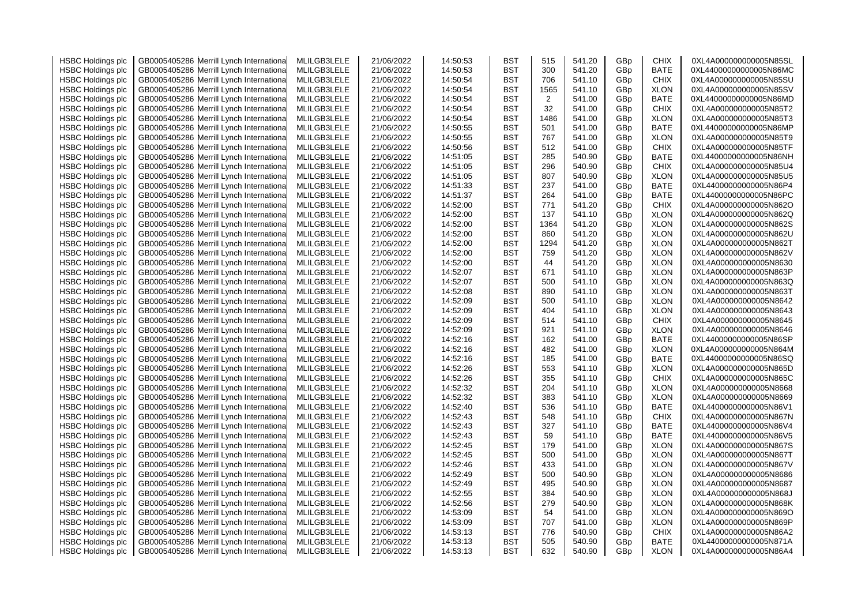| <b>HSBC Holdings plc</b> | GB0005405286 Merrill Lynch Internationa    | MLILGB3LELE | 21/06/2022 | 14:50:53 | BST        | 515  | 541.20 | GBp | <b>CHIX</b> | 0XL4A000000000005N85SL |
|--------------------------|--------------------------------------------|-------------|------------|----------|------------|------|--------|-----|-------------|------------------------|
| <b>HSBC Holdings plc</b> | Merrill Lynch Internationa<br>GB0005405286 | MLILGB3LELE | 21/06/2022 | 14:50:53 | BST        | 300  | 541.20 | GBp | BATE        | 0XL44000000000005N86MC |
| <b>HSBC Holdings plc</b> | GB0005405286 Merrill Lynch Internationa    | MLILGB3LELE | 21/06/2022 | 14:50:54 | <b>BST</b> | 706  | 541.10 | GBp | <b>CHIX</b> | 0XL4A000000000005N85SU |
| <b>HSBC Holdings plc</b> | Merrill Lynch Internationa<br>GB0005405286 | MLILGB3LELE | 21/06/2022 | 14:50:54 | <b>BST</b> | 1565 | 541.10 | GBp | <b>XLON</b> | 0XL4A000000000005N85SV |
| <b>HSBC Holdings plc</b> | GB0005405286<br>Merrill Lynch Internationa | MLILGB3LELE | 21/06/2022 | 14:50:54 | <b>BST</b> | 2    | 541.00 | GBp | <b>BATE</b> | 0XL44000000000005N86MD |
| <b>HSBC Holdings plc</b> | GB0005405286<br>Merrill Lynch Internationa | MLILGB3LELE | 21/06/2022 | 14:50:54 | <b>BST</b> | 32   | 541.00 | GBp | <b>CHIX</b> | 0XL4A000000000005N85T2 |
| <b>HSBC Holdings plc</b> | GB0005405286<br>Merrill Lynch Internationa | MLILGB3LELE | 21/06/2022 | 14:50:54 | <b>BST</b> | 1486 | 541.00 | GBp | <b>XLON</b> | 0XL4A000000000005N85T3 |
| <b>HSBC Holdings plc</b> | GB0005405286<br>Merrill Lynch Internationa | MLILGB3LELE | 21/06/2022 | 14:50:55 | <b>BST</b> | 501  | 541.00 | GBp | <b>BATE</b> | 0XL44000000000005N86MP |
| <b>HSBC Holdings plc</b> | GB0005405286<br>Merrill Lynch Internationa | MLILGB3LELE | 21/06/2022 | 14:50:55 | BST        | 767  | 541.00 | GBp | <b>XLON</b> | 0XL4A000000000005N85T9 |
| <b>HSBC Holdings plc</b> | GB0005405286<br>Merrill Lynch Internationa | MLILGB3LELE | 21/06/2022 | 14:50:56 | BST        | 512  | 541.00 | GBp | <b>CHIX</b> | 0XL4A000000000005N85TF |
| <b>HSBC Holdings plc</b> | GB0005405286<br>Merrill Lynch Internationa | MLILGB3LELE | 21/06/2022 | 14:51:05 | BST        | 285  | 540.90 | GBp | BATE        | 0XL44000000000005N86NH |
|                          |                                            | MLILGB3LELE | 21/06/2022 |          | <b>BST</b> | 296  | 540.90 | GBp | <b>CHIX</b> | 0XL4A000000000005N85U4 |
| <b>HSBC Holdings plc</b> | GB0005405286 Merrill Lynch Internationa    |             |            | 14:51:05 |            |      |        |     |             |                        |
| <b>HSBC Holdings plc</b> | GB0005405286<br>Merrill Lynch Internationa | MLILGB3LELE | 21/06/2022 | 14:51:05 | <b>BST</b> | 807  | 540.90 | GBp | <b>XLON</b> | 0XL4A000000000005N85U5 |
| <b>HSBC Holdings plc</b> | GB0005405286<br>Merrill Lynch Internationa | MLILGB3LELE | 21/06/2022 | 14:51:33 | BST        | 237  | 541.00 | GBp | BATE        | 0XL44000000000005N86P4 |
| <b>HSBC Holdings plc</b> | GB0005405286<br>Merrill Lynch Internationa | MLILGB3LELE | 21/06/2022 | 14:51:37 | BST        | 264  | 541.00 | GBp | BATE        | 0XL44000000000005N86PC |
| <b>HSBC Holdings plc</b> | GB0005405286<br>Merrill Lynch Internationa | MLILGB3LELE | 21/06/2022 | 14:52:00 | BST        | 771  | 541.20 | GBp | <b>CHIX</b> | 0XL4A000000000005N862O |
| <b>HSBC Holdings plc</b> | GB0005405286<br>Merrill Lynch Internationa | MLILGB3LELE | 21/06/2022 | 14:52:00 | <b>BST</b> | 137  | 541.10 | GBp | <b>XLON</b> | 0XL4A000000000005N862Q |
| <b>HSBC Holdings plc</b> | GB0005405286<br>Merrill Lynch Internationa | MLILGB3LELE | 21/06/2022 | 14:52:00 | BST        | 1364 | 541.20 | GBp | <b>XLON</b> | 0XL4A000000000005N862S |
| <b>HSBC Holdings plc</b> | GB0005405286 Merrill Lynch Internationa    | MLILGB3LELE | 21/06/2022 | 14:52:00 | <b>BST</b> | 860  | 541.20 | GBp | <b>XLON</b> | 0XL4A000000000005N862U |
| <b>HSBC Holdings plc</b> | Merrill Lynch Internationa<br>GB0005405286 | MLILGB3LELE | 21/06/2022 | 14:52:00 | <b>BST</b> | 1294 | 541.20 | GBp | <b>XLON</b> | 0XL4A000000000005N862T |
| <b>HSBC Holdings plc</b> | GB0005405286 Merrill Lynch Internationa    | MLILGB3LELE | 21/06/2022 | 14:52:00 | <b>BST</b> | 759  | 541.20 | GBp | <b>XLON</b> | 0XL4A000000000005N862V |
| <b>HSBC Holdings plc</b> | GB0005405286<br>Merrill Lynch Internationa | MLILGB3LELE | 21/06/2022 | 14:52:00 | BST        | 44   | 541.20 | GBp | <b>XLON</b> | 0XL4A000000000005N8630 |
| <b>HSBC Holdings plc</b> | GB0005405286<br>Merrill Lynch Internationa | MLILGB3LELE | 21/06/2022 | 14:52:07 | BST        | 671  | 541.10 | GBp | <b>XLON</b> | 0XL4A000000000005N863P |
| <b>HSBC Holdings plc</b> | GB0005405286<br>Merrill Lynch Internationa | MLILGB3LELE | 21/06/2022 | 14:52:07 | BST        | 500  | 541.10 | GBp | <b>XLON</b> | 0XL4A000000000005N863Q |
| <b>HSBC Holdings plc</b> | GB0005405286<br>Merrill Lynch Internationa | MLILGB3LELE | 21/06/2022 | 14:52:08 | BST        | 890  | 541.10 | GBp | <b>XLON</b> | 0XL4A000000000005N863T |
| <b>HSBC Holdings plc</b> | GB0005405286 Merrill Lynch Internationa    | MLILGB3LELE | 21/06/2022 | 14:52:09 | <b>BST</b> | 500  | 541.10 | GBp | <b>XLON</b> | 0XL4A000000000005N8642 |
| <b>HSBC Holdings plc</b> | Merrill Lynch Internationa<br>GB0005405286 | MLILGB3LELE | 21/06/2022 | 14:52:09 | BST        | 404  | 541.10 | GBp | <b>XLON</b> | 0XL4A000000000005N8643 |
| <b>HSBC Holdings plc</b> | GB0005405286 Merrill Lynch Internationa    | MLILGB3LELE | 21/06/2022 | 14:52:09 | <b>BST</b> | 514  | 541.10 | GBp | <b>CHIX</b> | 0XL4A000000000005N8645 |
| <b>HSBC Holdings plc</b> | GB0005405286<br>Merrill Lynch Internationa | MLILGB3LELE | 21/06/2022 | 14:52:09 | BST        | 921  | 541.10 | GBp | <b>XLON</b> | 0XL4A000000000005N8646 |
| <b>HSBC Holdings plc</b> | GB0005405286<br>Merrill Lynch Internationa | MLILGB3LELE | 21/06/2022 | 14:52:16 | <b>BST</b> | 162  | 541.00 | GBp | BATE        | 0XL44000000000005N86SP |
| <b>HSBC Holdings plc</b> | GB0005405286<br>Merrill Lynch Internationa | MLILGB3LELE | 21/06/2022 | 14:52:16 | BST        | 482  | 541.00 | GBp | <b>XLON</b> | 0XL4A000000000005N864M |
| <b>HSBC Holdings plc</b> | GB0005405286<br>Merrill Lynch Internationa | MLILGB3LELE | 21/06/2022 | 14:52:16 | <b>BST</b> | 185  | 541.00 | GBp | <b>BATE</b> | 0XL44000000000005N86SQ |
| <b>HSBC Holdings plc</b> | GB0005405286 Merrill Lynch Internationa    | MLILGB3LELE | 21/06/2022 | 14:52:26 | BST        | 553  | 541.10 | GBp | <b>XLON</b> | 0XL4A000000000005N865D |
| <b>HSBC Holdings plc</b> | Merrill Lynch Internationa<br>GB0005405286 | MLILGB3LELE | 21/06/2022 | 14:52:26 | BST        | 355  | 541.10 | GBp | <b>CHIX</b> | 0XL4A000000000005N865C |
| <b>HSBC Holdings plc</b> | GB0005405286 Merrill Lynch Internationa    | MLILGB3LELE | 21/06/2022 | 14:52:32 | BST        | 204  | 541.10 | GBp | <b>XLON</b> | 0XL4A000000000005N8668 |
| <b>HSBC Holdings plc</b> | Merrill Lynch Internationa<br>GB0005405286 | MLILGB3LELE | 21/06/2022 | 14:52:32 | <b>BST</b> | 383  | 541.10 | GBp | <b>XLON</b> | 0XL4A000000000005N8669 |
| <b>HSBC Holdings plc</b> | GB0005405286<br>Merrill Lynch Internationa | MLILGB3LELE | 21/06/2022 | 14:52:40 | <b>BST</b> | 536  | 541.10 | GBp | <b>BATE</b> | 0XL44000000000005N86V1 |
| <b>HSBC Holdings plc</b> | GB0005405286<br>Merrill Lynch Internationa | MLILGB3LELE | 21/06/2022 | 14:52:43 | BST        | 548  | 541.10 | GBp | <b>CHIX</b> | 0XL4A000000000005N867N |
| <b>HSBC Holdings plc</b> | GB0005405286<br>Merrill Lynch Internationa | MLILGB3LELE | 21/06/2022 | 14:52:43 | <b>BST</b> | 327  | 541.10 | GBp | BATE        | 0XL44000000000005N86V4 |
| <b>HSBC Holdings plc</b> | GB0005405286<br>Merrill Lynch Internationa | MLILGB3LELE | 21/06/2022 | 14:52:43 | <b>BST</b> | 59   | 541.10 | GBp | <b>BATE</b> | 0XL44000000000005N86V5 |
| <b>HSBC Holdings plc</b> | Merrill Lynch Internationa<br>GB0005405286 | MLILGB3LELE | 21/06/2022 | 14:52:45 | BST        | 179  | 541.00 | GBp | <b>XLON</b> | 0XL4A000000000005N867S |
| <b>HSBC Holdings plc</b> | Merrill Lynch Internationa<br>GB0005405286 | MLILGB3LELE | 21/06/2022 | 14:52:45 | BST        | 500  | 541.00 | GBp | <b>XLON</b> | 0XL4A000000000005N867T |
| <b>HSBC Holdings plc</b> | GB0005405286<br>Merrill Lynch Internationa | MLILGB3LELE | 21/06/2022 | 14:52:46 | <b>BST</b> | 433  | 541.00 | GBp | <b>XLON</b> | 0XL4A000000000005N867V |
| <b>HSBC Holdings plc</b> | GB0005405286<br>Merrill Lynch Internationa | MLILGB3LELE | 21/06/2022 | 14:52:49 | <b>BST</b> | 500  | 540.90 | GBp | <b>XLON</b> | 0XL4A000000000005N8686 |
| <b>HSBC Holdings plc</b> | GB0005405286<br>Merrill Lynch Internationa | MLILGB3LELE | 21/06/2022 | 14:52:49 | <b>BST</b> | 495  | 540.90 | GBp | <b>XLON</b> | 0XL4A000000000005N8687 |
| <b>HSBC Holdings plc</b> | Merrill Lynch Internationa<br>GB0005405286 | MLILGB3LELE | 21/06/2022 | 14:52:55 | BST        | 384  | 540.90 | GBp | <b>XLON</b> | 0XL4A000000000005N868J |
| <b>HSBC Holdings plc</b> | GB0005405286<br>Merrill Lynch Internationa | MLILGB3LELE | 21/06/2022 | 14:52:56 | <b>BST</b> | 279  | 540.90 | GBp | <b>XLON</b> | 0XL4A000000000005N868K |
| <b>HSBC Holdings plc</b> | Merrill Lynch Internationa<br>GB0005405286 | MLILGB3LELE | 21/06/2022 | 14:53:09 | <b>BST</b> | 54   | 541.00 | GBp | <b>XLON</b> | 0XL4A000000000005N869O |
| <b>HSBC Holdings plc</b> | GB0005405286<br>Merrill Lynch Internationa | MLILGB3LELE | 21/06/2022 | 14:53:09 | BST        | 707  | 541.00 | GBp | <b>XLON</b> | 0XL4A000000000005N869P |
| <b>HSBC Holdings plc</b> | GB0005405286<br>Merrill Lynch Internationa | MLILGB3LELE | 21/06/2022 | 14:53:13 | BST        | 776  | 540.90 | GBp | <b>CHIX</b> | 0XL4A000000000005N86A2 |
| <b>HSBC Holdings plc</b> | GB0005405286 Merrill Lynch Internationa    | MLILGB3LELE | 21/06/2022 | 14:53:13 | <b>BST</b> | 505  | 540.90 | GBp | BATE        | 0XL44000000000005N871A |
| <b>HSBC Holdings plc</b> | GB0005405286 Merrill Lynch International   | MLILGB3LELE | 21/06/2022 | 14:53:13 | <b>BST</b> | 632  | 540.90 | GBp | <b>XLON</b> | 0XL4A000000000005N86A4 |
|                          |                                            |             |            |          |            |      |        |     |             |                        |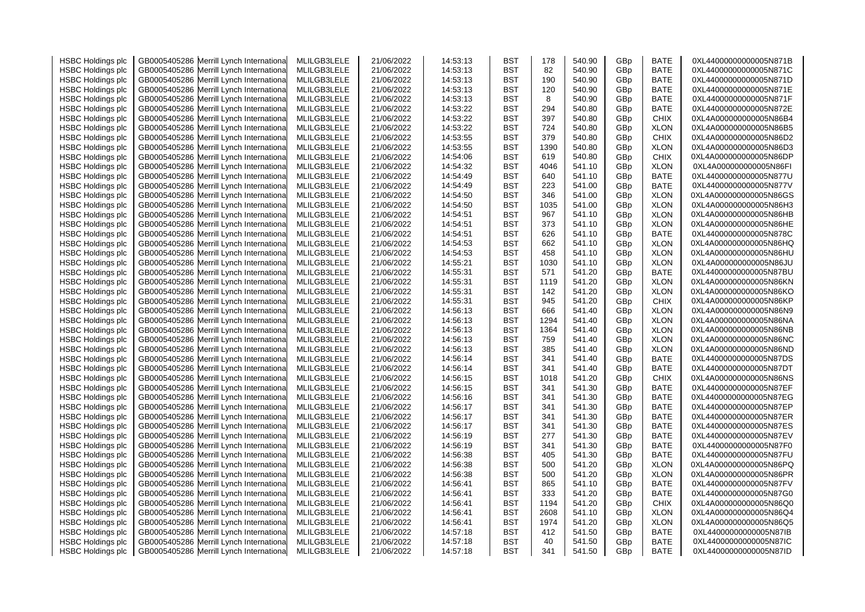| <b>HSBC Holdings plc</b> | GB0005405286 Merrill Lynch Internationa    | MLILGB3LELE | 21/06/2022 | 14:53:13 | BST        | 178  | 540.90 | GBp | <b>BATE</b> | 0XL44000000000005N871B |
|--------------------------|--------------------------------------------|-------------|------------|----------|------------|------|--------|-----|-------------|------------------------|
| <b>HSBC Holdings plc</b> | Merrill Lynch Internationa<br>GB0005405286 | MLILGB3LELE | 21/06/2022 | 14:53:13 | BST        | 82   | 540.90 | GBp | BATE        | 0XL44000000000005N871C |
| <b>HSBC Holdings plc</b> | GB0005405286 Merrill Lynch Internationa    | MLILGB3LELE | 21/06/2022 | 14:53:13 | <b>BST</b> | 190  | 540.90 | GBp | BATE        | 0XL44000000000005N871D |
| <b>HSBC Holdings plc</b> | Merrill Lynch Internationa<br>GB0005405286 | MLILGB3LELE | 21/06/2022 | 14:53:13 | <b>BST</b> | 120  | 540.90 | GBp | <b>BATE</b> | 0XL44000000000005N871E |
| <b>HSBC Holdings plc</b> | GB0005405286<br>Merrill Lynch Internationa | MLILGB3LELE | 21/06/2022 | 14:53:13 | <b>BST</b> | 8    | 540.90 | GBp | <b>BATE</b> | 0XL44000000000005N871F |
| <b>HSBC Holdings plc</b> | GB0005405286<br>Merrill Lynch Internationa | MLILGB3LELE | 21/06/2022 | 14:53:22 | BST        | 294  | 540.80 | GBp | BATE        | 0XL44000000000005N872E |
| <b>HSBC Holdings plc</b> | GB0005405286<br>Merrill Lynch Internationa | MLILGB3LELE | 21/06/2022 | 14:53:22 | <b>BST</b> | 397  | 540.80 | GBp | <b>CHIX</b> | 0XL4A000000000005N86B4 |
| <b>HSBC Holdings plc</b> | GB0005405286<br>Merrill Lynch Internationa | MLILGB3LELE | 21/06/2022 | 14:53:22 | <b>BST</b> | 724  | 540.80 | GBp | <b>XLON</b> | 0XL4A000000000005N86B5 |
| <b>HSBC Holdings plc</b> | GB0005405286<br>Merrill Lynch Internationa | MLILGB3LELE | 21/06/2022 | 14:53:55 | BST        | 379  | 540.80 | GBp | <b>CHIX</b> | 0XL4A000000000005N86D2 |
|                          |                                            |             |            |          |            |      |        |     | <b>XLON</b> |                        |
| <b>HSBC Holdings plc</b> | GB0005405286<br>Merrill Lynch Internationa | MLILGB3LELE | 21/06/2022 | 14:53:55 | BST        | 1390 | 540.80 | GBp |             | 0XL4A000000000005N86D3 |
| <b>HSBC Holdings plc</b> | GB0005405286<br>Merrill Lynch Internationa | MLILGB3LELE | 21/06/2022 | 14:54:06 | BST        | 619  | 540.80 | GBp | <b>CHIX</b> | 0XL4A000000000005N86DP |
| <b>HSBC Holdings plc</b> | GB0005405286 Merrill Lynch Internationa    | MLILGB3LELE | 21/06/2022 | 14:54:32 | <b>BST</b> | 4046 | 541.10 | GBp | <b>XLON</b> | 0XL4A000000000005N86FI |
| <b>HSBC Holdings plc</b> | GB0005405286<br>Merrill Lynch Internationa | MLILGB3LELE | 21/06/2022 | 14:54:49 | <b>BST</b> | 640  | 541.10 | GBp | <b>BATE</b> | 0XL44000000000005N877U |
| <b>HSBC Holdings plc</b> | GB0005405286<br>Merrill Lynch Internationa | MLILGB3LELE | 21/06/2022 | 14:54:49 | BST        | 223  | 541.00 | GBp | BATE        | 0XL44000000000005N877V |
| <b>HSBC Holdings plc</b> | GB0005405286<br>Merrill Lynch Internationa | MLILGB3LELE | 21/06/2022 | 14:54:50 | <b>BST</b> | 346  | 541.00 | GBp | <b>XLON</b> | 0XL4A000000000005N86GS |
| <b>HSBC Holdings plc</b> | GB0005405286<br>Merrill Lynch Internationa | MLILGB3LELE | 21/06/2022 | 14:54:50 | <b>BST</b> | 1035 | 541.00 | GBp | <b>XLON</b> | 0XL4A000000000005N86H3 |
| <b>HSBC Holdings plc</b> | GB0005405286 Merrill Lynch Internationa    | MLILGB3LELE | 21/06/2022 | 14:54:51 | <b>BST</b> | 967  | 541.10 | GBp | <b>XLON</b> | 0XL4A000000000005N86HB |
| <b>HSBC Holdings plc</b> | GB0005405286<br>Merrill Lynch Internationa | MLILGB3LELE | 21/06/2022 | 14:54:51 | BST        | 373  | 541.10 | GBp | <b>XLON</b> | 0XL4A000000000005N86HE |
| <b>HSBC Holdings plc</b> | GB0005405286 Merrill Lynch Internationa    | MLILGB3LELE | 21/06/2022 | 14:54:51 | BST        | 626  | 541.10 | GBp | BATE        | 0XL44000000000005N878C |
| <b>HSBC Holdings plc</b> | GB0005405286<br>Merrill Lynch Internationa | MLILGB3LELE | 21/06/2022 | 14:54:53 | <b>BST</b> | 662  | 541.10 | GBp | <b>XLON</b> | 0XL4A000000000005N86HQ |
| <b>HSBC Holdings plc</b> | GB0005405286 Merrill Lynch Internationa    | MLILGB3LELE | 21/06/2022 | 14:54:53 | <b>BST</b> | 458  | 541.10 | GBp | <b>XLON</b> | 0XL4A000000000005N86HU |
| <b>HSBC Holdings plc</b> | GB0005405286<br>Merrill Lynch Internationa | MLILGB3LELE | 21/06/2022 | 14:55:21 | BST        | 1030 | 541.10 | GBp | <b>XLON</b> | 0XL4A000000000005N86JU |
| <b>HSBC Holdings plc</b> | GB0005405286<br>Merrill Lynch Internationa | MLILGB3LELE | 21/06/2022 | 14:55:31 | BST        | 571  | 541.20 | GBp | BATE        | 0XL44000000000005N87BU |
| <b>HSBC Holdings plc</b> | GB0005405286<br>Merrill Lynch Internationa | MLILGB3LELE | 21/06/2022 | 14:55:31 | BST        | 1119 | 541.20 | GBp | <b>XLON</b> | 0XL4A000000000005N86KN |
| <b>HSBC Holdings plc</b> | GB0005405286<br>Merrill Lynch Internationa | MLILGB3LELE | 21/06/2022 | 14:55:31 | <b>BST</b> | 142  | 541.20 | GBp | <b>XLON</b> | 0XL4A000000000005N86KO |
| <b>HSBC Holdings plc</b> | GB0005405286 Merrill Lynch Internationa    | MLILGB3LELE | 21/06/2022 | 14:55:31 | <b>BST</b> | 945  | 541.20 | GBp | <b>CHIX</b> | 0XL4A000000000005N86KP |
| <b>HSBC Holdings plc</b> | Merrill Lynch Internationa<br>GB0005405286 | MLILGB3LELE | 21/06/2022 | 14:56:13 | BST        | 666  | 541.40 | GBp | <b>XLON</b> | 0XL4A000000000005N86N9 |
| <b>HSBC Holdings plc</b> | GB0005405286 Merrill Lynch Internationa    | MLILGB3LELE | 21/06/2022 | 14:56:13 | <b>BST</b> | 1294 | 541.40 | GBp | <b>XLON</b> | 0XL4A000000000005N86NA |
| <b>HSBC Holdings plc</b> | GB0005405286<br>Merrill Lynch Internationa | MLILGB3LELE | 21/06/2022 | 14:56:13 | BST        | 1364 | 541.40 | GBp | <b>XLON</b> | 0XL4A000000000005N86NB |
| <b>HSBC Holdings plc</b> | GB0005405286<br>Merrill Lynch Internationa | MLILGB3LELE | 21/06/2022 | 14:56:13 | <b>BST</b> | 759  | 541.40 | GBp | <b>XLON</b> | 0XL4A000000000005N86NC |
| <b>HSBC Holdings plc</b> | GB0005405286<br>Merrill Lynch Internationa | MLILGB3LELE | 21/06/2022 | 14:56:13 | BST        | 385  | 541.40 | GBp | <b>XLON</b> | 0XL4A000000000005N86ND |
| <b>HSBC Holdings plc</b> | GB0005405286<br>Merrill Lynch Internationa | MLILGB3LELE | 21/06/2022 | 14:56:14 | <b>BST</b> | 341  | 541.40 | GBp | <b>BATE</b> | 0XL44000000000005N87DS |
| <b>HSBC Holdings plc</b> | GB0005405286 Merrill Lynch Internationa    | MLILGB3LELE | 21/06/2022 | 14:56:14 | BST        | 341  | 541.40 | GBp | BATE        | 0XL44000000000005N87DT |
| <b>HSBC Holdings plc</b> | Merrill Lynch Internationa<br>GB0005405286 | MLILGB3LELE | 21/06/2022 | 14:56:15 | BST        | 1018 | 541.20 | GBp | <b>CHIX</b> | 0XL4A000000000005N86NS |
| <b>HSBC Holdings plc</b> | GB0005405286 Merrill Lynch Internationa    | MLILGB3LELE | 21/06/2022 | 14:56:15 | BST        | 341  | 541.30 | GBp | BATE        | 0XL44000000000005N87EF |
| <b>HSBC Holdings plc</b> | Merrill Lynch Internationa<br>GB0005405286 | MLILGB3LELE | 21/06/2022 | 14:56:16 | <b>BST</b> | 341  | 541.30 | GBp | <b>BATE</b> | 0XL44000000000005N87EG |
| <b>HSBC Holdings plc</b> | GB0005405286<br>Merrill Lynch Internationa | MLILGB3LELE | 21/06/2022 | 14:56:17 | <b>BST</b> | 341  | 541.30 | GBp | <b>BATE</b> | 0XL44000000000005N87EP |
|                          |                                            |             |            |          |            | 341  |        |     |             |                        |
| <b>HSBC Holdings plc</b> | GB0005405286<br>Merrill Lynch Internationa | MLILGB3LELE | 21/06/2022 | 14:56:17 | BST        |      | 541.30 | GBp | BATE        | 0XL44000000000005N87ER |
| <b>HSBC Holdings plc</b> | GB0005405286<br>Merrill Lynch Internationa | MLILGB3LELE | 21/06/2022 | 14:56:17 | <b>BST</b> | 341  | 541.30 | GBp | BATE        | 0XL44000000000005N87ES |
| <b>HSBC Holdings plc</b> | GB0005405286<br>Merrill Lynch Internationa | MLILGB3LELE | 21/06/2022 | 14:56:19 | <b>BST</b> | 277  | 541.30 | GBp | <b>BATE</b> | 0XL44000000000005N87EV |
| <b>HSBC Holdings plc</b> | Merrill Lynch Internationa<br>GB0005405286 | MLILGB3LELE | 21/06/2022 | 14:56:19 | BST        | 341  | 541.30 | GBp | <b>BATE</b> | 0XL44000000000005N87F0 |
| <b>HSBC Holdings plc</b> | Merrill Lynch Internationa<br>GB0005405286 | MLILGB3LELE | 21/06/2022 | 14:56:38 | BST        | 405  | 541.30 | GBp | BATE        | 0XL44000000000005N87FU |
| <b>HSBC Holdings plc</b> | GB0005405286<br>Merrill Lynch Internationa | MLILGB3LELE | 21/06/2022 | 14:56:38 | <b>BST</b> | 500  | 541.20 | GBp | <b>XLON</b> | 0XL4A000000000005N86PQ |
| <b>HSBC Holdings plc</b> | GB0005405286<br>Merrill Lynch Internationa | MLILGB3LELE | 21/06/2022 | 14:56:38 | <b>BST</b> | 500  | 541.20 | GBp | <b>XLON</b> | 0XL4A000000000005N86PR |
| <b>HSBC Holdings plc</b> | GB0005405286<br>Merrill Lynch Internationa | MLILGB3LELE | 21/06/2022 | 14:56:41 | <b>BST</b> | 865  | 541.10 | GBp | <b>BATE</b> | 0XL44000000000005N87FV |
| <b>HSBC Holdings plc</b> | Merrill Lynch Internationa<br>GB0005405286 | MLILGB3LELE | 21/06/2022 | 14:56:41 | <b>BST</b> | 333  | 541.20 | GBp | BATE        | 0XL44000000000005N87G0 |
| <b>HSBC Holdings plc</b> | GB0005405286<br>Merrill Lynch Internationa | MLILGB3LELE | 21/06/2022 | 14:56:41 | <b>BST</b> | 1194 | 541.20 | GBp | <b>CHIX</b> | 0XL4A000000000005N86Q0 |
| <b>HSBC Holdings plc</b> | Merrill Lynch Internationa<br>GB0005405286 | MLILGB3LELE | 21/06/2022 | 14:56:41 | <b>BST</b> | 2608 | 541.10 | GBp | <b>XLON</b> | 0XL4A000000000005N86Q4 |
| <b>HSBC Holdings plc</b> | GB0005405286<br>Merrill Lynch Internationa | MLILGB3LELE | 21/06/2022 | 14:56:41 | BST        | 1974 | 541.20 | GBp | <b>XLON</b> | 0XL4A000000000005N86Q5 |
| <b>HSBC Holdings plc</b> | GB0005405286<br>Merrill Lynch Internationa | MLILGB3LELE | 21/06/2022 | 14:57:18 | BST        | 412  | 541.50 | GBp | BATE        | 0XL44000000000005N87IB |
| <b>HSBC Holdings plc</b> | GB0005405286 Merrill Lynch Internationa    | MLILGB3LELE | 21/06/2022 | 14:57:18 | <b>BST</b> | 40   | 541.50 | GBp | BATE        | 0XL44000000000005N87IC |
| <b>HSBC Holdings plc</b> | GB0005405286 Merrill Lynch International   | MLILGB3LELE | 21/06/2022 | 14:57:18 | <b>BST</b> | 341  | 541.50 | GBp | <b>BATE</b> | 0XL44000000000005N87ID |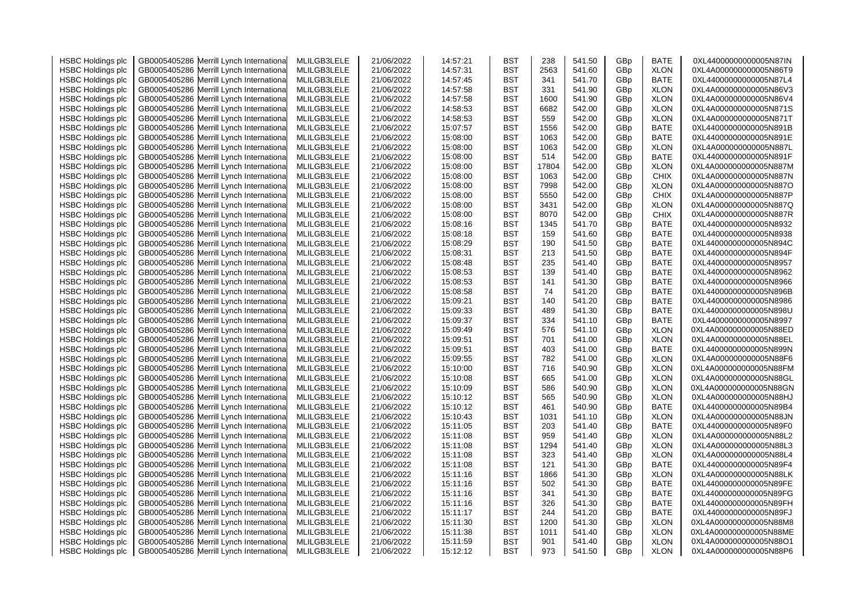| <b>HSBC Holdings plc</b> | GB0005405286 Merrill Lynch Internationa    | MLILGB3LELE | 21/06/2022 | 14:57:21 | BST        | 238   | 541.50 | GBp | <b>BATE</b> | 0XL44000000000005N87IN |
|--------------------------|--------------------------------------------|-------------|------------|----------|------------|-------|--------|-----|-------------|------------------------|
| <b>HSBC Holdings plc</b> | Merrill Lynch Internationa<br>GB0005405286 | MLILGB3LELE | 21/06/2022 | 14:57:31 | BST        | 2563  | 541.60 | GBp | <b>XLON</b> | 0XL4A000000000005N86T9 |
| <b>HSBC Holdings plc</b> | Merrill Lynch Internationa<br>GB0005405286 | MLILGB3LELE | 21/06/2022 | 14:57:45 | BST        | 341   | 541.70 | GBp | BATE        | 0XL44000000000005N87L4 |
| <b>HSBC Holdings plc</b> | Merrill Lynch Internationa<br>GB0005405286 | MLILGB3LELE | 21/06/2022 | 14:57:58 | BST        | 331   | 541.90 | GBp | <b>XLON</b> | 0XL4A000000000005N86V3 |
| <b>HSBC Holdings plc</b> | GB0005405286<br>Merrill Lynch Internationa | MLILGB3LELE | 21/06/2022 | 14:57:58 | BST        | 1600  | 541.90 | GBp | <b>XLON</b> | 0XL4A000000000005N86V4 |
| <b>HSBC Holdings plc</b> | Merrill Lynch Internationa<br>GB0005405286 | MLILGB3LELE | 21/06/2022 | 14:58:53 | BST        | 6682  | 542.00 | GBp | <b>XLON</b> | 0XL4A000000000005N871S |
| <b>HSBC Holdings plc</b> | GB0005405286<br>Merrill Lynch Internationa | MLILGB3LELE | 21/06/2022 | 14:58:53 | BST        | 559   | 542.00 | GBp | <b>XLON</b> | 0XL4A000000000005N871T |
| <b>HSBC Holdings plc</b> | GB0005405286<br>Merrill Lynch Internationa | MLILGB3LELE | 21/06/2022 | 15:07:57 | <b>BST</b> | 1556  | 542.00 | GBp | <b>BATE</b> | 0XL44000000000005N891B |
| <b>HSBC Holdings plc</b> | Merrill Lynch Internationa<br>GB0005405286 | MLILGB3LELE | 21/06/2022 | 15:08:00 | BST        | 1063  | 542.00 | GBp | <b>BATE</b> | 0XL44000000000005N891E |
| <b>HSBC Holdings plc</b> | Merrill Lynch Internationa<br>GB0005405286 | MLILGB3LELE | 21/06/2022 | 15:08:00 | BST        | 1063  | 542.00 | GBp | <b>XLON</b> | 0XL4A000000000005N887L |
| <b>HSBC Holdings plc</b> | Merrill Lynch Internationa<br>GB0005405286 | MLILGB3LELE | 21/06/2022 | 15:08:00 | BST        | 514   | 542.00 | GBp | BATE        | 0XL44000000000005N891F |
| <b>HSBC Holdings plc</b> | Merrill Lynch Internationa<br>GB0005405286 | MLILGB3LELE | 21/06/2022 | 15:08:00 | BST        | 17804 | 542.00 | GBp | <b>XLON</b> | 0XL4A000000000005N887M |
| <b>HSBC Holdings plc</b> | GB0005405286<br>Merrill Lynch Internationa | MLILGB3LELE | 21/06/2022 | 15:08:00 | BST        | 1063  | 542.00 | GBp | <b>CHIX</b> | 0XL4A000000000005N887N |
| <b>HSBC Holdings plc</b> | Merrill Lynch Internationa<br>GB0005405286 | MLILGB3LELE | 21/06/2022 | 15:08:00 | BST        | 7998  | 542.00 | GBp | <b>XLON</b> | 0XL4A000000000005N887O |
|                          | GB0005405286<br>Merrill Lynch Internationa | MLILGB3LELE | 21/06/2022 | 15:08:00 | BST        | 5550  | 542.00 |     | <b>CHIX</b> | 0XL4A000000000005N887P |
| <b>HSBC Holdings plc</b> |                                            |             |            |          |            | 3431  |        | GBp |             |                        |
| <b>HSBC Holdings plc</b> | GB0005405286<br>Merrill Lynch Internationa | MLILGB3LELE | 21/06/2022 | 15:08:00 | BST        |       | 542.00 | GBp | <b>XLON</b> | 0XL4A000000000005N887Q |
| <b>HSBC Holdings plc</b> | Merrill Lynch Internationa<br>GB0005405286 | MLILGB3LELE | 21/06/2022 | 15:08:00 | <b>BST</b> | 8070  | 542.00 | GBp | <b>CHIX</b> | 0XL4A000000000005N887R |
| <b>HSBC Holdings plc</b> | Merrill Lynch Internationa<br>GB0005405286 | MLILGB3LELE | 21/06/2022 | 15:08:16 | BST        | 1345  | 541.70 | GBp | <b>BATE</b> | 0XL44000000000005N8932 |
| <b>HSBC Holdings plc</b> | GB0005405286<br>Merrill Lynch Internationa | MLILGB3LELE | 21/06/2022 | 15:08:18 | BST        | 159   | 541.60 | GBp | BATE        | 0XL44000000000005N8938 |
| <b>HSBC Holdings plc</b> | Merrill Lynch Internationa<br>GB0005405286 | MLILGB3LELE | 21/06/2022 | 15:08:29 | BST        | 190   | 541.50 | GBp | <b>BATE</b> | 0XL44000000000005N894C |
| <b>HSBC Holdings plc</b> | GB0005405286<br>Merrill Lynch Internationa | MLILGB3LELE | 21/06/2022 | 15:08:31 | BST        | 213   | 541.50 | GBp | <b>BATE</b> | 0XL44000000000005N894F |
| <b>HSBC Holdings plc</b> | GB0005405286<br>Merrill Lynch Internationa | MLILGB3LELE | 21/06/2022 | 15:08:48 | BST        | 235   | 541.40 | GBp | <b>BATE</b> | 0XL44000000000005N8957 |
| <b>HSBC Holdings plc</b> | GB0005405286<br>Merrill Lynch Internationa | MLILGB3LELE | 21/06/2022 | 15:08:53 | BST        | 139   | 541.40 | GBp | BATE        | 0XL44000000000005N8962 |
| <b>HSBC Holdings plc</b> | GB0005405286<br>Merrill Lynch Internationa | MLILGB3LELE | 21/06/2022 | 15:08:53 | <b>BST</b> | 141   | 541.30 | GBp | <b>BATE</b> | 0XL44000000000005N8966 |
| <b>HSBC Holdings plc</b> | GB0005405286<br>Merrill Lynch Internationa | MLILGB3LELE | 21/06/2022 | 15:08:58 | BST        | 74    | 541.20 | GBp | BATE        | 0XL44000000000005N896B |
| <b>HSBC Holdings plc</b> | Merrill Lynch Internationa<br>GB0005405286 | MLILGB3LELE | 21/06/2022 | 15:09:21 | BST        | 140   | 541.20 | GBp | BATE        | 0XL44000000000005N8986 |
| <b>HSBC Holdings plc</b> | Merrill Lynch Internationa<br>GB0005405286 | MLILGB3LELE | 21/06/2022 | 15:09:33 | BST        | 489   | 541.30 | GBp | BATE        | 0XL44000000000005N898U |
| <b>HSBC Holdings plc</b> | GB0005405286<br>Merrill Lynch Internationa | MLILGB3LELE | 21/06/2022 | 15:09:37 | BST        | 334   | 541.10 | GBp | <b>BATE</b> | 0XL44000000000005N8997 |
| <b>HSBC Holdings plc</b> | GB0005405286<br>Merrill Lynch Internationa | MLILGB3LELE | 21/06/2022 | 15:09:49 | BST        | 576   | 541.10 | GBp | <b>XLON</b> | 0XL4A000000000005N88ED |
| <b>HSBC Holdings plc</b> | GB0005405286<br>Merrill Lynch Internationa | MLILGB3LELE | 21/06/2022 | 15:09:51 | BST        | 701   | 541.00 | GBp | <b>XLON</b> | 0XL4A000000000005N88EL |
| <b>HSBC Holdings plc</b> | GB0005405286<br>Merrill Lynch Internationa | MLILGB3LELE | 21/06/2022 | 15:09:51 | BST        | 403   | 541.00 | GBp | <b>BATE</b> | 0XL44000000000005N899N |
| <b>HSBC Holdings plc</b> | GB0005405286<br>Merrill Lynch Internationa | MLILGB3LELE | 21/06/2022 | 15:09:55 | BST        | 782   | 541.00 | GBp | <b>XLON</b> | 0XL4A000000000005N88F6 |
| <b>HSBC Holdings plc</b> | GB0005405286<br>Merrill Lynch Internationa | MLILGB3LELE | 21/06/2022 | 15:10:00 | BST        | 716   | 540.90 | GBp | <b>XLON</b> | 0XL4A000000000005N88FM |
| <b>HSBC Holdings plc</b> | Merrill Lynch Internationa<br>GB0005405286 | MLILGB3LELE | 21/06/2022 | 15:10:08 | BST        | 665   | 541.00 | GBp | <b>XLON</b> | 0XL4A000000000005N88GL |
| <b>HSBC Holdings plc</b> | Merrill Lynch Internationa<br>GB0005405286 | MLILGB3LELE | 21/06/2022 | 15:10:09 | <b>BST</b> | 586   | 540.90 | GBp | <b>XLON</b> | 0XL4A000000000005N88GN |
| <b>HSBC Holdings plc</b> | Merrill Lynch Internationa<br>GB0005405286 | MLILGB3LELE | 21/06/2022 | 15:10:12 | BST        | 565   | 540.90 | GBp | <b>XLON</b> | 0XL4A000000000005N88HJ |
| <b>HSBC Holdings plc</b> | GB0005405286<br>Merrill Lynch Internationa | MLILGB3LELE | 21/06/2022 | 15:10:12 | BST        | 461   | 540.90 | GBp | BATE        | 0XL44000000000005N89B4 |
| <b>HSBC Holdings plc</b> | GB0005405286<br>Merrill Lynch Internationa | MLILGB3LELE | 21/06/2022 | 15:10:43 | BST        | 1031  | 541.10 | GBp | <b>XLON</b> | 0XL4A000000000005N88JN |
| <b>HSBC Holdings plc</b> | GB0005405286<br>Merrill Lynch Internationa | MLILGB3LELE | 21/06/2022 | 15:11:05 | BST        | 203   | 541.40 | GBp | BATE        | 0XL44000000000005N89F0 |
| <b>HSBC Holdings plc</b> | GB0005405286<br>Merrill Lynch Internationa | MLILGB3LELE | 21/06/2022 | 15:11:08 | BST        | 959   | 541.40 | GBp | <b>XLON</b> | 0XL4A000000000005N88L2 |
| <b>HSBC Holdings plc</b> | GB0005405286<br>Merrill Lynch Internationa | MLILGB3LELE | 21/06/2022 | 15:11:08 | BST        | 1294  | 541.40 | GBp | <b>XLON</b> | 0XL4A000000000005N88L3 |
| <b>HSBC Holdings plc</b> | Merrill Lynch Internationa<br>GB0005405286 | MLILGB3LELE | 21/06/2022 | 15:11:08 | BST        | 323   | 541.40 | GBp | <b>XLON</b> | 0XL4A000000000005N88L4 |
| <b>HSBC Holdings plc</b> | Merrill Lynch Internationa<br>GB0005405286 | MLILGB3LELE | 21/06/2022 | 15:11:08 | BST        | 121   | 541.30 | GBp | BATE        | 0XL44000000000005N89F4 |
| <b>HSBC Holdings plc</b> | Merrill Lynch Internationa<br>GB0005405286 | MLILGB3LELE | 21/06/2022 | 15:11:16 | BST        | 1866  | 541.30 | GBp | <b>XLON</b> | 0XL4A000000000005N88LK |
| <b>HSBC Holdings plc</b> | GB0005405286<br>Merrill Lynch Internationa | MLILGB3LELE | 21/06/2022 | 15:11:16 | BST        | 502   | 541.30 | GBp | <b>BATE</b> | 0XL44000000000005N89FE |
| <b>HSBC Holdings plc</b> | GB0005405286<br>Merrill Lynch Internationa | MLILGB3LELE | 21/06/2022 | 15:11:16 | BST        | 341   | 541.30 | GBp | BATE        | 0XL44000000000005N89FG |
| <b>HSBC Holdings plc</b> | GB0005405286<br>Merrill Lynch Internationa | MLILGB3LELE | 21/06/2022 | 15:11:16 | BST        | 326   | 541.30 | GBp | <b>BATE</b> | 0XL44000000000005N89FH |
| <b>HSBC Holdings plc</b> | Merrill Lynch Internationa<br>GB0005405286 | MLILGB3LELE | 21/06/2022 | 15:11:17 | BST        | 244   | 541.20 | GBp | BATE        | 0XL44000000000005N89FJ |
| <b>HSBC Holdings plc</b> | GB0005405286<br>Merrill Lynch Internationa | MLILGB3LELE | 21/06/2022 | 15:11:30 | BST        | 1200  | 541.30 | GBp | <b>XLON</b> | 0XL4A000000000005N88M8 |
| <b>HSBC Holdings plc</b> | Merrill Lynch Internationa<br>GB0005405286 | MLILGB3LELE | 21/06/2022 | 15:11:38 | BST        | 1011  | 541.40 | GBp | <b>XLON</b> | 0XL4A000000000005N88ME |
| <b>HSBC Holdings plc</b> | GB0005405286 Merrill Lynch Internationa    | MLILGB3LELE | 21/06/2022 | 15:11:59 | BST        | 901   | 541.40 | GBp | <b>XLON</b> | 0XL4A000000000005N88O1 |
| <b>HSBC Holdings plc</b> | GB0005405286 Merrill Lynch International   | MLILGB3LELE | 21/06/2022 | 15:12:12 | BST        | 973   | 541.50 | GBp | <b>XLON</b> | 0XL4A000000000005N88P6 |
|                          |                                            |             |            |          |            |       |        |     |             |                        |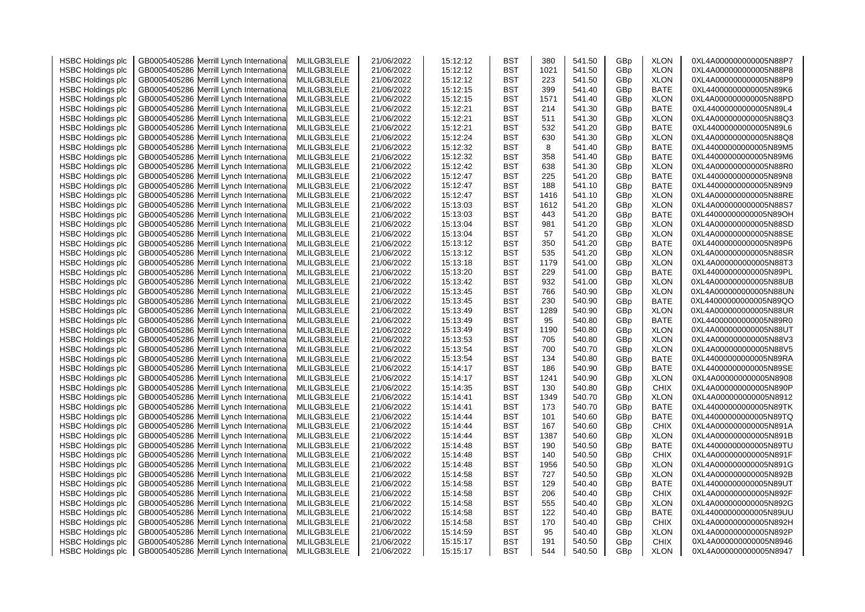| <b>HSBC Holdings plc</b> | GB0005405286 Merrill Lynch Internationa    | MLILGB3LELE | 21/06/2022 | 15:12:12 | BST        | 380  | 541.50 | GBp | <b>XLON</b> | 0XL4A000000000005N88P7 |
|--------------------------|--------------------------------------------|-------------|------------|----------|------------|------|--------|-----|-------------|------------------------|
| <b>HSBC Holdings plc</b> | Merrill Lynch Internationa<br>GB0005405286 | MLILGB3LELE | 21/06/2022 | 15:12:12 | BST        | 1021 | 541.50 | GBp | <b>XLON</b> | 0XL4A000000000005N88P8 |
| <b>HSBC Holdings plc</b> | Merrill Lynch Internationa<br>GB0005405286 | MLILGB3LELE | 21/06/2022 | 15:12:12 | BST        | 223  | 541.50 | GBp | <b>XLON</b> | 0XL4A000000000005N88P9 |
| <b>HSBC Holdings plc</b> | Merrill Lynch Internationa<br>GB0005405286 | MLILGB3LELE | 21/06/2022 | 15:12:15 | BST        | 399  | 541.40 | GBp | <b>BATE</b> | 0XL44000000000005N89K6 |
| <b>HSBC Holdings plc</b> | GB0005405286<br>Merrill Lynch Internationa | MLILGB3LELE | 21/06/2022 | 15:12:15 | BST        | 1571 | 541.40 | GBp | <b>XLON</b> | 0XL4A000000000005N88PD |
| <b>HSBC Holdings plc</b> | Merrill Lynch Internationa<br>GB0005405286 | MLILGB3LELE | 21/06/2022 | 15:12:21 | BST        | 214  | 541.30 | GBp | <b>BATE</b> | 0XL44000000000005N89L4 |
| <b>HSBC Holdings plc</b> | GB0005405286<br>Merrill Lynch Internationa | MLILGB3LELE | 21/06/2022 | 15:12:21 | BST        | 511  | 541.30 | GBp | <b>XLON</b> | 0XL4A000000000005N88Q3 |
| <b>HSBC Holdings plc</b> | GB0005405286<br>Merrill Lynch Internationa | MLILGB3LELE | 21/06/2022 | 15:12:21 | BST        | 532  | 541.20 | GBp | <b>BATE</b> | 0XL44000000000005N89L6 |
| <b>HSBC Holdings plc</b> | GB0005405286<br>Merrill Lynch Internationa | MLILGB3LELE | 21/06/2022 | 15:12:24 | BST        | 630  | 541.30 | GBp | <b>XLON</b> | 0XL4A000000000005N88Q8 |
| <b>HSBC Holdings plc</b> | GB0005405286<br>Merrill Lynch Internationa | MLILGB3LELE | 21/06/2022 | 15:12:32 | BST        | 8    | 541.40 | GBp | BATE        | 0XL44000000000005N89M5 |
| <b>HSBC Holdings plc</b> | Merrill Lynch Internationa<br>GB0005405286 | MLILGB3LELE | 21/06/2022 | 15:12:32 | BST        | 358  | 541.40 | GBp | BATE        | 0XL44000000000005N89M6 |
| <b>HSBC Holdings plc</b> | Merrill Lynch Internationa<br>GB0005405286 | MLILGB3LELE | 21/06/2022 | 15:12:42 | BST        | 638  | 541.30 | GBp | <b>XLON</b> | 0XL4A000000000005N88R0 |
| <b>HSBC Holdings plc</b> | Merrill Lynch Internationa<br>GB0005405286 | MLILGB3LELE | 21/06/2022 | 15:12:47 | BST        | 225  | 541.20 | GBp | <b>BATE</b> | 0XL44000000000005N89N8 |
| <b>HSBC Holdings plc</b> | GB0005405286<br>Merrill Lynch Internationa | MLILGB3LELE | 21/06/2022 | 15:12:47 | BST        | 188  | 541.10 | GBp | BATE        | 0XL44000000000005N89N9 |
|                          | GB0005405286<br>Merrill Lynch Internationa | MLILGB3LELE | 21/06/2022 | 15:12:47 | BST        | 1416 | 541.10 |     | <b>XLON</b> | 0XL4A000000000005N88RE |
| <b>HSBC Holdings plc</b> |                                            |             |            |          |            | 1612 |        | GBp |             |                        |
| <b>HSBC Holdings plc</b> | GB0005405286<br>Merrill Lynch Internationa | MLILGB3LELE | 21/06/2022 | 15:13:03 | BST        |      | 541.20 | GBp | <b>XLON</b> | 0XL4A000000000005N88S7 |
| <b>HSBC Holdings plc</b> | GB0005405286<br>Merrill Lynch Internationa | MLILGB3LELE | 21/06/2022 | 15:13:03 | BST        | 443  | 541.20 | GBp | <b>BATE</b> | 0XL44000000000005N89OH |
| <b>HSBC Holdings plc</b> | GB0005405286<br>Merrill Lynch Internationa | MLILGB3LELE | 21/06/2022 | 15:13:04 | BST        | 981  | 541.20 | GBp | <b>XLON</b> | 0XL4A000000000005N88SD |
| <b>HSBC Holdings plc</b> | Merrill Lynch Internationa<br>GB0005405286 | MLILGB3LELE | 21/06/2022 | 15:13:04 | BST        | 57   | 541.20 | GBp | <b>XLON</b> | 0XL4A000000000005N88SE |
| <b>HSBC Holdings plc</b> | Merrill Lynch Internationa<br>GB0005405286 | MLILGB3LELE | 21/06/2022 | 15:13:12 | BST        | 350  | 541.20 | GBp | BATE        | 0XL44000000000005N89P6 |
| <b>HSBC Holdings plc</b> | Merrill Lynch Internationa<br>GB0005405286 | MLILGB3LELE | 21/06/2022 | 15:13:12 | BST        | 535  | 541.20 | GBp | <b>XLON</b> | 0XL4A000000000005N88SR |
| <b>HSBC Holdings plc</b> | Merrill Lynch Internationa<br>GB0005405286 | MLILGB3LELE | 21/06/2022 | 15:13:18 | BST        | 1179 | 541.00 | GBp | <b>XLON</b> | 0XL4A000000000005N88T3 |
| <b>HSBC Holdings plc</b> | Merrill Lynch Internationa<br>GB0005405286 | MLILGB3LELE | 21/06/2022 | 15:13:20 | BST        | 229  | 541.00 | GBp | BATE        | 0XL44000000000005N89PL |
| <b>HSBC Holdings plc</b> | GB0005405286<br>Merrill Lynch Internationa | MLILGB3LELE | 21/06/2022 | 15:13:42 | BST        | 932  | 541.00 | GBp | <b>XLON</b> | 0XL4A000000000005N88UB |
| <b>HSBC Holdings plc</b> | Merrill Lynch Internationa<br>GB0005405286 | MLILGB3LELE | 21/06/2022 | 15:13:45 | BST        | 766  | 540.90 | GBp | <b>XLON</b> | 0XL4A000000000005N88UN |
| <b>HSBC Holdings plc</b> | Merrill Lynch Internationa<br>GB0005405286 | MLILGB3LELE | 21/06/2022 | 15:13:45 | BST        | 230  | 540.90 | GBp | <b>BATE</b> | 0XL44000000000005N89QO |
| <b>HSBC Holdings plc</b> | Merrill Lynch Internationa<br>GB0005405286 | MLILGB3LELE | 21/06/2022 | 15:13:49 | BST        | 1289 | 540.90 | GBp | XLON        | 0XL4A000000000005N88UR |
| <b>HSBC Holdings plc</b> | Merrill Lynch Internationa<br>GB0005405286 | MLILGB3LELE | 21/06/2022 | 15:13:49 | <b>BST</b> | 95   | 540.80 | GBp | BATE        | 0XL44000000000005N89R0 |
| <b>HSBC Holdings plc</b> | Merrill Lynch Internationa<br>GB0005405286 | MLILGB3LELE | 21/06/2022 | 15:13:49 | <b>BST</b> | 1190 | 540.80 | GBp | <b>XLON</b> | 0XL4A000000000005N88UT |
| <b>HSBC Holdings plc</b> | Merrill Lynch Internationa<br>GB0005405286 | MLILGB3LELE | 21/06/2022 | 15:13:53 | BST        | 705  | 540.80 | GBp | <b>XLON</b> | 0XL4A000000000005N88V3 |
| <b>HSBC Holdings plc</b> | Merrill Lynch Internationa<br>GB0005405286 | MLILGB3LELE | 21/06/2022 | 15:13:54 | BST        | 700  | 540.70 | GBp | <b>XLON</b> | 0XL4A000000000005N88V5 |
| <b>HSBC Holdings plc</b> | Merrill Lynch Internationa<br>GB0005405286 | MLILGB3LELE | 21/06/2022 | 15:13:54 | BST        | 134  | 540.80 | GBp | <b>BATE</b> | 0XL44000000000005N89RA |
| <b>HSBC Holdings plc</b> | Merrill Lynch Internationa<br>GB0005405286 | MLILGB3LELE | 21/06/2022 | 15:14:17 | <b>BST</b> | 186  | 540.90 | GBp | <b>BATE</b> | 0XL44000000000005N89SE |
| <b>HSBC Holdings plc</b> | Merrill Lynch Internationa<br>GB0005405286 | MLILGB3LELE | 21/06/2022 | 15:14:17 | BST        | 1241 | 540.90 | GBp | <b>XLON</b> | 0XL4A000000000005N8908 |
| <b>HSBC Holdings plc</b> | GB0005405286<br>Merrill Lynch Internationa | MLILGB3LELE | 21/06/2022 | 15:14:35 | BST        | 130  | 540.80 | GBp | <b>CHIX</b> | 0XL4A000000000005N890P |
| <b>HSBC Holdings plc</b> | Merrill Lynch Internationa<br>GB0005405286 | MLILGB3LELE | 21/06/2022 | 15:14:41 | BST        | 1349 | 540.70 | GBp | <b>XLON</b> | 0XL4A000000000005N8912 |
| <b>HSBC Holdings plc</b> | GB0005405286<br>Merrill Lynch Internationa | MLILGB3LELE | 21/06/2022 | 15:14:41 | BST        | 173  | 540.70 | GBp | <b>BATE</b> | 0XL44000000000005N89TK |
| <b>HSBC Holdings plc</b> | Merrill Lynch Internationa<br>GB0005405286 | MLILGB3LELE | 21/06/2022 | 15:14:44 | BST        | 101  | 540.60 | GBp | <b>BATE</b> | 0XL44000000000005N89TQ |
| <b>HSBC Holdings plc</b> | GB0005405286<br>Merrill Lynch Internationa | MLILGB3LELE | 21/06/2022 | 15:14:44 | BST        | 167  | 540.60 | GBp | <b>CHIX</b> | 0XL4A000000000005N891A |
| <b>HSBC Holdings plc</b> | GB0005405286<br>Merrill Lynch Internationa | MLILGB3LELE | 21/06/2022 | 15:14:44 | <b>BST</b> | 1387 | 540.60 | GBp | <b>XLON</b> | 0XL4A000000000005N891B |
| <b>HSBC Holdings plc</b> | GB0005405286<br>Merrill Lynch Internationa | MLILGB3LELE | 21/06/2022 | 15:14:48 | BST        | 190  | 540.50 | GBp | <b>BATE</b> | 0XL44000000000005N89TU |
| <b>HSBC Holdings plc</b> | Merrill Lynch Internationa<br>GB0005405286 | MLILGB3LELE | 21/06/2022 | 15:14:48 | BST        | 140  | 540.50 | GBp | <b>CHIX</b> | 0XL4A000000000005N891F |
| <b>HSBC Holdings plc</b> | Merrill Lynch Internationa<br>GB0005405286 | MLILGB3LELE | 21/06/2022 | 15:14:48 | BST        | 1956 | 540.50 | GBp | <b>XLON</b> | 0XL4A000000000005N891G |
| <b>HSBC Holdings plc</b> | Merrill Lynch Internationa<br>GB0005405286 | MLILGB3LELE | 21/06/2022 | 15:14:58 | BST        | 727  | 540.50 | GBp | <b>XLON</b> | 0XL4A000000000005N892B |
| <b>HSBC Holdings plc</b> | Merrill Lynch Internationa<br>GB0005405286 | MLILGB3LELE | 21/06/2022 | 15:14:58 | BST        | 129  | 540.40 | GBp | <b>BATE</b> | 0XL44000000000005N89UT |
| <b>HSBC Holdings plc</b> | Merrill Lynch Internationa<br>GB0005405286 | MLILGB3LELE | 21/06/2022 | 15:14:58 | BST        | 206  | 540.40 | GBp | <b>CHIX</b> | 0XL4A000000000005N892F |
| <b>HSBC Holdings plc</b> | GB0005405286<br>Merrill Lynch Internationa | MLILGB3LELE | 21/06/2022 | 15:14:58 | BST        | 555  | 540.40 | GBp | <b>XLON</b> | 0XL4A000000000005N892G |
| <b>HSBC Holdings plc</b> | Merrill Lynch Internationa<br>GB0005405286 | MLILGB3LELE | 21/06/2022 | 15:14:58 | BST        | 122  | 540.40 | GBp | <b>BATE</b> | 0XL44000000000005N89UU |
| <b>HSBC Holdings plc</b> | Merrill Lynch Internationa<br>GB0005405286 | MLILGB3LELE | 21/06/2022 | 15:14:58 | BST        | 170  | 540.40 | GBp | <b>CHIX</b> | 0XL4A000000000005N892H |
| <b>HSBC Holdings plc</b> | Merrill Lynch Internationa<br>GB0005405286 | MLILGB3LELE | 21/06/2022 | 15:14:59 | BST        | 95   | 540.40 | GBp | <b>XLON</b> | 0XL4A000000000005N892P |
| <b>HSBC Holdings plc</b> | GB0005405286 Merrill Lynch Internationa    | MLILGB3LELE | 21/06/2022 | 15:15:17 | BST        | 191  | 540.50 | GBp | <b>CHIX</b> | 0XL4A000000000005N8946 |
| <b>HSBC Holdings plc</b> | GB0005405286 Merrill Lynch International   | MLILGB3LELE | 21/06/2022 | 15:15:17 | BST        | 544  | 540.50 | GBp | <b>XLON</b> | 0XL4A000000000005N8947 |
|                          |                                            |             |            |          |            |      |        |     |             |                        |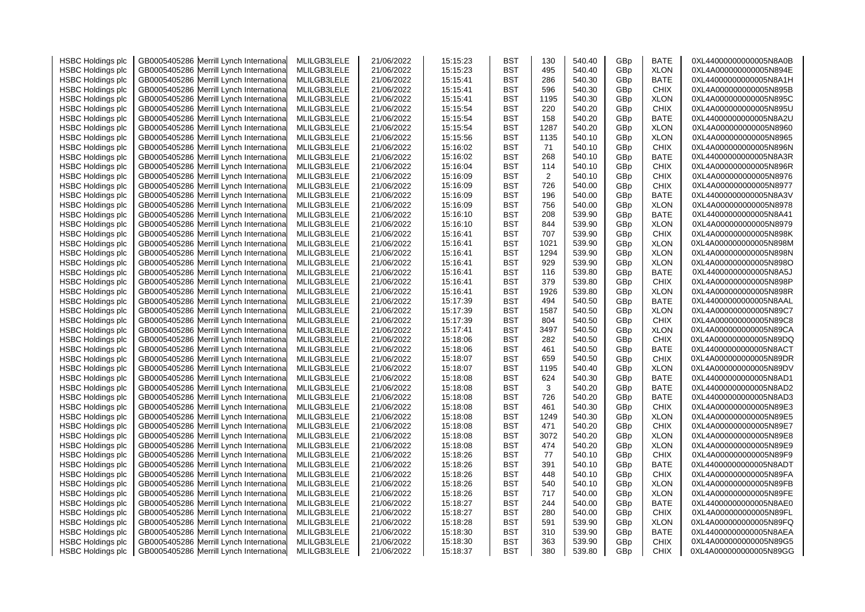| <b>HSBC Holdings plc</b> | GB0005405286 Merrill Lynch Internationa    | MLILGB3LELE | 21/06/2022 | 15:15:23 | BST        | 130  | 540.40 | GBp             | <b>BATE</b> | 0XL44000000000005N8A0B |
|--------------------------|--------------------------------------------|-------------|------------|----------|------------|------|--------|-----------------|-------------|------------------------|
| <b>HSBC Holdings plc</b> | Merrill Lynch Internationa<br>GB0005405286 | MLILGB3LELE | 21/06/2022 | 15:15:23 | BST        | 495  | 540.40 | GBp             | <b>XLON</b> | 0XL4A000000000005N894E |
| <b>HSBC Holdings plc</b> | GB0005405286 Merrill Lynch Internationa    | MLILGB3LELE | 21/06/2022 | 15:15:41 | <b>BST</b> | 286  | 540.30 | GBp             | BATE        | 0XL44000000000005N8A1H |
| <b>HSBC Holdings plc</b> | Merrill Lynch Internationa<br>GB0005405286 | MLILGB3LELE | 21/06/2022 | 15:15:41 | <b>BST</b> | 596  | 540.30 | GBp             | <b>CHIX</b> | 0XL4A000000000005N895B |
| <b>HSBC Holdings plc</b> | GB0005405286<br>Merrill Lynch Internationa | MLILGB3LELE | 21/06/2022 | 15:15:41 | <b>BST</b> | 1195 | 540.30 | GBp             | <b>XLON</b> | 0XL4A000000000005N895C |
| <b>HSBC Holdings plc</b> | GB0005405286<br>Merrill Lynch Internationa | MLILGB3LELE | 21/06/2022 | 15:15:54 | <b>BST</b> | 220  | 540.20 | GBp             | <b>CHIX</b> | 0XL4A000000000005N895U |
| <b>HSBC Holdings plc</b> | GB0005405286<br>Merrill Lynch Internationa | MLILGB3LELE | 21/06/2022 | 15:15:54 | <b>BST</b> | 158  | 540.20 | GBp             | BATE        | 0XL44000000000005N8A2U |
| <b>HSBC Holdings plc</b> | GB0005405286<br>Merrill Lynch Internationa | MLILGB3LELE | 21/06/2022 | 15:15:54 | <b>BST</b> | 1287 | 540.20 | GBp             | <b>XLON</b> | 0XL4A000000000005N8960 |
| <b>HSBC Holdings plc</b> | GB0005405286<br>Merrill Lynch Internationa | MLILGB3LELE | 21/06/2022 | 15:15:56 | BST        | 1135 | 540.10 | GBp             | <b>XLON</b> | 0XL4A000000000005N8965 |
| <b>HSBC Holdings plc</b> | GB0005405286<br>Merrill Lynch Internationa | MLILGB3LELE | 21/06/2022 | 15:16:02 | BST        | 71   | 540.10 | GBp             | <b>CHIX</b> | 0XL4A000000000005N896N |
| <b>HSBC Holdings plc</b> | GB0005405286<br>Merrill Lynch Internationa | MLILGB3LELE | 21/06/2022 | 15:16:02 | BST        | 268  | 540.10 | GBp             | BATE        | 0XL44000000000005N8A3R |
| <b>HSBC Holdings plc</b> | GB0005405286 Merrill Lynch Internationa    | MLILGB3LELE | 21/06/2022 | 15:16:04 | <b>BST</b> | 114  | 540.10 | GBp             | <b>CHIX</b> | 0XL4A000000000005N896R |
| <b>HSBC Holdings plc</b> | GB0005405286<br>Merrill Lynch Internationa | MLILGB3LELE | 21/06/2022 | 15:16:09 | <b>BST</b> | 2    | 540.10 | GBp             | <b>CHIX</b> | 0XL4A000000000005N8976 |
|                          |                                            |             |            | 15:16:09 |            | 726  | 540.00 |                 |             | 0XL4A000000000005N8977 |
| <b>HSBC Holdings plc</b> | GB0005405286<br>Merrill Lynch Internationa | MLILGB3LELE | 21/06/2022 |          | BST        |      |        | GBp             | <b>CHIX</b> |                        |
| <b>HSBC Holdings plc</b> | GB0005405286<br>Merrill Lynch Internationa | MLILGB3LELE | 21/06/2022 | 15:16:09 | BST        | 196  | 540.00 | GBp             | BATE        | 0XL44000000000005N8A3V |
| <b>HSBC Holdings plc</b> | GB0005405286<br>Merrill Lynch Internationa | MLILGB3LELE | 21/06/2022 | 15:16:09 | <b>BST</b> | 756  | 540.00 | GBp             | <b>XLON</b> | 0XL4A000000000005N8978 |
| <b>HSBC Holdings plc</b> | GB0005405286 Merrill Lynch Internationa    | MLILGB3LELE | 21/06/2022 | 15:16:10 | <b>BST</b> | 208  | 539.90 | GBp             | <b>BATE</b> | 0XL44000000000005N8A41 |
| <b>HSBC Holdings plc</b> | GB0005405286<br>Merrill Lynch Internationa | MLILGB3LELE | 21/06/2022 | 15:16:10 | BST        | 844  | 539.90 | GBp             | <b>XLON</b> | 0XL4A000000000005N8979 |
| <b>HSBC Holdings plc</b> | GB0005405286 Merrill Lynch Internationa    | MLILGB3LELE | 21/06/2022 | 15:16:41 | BST        | 707  | 539.90 | GBp             | <b>CHIX</b> | 0XL4A000000000005N898K |
| <b>HSBC Holdings plc</b> | GB0005405286<br>Merrill Lynch Internationa | MLILGB3LELE | 21/06/2022 | 15:16:41 | <b>BST</b> | 1021 | 539.90 | GBp             | <b>XLON</b> | 0XL4A000000000005N898M |
| <b>HSBC Holdings plc</b> | GB0005405286 Merrill Lynch Internationa    | MLILGB3LELE | 21/06/2022 | 15:16:41 | <b>BST</b> | 1294 | 539.90 | GBp             | <b>XLON</b> | 0XL4A000000000005N898N |
| <b>HSBC Holdings plc</b> | GB0005405286<br>Merrill Lynch Internationa | MLILGB3LELE | 21/06/2022 | 15:16:41 | BST        | 929  | 539.90 | GBp             | <b>XLON</b> | 0XL4A000000000005N898O |
| <b>HSBC Holdings plc</b> | GB0005405286<br>Merrill Lynch Internationa | MLILGB3LELE | 21/06/2022 | 15:16:41 | BST        | 116  | 539.80 | GBp             | BATE        | 0XL44000000000005N8A5J |
| <b>HSBC Holdings plc</b> | GB0005405286<br>Merrill Lynch Internationa | MLILGB3LELE | 21/06/2022 | 15:16:41 | BST        | 379  | 539.80 | GBp             | <b>CHIX</b> | 0XL4A000000000005N898P |
| <b>HSBC Holdings plc</b> | GB0005405286<br>Merrill Lynch Internationa | MLILGB3LELE | 21/06/2022 | 15:16:41 | <b>BST</b> | 1926 | 539.80 | GBp             | <b>XLON</b> | 0XL4A000000000005N898R |
| <b>HSBC Holdings plc</b> | GB0005405286 Merrill Lynch Internationa    | MLILGB3LELE | 21/06/2022 | 15:17:39 | <b>BST</b> | 494  | 540.50 | GBp             | BATE        | 0XL44000000000005N8AAL |
| <b>HSBC Holdings plc</b> | Merrill Lynch Internationa<br>GB0005405286 | MLILGB3LELE | 21/06/2022 | 15:17:39 | BST        | 1587 | 540.50 | GBp             | <b>XLON</b> | 0XL4A000000000005N89C7 |
| <b>HSBC Holdings plc</b> | GB0005405286 Merrill Lynch Internationa    | MLILGB3LELE | 21/06/2022 | 15:17:39 | <b>BST</b> | 804  | 540.50 | GBp             | <b>CHIX</b> | 0XL4A000000000005N89C8 |
| <b>HSBC Holdings plc</b> | GB0005405286<br>Merrill Lynch Internationa | MLILGB3LELE | 21/06/2022 | 15:17:41 | BST        | 3497 | 540.50 | GBp             | <b>XLON</b> | 0XL4A000000000005N89CA |
| <b>HSBC Holdings plc</b> | GB0005405286<br>Merrill Lynch Internationa | MLILGB3LELE | 21/06/2022 | 15:18:06 | <b>BST</b> | 282  | 540.50 | GBp             | <b>CHIX</b> | 0XL4A000000000005N89DQ |
| <b>HSBC Holdings plc</b> | GB0005405286<br>Merrill Lynch Internationa | MLILGB3LELE | 21/06/2022 | 15:18:06 | BST        | 461  | 540.50 | GBp             | BATE        | 0XL44000000000005N8ACT |
| <b>HSBC Holdings plc</b> | GB0005405286<br>Merrill Lynch Internationa | MLILGB3LELE | 21/06/2022 | 15:18:07 | <b>BST</b> | 659  | 540.50 | GBp             | <b>CHIX</b> | 0XL4A000000000005N89DR |
| <b>HSBC Holdings plc</b> | GB0005405286 Merrill Lynch Internationa    | MLILGB3LELE | 21/06/2022 | 15:18:07 | <b>BST</b> | 1195 | 540.40 | GBp             | <b>XLON</b> | 0XL4A000000000005N89DV |
| <b>HSBC Holdings plc</b> | Merrill Lynch Internationa<br>GB0005405286 | MLILGB3LELE | 21/06/2022 | 15:18:08 | BST        | 624  | 540.30 | GBp             | BATE        | 0XL44000000000005N8AD1 |
| <b>HSBC Holdings plc</b> | GB0005405286 Merrill Lynch Internationa    | MLILGB3LELE | 21/06/2022 | 15:18:08 | BST        | 3    | 540.20 | GBp             | BATE        | 0XL44000000000005N8AD2 |
| <b>HSBC Holdings plc</b> | Merrill Lynch Internationa<br>GB0005405286 | MLILGB3LELE | 21/06/2022 | 15:18:08 | <b>BST</b> | 726  | 540.20 | GBp             | <b>BATE</b> | 0XL44000000000005N8AD3 |
| <b>HSBC Holdings plc</b> | GB0005405286<br>Merrill Lynch Internationa | MLILGB3LELE | 21/06/2022 | 15:18:08 | <b>BST</b> | 461  | 540.30 | GBp             | <b>CHIX</b> | 0XL4A000000000005N89E3 |
| <b>HSBC Holdings plc</b> | GB0005405286<br>Merrill Lynch Internationa | MLILGB3LELE | 21/06/2022 | 15:18:08 | <b>BST</b> | 1249 | 540.30 | GBp             | <b>XLON</b> | 0XL4A000000000005N89E5 |
| <b>HSBC Holdings plc</b> | Merrill Lynch Internationa<br>GB0005405286 | MLILGB3LELE | 21/06/2022 | 15:18:08 | <b>BST</b> | 471  | 540.20 | GBp             | <b>CHIX</b> | 0XL4A000000000005N89E7 |
| <b>HSBC Holdings plc</b> | GB0005405286<br>Merrill Lynch Internationa | MLILGB3LELE | 21/06/2022 | 15:18:08 | <b>BST</b> | 3072 | 540.20 | GBp             | <b>XLON</b> | 0XL4A000000000005N89E8 |
| <b>HSBC Holdings plc</b> | Merrill Lynch Internationa<br>GB0005405286 | MLILGB3LELE | 21/06/2022 | 15:18:08 | BST        | 474  | 540.20 | GBp             | <b>XLON</b> |                        |
|                          |                                            |             |            |          |            |      |        |                 |             | 0XL4A000000000005N89E9 |
| <b>HSBC Holdings plc</b> | GB0005405286<br>Merrill Lynch Internationa | MLILGB3LELE | 21/06/2022 | 15:18:26 | BST        | 77   | 540.10 | GBp             | <b>CHIX</b> | 0XL4A000000000005N89F9 |
| <b>HSBC Holdings plc</b> | GB0005405286<br>Merrill Lynch Internationa | MLILGB3LELE | 21/06/2022 | 15:18:26 | <b>BST</b> | 391  | 540.10 | GBp             | BATE        | 0XL44000000000005N8ADT |
| <b>HSBC Holdings plc</b> | GB0005405286 Merrill Lynch Internationa    | MLILGB3LELE | 21/06/2022 | 15:18:26 | <b>BST</b> | 448  | 540.10 | GBp             | <b>CHIX</b> | 0XL4A000000000005N89FA |
| <b>HSBC Holdings plc</b> | GB0005405286<br>Merrill Lynch Internationa | MLILGB3LELE | 21/06/2022 | 15:18:26 | <b>BST</b> | 540  | 540.10 | GBp             | <b>XLON</b> | 0XL4A000000000005N89FB |
| <b>HSBC Holdings plc</b> | Merrill Lynch Internationa<br>GB0005405286 | MLILGB3LELE | 21/06/2022 | 15:18:26 | <b>BST</b> | 717  | 540.00 | GBp             | <b>XLON</b> | 0XL4A000000000005N89FE |
| <b>HSBC Holdings plc</b> | GB0005405286<br>Merrill Lynch Internationa | MLILGB3LELE | 21/06/2022 | 15:18:27 | <b>BST</b> | 244  | 540.00 | GBp             | BATE        | 0XL44000000000005N8AE0 |
| <b>HSBC Holdings plc</b> | Merrill Lynch Internationa<br>GB0005405286 | MLILGB3LELE | 21/06/2022 | 15:18:27 | <b>BST</b> | 280  | 540.00 | GBp             | <b>CHIX</b> | 0XL4A000000000005N89FL |
| <b>HSBC Holdings plc</b> | GB0005405286<br>Merrill Lynch Internationa | MLILGB3LELE | 21/06/2022 | 15:18:28 | BST        | 591  | 539.90 | GBp             | <b>XLON</b> | 0XL4A000000000005N89FQ |
| <b>HSBC Holdings plc</b> | Merrill Lynch Internationa<br>GB0005405286 | MLILGB3LELE | 21/06/2022 | 15:18:30 | BST        | 310  | 539.90 | GBp             | BATE        | 0XL44000000000005N8AEA |
| <b>HSBC Holdings plc</b> | GB0005405286 Merrill Lynch Internationa    | MLILGB3LELE | 21/06/2022 | 15:18:30 | <b>BST</b> | 363  | 539.90 | GBp             | <b>CHIX</b> | 0XL4A000000000005N89G5 |
| <b>HSBC Holdings plc</b> | GB0005405286 Merrill Lynch International   | MLILGB3LELE | 21/06/2022 | 15:18:37 | <b>BST</b> | 380  | 539.80 | GB <sub>p</sub> | <b>CHIX</b> | 0XL4A000000000005N89GG |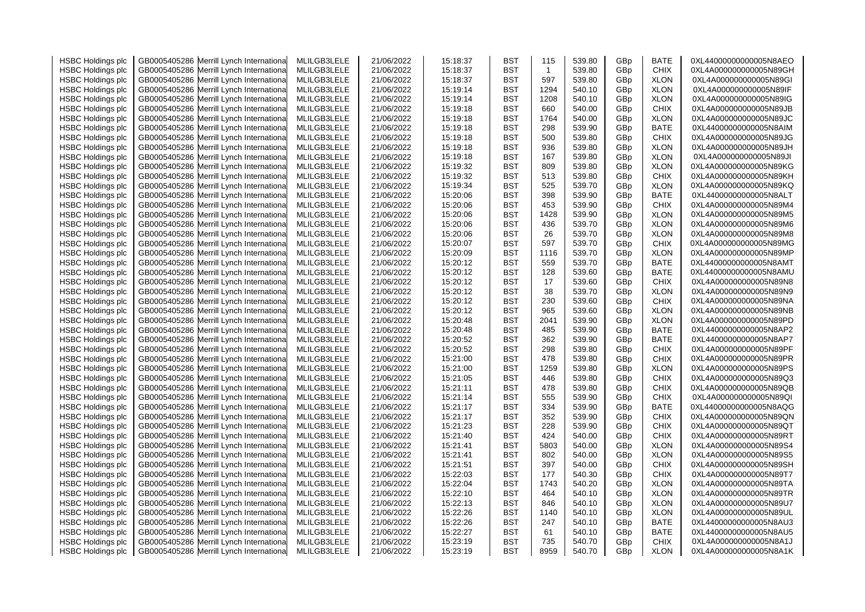| <b>HSBC Holdings plc</b> | GB0005405286 Merrill Lynch Internationa    | MLILGB3LELE | 21/06/2022 | 15:18:37 | <b>BST</b> | 115          | 539.80 | GBp             | <b>BATE</b> | 0XL44000000000005N8AEO  |
|--------------------------|--------------------------------------------|-------------|------------|----------|------------|--------------|--------|-----------------|-------------|-------------------------|
| <b>HSBC Holdings plc</b> | GB0005405286 Merrill Lynch Internationa    | MLILGB3LELE | 21/06/2022 | 15:18:37 | <b>BST</b> | $\mathbf{1}$ | 539.80 | GBp             | <b>CHIX</b> | 0XL4A000000000005N89GH  |
| <b>HSBC Holdings plc</b> | GB0005405286 Merrill Lynch Internationa    | MLILGB3LELE | 21/06/2022 | 15:18:37 | BST        | 597          | 539.80 | GBp             | <b>XLON</b> | 0XL4A000000000005N89GI  |
| <b>HSBC Holdings plc</b> | Merrill Lynch Internationa<br>GB0005405286 | MLILGB3LELE | 21/06/2022 | 15:19:14 | <b>BST</b> | 1294         | 540.10 | GBp             | <b>XLON</b> | 0XL4A000000000005N89IF  |
| <b>HSBC Holdings plc</b> | GB0005405286 Merrill Lynch Internationa    | MLILGB3LELE | 21/06/2022 | 15:19:14 | <b>BST</b> | 1208         | 540.10 | GBp             | <b>XLON</b> | 0XL4A000000000005N89IG  |
| <b>HSBC Holdings plc</b> | GB0005405286<br>Merrill Lynch Internationa | MLILGB3LELE | 21/06/2022 | 15:19:18 | <b>BST</b> | 660          | 540.00 | GBp             | <b>CHIX</b> | 0XL4A000000000005N89JB  |
| <b>HSBC Holdings plc</b> | GB0005405286<br>Merrill Lynch Internationa | MLILGB3LELE | 21/06/2022 | 15:19:18 | <b>BST</b> | 1764         | 540.00 | GBp             | <b>XLON</b> | 0XL4A000000000005N89JC  |
| <b>HSBC Holdings plc</b> | GB0005405286 Merrill Lynch Internationa    | MLILGB3LELE | 21/06/2022 | 15:19:18 | <b>BST</b> | 298          | 539.90 | GBp             | <b>BATE</b> | 0XL44000000000005N8AIM  |
| <b>HSBC Holdings plc</b> | Merrill Lynch Internationa<br>GB0005405286 | MLILGB3LELE | 21/06/2022 | 15:19:18 | <b>BST</b> | 500          | 539.80 | GBp             | <b>CHIX</b> | 0XL4A000000000005N89JG  |
| <b>HSBC Holdings plc</b> | GB0005405286 Merrill Lynch Internationa    | MLILGB3LELE | 21/06/2022 | 15:19:18 | BST        | 936          | 539.80 | GBp             | <b>XLON</b> | 0XL4A000000000005N89JH  |
| <b>HSBC Holdings plc</b> | GB0005405286<br>Merrill Lynch Internationa | MLILGB3LELE | 21/06/2022 | 15:19:18 | BST        | 167          | 539.80 | GBp             | <b>XLON</b> | 0XL4A000000000005N89JI  |
| <b>HSBC Holdings plc</b> | GB0005405286 Merrill Lynch Internationa    | MLILGB3LELE | 21/06/2022 | 15:19:32 | BST        | 809          | 539.80 | GBp             | <b>XLON</b> | 0XL4A000000000005N89KG  |
| <b>HSBC Holdings plc</b> | GB0005405286<br>Merrill Lynch Internationa | MLILGB3LELE | 21/06/2022 | 15:19:32 | <b>BST</b> | 513          | 539.80 | GBp             | <b>CHIX</b> | 0XL4A000000000005N89KH  |
|                          |                                            |             |            | 15:19:34 | <b>BST</b> | 525          |        |                 |             | 0XL4A000000000005N89KQ  |
| <b>HSBC Holdings plc</b> | Merrill Lynch Internationa<br>GB0005405286 | MLILGB3LELE | 21/06/2022 |          |            |              | 539.70 | GBp             | <b>XLON</b> |                         |
| <b>HSBC Holdings plc</b> | GB0005405286 Merrill Lynch Internationa    | MLILGB3LELE | 21/06/2022 | 15:20:06 | <b>BST</b> | 398          | 539.90 | GBp             | BATE        | 0XL44000000000005N8ALT  |
| <b>HSBC Holdings plc</b> | GB0005405286 Merrill Lynch Internationa    | MLILGB3LELE | 21/06/2022 | 15:20:06 | <b>BST</b> | 453          | 539.90 | GBp             | <b>CHIX</b> | 0XL4A000000000005N89M4  |
| <b>HSBC Holdings plc</b> | GB0005405286 Merrill Lynch Internationa    | MLILGB3LELE | 21/06/2022 | 15:20:06 | <b>BST</b> | 1428         | 539.90 | GBp             | <b>XLON</b> | 0XL4A000000000005N89M5  |
| <b>HSBC Holdings plc</b> | GB0005405286<br>Merrill Lynch Internationa | MLILGB3LELE | 21/06/2022 | 15:20:06 | BST        | 436          | 539.70 | GBp             | <b>XLON</b> | 0XL4A000000000005N89M6  |
| <b>HSBC Holdings plc</b> | GB0005405286 Merrill Lynch Internationa    | MLILGB3LELE | 21/06/2022 | 15:20:06 | BST        | 26           | 539.70 | GBp             | <b>XLON</b> | 0XL4A000000000005N89M8  |
| <b>HSBC Holdings plc</b> | GB0005405286<br>Merrill Lynch Internationa | MLILGB3LELE | 21/06/2022 | 15:20:07 | BST        | 597          | 539.70 | GBp             | <b>CHIX</b> | 0XL4A000000000005N89MG  |
| <b>HSBC Holdings plc</b> | GB0005405286 Merrill Lynch Internationa    | MLILGB3LELE | 21/06/2022 | 15:20:09 | <b>BST</b> | 1116         | 539.70 | GBp             | <b>XLON</b> | 0XL4A000000000005N89MP  |
| <b>HSBC Holdings plc</b> | GB0005405286 Merrill Lynch Internationa    | MLILGB3LELE | 21/06/2022 | 15:20:12 | <b>BST</b> | 559          | 539.70 | GBp             | BATE        | 0XL44000000000005N8AMT  |
| <b>HSBC Holdings plc</b> | GB0005405286 Merrill Lynch International   | MLILGB3LELE | 21/06/2022 | 15:20:12 | BST        | 128          | 539.60 | GBp             | BATE        | 0XL44000000000005N8AMU  |
| <b>HSBC Holdings plc</b> | GB0005405286 Merrill Lynch Internationa    | MLILGB3LELE | 21/06/2022 | 15:20:12 | <b>BST</b> | 17           | 539.60 | GBp             | <b>CHIX</b> | 0XL4A000000000005N89N8  |
| <b>HSBC Holdings plc</b> | GB0005405286 Merrill Lynch Internationa    | MLILGB3LELE | 21/06/2022 | 15:20:12 | <b>BST</b> | 38           | 539.70 | GBp             | <b>XLON</b> | 0XL4A000000000005N89N9  |
| <b>HSBC Holdings plc</b> | GB0005405286 Merrill Lynch Internationa    | MLILGB3LELE | 21/06/2022 | 15:20:12 | <b>BST</b> | 230          | 539.60 | GBp             | <b>CHIX</b> | 0XL4A000000000005N89NA  |
| <b>HSBC Holdings plc</b> | Merrill Lynch Internationa<br>GB0005405286 | MLILGB3LELE | 21/06/2022 | 15:20:12 | <b>BST</b> | 965          | 539.60 | GBp             | <b>XLON</b> | 0XL4A000000000005N89NB  |
| <b>HSBC Holdings plc</b> | GB0005405286 Merrill Lynch Internationa    | MLILGB3LELE | 21/06/2022 | 15:20:48 | <b>BST</b> | 2041         | 539.90 | GBp             | <b>XLON</b> | 0XL4A000000000005N89PD  |
| <b>HSBC Holdings plc</b> | GB0005405286 Merrill Lynch Internationa    | MLILGB3LELE | 21/06/2022 | 15:20:48 | <b>BST</b> | 485          | 539.90 | GBp             | BATE        | 0XL44000000000005N8AP2  |
| <b>HSBC Holdings plc</b> | GB0005405286<br>Merrill Lynch Internationa | MLILGB3LELE | 21/06/2022 | 15:20:52 | <b>BST</b> | 362          | 539.90 | GBp             | BATE        | 0XL44000000000005N8AP7  |
| <b>HSBC Holdings plc</b> | GB0005405286 Merrill Lynch Internationa    | MLILGB3LELE | 21/06/2022 | 15:20:52 | <b>BST</b> | 298          | 539.80 | GBp             | <b>CHIX</b> | 0XL4A000000000005N89PF  |
| <b>HSBC Holdings plc</b> | GB0005405286 Merrill Lynch Internationa    | MLILGB3LELE | 21/06/2022 | 15:21:00 | <b>BST</b> | 478          | 539.80 | GBp             | <b>CHIX</b> | 0XL4A000000000005N89PR  |
| <b>HSBC Holdings plc</b> | GB0005405286 Merrill Lynch Internationa    | MLILGB3LELE | 21/06/2022 | 15:21:00 | <b>BST</b> | 1259         | 539.80 | GBp             | <b>XLON</b> | 0XL4A000000000005N89PS  |
| <b>HSBC Holdings plc</b> | Merrill Lynch Internationa<br>GB0005405286 | MLILGB3LELE | 21/06/2022 | 15:21:05 | <b>BST</b> | 446          | 539.80 | GBp             | <b>CHIX</b> | 0XL4A000000000005N89Q3  |
| <b>HSBC Holdings plc</b> | GB0005405286 Merrill Lynch Internationa    | MLILGB3LELE | 21/06/2022 | 15:21:11 | BST        | 478          | 539.80 | GBp             | <b>CHIX</b> | 0XL4A000000000005N89QB  |
| <b>HSBC Holdings plc</b> | GB0005405286<br>Merrill Lynch Internationa | MLILGB3LELE | 21/06/2022 | 15:21:14 | <b>BST</b> | 555          | 539.90 | GB <sub>p</sub> | <b>CHIX</b> | 0XL4A000000000005N89QI  |
| <b>HSBC Holdings plc</b> | GB0005405286 Merrill Lynch Internationa    | MLILGB3LELE | 21/06/2022 | 15:21:17 | <b>BST</b> | 334          | 539.90 | GBp             | <b>BATE</b> | 0XL44000000000005N8AQG  |
| <b>HSBC Holdings plc</b> | GB0005405286<br>Merrill Lynch Internationa | MLILGB3LELE | 21/06/2022 | 15:21:17 | <b>BST</b> | 352          | 539.90 | GBp             | <b>CHIX</b> | 0XL4A000000000005N89QN  |
| <b>HSBC Holdings plc</b> | GB0005405286 Merrill Lynch Internationa    | MLILGB3LELE | 21/06/2022 | 15:21:23 | <b>BST</b> | 228          | 539.90 | GBp             | CHIX        | 0XL4A000000000005N89QT  |
| <b>HSBC Holdings plc</b> | GB0005405286 Merrill Lynch Internationa    | MLILGB3LELE | 21/06/2022 | 15:21:40 | <b>BST</b> | 424          | 540.00 | GBp             | <b>CHIX</b> | 0XL4A000000000005N89RT  |
| <b>HSBC Holdings plc</b> | GB0005405286<br>Merrill Lynch Internationa | MLILGB3LELE | 21/06/2022 | 15:21:41 | <b>BST</b> | 5803         | 540.00 | GBp             | <b>XLON</b> | 0XL4A000000000005N89S4  |
| <b>HSBC Holdings plc</b> | GB0005405286 Merrill Lynch Internationa    | MLILGB3LELE | 21/06/2022 | 15:21:41 | <b>BST</b> | 802          | 540.00 | GBp             | <b>XLON</b> | 0XL4A000000000005N89S5  |
|                          | Merrill Lynch Internationa                 |             |            |          | BST        |              |        |                 | <b>CHIX</b> |                         |
| <b>HSBC Holdings plc</b> | GB0005405286                               | MLILGB3LELE | 21/06/2022 | 15:21:51 | <b>BST</b> | 397          | 540.00 | GBp             | <b>CHIX</b> | 0XL4A000000000005N89SH  |
| <b>HSBC Holdings plc</b> | GB0005405286 Merrill Lynch Internationa    | MLILGB3LELE | 21/06/2022 | 15:22:03 |            | 177          | 540.30 | GB <sub>p</sub> |             | 0XL4A000000000005N89T7  |
| <b>HSBC Holdings plc</b> | GB0005405286<br>Merrill Lynch Internationa | MLILGB3LELE | 21/06/2022 | 15:22:04 | <b>BST</b> | 1743         | 540.20 | GBp             | <b>XLON</b> | 0XL4A000000000005N89TA  |
| <b>HSBC Holdings plc</b> | GB0005405286<br>Merrill Lynch Internationa | MLILGB3LELE | 21/06/2022 | 15:22:10 | <b>BST</b> | 464          | 540.10 | GBp             | <b>XLON</b> | 0XL4A000000000005N89TR  |
| <b>HSBC Holdings plc</b> | GB0005405286 Merrill Lynch Internationa    | MLILGB3LELE | 21/06/2022 | 15:22:13 | <b>BST</b> | 846          | 540.10 | GBp             | <b>XLON</b> | 0XL4A000000000005N89U7  |
| <b>HSBC Holdings plc</b> | GB0005405286<br>Merrill Lynch Internationa | MLILGB3LELE | 21/06/2022 | 15:22:26 | <b>BST</b> | 1140         | 540.10 | GBp             | <b>XLON</b> | 0XL4A000000000005N89UL  |
| <b>HSBC Holdings plc</b> | GB0005405286 Merrill Lynch Internationa    | MLILGB3LELE | 21/06/2022 | 15:22:26 | <b>BST</b> | 247          | 540.10 | GBp             | <b>BATE</b> | 0XL44000000000005N8AU3  |
| <b>HSBC Holdings plc</b> | Merrill Lynch Internationa<br>GB0005405286 | MLILGB3LELE | 21/06/2022 | 15:22:27 | BST        | 61           | 540.10 | GBp             | BATE        | 0XL44000000000005N8AU5  |
| <b>HSBC Holdings plc</b> | GB0005405286 Merrill Lynch International   | MLILGB3LELE | 21/06/2022 | 15:23:19 | BST        | 735          | 540.70 | GBp             | CHIX        | 0XL4A000000000005N8A1J  |
| <b>HSBC Holdings plc</b> | GB0005405286 Merrill Lynch International   | MLILGB3LELE | 21/06/2022 | 15:23:19 | <b>BST</b> | 8959         | 540.70 | GB <sub>p</sub> | <b>XLON</b> | 0XL4A0000000000005N8A1K |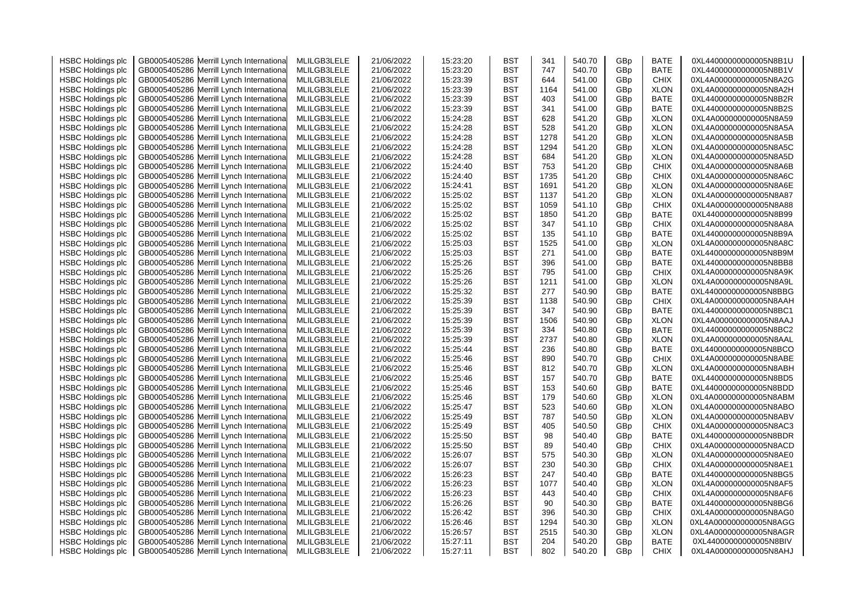| <b>HSBC Holdings plc</b> | GB0005405286 Merrill Lynch Internationa    | MLILGB3LELE | 21/06/2022 | 15:23:20 | <b>BST</b> | 341  | 540.70 | GBp | <b>BATE</b> | 0XL44000000000005N8B1U |
|--------------------------|--------------------------------------------|-------------|------------|----------|------------|------|--------|-----|-------------|------------------------|
| <b>HSBC Holdings plc</b> | Merrill Lynch Internationa<br>GB0005405286 | MLILGB3LELE | 21/06/2022 | 15:23:20 | <b>BST</b> | 747  | 540.70 | GBp | <b>BATE</b> | 0XL44000000000005N8B1V |
| <b>HSBC Holdings plc</b> | GB0005405286 Merrill Lynch Internationa    | MLILGB3LELE | 21/06/2022 | 15:23:39 | <b>BST</b> | 644  | 541.00 | GBp | <b>CHIX</b> | 0XL4A000000000005N8A2G |
| <b>HSBC Holdings plc</b> | Merrill Lynch Internationa<br>GB0005405286 | MLILGB3LELE | 21/06/2022 | 15:23:39 | <b>BST</b> | 1164 | 541.00 | GBp | <b>XLON</b> | 0XL4A000000000005N8A2H |
| <b>HSBC Holdings plc</b> | GB0005405286<br>Merrill Lynch Internationa | MLILGB3LELE | 21/06/2022 | 15:23:39 | <b>BST</b> | 403  | 541.00 | GBp | <b>BATE</b> | 0XL44000000000005N8B2R |
| <b>HSBC Holdings plc</b> | GB0005405286<br>Merrill Lynch Internationa | MLILGB3LELE | 21/06/2022 | 15:23:39 | <b>BST</b> | 341  | 541.00 | GBp | <b>BATE</b> | 0XL44000000000005N8B2S |
| <b>HSBC Holdings plc</b> | Merrill Lynch Internationa<br>GB0005405286 | MLILGB3LELE | 21/06/2022 | 15:24:28 | <b>BST</b> | 628  | 541.20 | GBp | <b>XLON</b> | 0XL4A000000000005N8A59 |
| <b>HSBC Holdings plc</b> | GB0005405286<br>Merrill Lynch Internationa | MLILGB3LELE | 21/06/2022 | 15:24:28 | <b>BST</b> | 528  | 541.20 | GBp | <b>XLON</b> | 0XL4A000000000005N8A5A |
| <b>HSBC Holdings plc</b> | Merrill Lynch Internationa<br>GB0005405286 | MLILGB3LELE | 21/06/2022 | 15:24:28 | <b>BST</b> | 1278 | 541.20 | GBp | <b>XLON</b> | 0XL4A000000000005N8A5B |
| <b>HSBC Holdings plc</b> | Merrill Lynch Internationa<br>GB0005405286 | MLILGB3LELE | 21/06/2022 | 15:24:28 | BST        | 1294 | 541.20 | GBp | <b>XLON</b> | 0XL4A000000000005N8A5C |
| <b>HSBC Holdings plc</b> | GB0005405286<br>Merrill Lynch Internationa | MLILGB3LELE | 21/06/2022 | 15:24:28 | <b>BST</b> | 684  | 541.20 | GBp | <b>XLON</b> | 0XL4A000000000005N8A5D |
| <b>HSBC Holdings plc</b> | GB0005405286 Merrill Lynch Internationa    | MLILGB3LELE | 21/06/2022 | 15:24:40 | <b>BST</b> | 753  | 541.20 | GBp | <b>CHIX</b> | 0XL4A000000000005N8A6B |
| <b>HSBC Holdings plc</b> | GB0005405286<br>Merrill Lynch Internationa | MLILGB3LELE | 21/06/2022 | 15:24:40 | <b>BST</b> | 1735 | 541.20 | GBp | <b>CHIX</b> | 0XL4A000000000005N8A6C |
|                          |                                            |             |            |          |            |      |        |     |             |                        |
| <b>HSBC Holdings plc</b> | Merrill Lynch Internationa<br>GB0005405286 | MLILGB3LELE | 21/06/2022 | 15:24:41 | <b>BST</b> | 1691 | 541.20 | GBp | <b>XLON</b> | 0XL4A000000000005N8A6E |
| <b>HSBC Holdings plc</b> | GB0005405286<br>Merrill Lynch Internationa | MLILGB3LELE | 21/06/2022 | 15:25:02 | BST        | 1137 | 541.20 | GBp | <b>XLON</b> | 0XL4A000000000005N8A87 |
| <b>HSBC Holdings plc</b> | GB0005405286<br>Merrill Lynch Internationa | MLILGB3LELE | 21/06/2022 | 15:25:02 | <b>BST</b> | 1059 | 541.10 | GBp | <b>CHIX</b> | 0XL4A000000000005N8A88 |
| <b>HSBC Holdings plc</b> | GB0005405286 Merrill Lynch Internationa    | MLILGB3LELE | 21/06/2022 | 15:25:02 | BST        | 1850 | 541.20 | GBp | <b>BATE</b> | 0XL44000000000005N8B99 |
| <b>HSBC Holdings plc</b> | GB0005405286<br>Merrill Lynch Internationa | MLILGB3LELE | 21/06/2022 | 15:25:02 | BST        | 347  | 541.10 | GBp | <b>CHIX</b> | 0XL4A000000000005N8A8A |
| <b>HSBC Holdings plc</b> | GB0005405286 Merrill Lynch Internationa    | MLILGB3LELE | 21/06/2022 | 15:25:02 | BST        | 135  | 541.10 | GBp | BATE        | 0XL44000000000005N8B9A |
| <b>HSBC Holdings plc</b> | GB0005405286<br>Merrill Lynch Internationa | MLILGB3LELE | 21/06/2022 | 15:25:03 | BST        | 1525 | 541.00 | GBp | <b>XLON</b> | 0XL4A000000000005N8A8C |
| <b>HSBC Holdings plc</b> | GB0005405286 Merrill Lynch Internationa    | MLILGB3LELE | 21/06/2022 | 15:25:03 | <b>BST</b> | 271  | 541.00 | GBp | <b>BATE</b> | 0XL44000000000005N8B9M |
| <b>HSBC Holdings plc</b> | GB0005405286<br>Merrill Lynch Internationa | MLILGB3LELE | 21/06/2022 | 15:25:26 | BST        | 396  | 541.00 | GBp | <b>BATE</b> | 0XL44000000000005N8BB8 |
| <b>HSBC Holdings plc</b> | GB0005405286<br>Merrill Lynch Internationa | MLILGB3LELE | 21/06/2022 | 15:25:26 | BST        | 795  | 541.00 | GBp | <b>CHIX</b> | 0XL4A000000000005N8A9K |
| <b>HSBC Holdings plc</b> | GB0005405286<br>Merrill Lynch Internationa | MLILGB3LELE | 21/06/2022 | 15:25:26 | BST        | 1211 | 541.00 | GBp | <b>XLON</b> | 0XL4A000000000005N8A9L |
| <b>HSBC Holdings plc</b> | GB0005405286<br>Merrill Lynch Internationa | MLILGB3LELE | 21/06/2022 | 15:25:32 | <b>BST</b> | 277  | 540.90 | GBp | <b>BATE</b> | 0XL44000000000005N8BBG |
| <b>HSBC Holdings plc</b> | GB0005405286 Merrill Lynch Internationa    | MLILGB3LELE | 21/06/2022 | 15:25:39 | BST        | 1138 | 540.90 | GBp | <b>CHIX</b> | 0XL4A000000000005N8AAH |
| <b>HSBC Holdings plc</b> | Merrill Lynch Internationa<br>GB0005405286 | MLILGB3LELE | 21/06/2022 | 15:25:39 | BST        | 347  | 540.90 | GBp | <b>BATE</b> | 0XL44000000000005N8BC1 |
| <b>HSBC Holdings plc</b> | GB0005405286 Merrill Lynch Internationa    | MLILGB3LELE | 21/06/2022 | 15:25:39 | BST        | 1506 | 540.90 | GBp | <b>XLON</b> | 0XL4A000000000005N8AAJ |
| <b>HSBC Holdings plc</b> | GB0005405286<br>Merrill Lynch Internationa | MLILGB3LELE | 21/06/2022 | 15:25:39 | <b>BST</b> | 334  | 540.80 | GBp | <b>BATE</b> | 0XL44000000000005N8BC2 |
| <b>HSBC Holdings plc</b> | GB0005405286<br>Merrill Lynch Internationa | MLILGB3LELE | 21/06/2022 | 15:25:39 | BST        | 2737 | 540.80 | GBp | <b>XLON</b> | 0XL4A000000000005N8AAL |
| <b>HSBC Holdings plc</b> | GB0005405286 Merrill Lynch Internationa    | MLILGB3LELE | 21/06/2022 | 15:25:44 | BST        | 236  | 540.80 | GBp | <b>BATE</b> | 0XL44000000000005N8BCO |
| <b>HSBC Holdings plc</b> | GB0005405286<br>Merrill Lynch Internationa | MLILGB3LELE | 21/06/2022 | 15:25:46 | <b>BST</b> | 890  | 540.70 | GBp | <b>CHIX</b> | 0XL4A000000000005N8ABE |
| <b>HSBC Holdings plc</b> | GB0005405286 Merrill Lynch Internationa    | MLILGB3LELE | 21/06/2022 | 15:25:46 | <b>BST</b> | 812  | 540.70 | GBp | <b>XLON</b> | 0XL4A000000000005N8ABH |
| <b>HSBC Holdings plc</b> | Merrill Lynch Internationa<br>GB0005405286 | MLILGB3LELE | 21/06/2022 | 15:25:46 | BST        | 157  | 540.70 | GBp | <b>BATE</b> | 0XL44000000000005N8BD5 |
| <b>HSBC Holdings plc</b> | GB0005405286 Merrill Lynch Internationa    | MLILGB3LELE | 21/06/2022 | 15:25:46 | BST        | 153  | 540.60 | GBp | <b>BATE</b> | 0XL44000000000005N8BDD |
| <b>HSBC Holdings plc</b> | Merrill Lynch Internationa<br>GB0005405286 | MLILGB3LELE | 21/06/2022 | 15:25:46 | <b>BST</b> | 179  | 540.60 | GBp | <b>XLON</b> | 0XL4A000000000005N8ABM |
| <b>HSBC Holdings plc</b> | GB0005405286<br>Merrill Lynch Internationa | MLILGB3LELE | 21/06/2022 | 15:25:47 | <b>BST</b> | 523  | 540.60 | GBp | <b>XLON</b> | 0XL4A000000000005N8ABO |
| <b>HSBC Holdings plc</b> | GB0005405286<br>Merrill Lynch Internationa | MLILGB3LELE | 21/06/2022 | 15:25:49 | <b>BST</b> | 787  | 540.50 | GBp | <b>XLON</b> | 0XL4A000000000005N8ABV |
| <b>HSBC Holdings plc</b> | Merrill Lynch Internationa<br>GB0005405286 | MLILGB3LELE | 21/06/2022 | 15:25:49 | <b>BST</b> | 405  | 540.50 | GBp | <b>CHIX</b> | 0XL4A000000000005N8AC3 |
| <b>HSBC Holdings plc</b> | GB0005405286 Merrill Lynch Internationa    | MLILGB3LELE | 21/06/2022 | 15:25:50 | <b>BST</b> | 98   | 540.40 | GBp | <b>BATE</b> | 0XL44000000000005N8BDR |
| <b>HSBC Holdings plc</b> | Merrill Lynch Internationa<br>GB0005405286 | MLILGB3LELE | 21/06/2022 | 15:25:50 | <b>BST</b> | 89   | 540.40 | GBp | <b>CHIX</b> | 0XL4A000000000005N8ACD |
| <b>HSBC Holdings plc</b> | Merrill Lynch Internationa<br>GB0005405286 | MLILGB3LELE | 21/06/2022 | 15:26:07 | <b>BST</b> | 575  | 540.30 | GBp | <b>XLON</b> | 0XL4A000000000005N8AE0 |
| <b>HSBC Holdings plc</b> | Merrill Lynch Internationa<br>GB0005405286 | MLILGB3LELE | 21/06/2022 | 15:26:07 | <b>BST</b> | 230  | 540.30 | GBp | <b>CHIX</b> | 0XL4A000000000005N8AE1 |
|                          | GB0005405286<br>Merrill Lynch Internationa | MLILGB3LELE | 21/06/2022 | 15:26:23 | <b>BST</b> | 247  | 540.40 | GBp | <b>BATE</b> | 0XL44000000000005N8BG5 |
| <b>HSBC Holdings plc</b> |                                            |             |            |          |            |      |        |     |             |                        |
| <b>HSBC Holdings plc</b> | GB0005405286<br>Merrill Lynch Internationa | MLILGB3LELE | 21/06/2022 | 15:26:23 | <b>BST</b> | 1077 | 540.40 | GBp | <b>XLON</b> | 0XL4A000000000005N8AF5 |
| <b>HSBC Holdings plc</b> | Merrill Lynch Internationa<br>GB0005405286 | MLILGB3LELE | 21/06/2022 | 15:26:23 | <b>BST</b> | 443  | 540.40 | GBp | <b>CHIX</b> | 0XL4A000000000005N8AF6 |
| <b>HSBC Holdings plc</b> | GB0005405286<br>Merrill Lynch Internationa | MLILGB3LELE | 21/06/2022 | 15:26:26 | <b>BST</b> | 90   | 540.30 | GBp | <b>BATE</b> | 0XL44000000000005N8BG6 |
| <b>HSBC Holdings plc</b> | Merrill Lynch Internationa<br>GB0005405286 | MLILGB3LELE | 21/06/2022 | 15:26:42 | <b>BST</b> | 396  | 540.30 | GBp | <b>CHIX</b> | 0XL4A000000000005N8AG0 |
| <b>HSBC Holdings plc</b> | GB0005405286 Merrill Lynch Internationa    | MLILGB3LELE | 21/06/2022 | 15:26:46 | <b>BST</b> | 1294 | 540.30 | GBp | <b>XLON</b> | 0XL4A000000000005N8AGG |
| <b>HSBC Holdings plc</b> | Merrill Lynch Internationa<br>GB0005405286 | MLILGB3LELE | 21/06/2022 | 15:26:57 | BST        | 2515 | 540.30 | GBp | <b>XLON</b> | 0XL4A000000000005N8AGR |
| <b>HSBC Holdings plc</b> | GB0005405286 Merrill Lynch Internationa    | MLILGB3LELE | 21/06/2022 | 15:27:11 | <b>BST</b> | 204  | 540.20 | GBp | BATE        | 0XL44000000000005N8BIV |
| <b>HSBC Holdings plc</b> | GB0005405286 Merrill Lynch International   | MLILGB3LELE | 21/06/2022 | 15:27:11 | <b>BST</b> | 802  | 540.20 | GBp | <b>CHIX</b> | 0XL4A000000000005N8AHJ |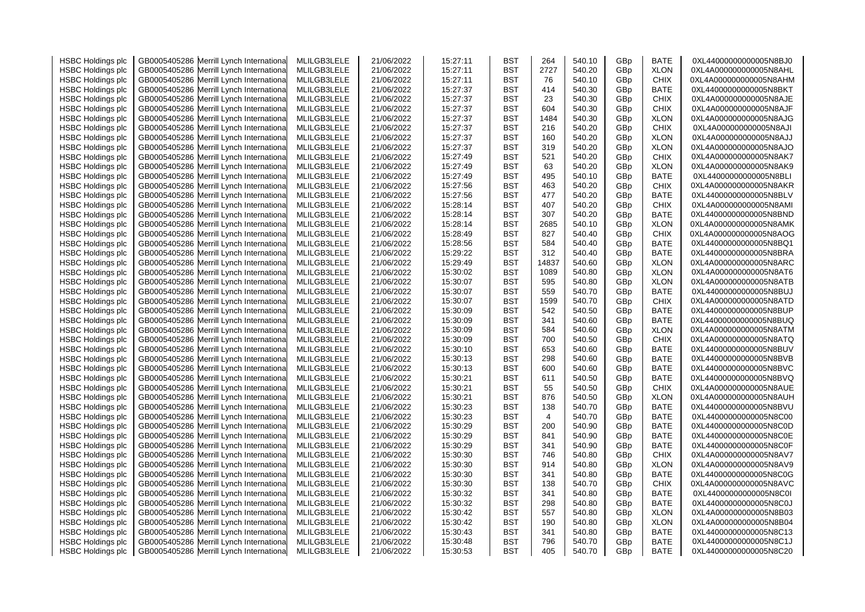| <b>HSBC Holdings plc</b> | GB0005405286 Merrill Lynch Internationa    | MLILGB3LELE | 21/06/2022 | 15:27:11 | BST        | 264            | 540.10 | GBp | <b>BATE</b> | 0XL44000000000005N8BJ0 |
|--------------------------|--------------------------------------------|-------------|------------|----------|------------|----------------|--------|-----|-------------|------------------------|
| <b>HSBC Holdings plc</b> | Merrill Lynch Internationa<br>GB0005405286 | MLILGB3LELE | 21/06/2022 | 15:27:11 | BST        | 2727           | 540.20 | GBp | <b>XLON</b> | 0XL4A000000000005N8AHL |
| <b>HSBC Holdings plc</b> | Merrill Lynch Internationa<br>GB0005405286 | MLILGB3LELE | 21/06/2022 | 15:27:11 | BST        | 76             | 540.10 | GBp | <b>CHIX</b> | 0XL4A000000000005N8AHM |
| <b>HSBC Holdings plc</b> | Merrill Lynch Internationa<br>GB0005405286 | MLILGB3LELE | 21/06/2022 | 15:27:37 | BST        | 414            | 540.30 | GBp | <b>BATE</b> | 0XL44000000000005N8BKT |
| <b>HSBC Holdings plc</b> | GB0005405286<br>Merrill Lynch Internationa | MLILGB3LELE | 21/06/2022 | 15:27:37 | BST        | 23             | 540.30 | GBp | <b>CHIX</b> | 0XL4A000000000005N8AJE |
| <b>HSBC Holdings plc</b> | Merrill Lynch Internationa<br>GB0005405286 | MLILGB3LELE | 21/06/2022 | 15:27:37 | BST        | 604            | 540.30 | GBp | <b>CHIX</b> | 0XL4A000000000005N8AJF |
| <b>HSBC Holdings plc</b> | GB0005405286<br>Merrill Lynch Internationa | MLILGB3LELE | 21/06/2022 | 15:27:37 | BST        | 1484           | 540.30 | GBp | <b>XLON</b> | 0XL4A000000000005N8AJG |
| <b>HSBC Holdings plc</b> | GB0005405286<br>Merrill Lynch Internationa | MLILGB3LELE | 21/06/2022 | 15:27:37 | BST        | 216            | 540.20 | GBp | <b>CHIX</b> | 0XL4A000000000005N8AJI |
| <b>HSBC Holdings plc</b> | GB0005405286<br>Merrill Lynch Internationa | MLILGB3LELE | 21/06/2022 | 15:27:37 | BST        | 160            | 540.20 | GBp | <b>XLON</b> | 0XL4A000000000005N8AJJ |
|                          |                                            |             |            |          |            |                |        |     | <b>XLON</b> |                        |
| <b>HSBC Holdings plc</b> | GB0005405286<br>Merrill Lynch Internationa | MLILGB3LELE | 21/06/2022 | 15:27:37 | BST        | 319            | 540.20 | GBp |             | 0XL4A000000000005N8AJO |
| <b>HSBC Holdings plc</b> | Merrill Lynch Internationa<br>GB0005405286 | MLILGB3LELE | 21/06/2022 | 15:27:49 | BST        | 521            | 540.20 | GBp | <b>CHIX</b> | 0XL4A000000000005N8AK7 |
| <b>HSBC Holdings plc</b> | Merrill Lynch Internationa<br>GB0005405286 | MLILGB3LELE | 21/06/2022 | 15:27:49 | BST        | 63             | 540.20 | GBp | <b>XLON</b> | 0XL4A000000000005N8AK9 |
| <b>HSBC Holdings plc</b> | Merrill Lynch Internationa<br>GB0005405286 | MLILGB3LELE | 21/06/2022 | 15:27:49 | BST        | 495            | 540.10 | GBp | <b>BATE</b> | 0XL44000000000005N8BLI |
| <b>HSBC Holdings plc</b> | GB0005405286<br>Merrill Lynch Internationa | MLILGB3LELE | 21/06/2022 | 15:27:56 | BST        | 463            | 540.20 | GBp | <b>CHIX</b> | 0XL4A000000000005N8AKR |
| <b>HSBC Holdings plc</b> | GB0005405286<br>Merrill Lynch Internationa | MLILGB3LELE | 21/06/2022 | 15:27:56 | BST        | 477            | 540.20 | GBp | <b>BATE</b> | 0XL44000000000005N8BLV |
| <b>HSBC Holdings plc</b> | GB0005405286<br>Merrill Lynch Internationa | MLILGB3LELE | 21/06/2022 | 15:28:14 | BST        | 407            | 540.20 | GBp | <b>CHIX</b> | 0XL4A000000000005N8AMI |
| <b>HSBC Holdings plc</b> | GB0005405286<br>Merrill Lynch Internationa | MLILGB3LELE | 21/06/2022 | 15:28:14 | BST        | 307            | 540.20 | GBp | <b>BATE</b> | 0XL44000000000005N8BND |
| <b>HSBC Holdings plc</b> | GB0005405286<br>Merrill Lynch Internationa | MLILGB3LELE | 21/06/2022 | 15:28:14 | BST        | 2685           | 540.10 | GBp | <b>XLON</b> | 0XL4A000000000005N8AMK |
| <b>HSBC Holdings plc</b> | Merrill Lynch Internationa<br>GB0005405286 | MLILGB3LELE | 21/06/2022 | 15:28:49 | BST        | 827            | 540.40 | GBp | <b>CHIX</b> | 0XL4A000000000005N8AOG |
| <b>HSBC Holdings plc</b> | Merrill Lynch Internationa<br>GB0005405286 | MLILGB3LELE | 21/06/2022 | 15:28:56 | BST        | 584            | 540.40 | GBp | BATE        | 0XL44000000000005N8BQ1 |
| <b>HSBC Holdings plc</b> | Merrill Lynch Internationa<br>GB0005405286 | MLILGB3LELE | 21/06/2022 | 15:29:22 | BST        | 312            | 540.40 | GBp | BATE        | 0XL44000000000005N8BRA |
| <b>HSBC Holdings plc</b> | GB0005405286<br>Merrill Lynch Internationa | MLILGB3LELE | 21/06/2022 | 15:29:49 | BST        | 14837          | 540.60 | GBp | <b>XLON</b> | 0XL4A000000000005N8ARC |
| <b>HSBC Holdings plc</b> | Merrill Lynch Internationa<br>GB0005405286 | MLILGB3LELE | 21/06/2022 | 15:30:02 | BST        | 1089           | 540.80 | GBp | <b>XLON</b> | 0XL4A000000000005N8AT6 |
| <b>HSBC Holdings plc</b> | GB0005405286<br>Merrill Lynch Internationa | MLILGB3LELE | 21/06/2022 | 15:30:07 | BST        | 595            | 540.80 | GBp | <b>XLON</b> | 0XL4A000000000005N8ATB |
| <b>HSBC Holdings plc</b> | Merrill Lynch Internationa<br>GB0005405286 | MLILGB3LELE | 21/06/2022 | 15:30:07 | BST        | 559            | 540.70 | GBp | <b>BATE</b> | 0XL44000000000005N8BUJ |
| <b>HSBC Holdings plc</b> | Merrill Lynch Internationa<br>GB0005405286 | MLILGB3LELE | 21/06/2022 | 15:30:07 | BST        | 1599           | 540.70 | GBp | <b>CHIX</b> | 0XL4A000000000005N8ATD |
| <b>HSBC Holdings plc</b> | Merrill Lynch Internationa<br>GB0005405286 | MLILGB3LELE | 21/06/2022 | 15:30:09 | BST        | 542            | 540.50 | GBp | <b>BATE</b> | 0XL44000000000005N8BUP |
| <b>HSBC Holdings plc</b> | Merrill Lynch Internationa<br>GB0005405286 | MLILGB3LELE | 21/06/2022 | 15:30:09 | <b>BST</b> | 341            | 540.60 | GBp | BATE        | 0XL44000000000005N8BUQ |
| <b>HSBC Holdings plc</b> | Merrill Lynch Internationa<br>GB0005405286 | MLILGB3LELE | 21/06/2022 | 15:30:09 | <b>BST</b> | 584            | 540.60 | GBp | <b>XLON</b> | 0XL4A000000000005N8ATM |
| <b>HSBC Holdings plc</b> | Merrill Lynch Internationa<br>GB0005405286 | MLILGB3LELE | 21/06/2022 | 15:30:09 | BST        | 700            | 540.50 | GBp | <b>CHIX</b> | 0XL4A000000000005N8ATQ |
| <b>HSBC Holdings plc</b> | Merrill Lynch Internationa<br>GB0005405286 | MLILGB3LELE | 21/06/2022 | 15:30:10 | BST        | 653            | 540.60 | GBp | BATE        | 0XL44000000000005N8BUV |
| <b>HSBC Holdings plc</b> | Merrill Lynch Internationa<br>GB0005405286 | MLILGB3LELE | 21/06/2022 | 15:30:13 | BST        | 298            | 540.60 | GBp | <b>BATE</b> | 0XL44000000000005N8BVB |
| <b>HSBC Holdings plc</b> | Merrill Lynch Internationa<br>GB0005405286 | MLILGB3LELE | 21/06/2022 | 15:30:13 | <b>BST</b> | 600            | 540.60 | GBp | BATE        | 0XL44000000000005N8BVC |
| <b>HSBC Holdings plc</b> | Merrill Lynch Internationa<br>GB0005405286 | MLILGB3LELE | 21/06/2022 | 15:30:21 | BST        | 611            | 540.50 | GBp | <b>BATE</b> | 0XL44000000000005N8BVQ |
| <b>HSBC Holdings plc</b> | GB0005405286<br>Merrill Lynch Internationa | MLILGB3LELE | 21/06/2022 | 15:30:21 | BST        | 55             | 540.50 | GBp | <b>CHIX</b> | 0XL4A000000000005N8AUE |
| <b>HSBC Holdings plc</b> | Merrill Lynch Internationa<br>GB0005405286 | MLILGB3LELE | 21/06/2022 | 15:30:21 | BST        | 876            | 540.50 | GBp | <b>XLON</b> | 0XL4A000000000005N8AUH |
| <b>HSBC Holdings plc</b> | Merrill Lynch Internationa<br>GB0005405286 | MLILGB3LELE | 21/06/2022 | 15:30:23 | BST        | 138            | 540.70 | GBp | <b>BATE</b> | 0XL44000000000005N8BVU |
| <b>HSBC Holdings plc</b> | Merrill Lynch Internationa<br>GB0005405286 | MLILGB3LELE | 21/06/2022 | 15:30:23 | BST        | $\overline{4}$ | 540.70 | GBp | BATE        | 0XL44000000000005N8C00 |
| <b>HSBC Holdings plc</b> | Merrill Lynch Internationa<br>GB0005405286 | MLILGB3LELE | 21/06/2022 | 15:30:29 | BST        | 200            | 540.90 | GBp | BATE        | 0XL44000000000005N8C0D |
| <b>HSBC Holdings plc</b> | GB0005405286<br>Merrill Lynch Internationa | MLILGB3LELE | 21/06/2022 | 15:30:29 | <b>BST</b> | 841            | 540.90 | GBp | BATE        | 0XL44000000000005N8C0E |
| <b>HSBC Holdings plc</b> | GB0005405286<br>Merrill Lynch Internationa | MLILGB3LELE | 21/06/2022 | 15:30:29 | BST        | 341            | 540.90 | GBp | <b>BATE</b> | 0XL44000000000005N8C0F |
| <b>HSBC Holdings plc</b> | Merrill Lynch Internationa<br>GB0005405286 | MLILGB3LELE | 21/06/2022 | 15:30:30 | BST        | 746            | 540.80 | GBp | <b>CHIX</b> | 0XL4A000000000005N8AV7 |
| <b>HSBC Holdings plc</b> | Merrill Lynch Internationa<br>GB0005405286 | MLILGB3LELE | 21/06/2022 | 15:30:30 | BST        | 914            | 540.80 | GBp | <b>XLON</b> | 0XL4A000000000005N8AV9 |
| <b>HSBC Holdings plc</b> | Merrill Lynch Internationa<br>GB0005405286 | MLILGB3LELE | 21/06/2022 | 15:30:30 | BST        | 341            | 540.80 | GBp | BATE        | 0XL44000000000005N8C0G |
| <b>HSBC Holdings plc</b> | Merrill Lynch Internationa<br>GB0005405286 | MLILGB3LELE | 21/06/2022 | 15:30:30 | BST        | 138            | 540.70 | GBp | <b>CHIX</b> | 0XL4A000000000005N8AVC |
| <b>HSBC Holdings plc</b> | Merrill Lynch Internationa<br>GB0005405286 | MLILGB3LELE | 21/06/2022 | 15:30:32 | BST        | 341            | 540.80 | GBp | BATE        | 0XL44000000000005N8C0I |
| <b>HSBC Holdings plc</b> | GB0005405286<br>Merrill Lynch Internationa | MLILGB3LELE | 21/06/2022 | 15:30:32 | BST        | 298            | 540.80 | GBp | <b>BATE</b> | 0XL44000000000005N8C0J |
| <b>HSBC Holdings plc</b> | Merrill Lynch Internationa<br>GB0005405286 | MLILGB3LELE | 21/06/2022 | 15:30:42 | BST        | 557            | 540.80 | GBp | <b>XLON</b> | 0XL4A000000000005N8B03 |
| <b>HSBC Holdings plc</b> | Merrill Lynch Internationa<br>GB0005405286 | MLILGB3LELE | 21/06/2022 | 15:30:42 | BST        | 190            | 540.80 | GBp | <b>XLON</b> | 0XL4A000000000005N8B04 |
| <b>HSBC Holdings plc</b> | Merrill Lynch Internationa<br>GB0005405286 | MLILGB3LELE | 21/06/2022 | 15:30:43 | BST        | 341            | 540.80 | GBp | BATE        | 0XL44000000000005N8C13 |
| <b>HSBC Holdings plc</b> | GB0005405286 Merrill Lynch Internationa    | MLILGB3LELE | 21/06/2022 | 15:30:48 | BST        | 796            | 540.70 | GBp | BATE        | 0XL44000000000005N8C1J |
| <b>HSBC Holdings plc</b> | GB0005405286 Merrill Lynch International   | MLILGB3LELE | 21/06/2022 | 15:30:53 | BST        | 405            | 540.70 | GBp | BATE        | 0XL44000000000005N8C20 |
|                          |                                            |             |            |          |            |                |        |     |             |                        |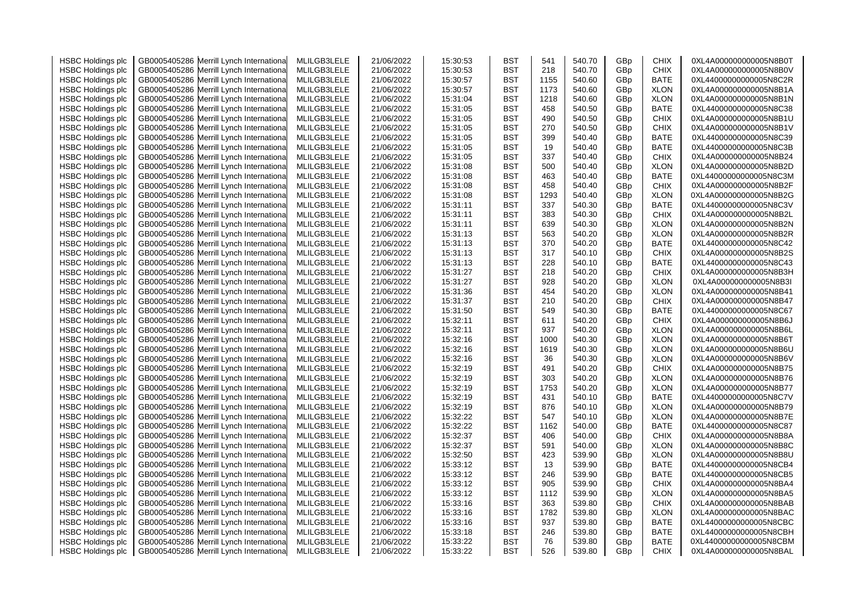| <b>HSBC Holdings plc</b> | GB0005405286 Merrill Lynch Internationa    | MLILGB3LELE | 21/06/2022 | 15:30:53 | <b>BST</b> | 541  | 540.70 | GBp             | <b>CHIX</b> | 0XL4A000000000005N8B0T |
|--------------------------|--------------------------------------------|-------------|------------|----------|------------|------|--------|-----------------|-------------|------------------------|
| <b>HSBC Holdings plc</b> | Merrill Lynch Internationa<br>GB0005405286 | MLILGB3LELE | 21/06/2022 | 15:30:53 | <b>BST</b> | 218  | 540.70 | GBp             | <b>CHIX</b> | 0XL4A000000000005N8B0V |
| <b>HSBC Holdings plc</b> | GB0005405286 Merrill Lynch Internationa    | MLILGB3LELE | 21/06/2022 | 15:30:57 | <b>BST</b> | 1155 | 540.60 | GBp             | BATE        | 0XL44000000000005N8C2R |
| <b>HSBC Holdings plc</b> | Merrill Lynch Internationa<br>GB0005405286 | MLILGB3LELE | 21/06/2022 | 15:30:57 | <b>BST</b> | 1173 | 540.60 | GBp             | <b>XLON</b> | 0XL4A000000000005N8B1A |
| <b>HSBC Holdings plc</b> | GB0005405286<br>Merrill Lynch Internationa | MLILGB3LELE | 21/06/2022 | 15:31:04 | <b>BST</b> | 1218 | 540.60 | GBp             | <b>XLON</b> | 0XL4A000000000005N8B1N |
| <b>HSBC Holdings plc</b> | GB0005405286<br>Merrill Lynch Internationa | MLILGB3LELE | 21/06/2022 | 15:31:05 | <b>BST</b> | 458  | 540.50 | GBp             | <b>BATE</b> | 0XL44000000000005N8C38 |
| <b>HSBC Holdings plc</b> | Merrill Lynch Internationa<br>GB0005405286 | MLILGB3LELE | 21/06/2022 | 15:31:05 | <b>BST</b> | 490  | 540.50 | GBp             | <b>CHIX</b> | 0XL4A000000000005N8B1U |
| <b>HSBC Holdings plc</b> | GB0005405286 Merrill Lynch Internationa    | MLILGB3LELE | 21/06/2022 | 15:31:05 | <b>BST</b> | 270  | 540.50 | GBp             | <b>CHIX</b> | 0XL4A000000000005N8B1V |
| <b>HSBC Holdings plc</b> | Merrill Lynch Internationa<br>GB0005405286 | MLILGB3LELE | 21/06/2022 | 15:31:05 | <b>BST</b> | 399  | 540.40 | GBp             | <b>BATE</b> | 0XL44000000000005N8C39 |
| <b>HSBC Holdings plc</b> | GB0005405286 Merrill Lynch Internationa    | MLILGB3LELE | 21/06/2022 | 15:31:05 | <b>BST</b> | 19   | 540.40 | GBp             | <b>BATE</b> | 0XL44000000000005N8C3B |
| <b>HSBC Holdings plc</b> | Merrill Lynch Internationa<br>GB0005405286 | MLILGB3LELE | 21/06/2022 | 15:31:05 | <b>BST</b> | 337  | 540.40 | GBp             | <b>CHIX</b> | 0XL4A000000000005N8B24 |
| <b>HSBC Holdings plc</b> | GB0005405286 Merrill Lynch Internationa    | MLILGB3LELE | 21/06/2022 | 15:31:08 | <b>BST</b> | 500  | 540.40 | GBp             | <b>XLON</b> | 0XL4A000000000005N8B2D |
| <b>HSBC Holdings plc</b> | GB0005405286<br>Merrill Lynch Internationa | MLILGB3LELE | 21/06/2022 | 15:31:08 | <b>BST</b> | 463  | 540.40 | GBp             | <b>BATE</b> | 0XL44000000000005N8C3M |
| <b>HSBC Holdings plc</b> | GB0005405286<br>Merrill Lynch Internationa | MLILGB3LELE | 21/06/2022 | 15:31:08 | <b>BST</b> | 458  | 540.40 | GBp             | <b>CHIX</b> | 0XL4A000000000005N8B2F |
| <b>HSBC Holdings plc</b> | GB0005405286 Merrill Lynch Internationa    | MLILGB3LELE | 21/06/2022 | 15:31:08 | <b>BST</b> | 1293 | 540.40 | GBp             | <b>XLON</b> | 0XL4A000000000005N8B2G |
|                          |                                            |             |            | 15:31:11 |            | 337  | 540.30 |                 | <b>BATE</b> | 0XL44000000000005N8C3V |
| <b>HSBC Holdings plc</b> | GB0005405286<br>Merrill Lynch Internationa | MLILGB3LELE | 21/06/2022 |          | <b>BST</b> |      |        | GBp             |             |                        |
| <b>HSBC Holdings plc</b> | GB0005405286 Merrill Lynch Internationa    | MLILGB3LELE | 21/06/2022 | 15:31:11 | <b>BST</b> | 383  | 540.30 | GBp             | <b>CHIX</b> | 0XL4A000000000005N8B2L |
| <b>HSBC Holdings plc</b> | Merrill Lynch Internationa<br>GB0005405286 | MLILGB3LELE | 21/06/2022 | 15:31:11 | <b>BST</b> | 639  | 540.30 | GBp             | <b>XLON</b> | 0XL4A000000000005N8B2N |
| <b>HSBC Holdings plc</b> | GB0005405286 Merrill Lynch Internationa    | MLILGB3LELE | 21/06/2022 | 15:31:13 | <b>BST</b> | 563  | 540.20 | GBp             | <b>XLON</b> | 0XL4A000000000005N8B2R |
| <b>HSBC Holdings plc</b> | Merrill Lynch Internationa<br>GB0005405286 | MLILGB3LELE | 21/06/2022 | 15:31:13 | <b>BST</b> | 370  | 540.20 | GBp             | <b>BATE</b> | 0XL44000000000005N8C42 |
| <b>HSBC Holdings plc</b> | GB0005405286<br>Merrill Lynch Internationa | MLILGB3LELE | 21/06/2022 | 15:31:13 | <b>BST</b> | 317  | 540.10 | GBp             | <b>CHIX</b> | 0XL4A000000000005N8B2S |
| <b>HSBC Holdings plc</b> | GB0005405286<br>Merrill Lynch Internationa | MLILGB3LELE | 21/06/2022 | 15:31:13 | <b>BST</b> | 228  | 540.10 | GBp             | <b>BATE</b> | 0XL44000000000005N8C43 |
| <b>HSBC Holdings plc</b> | Merrill Lynch Internationa<br>GB0005405286 | MLILGB3LELE | 21/06/2022 | 15:31:27 | <b>BST</b> | 218  | 540.20 | GBp             | <b>CHIX</b> | 0XL4A000000000005N8B3H |
| <b>HSBC Holdings plc</b> | GB0005405286<br>Merrill Lynch Internationa | MLILGB3LELE | 21/06/2022 | 15:31:27 | <b>BST</b> | 928  | 540.20 | GBp             | <b>XLON</b> | 0XL4A000000000005N8B3I |
| <b>HSBC Holdings plc</b> | GB0005405286<br>Merrill Lynch Internationa | MLILGB3LELE | 21/06/2022 | 15:31:36 | BST        | 454  | 540.20 | GBp             | <b>XLON</b> | 0XL4A000000000005N8B41 |
| <b>HSBC Holdings plc</b> | GB0005405286 Merrill Lynch Internationa    | MLILGB3LELE | 21/06/2022 | 15:31:37 | BST        | 210  | 540.20 | GBp             | <b>CHIX</b> | 0XL4A000000000005N8B47 |
| <b>HSBC Holdings plc</b> | Merrill Lynch Internationa<br>GB0005405286 | MLILGB3LELE | 21/06/2022 | 15:31:50 | <b>BST</b> | 549  | 540.30 | GBp             | <b>BATE</b> | 0XL44000000000005N8C67 |
| <b>HSBC Holdings plc</b> | GB0005405286 Merrill Lynch Internationa    | MLILGB3LELE | 21/06/2022 | 15:32:11 | <b>BST</b> | 611  | 540.20 | GBp             | <b>CHIX</b> | 0XL4A000000000005N8B6J |
| <b>HSBC Holdings plc</b> | GB0005405286<br>Merrill Lynch Internationa | MLILGB3LELE | 21/06/2022 | 15:32:11 | <b>BST</b> | 937  | 540.20 | GBp             | <b>XLON</b> | 0XL4A000000000005N8B6L |
| <b>HSBC Holdings plc</b> | GB0005405286<br>Merrill Lynch Internationa | MLILGB3LELE | 21/06/2022 | 15:32:16 | <b>BST</b> | 1000 | 540.30 | GBp             | <b>XLON</b> | 0XL4A000000000005N8B6T |
| <b>HSBC Holdings plc</b> | GB0005405286<br>Merrill Lynch Internationa | MLILGB3LELE | 21/06/2022 | 15:32:16 | <b>BST</b> | 1619 | 540.30 | GBp             | <b>XLON</b> | 0XL4A000000000005N8B6U |
| <b>HSBC Holdings plc</b> | Merrill Lynch Internationa<br>GB0005405286 | MLILGB3LELE | 21/06/2022 | 15:32:16 | <b>BST</b> | 36   | 540.30 | GBp             | <b>XLON</b> | 0XL4A000000000005N8B6V |
| <b>HSBC Holdings plc</b> | GB0005405286 Merrill Lynch Internationa    | MLILGB3LELE | 21/06/2022 | 15:32:19 | BST        | 491  | 540.20 | GBp             | <b>CHIX</b> | 0XL4A000000000005N8B75 |
| <b>HSBC Holdings plc</b> | GB0005405286<br>Merrill Lynch Internationa | MLILGB3LELE | 21/06/2022 | 15:32:19 | <b>BST</b> | 303  | 540.20 | GBp             | <b>XLON</b> | 0XL4A000000000005N8B76 |
| <b>HSBC Holdings plc</b> | GB0005405286 Merrill Lynch Internationa    | MLILGB3LELE | 21/06/2022 | 15:32:19 | BST        | 1753 | 540.20 | GBp             | <b>XLON</b> | 0XL4A000000000005N8B77 |
| <b>HSBC Holdings plc</b> | Merrill Lynch Internationa<br>GB0005405286 | MLILGB3LELE | 21/06/2022 | 15:32:19 | <b>BST</b> | 431  | 540.10 | GBp             | <b>BATE</b> | 0XL44000000000005N8C7V |
| <b>HSBC Holdings plc</b> | GB0005405286<br>Merrill Lynch Internationa | MLILGB3LELE | 21/06/2022 | 15:32:19 | <b>BST</b> | 876  | 540.10 | GBp             | <b>XLON</b> | 0XL4A000000000005N8B79 |
| <b>HSBC Holdings plc</b> | GB0005405286<br>Merrill Lynch Internationa | MLILGB3LELE | 21/06/2022 | 15:32:22 | BST        | 547  | 540.10 | GBp             | <b>XLON</b> | 0XL4A000000000005N8B7E |
| <b>HSBC Holdings plc</b> | GB0005405286<br>Merrill Lynch Internationa | MLILGB3LELE | 21/06/2022 | 15:32:22 | <b>BST</b> | 1162 | 540.00 | GBp             | <b>BATE</b> | 0XL44000000000005N8C87 |
| <b>HSBC Holdings plc</b> | GB0005405286 Merrill Lynch Internationa    | MLILGB3LELE | 21/06/2022 | 15:32:37 | <b>BST</b> | 406  | 540.00 | GBp             | <b>CHIX</b> | 0XL4A000000000005N8B8A |
| <b>HSBC Holdings plc</b> | GB0005405286<br>Merrill Lynch Internationa | MLILGB3LELE | 21/06/2022 | 15:32:37 | BST        | 591  | 540.00 | GBp             | <b>XLON</b> | 0XL4A000000000005N8B8C |
| <b>HSBC Holdings plc</b> | GB0005405286 Merrill Lynch Internationa    | MLILGB3LELE | 21/06/2022 | 15:32:50 | BST        | 423  | 539.90 | GBp             | <b>XLON</b> | 0XL4A000000000005N8B8U |
| <b>HSBC Holdings plc</b> | GB0005405286<br>Merrill Lynch Internationa | MLILGB3LELE | 21/06/2022 | 15:33:12 | <b>BST</b> | 13   | 539.90 | GBp             | <b>BATE</b> | 0XL44000000000005N8CB4 |
| <b>HSBC Holdings plc</b> | GB0005405286 Merrill Lynch Internationa    | MLILGB3LELE | 21/06/2022 | 15:33:12 | <b>BST</b> | 246  | 539.90 | GBp             | <b>BATE</b> | 0XL44000000000005N8CB5 |
| <b>HSBC Holdings plc</b> | GB0005405286<br>Merrill Lynch Internationa | MLILGB3LELE | 21/06/2022 | 15:33:12 | BST        | 905  | 539.90 | GBp             | <b>CHIX</b> | 0XL4A000000000005N8BA4 |
| <b>HSBC Holdings plc</b> | GB0005405286<br>Merrill Lynch Internationa | MLILGB3LELE | 21/06/2022 | 15:33:12 | <b>BST</b> | 1112 | 539.90 | GBp             | <b>XLON</b> | 0XL4A000000000005N8BA5 |
| <b>HSBC Holdings plc</b> | GB0005405286<br>Merrill Lynch Internationa | MLILGB3LELE | 21/06/2022 | 15:33:16 | BST        | 363  | 539.80 | GBp             | <b>CHIX</b> | 0XL4A000000000005N8BAB |
| <b>HSBC Holdings plc</b> | GB0005405286<br>Merrill Lynch Internationa | MLILGB3LELE | 21/06/2022 | 15:33:16 | <b>BST</b> | 1782 | 539.80 | GBp             | <b>XLON</b> | 0XL4A000000000005N8BAC |
| <b>HSBC Holdings plc</b> | GB0005405286 Merrill Lynch Internationa    | MLILGB3LELE | 21/06/2022 | 15:33:16 | BST        | 937  | 539.80 | GBp             | <b>BATE</b> | 0XL44000000000005N8CBC |
| <b>HSBC Holdings plc</b> | GB0005405286<br>Merrill Lynch Internationa | MLILGB3LELE | 21/06/2022 | 15:33:18 | BST        | 246  | 539.80 | GBp             | BATE        | 0XL44000000000005N8CBH |
| <b>HSBC Holdings plc</b> | GB0005405286 Merrill Lynch Internationa    | MLILGB3LELE | 21/06/2022 | 15:33:22 | <b>BST</b> | 76   | 539.80 | GBp             | BATE        | 0XL44000000000005N8CBM |
| <b>HSBC Holdings plc</b> | GB0005405286 Merrill Lynch Internationa    | MLILGB3LELE | 21/06/2022 | 15:33:22 | <b>BST</b> | 526  | 539.80 | GB <sub>D</sub> | <b>CHIX</b> | 0XL4A000000000005N8BAL |
|                          |                                            |             |            |          |            |      |        |                 |             |                        |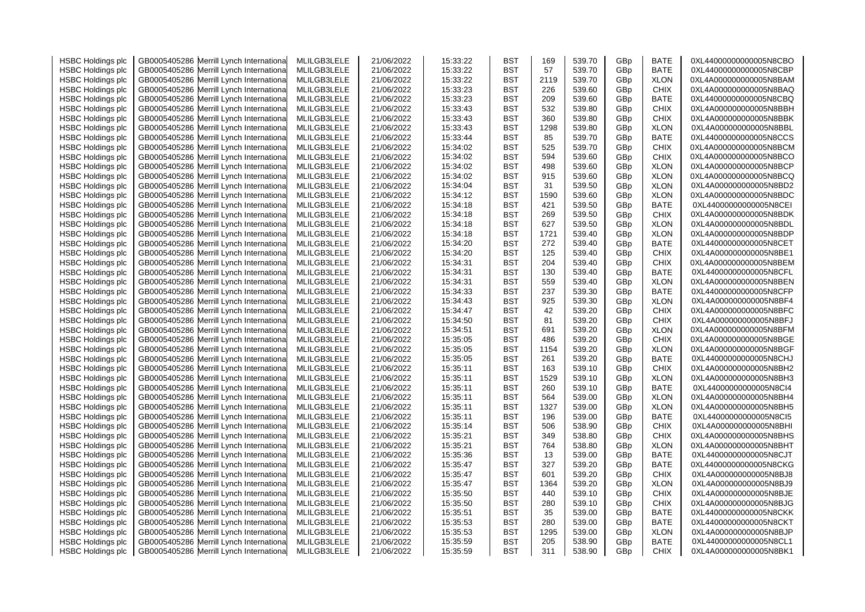| <b>HSBC Holdings plc</b> | GB0005405286 Merrill Lynch Internationa    | MLILGB3LELE | 21/06/2022 | 15:33:22 | <b>BST</b> | 169  | 539.70 | GBp             | <b>BATE</b> | 0XL44000000000005N8CBO |
|--------------------------|--------------------------------------------|-------------|------------|----------|------------|------|--------|-----------------|-------------|------------------------|
| <b>HSBC Holdings plc</b> | Merrill Lynch Internationa<br>GB0005405286 | MLILGB3LELE | 21/06/2022 | 15:33:22 | <b>BST</b> | 57   | 539.70 | GBp             | <b>BATE</b> | 0XL44000000000005N8CBP |
| <b>HSBC Holdings plc</b> | GB0005405286 Merrill Lynch Internationa    | MLILGB3LELE | 21/06/2022 | 15:33:22 | <b>BST</b> | 2119 | 539.70 | GBp             | <b>XLON</b> | 0XL4A000000000005N8BAM |
| <b>HSBC Holdings plc</b> | Merrill Lynch Internationa<br>GB0005405286 | MLILGB3LELE | 21/06/2022 | 15:33:23 | <b>BST</b> | 226  | 539.60 | GBp             | <b>CHIX</b> | 0XL4A000000000005N8BAQ |
| <b>HSBC Holdings plc</b> | GB0005405286<br>Merrill Lynch Internationa | MLILGB3LELE | 21/06/2022 | 15:33:23 | <b>BST</b> | 209  | 539.60 | GBp             | <b>BATE</b> | 0XL44000000000005N8CBQ |
| <b>HSBC Holdings plc</b> | GB0005405286<br>Merrill Lynch Internationa | MLILGB3LELE | 21/06/2022 | 15:33:43 | <b>BST</b> | 532  | 539.80 | GBp             | <b>CHIX</b> | 0XL4A000000000005N8BBH |
| <b>HSBC Holdings plc</b> | Merrill Lynch Internationa<br>GB0005405286 | MLILGB3LELE | 21/06/2022 | 15:33:43 | <b>BST</b> | 360  | 539.80 | GBp             | <b>CHIX</b> | 0XL4A000000000005N8BBK |
| <b>HSBC Holdings plc</b> | GB0005405286 Merrill Lynch Internationa    | MLILGB3LELE | 21/06/2022 | 15:33:43 | <b>BST</b> | 1298 | 539.80 | GBp             | <b>XLON</b> | 0XL4A000000000005N8BBL |
| <b>HSBC Holdings plc</b> | Merrill Lynch Internationa<br>GB0005405286 | MLILGB3LELE | 21/06/2022 | 15:33:44 | <b>BST</b> | 85   | 539.70 | GBp             | <b>BATE</b> | 0XL44000000000005N8CCS |
| <b>HSBC Holdings plc</b> | Merrill Lynch Internationa<br>GB0005405286 | MLILGB3LELE | 21/06/2022 | 15:34:02 | BST        | 525  | 539.70 | GBp             | <b>CHIX</b> | 0XL4A000000000005N8BCM |
| <b>HSBC Holdings plc</b> | GB0005405286<br>Merrill Lynch Internationa | MLILGB3LELE | 21/06/2022 | 15:34:02 | <b>BST</b> | 594  | 539.60 | GBp             | <b>CHIX</b> | 0XL4A000000000005N8BCO |
| <b>HSBC Holdings plc</b> | GB0005405286 Merrill Lynch Internationa    | MLILGB3LELE | 21/06/2022 | 15:34:02 | <b>BST</b> | 498  | 539.60 | GBp             | <b>XLON</b> | 0XL4A000000000005N8BCP |
| <b>HSBC Holdings plc</b> | GB0005405286<br>Merrill Lynch Internationa | MLILGB3LELE | 21/06/2022 | 15:34:02 | <b>BST</b> | 915  | 539.60 | GBp             | <b>XLON</b> | 0XL4A000000000005N8BCQ |
|                          |                                            |             |            | 15:34:04 |            | 31   |        |                 |             | 0XL4A000000000005N8BD2 |
| <b>HSBC Holdings plc</b> | Merrill Lynch Internationa<br>GB0005405286 | MLILGB3LELE | 21/06/2022 |          | <b>BST</b> |      | 539.50 | GBp             | <b>XLON</b> |                        |
| <b>HSBC Holdings plc</b> | GB0005405286 Merrill Lynch Internationa    | MLILGB3LELE | 21/06/2022 | 15:34:12 | <b>BST</b> | 1590 | 539.60 | GBp             | <b>XLON</b> | 0XL4A000000000005N8BDC |
| <b>HSBC Holdings plc</b> | GB0005405286<br>Merrill Lynch Internationa | MLILGB3LELE | 21/06/2022 | 15:34:18 | <b>BST</b> | 421  | 539.50 | GBp             | <b>BATE</b> | 0XL44000000000005N8CEI |
| <b>HSBC Holdings plc</b> | GB0005405286 Merrill Lynch Internationa    | MLILGB3LELE | 21/06/2022 | 15:34:18 | <b>BST</b> | 269  | 539.50 | GBp             | <b>CHIX</b> | 0XL4A000000000005N8BDK |
| <b>HSBC Holdings plc</b> | GB0005405286<br>Merrill Lynch Internationa | MLILGB3LELE | 21/06/2022 | 15:34:18 | BST        | 627  | 539.50 | GBp             | <b>XLON</b> | 0XL4A000000000005N8BDL |
| <b>HSBC Holdings plc</b> | GB0005405286 Merrill Lynch Internationa    | MLILGB3LELE | 21/06/2022 | 15:34:18 | BST        | 1721 | 539.40 | GBp             | <b>XLON</b> | 0XL4A000000000005N8BDP |
| <b>HSBC Holdings plc</b> | GB0005405286<br>Merrill Lynch Internationa | MLILGB3LELE | 21/06/2022 | 15:34:20 | <b>BST</b> | 272  | 539.40 | GBp             | <b>BATE</b> | 0XL44000000000005N8CET |
| <b>HSBC Holdings plc</b> | GB0005405286 Merrill Lynch Internationa    | MLILGB3LELE | 21/06/2022 | 15:34:20 | <b>BST</b> | 125  | 539.40 | GBp             | <b>CHIX</b> | 0XL4A000000000005N8BE1 |
| <b>HSBC Holdings plc</b> | GB0005405286<br>Merrill Lynch Internationa | MLILGB3LELE | 21/06/2022 | 15:34:31 | BST        | 204  | 539.40 | GBp             | <b>CHIX</b> | 0XL4A000000000005N8BEM |
| <b>HSBC Holdings plc</b> | GB0005405286<br>Merrill Lynch Internationa | MLILGB3LELE | 21/06/2022 | 15:34:31 | BST        | 130  | 539.40 | GBp             | <b>BATE</b> | 0XL44000000000005N8CFL |
| <b>HSBC Holdings plc</b> | GB0005405286<br>Merrill Lynch Internationa | MLILGB3LELE | 21/06/2022 | 15:34:31 | BST        | 559  | 539.40 | GBp             | <b>XLON</b> | 0XL4A000000000005N8BEN |
| <b>HSBC Holdings plc</b> | GB0005405286<br>Merrill Lynch Internationa | MLILGB3LELE | 21/06/2022 | 15:34:33 | <b>BST</b> | 237  | 539.30 | GBp             | <b>BATE</b> | 0XL44000000000005N8CFP |
| <b>HSBC Holdings plc</b> | GB0005405286 Merrill Lynch Internationa    | MLILGB3LELE | 21/06/2022 | 15:34:43 | BST        | 925  | 539.30 | GBp             | <b>XLON</b> | 0XL4A000000000005N8BF4 |
| <b>HSBC Holdings plc</b> | Merrill Lynch Internationa<br>GB0005405286 | MLILGB3LELE | 21/06/2022 | 15:34:47 | BST        | 42   | 539.20 | GBp             | <b>CHIX</b> | 0XL4A000000000005N8BFC |
| <b>HSBC Holdings plc</b> | GB0005405286 Merrill Lynch Internationa    | MLILGB3LELE | 21/06/2022 | 15:34:50 | BST        | 81   | 539.20 | GBp             | <b>CHIX</b> | 0XL4A000000000005N8BFJ |
| <b>HSBC Holdings plc</b> | GB0005405286<br>Merrill Lynch Internationa | MLILGB3LELE | 21/06/2022 | 15:34:51 | <b>BST</b> | 691  | 539.20 | GBp             | <b>XLON</b> | 0XL4A000000000005N8BFM |
| <b>HSBC Holdings plc</b> | GB0005405286<br>Merrill Lynch Internationa | MLILGB3LELE | 21/06/2022 | 15:35:05 | <b>BST</b> | 486  | 539.20 | GBp             | <b>CHIX</b> | 0XL4A000000000005N8BGE |
| <b>HSBC Holdings plc</b> | GB0005405286 Merrill Lynch Internationa    | MLILGB3LELE | 21/06/2022 | 15:35:05 | BST        | 1154 | 539.20 | GBp             | <b>XLON</b> | 0XL4A000000000005N8BGF |
| <b>HSBC Holdings plc</b> | GB0005405286<br>Merrill Lynch Internationa | MLILGB3LELE | 21/06/2022 | 15:35:05 | <b>BST</b> | 261  | 539.20 | GBp             | <b>BATE</b> | 0XL44000000000005N8CHJ |
| <b>HSBC Holdings plc</b> | GB0005405286 Merrill Lynch Internationa    | MLILGB3LELE | 21/06/2022 | 15:35:11 | <b>BST</b> | 163  | 539.10 | GBp             | <b>CHIX</b> | 0XL4A000000000005N8BH2 |
| <b>HSBC Holdings plc</b> | Merrill Lynch Internationa<br>GB0005405286 | MLILGB3LELE | 21/06/2022 | 15:35:11 | BST        | 1529 | 539.10 | GBp             | <b>XLON</b> | 0XL4A000000000005N8BH3 |
| <b>HSBC Holdings plc</b> | GB0005405286 Merrill Lynch Internationa    | MLILGB3LELE | 21/06/2022 | 15:35:11 | BST        | 260  | 539.10 | GBp             | <b>BATE</b> | 0XL44000000000005N8CI4 |
| <b>HSBC Holdings plc</b> | GB0005405286<br>Merrill Lynch Internationa | MLILGB3LELE | 21/06/2022 | 15:35:11 | <b>BST</b> | 564  | 539.00 | GBp             | <b>XLON</b> | 0XL4A000000000005N8BH4 |
| <b>HSBC Holdings plc</b> | GB0005405286<br>Merrill Lynch Internationa | MLILGB3LELE | 21/06/2022 | 15:35:11 | <b>BST</b> | 1327 | 539.00 | GBp             | <b>XLON</b> | 0XL4A000000000005N8BH5 |
| <b>HSBC Holdings plc</b> | GB0005405286<br>Merrill Lynch Internationa | MLILGB3LELE | 21/06/2022 | 15:35:11 | <b>BST</b> | 196  | 539.00 | GBp             | <b>BATE</b> | 0XL44000000000005N8CI5 |
| <b>HSBC Holdings plc</b> | Merrill Lynch Internationa<br>GB0005405286 | MLILGB3LELE | 21/06/2022 | 15:35:14 | <b>BST</b> | 506  | 538.90 | GBp             | <b>CHIX</b> | 0XL4A000000000005N8BHI |
| <b>HSBC Holdings plc</b> | GB0005405286 Merrill Lynch Internationa    | MLILGB3LELE | 21/06/2022 | 15:35:21 | <b>BST</b> | 349  | 538.80 | GBp             | <b>CHIX</b> | 0XL4A000000000005N8BHS |
| <b>HSBC Holdings plc</b> | Merrill Lynch Internationa<br>GB0005405286 | MLILGB3LELE | 21/06/2022 | 15:35:21 | <b>BST</b> | 764  | 538.80 | GBp             | <b>XLON</b> | 0XL4A000000000005N8BHT |
| <b>HSBC Holdings plc</b> | GB0005405286<br>Merrill Lynch Internationa | MLILGB3LELE | 21/06/2022 | 15:35:36 | <b>BST</b> | 13   | 539.00 | GBp             | <b>BATE</b> | 0XL44000000000005N8CJT |
| <b>HSBC Holdings plc</b> | Merrill Lynch Internationa<br>GB0005405286 | MLILGB3LELE | 21/06/2022 | 15:35:47 | <b>BST</b> | 327  | 539.20 | GBp             | <b>BATE</b> | 0XL44000000000005N8CKG |
| <b>HSBC Holdings plc</b> | GB0005405286<br>Merrill Lynch Internationa | MLILGB3LELE | 21/06/2022 | 15:35:47 | <b>BST</b> | 601  | 539.20 | GBp             | <b>CHIX</b> | 0XL4A000000000005N8BJ8 |
| <b>HSBC Holdings plc</b> | GB0005405286<br>Merrill Lynch Internationa | MLILGB3LELE | 21/06/2022 | 15:35:47 | <b>BST</b> | 1364 | 539.20 | GBp             | <b>XLON</b> | 0XL4A000000000005N8BJ9 |
| <b>HSBC Holdings plc</b> | GB0005405286<br>Merrill Lynch Internationa | MLILGB3LELE | 21/06/2022 | 15:35:50 | <b>BST</b> | 440  | 539.10 | GBp             | <b>CHIX</b> | 0XL4A000000000005N8BJE |
| <b>HSBC Holdings plc</b> | GB0005405286<br>Merrill Lynch Internationa | MLILGB3LELE | 21/06/2022 | 15:35:50 | <b>BST</b> | 280  | 539.10 | GBp             | <b>CHIX</b> | 0XL4A000000000005N8BJG |
| <b>HSBC Holdings plc</b> | Merrill Lynch Internationa<br>GB0005405286 | MLILGB3LELE | 21/06/2022 | 15:35:51 | <b>BST</b> | 35   | 539.00 | GBp             | BATE        | 0XL44000000000005N8CKK |
| <b>HSBC Holdings plc</b> | GB0005405286 Merrill Lynch Internationa    | MLILGB3LELE | 21/06/2022 | 15:35:53 | <b>BST</b> | 280  | 539.00 | GBp             | <b>BATE</b> | 0XL44000000000005N8CKT |
| <b>HSBC Holdings plc</b> | Merrill Lynch Internationa<br>GB0005405286 | MLILGB3LELE | 21/06/2022 | 15:35:53 | BST        | 1295 | 539.00 | GBp             | <b>XLON</b> | 0XL4A000000000005N8BJP |
| <b>HSBC Holdings plc</b> | GB0005405286 Merrill Lynch International   | MLILGB3LELE | 21/06/2022 | 15:35:59 | <b>BST</b> | 205  | 538.90 | GBp             | BATE        | 0XL44000000000005N8CL1 |
| <b>HSBC Holdings plc</b> | GB0005405286 Merrill Lynch International   | MLILGB3LELE | 21/06/2022 | 15:35:59 | <b>BST</b> | 311  | 538.90 | GB <sub>D</sub> | <b>CHIX</b> | 0XL4A000000000005N8BK1 |
|                          |                                            |             |            |          |            |      |        |                 |             |                        |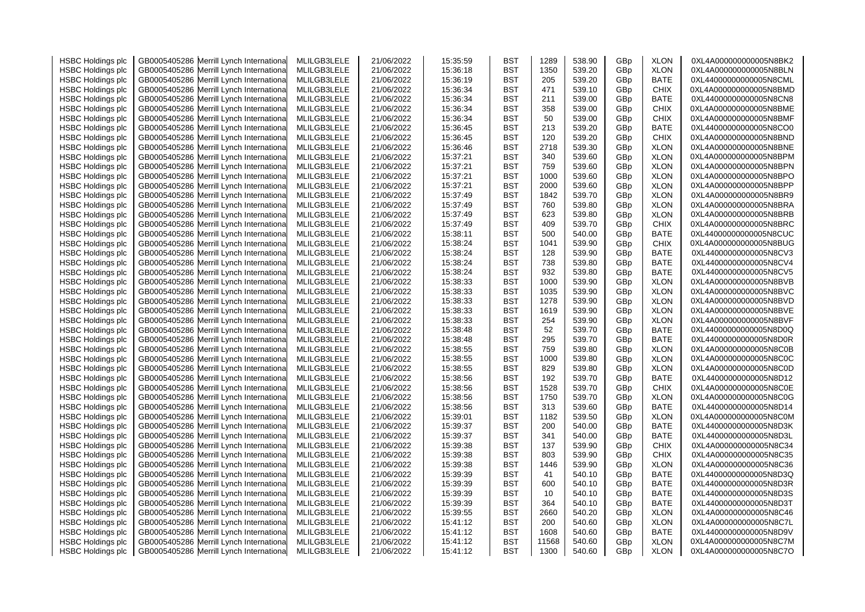| <b>HSBC Holdings plc</b> | GB0005405286 Merrill Lynch Internationa    | MLILGB3LELE | 21/06/2022 | 15:35:59 | BST        | 1289  | 538.90 | GBp | <b>XLON</b> | 0XL4A000000000005N8BK2 |
|--------------------------|--------------------------------------------|-------------|------------|----------|------------|-------|--------|-----|-------------|------------------------|
| <b>HSBC Holdings plc</b> | Merrill Lynch Internationa<br>GB0005405286 | MLILGB3LELE | 21/06/2022 | 15:36:18 | BST        | 1350  | 539.20 | GBp | <b>XLON</b> | 0XL4A000000000005N8BLN |
| <b>HSBC Holdings plc</b> | Merrill Lynch Internationa<br>GB0005405286 | MLILGB3LELE | 21/06/2022 | 15:36:19 | BST        | 205   | 539.20 | GBp | BATE        | 0XL44000000000005N8CML |
| <b>HSBC Holdings plc</b> | Merrill Lynch Internationa<br>GB0005405286 | MLILGB3LELE | 21/06/2022 | 15:36:34 | BST        | 471   | 539.10 | GBp | <b>CHIX</b> | 0XL4A000000000005N8BMD |
| <b>HSBC Holdings plc</b> | GB0005405286<br>Merrill Lynch Internationa | MLILGB3LELE | 21/06/2022 | 15:36:34 | BST        | 211   | 539.00 | GBp | <b>BATE</b> | 0XL44000000000005N8CN8 |
| <b>HSBC Holdings plc</b> | Merrill Lynch Internationa<br>GB0005405286 | MLILGB3LELE | 21/06/2022 | 15:36:34 | BST        | 358   | 539.00 | GBp | <b>CHIX</b> | 0XL4A000000000005N8BME |
| <b>HSBC Holdings plc</b> | GB0005405286<br>Merrill Lynch Internationa | MLILGB3LELE | 21/06/2022 | 15:36:34 | BST        | 50    | 539.00 | GBp | <b>CHIX</b> | 0XL4A000000000005N8BMF |
| <b>HSBC Holdings plc</b> | GB0005405286<br>Merrill Lynch Internationa | MLILGB3LELE | 21/06/2022 | 15:36:45 | BST        | 213   | 539.20 | GBp | BATE        | 0XL44000000000005N8CO0 |
| <b>HSBC Holdings plc</b> | GB0005405286<br>Merrill Lynch Internationa | MLILGB3LELE | 21/06/2022 | 15:36:45 | BST        | 120   | 539.20 | GBp | <b>CHIX</b> | 0XL4A000000000005N8BND |
| <b>HSBC Holdings plc</b> | GB0005405286<br>Merrill Lynch Internationa | MLILGB3LELE | 21/06/2022 | 15:36:46 | BST        | 2718  | 539.30 | GBp | <b>XLON</b> | 0XL4A000000000005N8BNE |
| <b>HSBC Holdings plc</b> | GB0005405286<br>Merrill Lynch Internationa | MLILGB3LELE | 21/06/2022 | 15:37:21 | BST        | 340   | 539.60 | GBp | <b>XLON</b> | 0XL4A000000000005N8BPM |
| <b>HSBC Holdings plc</b> | Merrill Lynch Internationa<br>GB0005405286 | MLILGB3LELE | 21/06/2022 | 15:37:21 | BST        | 759   | 539.60 | GBp | <b>XLON</b> | 0XL4A000000000005N8BPN |
| <b>HSBC Holdings plc</b> | GB0005405286<br>Merrill Lynch Internationa | MLILGB3LELE | 21/06/2022 | 15:37:21 | BST        | 1000  | 539.60 | GBp | <b>XLON</b> | 0XL4A000000000005N8BPO |
| <b>HSBC Holdings plc</b> | GB0005405286<br>Merrill Lynch Internationa | MLILGB3LELE | 21/06/2022 | 15:37:21 | BST        | 2000  | 539.60 | GBp | <b>XLON</b> | 0XL4A000000000005N8BPP |
|                          | GB0005405286<br>Merrill Lynch Internationa | MLILGB3LELE | 21/06/2022 | 15:37:49 | BST        | 1842  | 539.70 |     | <b>XLON</b> | 0XL4A000000000005N8BR9 |
| <b>HSBC Holdings plc</b> |                                            |             |            |          |            | 760   |        | GBp |             |                        |
| <b>HSBC Holdings plc</b> | GB0005405286<br>Merrill Lynch Internationa | MLILGB3LELE | 21/06/2022 | 15:37:49 | BST        |       | 539.80 | GBp | <b>XLON</b> | 0XL4A000000000005N8BRA |
| <b>HSBC Holdings plc</b> | GB0005405286<br>Merrill Lynch Internationa | MLILGB3LELE | 21/06/2022 | 15:37:49 | <b>BST</b> | 623   | 539.80 | GBp | <b>XLON</b> | 0XL4A000000000005N8BRB |
| <b>HSBC Holdings plc</b> | GB0005405286<br>Merrill Lynch Internationa | MLILGB3LELE | 21/06/2022 | 15:37:49 | BST        | 409   | 539.70 | GBp | <b>CHIX</b> | 0XL4A000000000005N8BRC |
| <b>HSBC Holdings plc</b> | Merrill Lynch Internationa<br>GB0005405286 | MLILGB3LELE | 21/06/2022 | 15:38:11 | BST        | 500   | 540.00 | GBp | BATE        | 0XL44000000000005N8CUC |
| <b>HSBC Holdings plc</b> | Merrill Lynch Internationa<br>GB0005405286 | MLILGB3LELE | 21/06/2022 | 15:38:24 | BST        | 1041  | 539.90 | GBp | <b>CHIX</b> | 0XL4A000000000005N8BUG |
| <b>HSBC Holdings plc</b> | GB0005405286<br>Merrill Lynch Internationa | MLILGB3LELE | 21/06/2022 | 15:38:24 | BST        | 128   | 539.90 | GBp | <b>BATE</b> | 0XL44000000000005N8CV3 |
| <b>HSBC Holdings plc</b> | GB0005405286<br>Merrill Lynch Internationa | MLILGB3LELE | 21/06/2022 | 15:38:24 | BST        | 738   | 539.80 | GBp | BATE        | 0XL44000000000005N8CV4 |
| <b>HSBC Holdings plc</b> | GB0005405286<br>Merrill Lynch Internationa | MLILGB3LELE | 21/06/2022 | 15:38:24 | BST        | 932   | 539.80 | GBp | BATE        | 0XL44000000000005N8CV5 |
| <b>HSBC Holdings plc</b> | GB0005405286<br>Merrill Lynch Internationa | MLILGB3LELE | 21/06/2022 | 15:38:33 | BST        | 1000  | 539.90 | GBp | <b>XLON</b> | 0XL4A000000000005N8BVB |
| <b>HSBC Holdings plc</b> | Merrill Lynch Internationa<br>GB0005405286 | MLILGB3LELE | 21/06/2022 | 15:38:33 | <b>BST</b> | 1035  | 539.90 | GBp | <b>XLON</b> | 0XL4A000000000005N8BVC |
| <b>HSBC Holdings plc</b> | Merrill Lynch Internationa<br>GB0005405286 | MLILGB3LELE | 21/06/2022 | 15:38:33 | BST        | 1278  | 539.90 | GBp | <b>XLON</b> | 0XL4A000000000005N8BVD |
| <b>HSBC Holdings plc</b> | Merrill Lynch Internationa<br>GB0005405286 | MLILGB3LELE | 21/06/2022 | 15:38:33 | BST        | 1619  | 539.90 | GBp | <b>XLON</b> | 0XL4A000000000005N8BVE |
| <b>HSBC Holdings plc</b> | Merrill Lynch Internationa<br>GB0005405286 | MLILGB3LELE | 21/06/2022 | 15:38:33 | BST        | 254   | 539.90 | GBp | <b>XLON</b> | 0XL4A000000000005N8BVF |
| <b>HSBC Holdings plc</b> | Merrill Lynch Internationa<br>GB0005405286 | MLILGB3LELE | 21/06/2022 | 15:38:48 | <b>BST</b> | 52    | 539.70 | GBp | <b>BATE</b> | 0XL44000000000005N8D0Q |
| <b>HSBC Holdings plc</b> | Merrill Lynch Internationa<br>GB0005405286 | MLILGB3LELE | 21/06/2022 | 15:38:48 | BST        | 295   | 539.70 | GBp | <b>BATE</b> | 0XL44000000000005N8D0R |
| <b>HSBC Holdings plc</b> | Merrill Lynch Internationa<br>GB0005405286 | MLILGB3LELE | 21/06/2022 | 15:38:55 | BST        | 759   | 539.80 | GBp | <b>XLON</b> | 0XL4A000000000005N8C0B |
| <b>HSBC Holdings plc</b> | Merrill Lynch Internationa<br>GB0005405286 | MLILGB3LELE | 21/06/2022 | 15:38:55 | BST        | 1000  | 539.80 | GBp | <b>XLON</b> | 0XL4A000000000005N8C0C |
| <b>HSBC Holdings plc</b> | GB0005405286<br>Merrill Lynch Internationa | MLILGB3LELE | 21/06/2022 | 15:38:55 | <b>BST</b> | 829   | 539.80 | GBp | <b>XLON</b> | 0XL4A000000000005N8C0D |
| <b>HSBC Holdings plc</b> | Merrill Lynch Internationa<br>GB0005405286 | MLILGB3LELE | 21/06/2022 | 15:38:56 | BST        | 192   | 539.70 | GBp | <b>BATE</b> | 0XL44000000000005N8D12 |
| <b>HSBC Holdings plc</b> | GB0005405286<br>Merrill Lynch Internationa | MLILGB3LELE | 21/06/2022 | 15:38:56 | BST        | 1528  | 539.70 | GBp | <b>CHIX</b> | 0XL4A000000000005N8C0E |
| <b>HSBC Holdings plc</b> | Merrill Lynch Internationa<br>GB0005405286 | MLILGB3LELE | 21/06/2022 | 15:38:56 | BST        | 1750  | 539.70 | GBp | <b>XLON</b> | 0XL4A000000000005N8C0G |
| <b>HSBC Holdings plc</b> | Merrill Lynch Internationa<br>GB0005405286 | MLILGB3LELE | 21/06/2022 | 15:38:56 | BST        | 313   | 539.60 | GBp | <b>BATE</b> | 0XL44000000000005N8D14 |
| <b>HSBC Holdings plc</b> | Merrill Lynch Internationa<br>GB0005405286 | MLILGB3LELE | 21/06/2022 | 15:39:01 | BST        | 1182  | 539.50 | GBp | <b>XLON</b> | 0XL4A000000000005N8C0M |
| <b>HSBC Holdings plc</b> | Merrill Lynch Internationa<br>GB0005405286 | MLILGB3LELE | 21/06/2022 | 15:39:37 | BST        | 200   | 540.00 | GBp | BATE        | 0XL44000000000005N8D3K |
| <b>HSBC Holdings plc</b> | Merrill Lynch Internationa<br>GB0005405286 | MLILGB3LELE | 21/06/2022 | 15:39:37 | <b>BST</b> | 341   | 540.00 | GBp | BATE        | 0XL44000000000005N8D3L |
| <b>HSBC Holdings plc</b> | GB0005405286<br>Merrill Lynch Internationa | MLILGB3LELE | 21/06/2022 | 15:39:38 | BST        | 137   | 539.90 | GBp | <b>CHIX</b> | 0XL4A000000000005N8C34 |
| <b>HSBC Holdings plc</b> | Merrill Lynch Internationa<br>GB0005405286 | MLILGB3LELE | 21/06/2022 | 15:39:38 | BST        | 803   | 539.90 | GBp | <b>CHIX</b> | 0XL4A000000000005N8C35 |
| <b>HSBC Holdings plc</b> | Merrill Lynch Internationa<br>GB0005405286 | MLILGB3LELE | 21/06/2022 | 15:39:38 | BST        | 1446  | 539.90 | GBp | <b>XLON</b> | 0XL4A000000000005N8C36 |
| <b>HSBC Holdings plc</b> | GB0005405286<br>Merrill Lynch Internationa | MLILGB3LELE | 21/06/2022 | 15:39:39 | BST        | 41    | 540.10 | GBp | BATE        | 0XL44000000000005N8D3Q |
| <b>HSBC Holdings plc</b> | Merrill Lynch Internationa<br>GB0005405286 | MLILGB3LELE | 21/06/2022 | 15:39:39 | BST        | 600   | 540.10 | GBp | BATE        | 0XL44000000000005N8D3R |
| <b>HSBC Holdings plc</b> | Merrill Lynch Internationa<br>GB0005405286 | MLILGB3LELE | 21/06/2022 | 15:39:39 | BST        | 10    | 540.10 | GBp | <b>BATE</b> | 0XL44000000000005N8D3S |
| <b>HSBC Holdings plc</b> | GB0005405286<br>Merrill Lynch Internationa | MLILGB3LELE | 21/06/2022 | 15:39:39 | BST        | 364   | 540.10 | GBp | <b>BATE</b> | 0XL44000000000005N8D3T |
| <b>HSBC Holdings plc</b> | Merrill Lynch Internationa<br>GB0005405286 | MLILGB3LELE | 21/06/2022 | 15:39:55 | BST        | 2660  | 540.20 | GBp | <b>XLON</b> | 0XL4A000000000005N8C46 |
| <b>HSBC Holdings plc</b> | Merrill Lynch Internationa<br>GB0005405286 | MLILGB3LELE | 21/06/2022 | 15:41:12 | BST        | 200   | 540.60 | GBp | <b>XLON</b> | 0XL4A000000000005N8C7L |
| <b>HSBC Holdings plc</b> | Merrill Lynch Internationa<br>GB0005405286 | MLILGB3LELE | 21/06/2022 | 15:41:12 | BST        | 1608  | 540.60 | GBp | BATE        | 0XL44000000000005N8D9V |
| <b>HSBC Holdings plc</b> | GB0005405286 Merrill Lynch Internationa    | MLILGB3LELE | 21/06/2022 | 15:41:12 | BST        | 11568 | 540.60 | GBp | <b>XLON</b> | 0XL4A000000000005N8C7M |
| <b>HSBC Holdings plc</b> | GB0005405286 Merrill Lynch International   | MLILGB3LELE | 21/06/2022 | 15:41:12 | BST        | 1300  | 540.60 | GBp | <b>XLON</b> | 0XL4A000000000005N8C7O |
|                          |                                            |             |            |          |            |       |        |     |             |                        |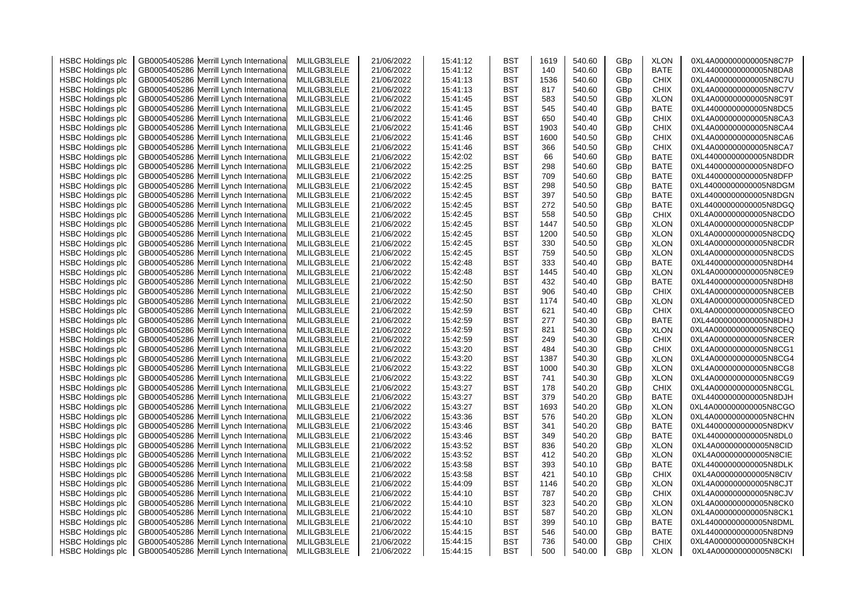| <b>HSBC Holdings plc</b> | GB0005405286 Merrill Lynch Internationa    | MLILGB3LELE | 21/06/2022 | 15:41:12 | <b>BST</b> | 1619 | 540.60 | GBp             | <b>XLON</b> | 0XL4A000000000005N8C7P  |
|--------------------------|--------------------------------------------|-------------|------------|----------|------------|------|--------|-----------------|-------------|-------------------------|
| <b>HSBC Holdings plc</b> | GB0005405286 Merrill Lynch Internationa    | MLILGB3LELE | 21/06/2022 | 15:41:12 | <b>BST</b> | 140  | 540.60 | GBp             | BATE        | 0XL44000000000005N8DA8  |
| <b>HSBC Holdings plc</b> | GB0005405286 Merrill Lynch Internationa    | MLILGB3LELE | 21/06/2022 | 15:41:13 | BST        | 1536 | 540.60 | GBp             | <b>CHIX</b> | 0XL4A000000000005N8C7U  |
| <b>HSBC Holdings plc</b> | GB0005405286<br>Merrill Lynch Internationa | MLILGB3LELE | 21/06/2022 | 15:41:13 | <b>BST</b> | 817  | 540.60 | GBp             | <b>CHIX</b> | 0XL4A000000000005N8C7V  |
| <b>HSBC Holdings plc</b> | GB0005405286 Merrill Lynch Internationa    | MLILGB3LELE | 21/06/2022 | 15:41:45 | <b>BST</b> | 583  | 540.50 | GBp             | <b>XLON</b> | 0XL4A000000000005N8C9T  |
| <b>HSBC Holdings plc</b> | GB0005405286 Merrill Lynch Internationa    | MLILGB3LELE | 21/06/2022 | 15:41:45 | <b>BST</b> | 545  | 540.40 | GBp             | <b>BATE</b> | 0XL44000000000005N8DC5  |
| <b>HSBC Holdings plc</b> | GB0005405286<br>Merrill Lynch Internationa | MLILGB3LELE | 21/06/2022 | 15:41:46 | <b>BST</b> | 650  | 540.40 | GBp             | <b>CHIX</b> | 0XL4A000000000005N8CA3  |
| <b>HSBC Holdings plc</b> | GB0005405286 Merrill Lynch Internationa    | MLILGB3LELE | 21/06/2022 | 15:41:46 | <b>BST</b> | 1903 | 540.40 | GBp             | <b>CHIX</b> | 0XL4A000000000005N8CA4  |
| <b>HSBC Holdings plc</b> | GB0005405286<br>Merrill Lynch Internationa | MLILGB3LELE | 21/06/2022 | 15:41:46 | <b>BST</b> | 1600 | 540.50 | GBp             | <b>CHIX</b> | 0XL4A000000000005N8CA6  |
| <b>HSBC Holdings plc</b> | GB0005405286 Merrill Lynch Internationa    | MLILGB3LELE | 21/06/2022 | 15:41:46 | <b>BST</b> | 366  | 540.50 | GBp             | <b>CHIX</b> | 0XL4A000000000005N8CA7  |
| <b>HSBC Holdings plc</b> | Merrill Lynch Internationa<br>GB0005405286 | MLILGB3LELE | 21/06/2022 | 15:42:02 | BST        | 66   | 540.60 | GBp             | <b>BATE</b> | 0XL44000000000005N8DDR  |
| <b>HSBC Holdings plc</b> | GB0005405286 Merrill Lynch Internationa    | MLILGB3LELE | 21/06/2022 | 15:42:25 | <b>BST</b> | 298  | 540.60 | GBp             | <b>BATE</b> | 0XL44000000000005N8DFO  |
| <b>HSBC Holdings plc</b> | GB0005405286<br>Merrill Lynch Internationa | MLILGB3LELE | 21/06/2022 | 15:42:25 | <b>BST</b> | 709  | 540.60 | GBp             | <b>BATE</b> | 0XL44000000000005N8DFP  |
| <b>HSBC Holdings plc</b> | GB0005405286<br>Merrill Lynch Internationa | MLILGB3LELE |            | 15:42:45 | <b>BST</b> | 298  | 540.50 |                 | <b>BATE</b> | 0XL44000000000005N8DGM  |
|                          |                                            | MLILGB3LELE | 21/06/2022 | 15:42:45 | <b>BST</b> | 397  | 540.50 | GBp             | <b>BATE</b> | 0XL44000000000005N8DGN  |
| <b>HSBC Holdings plc</b> | GB0005405286 Merrill Lynch Internationa    |             | 21/06/2022 |          |            |      |        | GBp             |             |                         |
| <b>HSBC Holdings plc</b> | GB0005405286 Merrill Lynch Internationa    | MLILGB3LELE | 21/06/2022 | 15:42:45 | <b>BST</b> | 272  | 540.50 | GBp             | <b>BATE</b> | 0XL44000000000005N8DGQ  |
| <b>HSBC Holdings plc</b> | GB0005405286 Merrill Lynch Internationa    | MLILGB3LELE | 21/06/2022 | 15:42:45 | <b>BST</b> | 558  | 540.50 | GBp             | <b>CHIX</b> | 0XL4A000000000005N8CDO  |
| <b>HSBC Holdings plc</b> | Merrill Lynch Internationa<br>GB0005405286 | MLILGB3LELE | 21/06/2022 | 15:42:45 | <b>BST</b> | 1447 | 540.50 | GBp             | <b>XLON</b> | 0XL4A000000000005N8CDP  |
| <b>HSBC Holdings plc</b> | GB0005405286 Merrill Lynch Internationa    | MLILGB3LELE | 21/06/2022 | 15:42:45 | BST        | 1200 | 540.50 | GBp             | <b>XLON</b> | 0XL4A000000000005N8CDQ  |
| <b>HSBC Holdings plc</b> | Merrill Lynch Internationa<br>GB0005405286 | MLILGB3LELE | 21/06/2022 | 15:42:45 | BST        | 330  | 540.50 | GBp             | <b>XLON</b> | 0XL4A000000000005N8CDR  |
| <b>HSBC Holdings plc</b> | GB0005405286 Merrill Lynch Internationa    | MLILGB3LELE | 21/06/2022 | 15:42:45 | <b>BST</b> | 759  | 540.50 | GBp             | <b>XLON</b> | 0XL4A000000000005N8CDS  |
| <b>HSBC Holdings plc</b> | GB0005405286<br>Merrill Lynch Internationa | MLILGB3LELE | 21/06/2022 | 15:42:48 | <b>BST</b> | 333  | 540.40 | GBp             | <b>BATE</b> | 0XL44000000000005N8DH4  |
| <b>HSBC Holdings plc</b> | Merrill Lynch Internationa<br>GB0005405286 | MLILGB3LELE | 21/06/2022 | 15:42:48 | <b>BST</b> | 1445 | 540.40 | GBp             | <b>XLON</b> | 0XL4A000000000005N8CE9  |
| <b>HSBC Holdings plc</b> | GB0005405286 Merrill Lynch Internationa    | MLILGB3LELE | 21/06/2022 | 15:42:50 | <b>BST</b> | 432  | 540.40 | GBp             | <b>BATE</b> | 0XL44000000000005N8DH8  |
| <b>HSBC Holdings plc</b> | GB0005405286<br>Merrill Lynch Internationa | MLILGB3LELE | 21/06/2022 | 15:42:50 | BST        | 906  | 540.40 | GBp             | <b>CHIX</b> | 0XL4A000000000005N8CEB  |
| <b>HSBC Holdings plc</b> | GB0005405286 Merrill Lynch Internationa    | MLILGB3LELE | 21/06/2022 | 15:42:50 | BST        | 1174 | 540.40 | GBp             | <b>XLON</b> | 0XL4A000000000005N8CED  |
| <b>HSBC Holdings plc</b> | Merrill Lynch Internationa<br>GB0005405286 | MLILGB3LELE | 21/06/2022 | 15:42:59 | BST        | 621  | 540.40 | GBp             | <b>CHIX</b> | 0XL4A000000000005N8CEO  |
| <b>HSBC Holdings plc</b> | GB0005405286 Merrill Lynch Internationa    | MLILGB3LELE | 21/06/2022 | 15:42:59 | <b>BST</b> | 277  | 540.30 | GBp             | <b>BATE</b> | 0XL440000000000005N8DHJ |
| <b>HSBC Holdings plc</b> | GB0005405286 Merrill Lynch Internationa    | MLILGB3LELE | 21/06/2022 | 15:42:59 | <b>BST</b> | 821  | 540.30 | GBp             | <b>XLON</b> | 0XL4A000000000005N8CEQ  |
| <b>HSBC Holdings plc</b> | GB0005405286<br>Merrill Lynch Internationa | MLILGB3LELE | 21/06/2022 | 15:42:59 | <b>BST</b> | 249  | 540.30 | GBp             | CHIX        | 0XL4A000000000005N8CER  |
| <b>HSBC Holdings plc</b> | GB0005405286 Merrill Lynch Internationa    | MLILGB3LELE | 21/06/2022 | 15:43:20 | <b>BST</b> | 484  | 540.30 | GBp             | <b>CHIX</b> | 0XL4A000000000005N8CG1  |
| <b>HSBC Holdings plc</b> | GB0005405286 Merrill Lynch Internationa    | MLILGB3LELE | 21/06/2022 | 15:43:20 | <b>BST</b> | 1387 | 540.30 | GBp             | <b>XLON</b> | 0XL4A000000000005N8CG4  |
| <b>HSBC Holdings plc</b> | GB0005405286 Merrill Lynch Internationa    | MLILGB3LELE | 21/06/2022 | 15:43:22 | BST        | 1000 | 540.30 | GBp             | <b>XLON</b> | 0XL4A000000000005N8CG8  |
| <b>HSBC Holdings plc</b> | GB0005405286<br>Merrill Lynch Internationa | MLILGB3LELE | 21/06/2022 | 15:43:22 | BST        | 741  | 540.30 | GBp             | <b>XLON</b> | 0XL4A000000000005N8CG9  |
| <b>HSBC Holdings plc</b> | GB0005405286 Merrill Lynch Internationa    | MLILGB3LELE | 21/06/2022 | 15:43:27 | BST        | 178  | 540.20 | GBp             | <b>CHIX</b> | 0XL4A000000000005N8CGL  |
| <b>HSBC Holdings plc</b> | GB0005405286 Merrill Lynch Internationa    | MLILGB3LELE | 21/06/2022 | 15:43:27 | <b>BST</b> | 379  | 540.20 | GBp             | <b>BATE</b> | 0XL44000000000005N8DJH  |
| <b>HSBC Holdings plc</b> | GB0005405286<br>Merrill Lynch Internationa | MLILGB3LELE | 21/06/2022 | 15:43:27 | <b>BST</b> | 1693 | 540.20 | GBp             | <b>XLON</b> | 0XL4A000000000005N8CGO  |
| <b>HSBC Holdings plc</b> | GB0005405286<br>Merrill Lynch Internationa | MLILGB3LELE | 21/06/2022 | 15:43:36 | <b>BST</b> | 576  | 540.20 | GBp             | <b>XLON</b> | 0XL4A000000000005N8CHN  |
| <b>HSBC Holdings plc</b> | GB0005405286 Merrill Lynch Internationa    | MLILGB3LELE | 21/06/2022 | 15:43:46 | <b>BST</b> | 341  | 540.20 | GBp             | BATE        | 0XL44000000000005N8DKV  |
| <b>HSBC Holdings plc</b> | GB0005405286 Merrill Lynch Internationa    | MLILGB3LELE | 21/06/2022 | 15:43:46 | <b>BST</b> | 349  | 540.20 | GBp             | <b>BATE</b> | 0XL44000000000005N8DL0  |
| <b>HSBC Holdings plc</b> | GB0005405286<br>Merrill Lynch Internationa | MLILGB3LELE | 21/06/2022 | 15:43:52 | BST        | 836  | 540.20 | GBp             | <b>XLON</b> | 0XL4A000000000005N8CID  |
| <b>HSBC Holdings plc</b> | GB0005405286 Merrill Lynch Internationa    | MLILGB3LELE | 21/06/2022 | 15:43:52 | BST        | 412  | 540.20 | GBp             | <b>XLON</b> | 0XL4A000000000005N8CIE  |
| <b>HSBC Holdings plc</b> | GB0005405286<br>Merrill Lynch Internationa | MLILGB3LELE | 21/06/2022 | 15:43:58 | BST        | 393  | 540.10 | GBp             | BATE        | 0XL44000000000005N8DLK  |
| <b>HSBC Holdings plc</b> | GB0005405286 Merrill Lynch Internationa    | MLILGB3LELE | 21/06/2022 | 15:43:58 | <b>BST</b> | 421  | 540.10 | GBp             | <b>CHIX</b> | 0XL4A000000000005N8CIV  |
| <b>HSBC Holdings plc</b> | GB0005405286<br>Merrill Lynch Internationa | MLILGB3LELE | 21/06/2022 | 15:44:09 | <b>BST</b> | 1146 | 540.20 | GBp             | <b>XLON</b> | 0XL4A000000000005N8CJT  |
| <b>HSBC Holdings plc</b> | GB0005405286 Merrill Lynch International   | MLILGB3LELE | 21/06/2022 | 15:44:10 | BST        | 787  | 540.20 | GBp             | CHIX        | 0XL4A000000000005N8CJV  |
| <b>HSBC Holdings plc</b> | GB0005405286 Merrill Lynch Internationa    | MLILGB3LELE | 21/06/2022 | 15:44:10 | <b>BST</b> | 323  | 540.20 | GBp             | <b>XLON</b> | 0XL4A000000000005N8CK0  |
| <b>HSBC Holdings plc</b> | GB0005405286<br>Merrill Lynch Internationa | MLILGB3LELE | 21/06/2022 | 15:44:10 | BST        | 587  | 540.20 | GBp             | <b>XLON</b> | 0XL4A000000000005N8CK1  |
| <b>HSBC Holdings plc</b> | GB0005405286 Merrill Lynch Internationa    | MLILGB3LELE | 21/06/2022 | 15:44:10 | BST        | 399  | 540.10 | GBp             | BATE        | 0XL44000000000005N8DML  |
| <b>HSBC Holdings plc</b> | GB0005405286<br>Merrill Lynch Internationa | MLILGB3LELE | 21/06/2022 | 15:44:15 | BST        | 546  | 540.00 | GBp             | BATE        | 0XL44000000000005N8DN9  |
| <b>HSBC Holdings plc</b> | GB0005405286 Merrill Lynch Internationa    | MLILGB3LELE | 21/06/2022 | 15:44:15 | BST        | 736  | 540.00 | GBp             | CHIX        | 0XL4A000000000005N8CKH  |
| <b>HSBC Holdings plc</b> | GB0005405286 Merrill Lynch International   | MLILGB3LELE | 21/06/2022 | 15:44:15 | <b>BST</b> | 500  | 540.00 | GB <sub>p</sub> | <b>XLON</b> | 0XL4A000000000005N8CKI  |
|                          |                                            |             |            |          |            |      |        |                 |             |                         |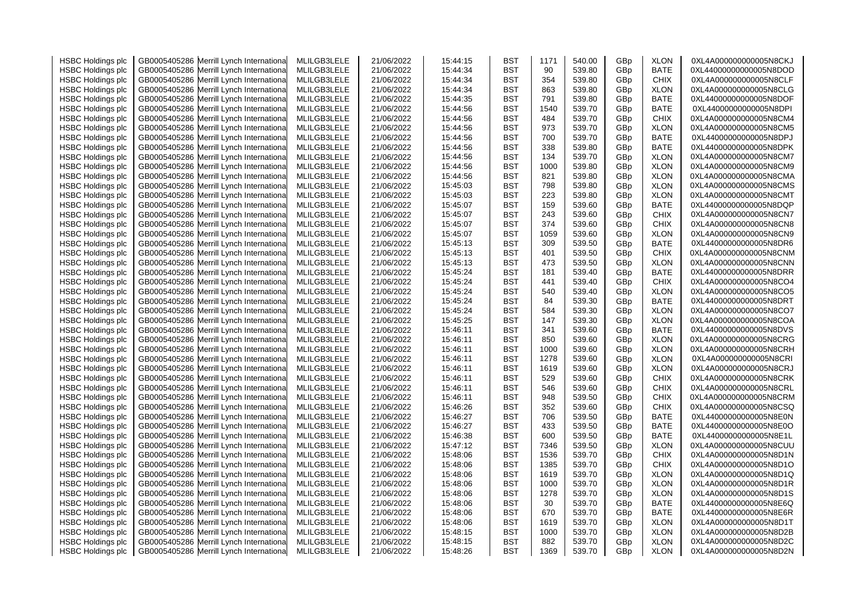| <b>HSBC Holdings plc</b> | GB0005405286 Merrill Lynch Internationa    | MLILGB3LELE | 21/06/2022 | 15:44:15 | <b>BST</b> | 1171 | 540.00 | GBp | <b>XLON</b> | 0XL4A000000000005N8CKJ |
|--------------------------|--------------------------------------------|-------------|------------|----------|------------|------|--------|-----|-------------|------------------------|
| <b>HSBC Holdings plc</b> | Merrill Lynch Internationa<br>GB0005405286 | MLILGB3LELE | 21/06/2022 | 15:44:34 | <b>BST</b> | 90   | 539.80 | GBp | <b>BATE</b> | 0XL44000000000005N8DOD |
| <b>HSBC Holdings plc</b> | GB0005405286 Merrill Lynch Internationa    | MLILGB3LELE | 21/06/2022 | 15:44:34 | <b>BST</b> | 354  | 539.80 | GBp | <b>CHIX</b> | 0XL4A000000000005N8CLF |
| <b>HSBC Holdings plc</b> | Merrill Lynch Internationa<br>GB0005405286 | MLILGB3LELE | 21/06/2022 | 15:44:34 | <b>BST</b> | 863  | 539.80 | GBp | <b>XLON</b> | 0XL4A000000000005N8CLG |
| <b>HSBC Holdings plc</b> | GB0005405286 Merrill Lynch Internationa    | MLILGB3LELE | 21/06/2022 | 15:44:35 | <b>BST</b> | 791  | 539.80 | GBp | <b>BATE</b> | 0XL44000000000005N8DOF |
| <b>HSBC Holdings plc</b> | GB0005405286<br>Merrill Lynch Internationa | MLILGB3LELE | 21/06/2022 | 15:44:56 | BST        | 1540 | 539.70 | GBp | <b>BATE</b> | 0XL44000000000005N8DPI |
| <b>HSBC Holdings plc</b> | Merrill Lynch Internationa<br>GB0005405286 | MLILGB3LELE | 21/06/2022 | 15:44:56 | <b>BST</b> | 484  | 539.70 | GBp | <b>CHIX</b> | 0XL4A000000000005N8CM4 |
| <b>HSBC Holdings plc</b> | GB0005405286 Merrill Lynch Internationa    | MLILGB3LELE | 21/06/2022 | 15:44:56 | <b>BST</b> | 973  | 539.70 | GBp | <b>XLON</b> | 0XL4A000000000005N8CM5 |
| <b>HSBC Holdings plc</b> | Merrill Lynch Internationa<br>GB0005405286 | MLILGB3LELE | 21/06/2022 | 15:44:56 | <b>BST</b> | 700  | 539.70 | GBp | <b>BATE</b> | 0XL44000000000005N8DPJ |
| <b>HSBC Holdings plc</b> | GB0005405286 Merrill Lynch Internationa    | MLILGB3LELE | 21/06/2022 | 15:44:56 | BST        | 338  | 539.80 | GBp | <b>BATE</b> | 0XL44000000000005N8DPK |
| <b>HSBC Holdings plc</b> | GB0005405286<br>Merrill Lynch Internationa | MLILGB3LELE | 21/06/2022 | 15:44:56 | <b>BST</b> | 134  | 539.70 | GBp | <b>XLON</b> | 0XL4A000000000005N8CM7 |
| <b>HSBC Holdings plc</b> | GB0005405286 Merrill Lynch Internationa    | MLILGB3LELE | 21/06/2022 | 15:44:56 | <b>BST</b> | 1000 | 539.80 | GBp | <b>XLON</b> | 0XL4A000000000005N8CM9 |
| <b>HSBC Holdings plc</b> | GB0005405286<br>Merrill Lynch Internationa | MLILGB3LELE | 21/06/2022 | 15:44:56 | <b>BST</b> | 821  | 539.80 | GBp | <b>XLON</b> | 0XL4A000000000005N8CMA |
| <b>HSBC Holdings plc</b> | Merrill Lynch Internationa<br>GB0005405286 | MLILGB3LELE | 21/06/2022 | 15:45:03 | <b>BST</b> | 798  | 539.80 | GBp | <b>XLON</b> | 0XL4A000000000005N8CMS |
|                          |                                            | MLILGB3LELE |            | 15:45:03 |            | 223  | 539.80 |     | <b>XLON</b> | 0XL4A000000000005N8CMT |
| <b>HSBC Holdings plc</b> | GB0005405286 Merrill Lynch Internationa    |             | 21/06/2022 |          | BST        | 159  |        | GBp |             |                        |
| <b>HSBC Holdings plc</b> | GB0005405286<br>Merrill Lynch Internationa | MLILGB3LELE | 21/06/2022 | 15:45:07 | <b>BST</b> |      | 539.60 | GBp | <b>BATE</b> | 0XL44000000000005N8DQP |
| <b>HSBC Holdings plc</b> | GB0005405286 Merrill Lynch Internationa    | MLILGB3LELE | 21/06/2022 | 15:45:07 | <b>BST</b> | 243  | 539.60 | GBp | <b>CHIX</b> | 0XL4A000000000005N8CN7 |
| <b>HSBC Holdings plc</b> | GB0005405286<br>Merrill Lynch Internationa | MLILGB3LELE | 21/06/2022 | 15:45:07 | BST        | 374  | 539.60 | GBp | <b>CHIX</b> | 0XL4A000000000005N8CN8 |
| <b>HSBC Holdings plc</b> | GB0005405286 Merrill Lynch Internationa    | MLILGB3LELE | 21/06/2022 | 15:45:07 | BST        | 1059 | 539.60 | GBp | <b>XLON</b> | 0XL4A000000000005N8CN9 |
| <b>HSBC Holdings plc</b> | GB0005405286<br>Merrill Lynch Internationa | MLILGB3LELE | 21/06/2022 | 15:45:13 | <b>BST</b> | 309  | 539.50 | GBp | <b>BATE</b> | 0XL44000000000005N8DR6 |
| <b>HSBC Holdings plc</b> | GB0005405286 Merrill Lynch Internationa    | MLILGB3LELE | 21/06/2022 | 15:45:13 | <b>BST</b> | 401  | 539.50 | GBp | <b>CHIX</b> | 0XL4A000000000005N8CNM |
| <b>HSBC Holdings plc</b> | GB0005405286<br>Merrill Lynch Internationa | MLILGB3LELE | 21/06/2022 | 15:45:13 | BST        | 473  | 539.50 | GBp | <b>XLON</b> | 0XL4A000000000005N8CNN |
| <b>HSBC Holdings plc</b> | GB0005405286<br>Merrill Lynch Internationa | MLILGB3LELE | 21/06/2022 | 15:45:24 | BST        | 181  | 539.40 | GBp | BATE        | 0XL44000000000005N8DRR |
| <b>HSBC Holdings plc</b> | GB0005405286<br>Merrill Lynch Internationa | MLILGB3LELE | 21/06/2022 | 15:45:24 | BST        | 441  | 539.40 | GBp | <b>CHIX</b> | 0XL4A000000000005N8CO4 |
| <b>HSBC Holdings plc</b> | GB0005405286<br>Merrill Lynch Internationa | MLILGB3LELE | 21/06/2022 | 15:45:24 | <b>BST</b> | 540  | 539.40 | GBp | <b>XLON</b> | 0XL4A000000000005N8CO5 |
| <b>HSBC Holdings plc</b> | GB0005405286 Merrill Lynch Internationa    | MLILGB3LELE | 21/06/2022 | 15:45:24 | BST        | 84   | 539.30 | GBp | <b>BATE</b> | 0XL44000000000005N8DRT |
| <b>HSBC Holdings plc</b> | Merrill Lynch Internationa<br>GB0005405286 | MLILGB3LELE | 21/06/2022 | 15:45:24 | BST        | 584  | 539.30 | GBp | <b>XLON</b> | 0XL4A000000000005N8CO7 |
| <b>HSBC Holdings plc</b> | GB0005405286 Merrill Lynch Internationa    | MLILGB3LELE | 21/06/2022 | 15:45:25 | BST        | 147  | 539.30 | GBp | <b>XLON</b> | 0XL4A000000000005N8COA |
| <b>HSBC Holdings plc</b> | GB0005405286 Merrill Lynch Internationa    | MLILGB3LELE | 21/06/2022 | 15:46:11 | <b>BST</b> | 341  | 539.60 | GBp | <b>BATE</b> | 0XL44000000000005N8DVS |
| <b>HSBC Holdings plc</b> | GB0005405286<br>Merrill Lynch Internationa | MLILGB3LELE | 21/06/2022 | 15:46:11 | <b>BST</b> | 850  | 539.60 | GBp | <b>XLON</b> | 0XL4A000000000005N8CRG |
| <b>HSBC Holdings plc</b> | GB0005405286 Merrill Lynch Internationa    | MLILGB3LELE | 21/06/2022 | 15:46:11 | <b>BST</b> | 1000 | 539.60 | GBp | <b>XLON</b> | 0XL4A000000000005N8CRH |
| <b>HSBC Holdings plc</b> | GB0005405286<br>Merrill Lynch Internationa | MLILGB3LELE | 21/06/2022 | 15:46:11 | <b>BST</b> | 1278 | 539.60 | GBp | <b>XLON</b> | 0XL4A000000000005N8CRI |
| <b>HSBC Holdings plc</b> | GB0005405286 Merrill Lynch Internationa    | MLILGB3LELE | 21/06/2022 | 15:46:11 | <b>BST</b> | 1619 | 539.60 | GBp | <b>XLON</b> | 0XL4A000000000005N8CRJ |
| <b>HSBC Holdings plc</b> | GB0005405286<br>Merrill Lynch Internationa | MLILGB3LELE | 21/06/2022 | 15:46:11 | BST        | 529  | 539.60 | GBp | <b>CHIX</b> | 0XL4A000000000005N8CRK |
| <b>HSBC Holdings plc</b> | GB0005405286 Merrill Lynch Internationa    | MLILGB3LELE | 21/06/2022 | 15:46:11 | BST        | 546  | 539.60 | GBp | <b>CHIX</b> | 0XL4A000000000005N8CRL |
| <b>HSBC Holdings plc</b> | GB0005405286<br>Merrill Lynch Internationa | MLILGB3LELE | 21/06/2022 | 15:46:11 | <b>BST</b> | 948  | 539.50 | GBp | <b>CHIX</b> | 0XL4A000000000005N8CRM |
| <b>HSBC Holdings plc</b> | GB0005405286<br>Merrill Lynch Internationa | MLILGB3LELE | 21/06/2022 | 15:46:26 | <b>BST</b> | 352  | 539.60 | GBp | <b>CHIX</b> | 0XL4A000000000005N8CSQ |
| <b>HSBC Holdings plc</b> | GB0005405286<br>Merrill Lynch Internationa | MLILGB3LELE | 21/06/2022 | 15:46:27 | <b>BST</b> | 706  | 539.50 | GBp | <b>BATE</b> | 0XL44000000000005N8E0N |
| <b>HSBC Holdings plc</b> | Merrill Lynch Internationa<br>GB0005405286 | MLILGB3LELE | 21/06/2022 | 15:46:27 | <b>BST</b> | 433  | 539.50 | GBp | <b>BATE</b> | 0XL44000000000005N8E0O |
| <b>HSBC Holdings plc</b> | GB0005405286 Merrill Lynch Internationa    | MLILGB3LELE | 21/06/2022 | 15:46:38 | <b>BST</b> | 600  | 539.50 | GBp | <b>BATE</b> | 0XL44000000000005N8E1L |
| <b>HSBC Holdings plc</b> | Merrill Lynch Internationa<br>GB0005405286 | MLILGB3LELE | 21/06/2022 | 15:47:12 | <b>BST</b> | 7346 | 539.50 | GBp | <b>XLON</b> | 0XL4A000000000005N8CUU |
| <b>HSBC Holdings plc</b> | GB0005405286 Merrill Lynch Internationa    | MLILGB3LELE | 21/06/2022 | 15:48:06 | BST        | 1536 | 539.70 | GBp | <b>CHIX</b> | 0XL4A000000000005N8D1N |
| <b>HSBC Holdings plc</b> | Merrill Lynch Internationa<br>GB0005405286 | MLILGB3LELE | 21/06/2022 | 15:48:06 | <b>BST</b> | 1385 | 539.70 | GBp | <b>CHIX</b> | 0XL4A000000000005N8D1O |
| <b>HSBC Holdings plc</b> | GB0005405286 Merrill Lynch Internationa    | MLILGB3LELE | 21/06/2022 | 15:48:06 | <b>BST</b> | 1619 | 539.70 | GBp | <b>XLON</b> | 0XL4A000000000005N8D1Q |
| <b>HSBC Holdings plc</b> | GB0005405286<br>Merrill Lynch Internationa | MLILGB3LELE | 21/06/2022 | 15:48:06 | <b>BST</b> | 1000 | 539.70 | GBp | <b>XLON</b> | 0XL4A000000000005N8D1R |
| <b>HSBC Holdings plc</b> | GB0005405286<br>Merrill Lynch Internationa | MLILGB3LELE | 21/06/2022 | 15:48:06 | <b>BST</b> | 1278 | 539.70 | GBp | <b>XLON</b> | 0XL4A000000000005N8D1S |
| <b>HSBC Holdings plc</b> | GB0005405286 Merrill Lynch Internationa    | MLILGB3LELE | 21/06/2022 | 15:48:06 | <b>BST</b> | 30   | 539.70 | GBp | <b>BATE</b> | 0XL44000000000005N8E6Q |
| <b>HSBC Holdings plc</b> | Merrill Lynch Internationa<br>GB0005405286 | MLILGB3LELE | 21/06/2022 | 15:48:06 | <b>BST</b> | 670  | 539.70 | GBp | <b>BATE</b> | 0XL44000000000005N8E6R |
| <b>HSBC Holdings plc</b> | GB0005405286 Merrill Lynch Internationa    | MLILGB3LELE | 21/06/2022 | 15:48:06 | <b>BST</b> | 1619 | 539.70 | GBp | <b>XLON</b> | 0XL4A000000000005N8D1T |
| <b>HSBC Holdings plc</b> | Merrill Lynch Internationa<br>GB0005405286 | MLILGB3LELE | 21/06/2022 | 15:48:15 | BST        | 1000 | 539.70 | GBp | <b>XLON</b> | 0XL4A000000000005N8D2B |
| <b>HSBC Holdings plc</b> | GB0005405286 Merrill Lynch Internationa    | MLILGB3LELE | 21/06/2022 | 15:48:15 | <b>BST</b> | 882  | 539.70 | GBp | <b>XLON</b> | 0XL4A000000000005N8D2C |
| <b>HSBC Holdings plc</b> | GB0005405286 Merrill Lynch International   | MLILGB3LELE | 21/06/2022 | 15:48:26 | <b>BST</b> | 1369 | 539.70 | GBp | <b>XLON</b> | 0XL4A000000000005N8D2N |
|                          |                                            |             |            |          |            |      |        |     |             |                        |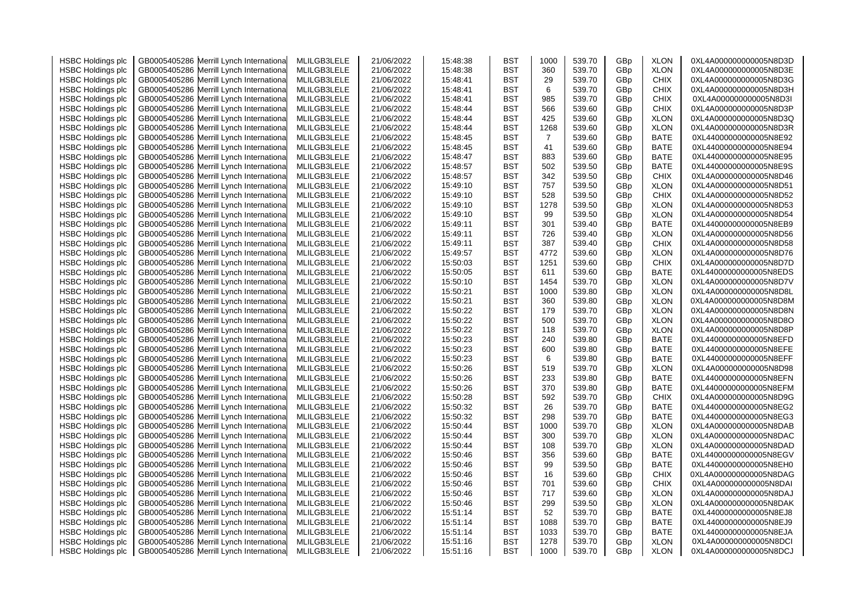| <b>HSBC Holdings plc</b> | GB0005405286 Merrill Lynch Internationa    | MLILGB3LELE | 21/06/2022 | 15:48:38 | <b>BST</b> | 1000           | 539.70 | GBp | <b>XLON</b> | 0XL4A000000000005N8D3D |
|--------------------------|--------------------------------------------|-------------|------------|----------|------------|----------------|--------|-----|-------------|------------------------|
| <b>HSBC Holdings plc</b> | Merrill Lynch Internationa<br>GB0005405286 | MLILGB3LELE | 21/06/2022 | 15:48:38 | <b>BST</b> | 360            | 539.70 | GBp | <b>XLON</b> | 0XL4A000000000005N8D3E |
| <b>HSBC Holdings plc</b> | GB0005405286 Merrill Lynch Internationa    | MLILGB3LELE | 21/06/2022 | 15:48:41 | <b>BST</b> | 29             | 539.70 | GBp | <b>CHIX</b> | 0XL4A000000000005N8D3G |
| <b>HSBC Holdings plc</b> | Merrill Lynch Internationa<br>GB0005405286 | MLILGB3LELE | 21/06/2022 | 15:48:41 | <b>BST</b> | 6              | 539.70 | GBp | <b>CHIX</b> | 0XL4A000000000005N8D3H |
| <b>HSBC Holdings plc</b> | GB0005405286<br>Merrill Lynch Internationa | MLILGB3LELE | 21/06/2022 | 15:48:41 | <b>BST</b> | 985            | 539.70 | GBp | <b>CHIX</b> | 0XL4A000000000005N8D3I |
| <b>HSBC Holdings plc</b> | GB0005405286<br>Merrill Lynch Internationa | MLILGB3LELE | 21/06/2022 | 15:48:44 | <b>BST</b> | 566            | 539.60 | GBp | <b>CHIX</b> | 0XL4A000000000005N8D3P |
| <b>HSBC Holdings plc</b> | Merrill Lynch Internationa<br>GB0005405286 | MLILGB3LELE | 21/06/2022 | 15:48:44 | <b>BST</b> | 425            | 539.60 | GBp | <b>XLON</b> | 0XL4A000000000005N8D3Q |
| <b>HSBC Holdings plc</b> | GB0005405286 Merrill Lynch Internationa    | MLILGB3LELE | 21/06/2022 | 15:48:44 | <b>BST</b> | 1268           | 539.60 | GBp | <b>XLON</b> | 0XL4A000000000005N8D3R |
| <b>HSBC Holdings plc</b> | Merrill Lynch Internationa<br>GB0005405286 | MLILGB3LELE | 21/06/2022 | 15:48:45 | <b>BST</b> | $\overline{7}$ | 539.60 | GBp | <b>BATE</b> | 0XL44000000000005N8E92 |
|                          | Merrill Lynch Internationa                 |             |            |          |            | 41             |        |     | <b>BATE</b> |                        |
| <b>HSBC Holdings plc</b> | GB0005405286                               | MLILGB3LELE | 21/06/2022 | 15:48:45 | BST        |                | 539.60 | GBp |             | 0XL44000000000005N8E94 |
| <b>HSBC Holdings plc</b> | GB0005405286<br>Merrill Lynch Internationa | MLILGB3LELE | 21/06/2022 | 15:48:47 | <b>BST</b> | 883            | 539.60 | GBp | BATE        | 0XL44000000000005N8E95 |
| <b>HSBC Holdings plc</b> | GB0005405286 Merrill Lynch Internationa    | MLILGB3LELE | 21/06/2022 | 15:48:57 | <b>BST</b> | 502            | 539.50 | GBp | <b>BATE</b> | 0XL44000000000005N8E9S |
| <b>HSBC Holdings plc</b> | GB0005405286<br>Merrill Lynch Internationa | MLILGB3LELE | 21/06/2022 | 15:48:57 | <b>BST</b> | 342            | 539.50 | GBp | <b>CHIX</b> | 0XL4A000000000005N8D46 |
| <b>HSBC Holdings plc</b> | Merrill Lynch Internationa<br>GB0005405286 | MLILGB3LELE | 21/06/2022 | 15:49:10 | <b>BST</b> | 757            | 539.50 | GBp | <b>XLON</b> | 0XL4A000000000005N8D51 |
| <b>HSBC Holdings plc</b> | GB0005405286 Merrill Lynch Internationa    | MLILGB3LELE | 21/06/2022 | 15:49:10 | <b>BST</b> | 528            | 539.50 | GBp | <b>CHIX</b> | 0XL4A000000000005N8D52 |
| <b>HSBC Holdings plc</b> | GB0005405286<br>Merrill Lynch Internationa | MLILGB3LELE | 21/06/2022 | 15:49:10 | <b>BST</b> | 1278           | 539.50 | GBp | <b>XLON</b> | 0XL4A000000000005N8D53 |
| <b>HSBC Holdings plc</b> | GB0005405286 Merrill Lynch Internationa    | MLILGB3LELE | 21/06/2022 | 15:49:10 | BST        | 99             | 539.50 | GBp | <b>XLON</b> | 0XL4A000000000005N8D54 |
| <b>HSBC Holdings plc</b> | GB0005405286<br>Merrill Lynch Internationa | MLILGB3LELE | 21/06/2022 | 15:49:11 | BST        | 301            | 539.40 | GBp | <b>BATE</b> | 0XL44000000000005N8EB9 |
| <b>HSBC Holdings plc</b> | GB0005405286 Merrill Lynch Internationa    | MLILGB3LELE | 21/06/2022 | 15:49:11 | BST        | 726            | 539.40 | GBp | <b>XLON</b> | 0XL4A000000000005N8D56 |
| <b>HSBC Holdings plc</b> | GB0005405286<br>Merrill Lynch Internationa | MLILGB3LELE | 21/06/2022 | 15:49:11 | <b>BST</b> | 387            | 539.40 | GBp | <b>CHIX</b> | 0XL4A000000000005N8D58 |
| <b>HSBC Holdings plc</b> | GB0005405286 Merrill Lynch Internationa    | MLILGB3LELE | 21/06/2022 | 15:49:57 | <b>BST</b> | 4772           | 539.60 | GBp | <b>XLON</b> | 0XL4A000000000005N8D76 |
| <b>HSBC Holdings plc</b> | GB0005405286<br>Merrill Lynch Internationa | MLILGB3LELE | 21/06/2022 | 15:50:03 | BST        | 1251           | 539.60 | GBp | <b>CHIX</b> | 0XL4A000000000005N8D7D |
| <b>HSBC Holdings plc</b> | GB0005405286<br>Merrill Lynch Internationa | MLILGB3LELE | 21/06/2022 | 15:50:05 | BST        | 611            | 539.60 | GBp | <b>BATE</b> | 0XL44000000000005N8EDS |
| <b>HSBC Holdings plc</b> | GB0005405286<br>Merrill Lynch Internationa | MLILGB3LELE | 21/06/2022 | 15:50:10 | BST        | 1454           | 539.70 | GBp | <b>XLON</b> | 0XL4A000000000005N8D7V |
| <b>HSBC Holdings plc</b> | GB0005405286<br>Merrill Lynch Internationa | MLILGB3LELE | 21/06/2022 | 15:50:21 | <b>BST</b> | 1000           | 539.80 | GBp | <b>XLON</b> | 0XL4A000000000005N8D8L |
| <b>HSBC Holdings plc</b> | GB0005405286 Merrill Lynch Internationa    | MLILGB3LELE | 21/06/2022 | 15:50:21 | <b>BST</b> | 360            | 539.80 | GBp | <b>XLON</b> | 0XL4A000000000005N8D8M |
| <b>HSBC Holdings plc</b> | Merrill Lynch Internationa<br>GB0005405286 | MLILGB3LELE | 21/06/2022 | 15:50:22 | BST        | 179            | 539.70 | GBp | <b>XLON</b> | 0XL4A000000000005N8D8N |
| <b>HSBC Holdings plc</b> | GB0005405286 Merrill Lynch Internationa    | MLILGB3LELE | 21/06/2022 | 15:50:22 | BST        | 500            | 539.70 | GBp | <b>XLON</b> | 0XL4A000000000005N8D8O |
| <b>HSBC Holdings plc</b> | GB0005405286<br>Merrill Lynch Internationa | MLILGB3LELE | 21/06/2022 | 15:50:22 | <b>BST</b> | 118            | 539.70 | GBp | <b>XLON</b> | 0XL4A000000000005N8D8P |
| <b>HSBC Holdings plc</b> | GB0005405286<br>Merrill Lynch Internationa | MLILGB3LELE | 21/06/2022 | 15:50:23 | <b>BST</b> | 240            | 539.80 | GBp | <b>BATE</b> | 0XL44000000000005N8EFD |
| <b>HSBC Holdings plc</b> | GB0005405286 Merrill Lynch Internationa    | MLILGB3LELE | 21/06/2022 | 15:50:23 | BST        | 600            | 539.80 | GBp | <b>BATE</b> | 0XL44000000000005N8EFE |
| <b>HSBC Holdings plc</b> | GB0005405286<br>Merrill Lynch Internationa | MLILGB3LELE | 21/06/2022 | 15:50:23 | <b>BST</b> | 6              | 539.80 | GBp | <b>BATE</b> | 0XL44000000000005N8EFF |
| <b>HSBC Holdings plc</b> | GB0005405286 Merrill Lynch Internationa    | MLILGB3LELE | 21/06/2022 | 15:50:26 | <b>BST</b> | 519            | 539.70 | GBp | <b>XLON</b> | 0XL4A000000000005N8D98 |
| <b>HSBC Holdings plc</b> | Merrill Lynch Internationa<br>GB0005405286 | MLILGB3LELE | 21/06/2022 | 15:50:26 | BST        | 233            | 539.80 | GBp | <b>BATE</b> | 0XL44000000000005N8EFN |
| <b>HSBC Holdings plc</b> | GB0005405286 Merrill Lynch Internationa    | MLILGB3LELE | 21/06/2022 | 15:50:26 | BST        | 370            | 539.80 | GBp | <b>BATE</b> | 0XL44000000000005N8EFM |
| <b>HSBC Holdings plc</b> | GB0005405286<br>Merrill Lynch Internationa | MLILGB3LELE | 21/06/2022 | 15:50:28 | <b>BST</b> | 592            | 539.70 | GBp | <b>CHIX</b> | 0XL4A000000000005N8D9G |
| <b>HSBC Holdings plc</b> | GB0005405286<br>Merrill Lynch Internationa | MLILGB3LELE | 21/06/2022 | 15:50:32 | <b>BST</b> | 26             | 539.70 |     | <b>BATE</b> | 0XL44000000000005N8EG2 |
|                          |                                            |             |            |          | <b>BST</b> | 298            |        | GBp | <b>BATE</b> |                        |
| <b>HSBC Holdings plc</b> | GB0005405286<br>Merrill Lynch Internationa | MLILGB3LELE | 21/06/2022 | 15:50:32 |            |                | 539.70 | GBp |             | 0XL44000000000005N8EG3 |
| <b>HSBC Holdings plc</b> | Merrill Lynch Internationa<br>GB0005405286 | MLILGB3LELE | 21/06/2022 | 15:50:44 | <b>BST</b> | 1000           | 539.70 | GBp | <b>XLON</b> | 0XL4A000000000005N8DAB |
| <b>HSBC Holdings plc</b> | GB0005405286 Merrill Lynch Internationa    | MLILGB3LELE | 21/06/2022 | 15:50:44 | <b>BST</b> | 300            | 539.70 | GBp | <b>XLON</b> | 0XL4A000000000005N8DAC |
| <b>HSBC Holdings plc</b> | Merrill Lynch Internationa<br>GB0005405286 | MLILGB3LELE | 21/06/2022 | 15:50:44 | <b>BST</b> | 108            | 539.70 | GBp | <b>XLON</b> | 0XL4A000000000005N8DAD |
| <b>HSBC Holdings plc</b> | GB0005405286 Merrill Lynch Internationa    | MLILGB3LELE | 21/06/2022 | 15:50:46 | <b>BST</b> | 356            | 539.60 | GBp | <b>BATE</b> | 0XL44000000000005N8EGV |
| <b>HSBC Holdings plc</b> | Merrill Lynch Internationa<br>GB0005405286 | MLILGB3LELE | 21/06/2022 | 15:50:46 | <b>BST</b> | 99             | 539.50 | GBp | BATE        | 0XL44000000000005N8EH0 |
| <b>HSBC Holdings plc</b> | GB0005405286<br>Merrill Lynch Internationa | MLILGB3LELE | 21/06/2022 | 15:50:46 | <b>BST</b> | 16             | 539.60 | GBp | <b>CHIX</b> | 0XL4A000000000005N8DAG |
| <b>HSBC Holdings plc</b> | GB0005405286<br>Merrill Lynch Internationa | MLILGB3LELE | 21/06/2022 | 15:50:46 | <b>BST</b> | 701            | 539.60 | GBp | <b>CHIX</b> | 0XL4A000000000005N8DAI |
| <b>HSBC Holdings plc</b> | GB0005405286<br>Merrill Lynch Internationa | MLILGB3LELE | 21/06/2022 | 15:50:46 | <b>BST</b> | 717            | 539.60 | GBp | <b>XLON</b> | 0XL4A000000000005N8DAJ |
| <b>HSBC Holdings plc</b> | GB0005405286<br>Merrill Lynch Internationa | MLILGB3LELE | 21/06/2022 | 15:50:46 | <b>BST</b> | 299            | 539.50 | GBp | <b>XLON</b> | 0XL4A000000000005N8DAK |
| <b>HSBC Holdings plc</b> | Merrill Lynch Internationa<br>GB0005405286 | MLILGB3LELE | 21/06/2022 | 15:51:14 | <b>BST</b> | 52             | 539.70 | GBp | <b>BATE</b> | 0XL44000000000005N8EJ8 |
| <b>HSBC Holdings plc</b> | GB0005405286 Merrill Lynch Internationa    | MLILGB3LELE | 21/06/2022 | 15:51:14 | <b>BST</b> | 1088           | 539.70 | GBp | <b>BATE</b> | 0XL44000000000005N8EJ9 |
| <b>HSBC Holdings plc</b> | Merrill Lynch Internationa<br>GB0005405286 | MLILGB3LELE | 21/06/2022 | 15:51:14 | BST        | 1033           | 539.70 | GBp | <b>BATE</b> | 0XL44000000000005N8EJA |
| <b>HSBC Holdings plc</b> | GB0005405286 Merrill Lynch Internationa    | MLILGB3LELE | 21/06/2022 | 15:51:16 | <b>BST</b> | 1278           | 539.70 | GBp | <b>XLON</b> | 0XL4A000000000005N8DCI |
| <b>HSBC Holdings plc</b> | GB0005405286 Merrill Lynch International   | MLILGB3LELE | 21/06/2022 | 15:51:16 | <b>BST</b> | 1000           | 539.70 | GBp | <b>XLON</b> | 0XL4A000000000005N8DCJ |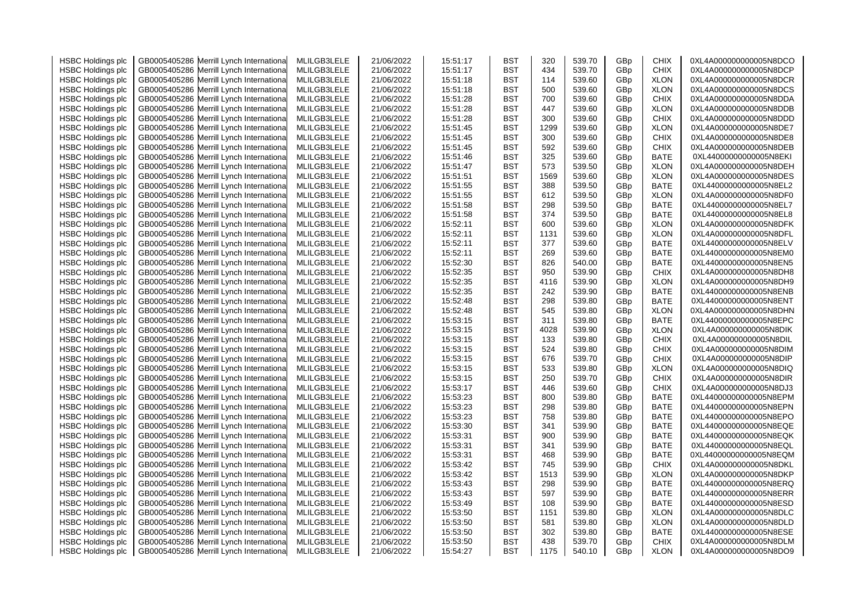| <b>HSBC Holdings plc</b> | GB0005405286 Merrill Lynch Internationa    | MLILGB3LELE | 21/06/2022 | 15:51:17 | <b>BST</b> | 320  | 539.70 | GBp | <b>CHIX</b> | 0XL4A000000000005N8DCO |
|--------------------------|--------------------------------------------|-------------|------------|----------|------------|------|--------|-----|-------------|------------------------|
| <b>HSBC Holdings plc</b> | Merrill Lynch Internationa<br>GB0005405286 | MLILGB3LELE | 21/06/2022 | 15:51:17 | BST        | 434  | 539.70 | GBp | <b>CHIX</b> | 0XL4A000000000005N8DCP |
| <b>HSBC Holdings plc</b> | Merrill Lynch Internationa<br>GB0005405286 | MLILGB3LELE | 21/06/2022 | 15:51:18 | BST        | 114  | 539.60 | GBp | <b>XLON</b> | 0XL4A000000000005N8DCR |
| <b>HSBC Holdings plc</b> | Merrill Lynch Internationa<br>GB0005405286 | MLILGB3LELE | 21/06/2022 | 15:51:18 | BST        | 500  | 539.60 | GBp | <b>XLON</b> | 0XL4A000000000005N8DCS |
| <b>HSBC Holdings plc</b> | GB0005405286<br>Merrill Lynch Internationa | MLILGB3LELE | 21/06/2022 | 15:51:28 | BST        | 700  | 539.60 | GBp | <b>CHIX</b> | 0XL4A000000000005N8DDA |
| <b>HSBC Holdings plc</b> | Merrill Lynch Internationa<br>GB0005405286 | MLILGB3LELE | 21/06/2022 | 15:51:28 | BST        | 447  | 539.60 | GBp | <b>XLON</b> | 0XL4A000000000005N8DDB |
| <b>HSBC Holdings plc</b> | GB0005405286<br>Merrill Lynch Internationa | MLILGB3LELE | 21/06/2022 | 15:51:28 | BST        | 300  | 539.60 | GBp | <b>CHIX</b> | 0XL4A000000000005N8DDD |
| <b>HSBC Holdings plc</b> | GB0005405286<br>Merrill Lynch Internationa | MLILGB3LELE | 21/06/2022 | 15:51:45 | BST        | 1299 | 539.60 | GBp | <b>XLON</b> | 0XL4A000000000005N8DE7 |
| <b>HSBC Holdings plc</b> | GB0005405286<br>Merrill Lynch Internationa | MLILGB3LELE | 21/06/2022 | 15:51:45 | BST        | 300  | 539.60 | GBp | <b>CHIX</b> | 0XL4A000000000005N8DE8 |
| <b>HSBC Holdings plc</b> | GB0005405286<br>Merrill Lynch Internationa | MLILGB3LELE | 21/06/2022 | 15:51:45 | BST        | 592  | 539.60 | GBp | <b>CHIX</b> | 0XL4A000000000005N8DEB |
| <b>HSBC Holdings plc</b> | GB0005405286<br>Merrill Lynch Internationa | MLILGB3LELE | 21/06/2022 | 15:51:46 | BST        | 325  | 539.60 | GBp | BATE        | 0XL44000000000005N8EKI |
| <b>HSBC Holdings plc</b> | Merrill Lynch Internationa<br>GB0005405286 | MLILGB3LELE | 21/06/2022 | 15:51:47 | BST        | 573  | 539.50 | GBp | <b>XLON</b> | 0XL4A000000000005N8DEH |
| <b>HSBC Holdings plc</b> | GB0005405286<br>Merrill Lynch Internationa | MLILGB3LELE | 21/06/2022 | 15:51:51 | BST        | 1569 | 539.60 | GBp | <b>XLON</b> | 0XL4A000000000005N8DES |
| <b>HSBC Holdings plc</b> | GB0005405286<br>Merrill Lynch Internationa | MLILGB3LELE | 21/06/2022 | 15:51:55 | BST        | 388  | 539.50 | GBp | BATE        | 0XL44000000000005N8EL2 |
|                          | GB0005405286<br>Merrill Lynch Internationa | MLILGB3LELE | 21/06/2022 | 15:51:55 | BST        | 612  | 539.50 |     | <b>XLON</b> | 0XL4A000000000005N8DF0 |
| <b>HSBC Holdings plc</b> |                                            |             |            |          |            | 298  |        | GBp |             |                        |
| <b>HSBC Holdings plc</b> | GB0005405286<br>Merrill Lynch Internationa | MLILGB3LELE | 21/06/2022 | 15:51:58 | BST        |      | 539.50 | GBp | BATE        | 0XL44000000000005N8EL7 |
| <b>HSBC Holdings plc</b> | GB0005405286<br>Merrill Lynch Internationa | MLILGB3LELE | 21/06/2022 | 15:51:58 | <b>BST</b> | 374  | 539.50 | GBp | <b>BATE</b> | 0XL44000000000005N8EL8 |
| <b>HSBC Holdings plc</b> | GB0005405286<br>Merrill Lynch Internationa | MLILGB3LELE | 21/06/2022 | 15:52:11 | BST        | 600  | 539.60 | GBp | <b>XLON</b> | 0XL4A000000000005N8DFK |
| <b>HSBC Holdings plc</b> | Merrill Lynch Internationa<br>GB0005405286 | MLILGB3LELE | 21/06/2022 | 15:52:11 | BST        | 1131 | 539.60 | GBp | <b>XLON</b> | 0XL4A000000000005N8DFL |
| <b>HSBC Holdings plc</b> | Merrill Lynch Internationa<br>GB0005405286 | MLILGB3LELE | 21/06/2022 | 15:52:11 | BST        | 377  | 539.60 | GBp | BATE        | 0XL44000000000005N8ELV |
| <b>HSBC Holdings plc</b> | GB0005405286<br>Merrill Lynch Internationa | MLILGB3LELE | 21/06/2022 | 15:52:11 | BST        | 269  | 539.60 | GBp | <b>BATE</b> | 0XL44000000000005N8EM0 |
| <b>HSBC Holdings plc</b> | GB0005405286<br>Merrill Lynch Internationa | MLILGB3LELE | 21/06/2022 | 15:52:30 | BST        | 826  | 540.00 | GBp | <b>BATE</b> | 0XL44000000000005N8EN5 |
| <b>HSBC Holdings plc</b> | GB0005405286<br>Merrill Lynch Internationa | MLILGB3LELE | 21/06/2022 | 15:52:35 | BST        | 950  | 539.90 | GBp | <b>CHIX</b> | 0XL4A000000000005N8DH8 |
| <b>HSBC Holdings plc</b> | GB0005405286<br>Merrill Lynch Internationa | MLILGB3LELE | 21/06/2022 | 15:52:35 | BST        | 4116 | 539.90 | GBp | <b>XLON</b> | 0XL4A000000000005N8DH9 |
| <b>HSBC Holdings plc</b> | Merrill Lynch Internationa<br>GB0005405286 | MLILGB3LELE | 21/06/2022 | 15:52:35 | BST        | 242  | 539.90 | GBp | <b>BATE</b> | 0XL44000000000005N8ENB |
| <b>HSBC Holdings plc</b> | Merrill Lynch Internationa<br>GB0005405286 | MLILGB3LELE | 21/06/2022 | 15:52:48 | BST        | 298  | 539.80 | GBp | <b>BATE</b> | 0XL44000000000005N8ENT |
| <b>HSBC Holdings plc</b> | Merrill Lynch Internationa<br>GB0005405286 | MLILGB3LELE | 21/06/2022 | 15:52:48 | BST        | 545  | 539.80 | GBp | <b>XLON</b> | 0XL4A000000000005N8DHN |
| <b>HSBC Holdings plc</b> | Merrill Lynch Internationa<br>GB0005405286 | MLILGB3LELE | 21/06/2022 | 15:53:15 | <b>BST</b> | 311  | 539.80 | GBp | BATE        | 0XL44000000000005N8EPC |
| <b>HSBC Holdings plc</b> | Merrill Lynch Internationa<br>GB0005405286 | MLILGB3LELE | 21/06/2022 | 15:53:15 | <b>BST</b> | 4028 | 539.90 | GBp | <b>XLON</b> | 0XL4A000000000005N8DIK |
| <b>HSBC Holdings plc</b> | Merrill Lynch Internationa<br>GB0005405286 | MLILGB3LELE | 21/06/2022 | 15:53:15 | BST        | 133  | 539.80 | GBp | <b>CHIX</b> | 0XL4A000000000005N8DIL |
| <b>HSBC Holdings plc</b> | Merrill Lynch Internationa<br>GB0005405286 | MLILGB3LELE | 21/06/2022 | 15:53:15 | BST        | 524  | 539.80 | GBp | <b>CHIX</b> | 0XL4A000000000005N8DIM |
| <b>HSBC Holdings plc</b> | Merrill Lynch Internationa<br>GB0005405286 | MLILGB3LELE | 21/06/2022 | 15:53:15 | BST        | 676  | 539.70 | GBp | <b>CHIX</b> | 0XL4A000000000005N8DIP |
| <b>HSBC Holdings plc</b> | GB0005405286<br>Merrill Lynch Internationa | MLILGB3LELE | 21/06/2022 | 15:53:15 | <b>BST</b> | 533  | 539.80 | GBp | <b>XLON</b> | 0XL4A000000000005N8DIQ |
| <b>HSBC Holdings plc</b> | Merrill Lynch Internationa<br>GB0005405286 | MLILGB3LELE | 21/06/2022 | 15:53:15 | BST        | 250  | 539.70 | GBp | <b>CHIX</b> | 0XL4A000000000005N8DIR |
| <b>HSBC Holdings plc</b> | GB0005405286<br>Merrill Lynch Internationa | MLILGB3LELE | 21/06/2022 | 15:53:17 | BST        | 446  | 539.60 | GBp | <b>CHIX</b> | 0XL4A000000000005N8DJ3 |
| <b>HSBC Holdings plc</b> | Merrill Lynch Internationa<br>GB0005405286 | MLILGB3LELE | 21/06/2022 | 15:53:23 | BST        | 800  | 539.80 | GBp | <b>BATE</b> | 0XL44000000000005N8EPM |
| <b>HSBC Holdings plc</b> | Merrill Lynch Internationa<br>GB0005405286 | MLILGB3LELE | 21/06/2022 | 15:53:23 | BST        | 298  | 539.80 | GBp | <b>BATE</b> | 0XL44000000000005N8EPN |
| <b>HSBC Holdings plc</b> | Merrill Lynch Internationa<br>GB0005405286 | MLILGB3LELE | 21/06/2022 | 15:53:23 | BST        | 758  | 539.80 | GBp | BATE        | 0XL44000000000005N8EPO |
| <b>HSBC Holdings plc</b> | Merrill Lynch Internationa<br>GB0005405286 | MLILGB3LELE | 21/06/2022 | 15:53:30 | BST        | 341  | 539.90 | GBp | BATE        | 0XL44000000000005N8EQE |
| <b>HSBC Holdings plc</b> | Merrill Lynch Internationa<br>GB0005405286 | MLILGB3LELE | 21/06/2022 | 15:53:31 | <b>BST</b> | 900  | 539.90 | GBp | BATE        | 0XL44000000000005N8EQK |
| <b>HSBC Holdings plc</b> | GB0005405286<br>Merrill Lynch Internationa | MLILGB3LELE | 21/06/2022 | 15:53:31 | BST        | 341  | 539.90 | GBp | <b>BATE</b> | 0XL44000000000005N8EQL |
| <b>HSBC Holdings plc</b> | Merrill Lynch Internationa<br>GB0005405286 | MLILGB3LELE | 21/06/2022 | 15:53:31 | BST        | 468  | 539.90 | GBp | BATE        | 0XL44000000000005N8EQM |
| <b>HSBC Holdings plc</b> | Merrill Lynch Internationa<br>GB0005405286 | MLILGB3LELE | 21/06/2022 | 15:53:42 | BST        | 745  | 539.90 | GBp | <b>CHIX</b> | 0XL4A000000000005N8DKL |
| <b>HSBC Holdings plc</b> | GB0005405286<br>Merrill Lynch Internationa | MLILGB3LELE | 21/06/2022 | 15:53:42 | BST        | 1513 | 539.90 | GBp | <b>XLON</b> | 0XL4A000000000005N8DKP |
| <b>HSBC Holdings plc</b> | Merrill Lynch Internationa<br>GB0005405286 | MLILGB3LELE | 21/06/2022 | 15:53:43 | BST        | 298  | 539.90 | GBp | BATE        | 0XL44000000000005N8ERQ |
| <b>HSBC Holdings plc</b> | Merrill Lynch Internationa<br>GB0005405286 | MLILGB3LELE | 21/06/2022 | 15:53:43 | BST        | 597  | 539.90 | GBp | BATE        | 0XL44000000000005N8ERR |
| <b>HSBC Holdings plc</b> | GB0005405286<br>Merrill Lynch Internationa | MLILGB3LELE | 21/06/2022 | 15:53:49 | BST        | 108  | 539.90 | GBp | <b>BATE</b> | 0XL44000000000005N8ESD |
| <b>HSBC Holdings plc</b> | Merrill Lynch Internationa<br>GB0005405286 | MLILGB3LELE | 21/06/2022 | 15:53:50 | BST        | 1151 | 539.80 | GBp | <b>XLON</b> | 0XL4A000000000005N8DLC |
| <b>HSBC Holdings plc</b> | Merrill Lynch Internationa<br>GB0005405286 | MLILGB3LELE | 21/06/2022 | 15:53:50 | BST        | 581  | 539.80 | GBp | <b>XLON</b> | 0XL4A000000000005N8DLD |
| <b>HSBC Holdings plc</b> | Merrill Lynch Internationa<br>GB0005405286 | MLILGB3LELE | 21/06/2022 | 15:53:50 | BST        | 302  | 539.80 | GBp | BATE        | 0XL44000000000005N8ESE |
| <b>HSBC Holdings plc</b> | GB0005405286 Merrill Lynch Internationa    | MLILGB3LELE | 21/06/2022 | 15:53:50 | BST        | 438  | 539.70 | GBp | <b>CHIX</b> | 0XL4A000000000005N8DLM |
| <b>HSBC Holdings plc</b> | GB0005405286 Merrill Lynch International   | MLILGB3LELE | 21/06/2022 | 15:54:27 | BST        | 1175 | 540.10 | GBp | <b>XLON</b> | 0XL4A000000000005N8DO9 |
|                          |                                            |             |            |          |            |      |        |     |             |                        |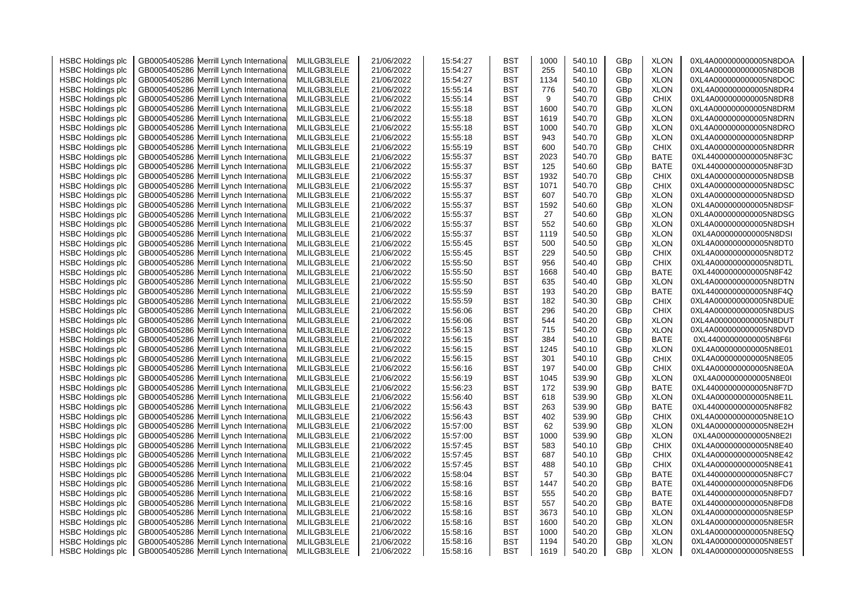| <b>HSBC Holdings plc</b> | GB0005405286 Merrill Lynch Internationa                                                  | MLILGB3LELE | 21/06/2022 | 15:54:27             | BST        | 1000        | 540.10           | GBp        | <b>XLON</b> | 0XL4A000000000005N8DOA                           |
|--------------------------|------------------------------------------------------------------------------------------|-------------|------------|----------------------|------------|-------------|------------------|------------|-------------|--------------------------------------------------|
| <b>HSBC Holdings plc</b> | Merrill Lynch Internationa<br>GB0005405286                                               | MLILGB3LELE | 21/06/2022 | 15:54:27             | BST        | 255         | 540.10           | GBp        | <b>XLON</b> | 0XL4A000000000005N8DOB                           |
| <b>HSBC Holdings plc</b> | Merrill Lynch Internationa<br>GB0005405286                                               | MLILGB3LELE | 21/06/2022 | 15:54:27             | BST        | 1134        | 540.10           | GBp        | <b>XLON</b> | 0XL4A000000000005N8DOC                           |
| <b>HSBC Holdings plc</b> | Merrill Lynch Internationa<br>GB0005405286                                               | MLILGB3LELE | 21/06/2022 | 15:55:14             | BST        | 776         | 540.70           | GBp        | <b>XLON</b> | 0XL4A000000000005N8DR4                           |
| <b>HSBC Holdings plc</b> | GB0005405286<br>Merrill Lynch Internationa                                               | MLILGB3LELE | 21/06/2022 | 15:55:14             | BST        | 9           | 540.70           | GBp        | <b>CHIX</b> | 0XL4A000000000005N8DR8                           |
| <b>HSBC Holdings plc</b> | Merrill Lynch Internationa<br>GB0005405286                                               | MLILGB3LELE | 21/06/2022 | 15:55:18             | BST        | 1600        | 540.70           | GBp        | <b>XLON</b> | 0XL4A000000000005N8DRM                           |
| <b>HSBC Holdings plc</b> | GB0005405286<br>Merrill Lynch Internationa                                               | MLILGB3LELE | 21/06/2022 | 15:55:18             | BST        | 1619        | 540.70           | GBp        | <b>XLON</b> | 0XL4A000000000005N8DRN                           |
| <b>HSBC Holdings plc</b> | GB0005405286<br>Merrill Lynch Internationa                                               | MLILGB3LELE | 21/06/2022 | 15:55:18             | BST        | 1000        | 540.70           | GBp        | <b>XLON</b> | 0XL4A000000000005N8DRO                           |
| <b>HSBC Holdings plc</b> | GB0005405286<br>Merrill Lynch Internationa                                               | MLILGB3LELE | 21/06/2022 | 15:55:18             | BST        | 943         | 540.70           | GBp        | <b>XLON</b> | 0XL4A000000000005N8DRP                           |
| <b>HSBC Holdings plc</b> | GB0005405286<br>Merrill Lynch Internationa                                               | MLILGB3LELE | 21/06/2022 | 15:55:19             | BST        | 600         | 540.70           | GBp        | <b>CHIX</b> | 0XL4A000000000005N8DRR                           |
| <b>HSBC Holdings plc</b> | GB0005405286<br>Merrill Lynch Internationa                                               | MLILGB3LELE | 21/06/2022 | 15:55:37             | BST        | 2023        | 540.70           | GBp        | BATE        | 0XL44000000000005N8F3C                           |
|                          |                                                                                          |             |            |                      | BST        |             |                  |            | BATE        |                                                  |
| <b>HSBC Holdings plc</b> | Merrill Lynch Internationa<br>GB0005405286<br>GB0005405286<br>Merrill Lynch Internationa | MLILGB3LELE | 21/06/2022 | 15:55:37<br>15:55:37 | BST        | 125<br>1932 | 540.60<br>540.70 | GBp<br>GBp | <b>CHIX</b> | 0XL44000000000005N8F3D<br>0XL4A000000000005N8DSB |
| <b>HSBC Holdings plc</b> |                                                                                          | MLILGB3LELE | 21/06/2022 |                      |            | 1071        |                  |            |             |                                                  |
| <b>HSBC Holdings plc</b> | GB0005405286<br>Merrill Lynch Internationa                                               | MLILGB3LELE | 21/06/2022 | 15:55:37             | BST        |             | 540.70           | GBp        | <b>CHIX</b> | 0XL4A000000000005N8DSC                           |
| <b>HSBC Holdings plc</b> | GB0005405286<br>Merrill Lynch Internationa                                               | MLILGB3LELE | 21/06/2022 | 15:55:37             | BST        | 607         | 540.70           | GBp        | <b>XLON</b> | 0XL4A000000000005N8DSD                           |
| <b>HSBC Holdings plc</b> | GB0005405286<br>Merrill Lynch Internationa                                               | MLILGB3LELE | 21/06/2022 | 15:55:37             | BST        | 1592        | 540.60           | GBp        | <b>XLON</b> | 0XL4A000000000005N8DSF                           |
| <b>HSBC Holdings plc</b> | GB0005405286<br>Merrill Lynch Internationa                                               | MLILGB3LELE | 21/06/2022 | 15:55:37             | <b>BST</b> | 27          | 540.60           | GBp        | <b>XLON</b> | 0XL4A000000000005N8DSG                           |
| <b>HSBC Holdings plc</b> | GB0005405286<br>Merrill Lynch Internationa                                               | MLILGB3LELE | 21/06/2022 | 15:55:37             | BST        | 552         | 540.60           | GBp        | <b>XLON</b> | 0XL4A000000000005N8DSH                           |
| <b>HSBC Holdings plc</b> | Merrill Lynch Internationa<br>GB0005405286                                               | MLILGB3LELE | 21/06/2022 | 15:55:37             | BST        | 1119        | 540.50           | GBp        | <b>XLON</b> | 0XL4A000000000005N8DSI                           |
| <b>HSBC Holdings plc</b> | Merrill Lynch Internationa<br>GB0005405286                                               | MLILGB3LELE | 21/06/2022 | 15:55:45             | BST        | 500         | 540.50           | GBp        | <b>XLON</b> | 0XL4A000000000005N8DT0                           |
| <b>HSBC Holdings plc</b> | Merrill Lynch Internationa<br>GB0005405286                                               | MLILGB3LELE | 21/06/2022 | 15:55:45             | BST        | 229         | 540.50           | GBp        | <b>CHIX</b> | 0XL4A000000000005N8DT2                           |
| <b>HSBC Holdings plc</b> | GB0005405286<br>Merrill Lynch Internationa                                               | MLILGB3LELE | 21/06/2022 | 15:55:50             | BST        | 956         | 540.40           | GBp        | <b>CHIX</b> | 0XL4A000000000005N8DTL                           |
| <b>HSBC Holdings plc</b> | GB0005405286<br>Merrill Lynch Internationa                                               | MLILGB3LELE | 21/06/2022 | 15:55:50             | BST        | 1668        | 540.40           | GBp        | BATE        | 0XL44000000000005N8F42                           |
| <b>HSBC Holdings plc</b> | GB0005405286<br>Merrill Lynch Internationa                                               | MLILGB3LELE | 21/06/2022 | 15:55:50             | BST        | 635         | 540.40           | GBp        | <b>XLON</b> | 0XL4A000000000005N8DTN                           |
| <b>HSBC Holdings plc</b> | Merrill Lynch Internationa<br>GB0005405286                                               | MLILGB3LELE | 21/06/2022 | 15:55:59             | BST        | 193         | 540.20           | GBp        | <b>BATE</b> | 0XL44000000000005N8F4Q                           |
| <b>HSBC Holdings plc</b> | Merrill Lynch Internationa<br>GB0005405286                                               | MLILGB3LELE | 21/06/2022 | 15:55:59             | BST        | 182         | 540.30           | GBp        | <b>CHIX</b> | 0XL4A000000000005N8DUE                           |
| <b>HSBC Holdings plc</b> | Merrill Lynch Internationa<br>GB0005405286                                               | MLILGB3LELE | 21/06/2022 | 15:56:06             | BST        | 296         | 540.20           | GBp        | <b>CHIX</b> | 0XL4A000000000005N8DUS                           |
| <b>HSBC Holdings plc</b> | Merrill Lynch Internationa<br>GB0005405286                                               | MLILGB3LELE | 21/06/2022 | 15:56:06             | <b>BST</b> | 544         | 540.20           | GBp        | <b>XLON</b> | 0XL4A000000000005N8DUT                           |
| <b>HSBC Holdings plc</b> | Merrill Lynch Internationa<br>GB0005405286                                               | MLILGB3LELE | 21/06/2022 | 15:56:13             | <b>BST</b> | 715         | 540.20           | GBp        | <b>XLON</b> | 0XL4A000000000005N8DVD                           |
| <b>HSBC Holdings plc</b> | Merrill Lynch Internationa<br>GB0005405286                                               | MLILGB3LELE | 21/06/2022 | 15:56:15             | BST        | 384         | 540.10           | GBp        | <b>BATE</b> | 0XL44000000000005N8F6I                           |
| <b>HSBC Holdings plc</b> | Merrill Lynch Internationa<br>GB0005405286                                               | MLILGB3LELE | 21/06/2022 | 15:56:15             | BST        | 1245        | 540.10           | GBp        | <b>XLON</b> | 0XL4A000000000005N8E01                           |
| <b>HSBC Holdings plc</b> | Merrill Lynch Internationa<br>GB0005405286                                               | MLILGB3LELE | 21/06/2022 | 15:56:15             | BST        | 301         | 540.10           | GBp        | <b>CHIX</b> | 0XL4A000000000005N8E05                           |
| <b>HSBC Holdings plc</b> | GB0005405286<br>Merrill Lynch Internationa                                               | MLILGB3LELE | 21/06/2022 | 15:56:16             | <b>BST</b> | 197         | 540.00           | GBp        | <b>CHIX</b> | 0XL4A000000000005N8E0A                           |
| <b>HSBC Holdings plc</b> | Merrill Lynch Internationa<br>GB0005405286                                               | MLILGB3LELE | 21/06/2022 | 15:56:19             | BST        | 1045        | 539.90           | GBp        | <b>XLON</b> | 0XL4A000000000005N8E0I                           |
| <b>HSBC Holdings plc</b> | GB0005405286<br>Merrill Lynch Internationa                                               | MLILGB3LELE | 21/06/2022 | 15:56:23             | BST        | 172         | 539.90           | GBp        | BATE        | 0XL44000000000005N8F7D                           |
| <b>HSBC Holdings plc</b> | Merrill Lynch Internationa<br>GB0005405286                                               | MLILGB3LELE | 21/06/2022 | 15:56:40             | BST        | 618         | 539.90           | GBp        | <b>XLON</b> | 0XL4A000000000005N8E1L                           |
| <b>HSBC Holdings plc</b> | Merrill Lynch Internationa<br>GB0005405286                                               | MLILGB3LELE | 21/06/2022 | 15:56:43             | BST        | 263         | 539.90           | GBp        | <b>BATE</b> | 0XL44000000000005N8F82                           |
| <b>HSBC Holdings plc</b> | Merrill Lynch Internationa<br>GB0005405286                                               | MLILGB3LELE | 21/06/2022 | 15:56:43             | BST        | 402         | 539.90           | GBp        | <b>CHIX</b> | 0XL4A000000000005N8E1O                           |
| <b>HSBC Holdings plc</b> | Merrill Lynch Internationa<br>GB0005405286                                               | MLILGB3LELE | 21/06/2022 | 15:57:00             | BST        | 62          | 539.90           | GBp        | <b>XLON</b> | 0XL4A000000000005N8E2H                           |
| <b>HSBC Holdings plc</b> | Merrill Lynch Internationa<br>GB0005405286                                               | MLILGB3LELE | 21/06/2022 | 15:57:00             | <b>BST</b> | 1000        | 539.90           | GBp        | <b>XLON</b> | 0XL4A000000000005N8E2I                           |
| <b>HSBC Holdings plc</b> | GB0005405286<br>Merrill Lynch Internationa                                               | MLILGB3LELE | 21/06/2022 | 15:57:45             | BST        | 583         | 540.10           | GBp        | <b>CHIX</b> | 0XL4A000000000005N8E40                           |
| <b>HSBC Holdings plc</b> | Merrill Lynch Internationa<br>GB0005405286                                               | MLILGB3LELE | 21/06/2022 | 15:57:45             | BST        | 687         | 540.10           | GBp        | <b>CHIX</b> | 0XL4A000000000005N8E42                           |
| <b>HSBC Holdings plc</b> | Merrill Lynch Internationa<br>GB0005405286                                               | MLILGB3LELE | 21/06/2022 | 15:57:45             | BST        | 488         | 540.10           | GBp        | <b>CHIX</b> | 0XL4A000000000005N8E41                           |
| <b>HSBC Holdings plc</b> | GB0005405286<br>Merrill Lynch Internationa                                               | MLILGB3LELE | 21/06/2022 | 15:58:04             | BST        | 57          | 540.30           | GBp        | BATE        | 0XL44000000000005N8FC7                           |
| <b>HSBC Holdings plc</b> | Merrill Lynch Internationa<br>GB0005405286                                               | MLILGB3LELE | 21/06/2022 | 15:58:16             | BST        | 1447        | 540.20           | GBp        | BATE        | 0XL44000000000005N8FD6                           |
| <b>HSBC Holdings plc</b> | Merrill Lynch Internationa<br>GB0005405286                                               | MLILGB3LELE | 21/06/2022 | 15:58:16             | BST        | 555         | 540.20           | GBp        | BATE        | 0XL44000000000005N8FD7                           |
| <b>HSBC Holdings plc</b> | GB0005405286<br>Merrill Lynch Internationa                                               | MLILGB3LELE | 21/06/2022 | 15:58:16             | BST        | 557         | 540.20           | GBp        | <b>BATE</b> | 0XL44000000000005N8FD8                           |
|                          |                                                                                          |             |            |                      | BST        |             |                  |            |             |                                                  |
| <b>HSBC Holdings plc</b> | Merrill Lynch Internationa<br>GB0005405286                                               | MLILGB3LELE | 21/06/2022 | 15:58:16             |            | 3673        | 540.10           | GBp        | <b>XLON</b> | 0XL4A000000000005N8E5P                           |
| <b>HSBC Holdings plc</b> | Merrill Lynch Internationa<br>GB0005405286                                               | MLILGB3LELE | 21/06/2022 | 15:58:16             | BST        | 1600        | 540.20           | GBp        | <b>XLON</b> | 0XL4A000000000005N8E5R                           |
| <b>HSBC Holdings plc</b> | Merrill Lynch Internationa<br>GB0005405286                                               | MLILGB3LELE | 21/06/2022 | 15:58:16             | BST        | 1000        | 540.20           | GBp        | <b>XLON</b> | 0XL4A000000000005N8E5Q                           |
| <b>HSBC Holdings plc</b> | GB0005405286 Merrill Lynch Internationa                                                  | MLILGB3LELE | 21/06/2022 | 15:58:16             | BST        | 1194        | 540.20           | GBp        | <b>XLON</b> | 0XL4A000000000005N8E5T                           |
| <b>HSBC Holdings plc</b> | GB0005405286 Merrill Lynch International                                                 | MLILGB3LELE | 21/06/2022 | 15:58:16             | BST        | 1619        | 540.20           | GBp        | <b>XLON</b> | 0XL4A000000000005N8E5S                           |